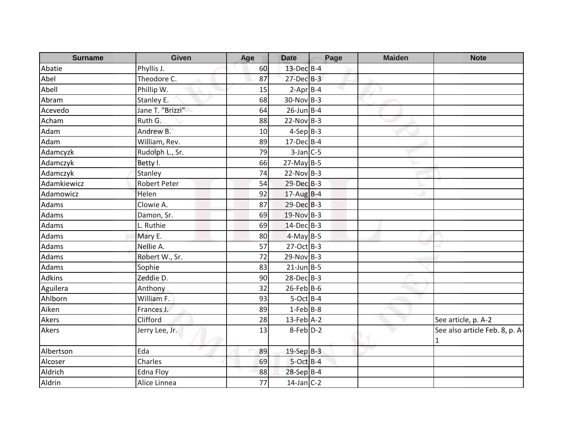| <b>Surname</b> | <b>Given</b>        | Age | <b>Date</b>       | Page | <b>Maiden</b> | <b>Note</b>                    |
|----------------|---------------------|-----|-------------------|------|---------------|--------------------------------|
| Abatie         | Phyllis J.          | 60  | 13-Dec B-4        |      |               |                                |
| Abel           | Theodore C.         | 87  | $27$ -Dec $B-3$   |      |               |                                |
| Abell          | Phillip W.          | 15  | $2-Apr$ B-4       |      |               |                                |
| Abram          | Stanley E.          | 68  | $30-Nov$ B-3      |      |               |                                |
| Acevedo        | Jane T. "Brizzi"    | 64  | $26$ -Jun $B$ -4  |      |               |                                |
| Acham          | Ruth G.             | 88  | $22-Nov$ B-3      |      |               |                                |
| Adam           | Andrew B.           | 10  | $4-SepB-3$        |      |               |                                |
| Adam           | William, Rev.       | 89  | $17$ -Dec $B - 4$ |      |               |                                |
| Adamcyzk       | Rudolph L., Sr.     | 79  | $3$ -Jan $C$ -5   |      |               |                                |
| Adamczyk       | Betty I.            | 66  | $27$ -May B-5     |      |               |                                |
| Adamczyk       | Stanley             | 74  | $22-Nov$ B-3      |      |               |                                |
| Adamkiewicz    | <b>Robert Peter</b> | 54  | 29-Dec B-3        |      |               |                                |
| Adamowicz      | Helen               | 92  | $17$ -Aug B-4     |      |               |                                |
| Adams          | Clowie A.           | 87  | 29-Dec B-3        |      |               |                                |
| Adams          | Damon, Sr.          | 69  | 19-Nov B-3        |      |               |                                |
| Adams          | L. Ruthie           | 69  | $14$ -Dec $B-3$   |      |               |                                |
| Adams          | Mary E.             | 80  | $4-MayB-5$        |      |               |                                |
| Adams          | Nellie A.           | 57  | 27-Oct B-3        |      |               |                                |
| Adams          | Robert W., Sr.      | 72  | $29-Nov$ B-3      |      |               |                                |
| Adams          | Sophie              | 83  | $21$ -Jun $B - 5$ |      |               |                                |
| <b>Adkins</b>  | Zeddie D.           | 90  | $28$ -Dec $B-3$   |      |               |                                |
| Aguilera       | Anthony             | 32  | $26$ -Feb B-6     |      |               |                                |
| Ahlborn        | William F.          | 93  | $5-Oct$ B-4       |      |               |                                |
| Aiken          | Frances J.          | 89  | $1-Feb$ B-8       |      |               |                                |
| Akers          | Clifford            | 28  | $13$ -Feb $A-2$   |      |               | See article, p. A-2            |
| Akers          | Jerry Lee, Jr.      | 13  | 8-Feb D-2         |      |               | See also article Feb. 8, p. A- |
| Albertson      | Eda                 | 89  | $19-Sep$ $B-3$    |      |               |                                |
| Alcoser        | Charles             | 69  | $5$ -Oct $B-4$    |      |               |                                |
| Aldrich        | <b>Edna Floy</b>    | 88  | 28-Sep B-4        |      |               |                                |
| Aldrin         | Alice Linnea        | 77  | $14$ -Jan C-2     |      |               |                                |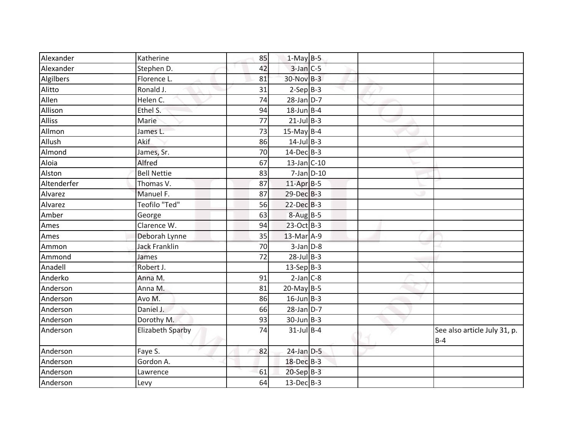| Alexander     | Katherine            | 85 | $1-May$ B-5     |  |                                       |
|---------------|----------------------|----|-----------------|--|---------------------------------------|
| Alexander     | Stephen D.           | 42 | $3$ -Jan $C$ -5 |  |                                       |
| Algilbers     | Florence L.          | 81 | 30-Nov B-3      |  |                                       |
| Alitto        | Ronald J.            | 31 | $2-Sep B-3$     |  |                                       |
| Allen         | Helen C.             | 74 | $28$ -Jan $D-7$ |  |                                       |
| Allison       | Ethel S.             | 94 | $18$ -Jun B-4   |  |                                       |
| <b>Alliss</b> | Marie                | 77 | $21$ -Jul B-3   |  |                                       |
| Allmon        | James L.             | 73 | $15$ -May B-4   |  |                                       |
| Allush        | Akif                 | 86 | $14$ -Jul B-3   |  |                                       |
| Almond        | James, Sr.           | 70 | $14$ -Dec $B-3$ |  |                                       |
| Aloia         | Alfred               | 67 | $13$ -Jan C-10  |  |                                       |
| Alston        | <b>Bell Nettie</b>   | 83 | $7$ -Jan $D-10$ |  |                                       |
| Altenderfer   | Thomas V.            | 87 | $11$ -Apr $B-5$ |  |                                       |
| Alvarez       | Manuel F.            | 87 | 29-Dec B-3      |  |                                       |
| Alvarez       | Teofilo "Ted"        | 56 | $22$ -Dec $B-3$ |  |                                       |
| Amber         | George               | 63 | $8-Aug$ B-5     |  |                                       |
| Ames          | Clarence W.          | 94 | 23-Oct B-3      |  |                                       |
| Ames          | Deborah Lynne        | 35 | $13$ -Mar $A-9$ |  |                                       |
| Ammon         | <b>Jack Franklin</b> | 70 | $3$ -Jan $D-8$  |  |                                       |
| Ammond        | James                | 72 | $28$ -Jul B-3   |  |                                       |
| Anadell       | Robert J.            |    | $13-Sep$ B-3    |  |                                       |
| Anderko       | Anna M.              | 91 | $2-Jan$ $C-8$   |  |                                       |
| Anderson      | Anna M.              | 81 | $20$ -May B-5   |  |                                       |
| Anderson      | Avo M.               | 86 | $16$ -Jun B-3   |  |                                       |
| Anderson      | Daniel J.            | 66 | $28$ -Jan $D-7$ |  |                                       |
| Anderson      | Dorothy M.           | 93 | $30$ -Jun B-3   |  |                                       |
| Anderson      | Elizabeth Sparby     | 74 | $31$ -Jul B-4   |  | See also article July 31, p.<br>$B-4$ |
| Anderson      | Faye S.              | 82 | $24$ -Jan $D-5$ |  |                                       |
| Anderson      | Gordon A.            |    | 18-Dec B-3      |  |                                       |
| Anderson      | Lawrence             | 61 | $20-Sep$ B-3    |  |                                       |
| Anderson      | Levy                 | 64 | $13$ -Dec $B-3$ |  |                                       |
|               |                      |    |                 |  |                                       |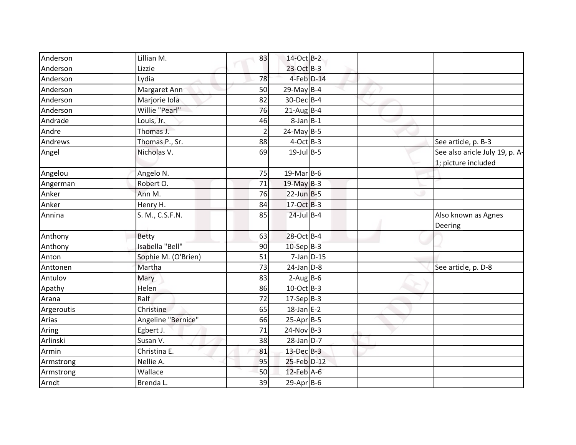| Anderson   | Lillian M.          | 83             | 14-Oct B-2       |                 |                                |
|------------|---------------------|----------------|------------------|-----------------|--------------------------------|
| Anderson   | Lizzie              |                | 23-Oct B-3       |                 |                                |
| Anderson   | Lydia               | 78             | $4$ -Feb $D-14$  |                 |                                |
| Anderson   | Margaret Ann        | 50             | $29$ -May B-4    |                 |                                |
| Anderson   | Marjorie Iola       | 82             | 30-Dec B-4       |                 |                                |
| Anderson   | Willie "Pearl"      | 76             | $21$ -Aug B-4    |                 |                                |
| Andrade    | Louis, Jr.          | 46             | $8$ -Jan $B-1$   |                 |                                |
| Andre      | Thomas J.           | $\overline{2}$ | $24$ -May B-5    |                 |                                |
| Andrews    | Thomas P., Sr.      | 88             | $4$ -Oct B-3     |                 | See article, p. B-3            |
| Angel      | Nicholas V.         | 69             | $19$ -Jul B-5    |                 | See also aricle July 19, p. A- |
|            |                     |                |                  |                 | 1; picture included            |
| Angelou    | Angelo N.           | 75             | 19-Mar B-6       |                 |                                |
| Angerman   | Robert O.           | 71             | $19$ -May B-3    |                 |                                |
| Anker      | Ann M.              | 76             | $22$ -Jun B-5    |                 |                                |
| Anker      | Henry H.            | 84             | 17-Oct B-3       |                 |                                |
| Annina     | S. M., C.S.F.N.     | 85             | $24$ -Jul B-4    |                 | Also known as Agnes<br>Deering |
| Anthony    | Betty               | 63             | 28-Oct B-4       |                 |                                |
| Anthony    | Isabella "Bell"     | 90             | $10-Sep B-3$     |                 |                                |
| Anton      | Sophie M. (O'Brien) | 51             |                  | $7$ -Jan $D-15$ |                                |
| Anttonen   | Martha              | 73             | $24$ -Jan $D-8$  |                 | See article, p. D-8            |
| Antulov    | Mary                | 83             | $2-Aug$ B-6      |                 |                                |
| Apathy     | Helen               | 86             | 10-Oct B-3       |                 |                                |
| Arana      | Ralf                | 72             | $17-Sep$ B-3     |                 |                                |
| Argeroutis | Christine           | 65             | $18$ -Jan E-2    |                 |                                |
| Arias      | Angeline "Bernice"  | 66             | $25-Apr$ B-5     |                 |                                |
| Aring      | Egbert J.           | 71             | $24-Nov$ B-3     |                 |                                |
| Arlinski   | Susan V.            | 38             | $28$ -Jan $D-7$  |                 |                                |
| Armin      | Christina E.        | 81             | $13$ -Dec $B-3$  |                 |                                |
| Armstrong  | Nellie A.           | 95             | 25-Feb D-12      |                 |                                |
| Armstrong  | Wallace             | 50             | $12$ -Feb $A$ -6 |                 |                                |
| Arndt      | Brenda L.           | 39             | $29$ -Apr $B$ -6 |                 |                                |
|            |                     |                |                  |                 |                                |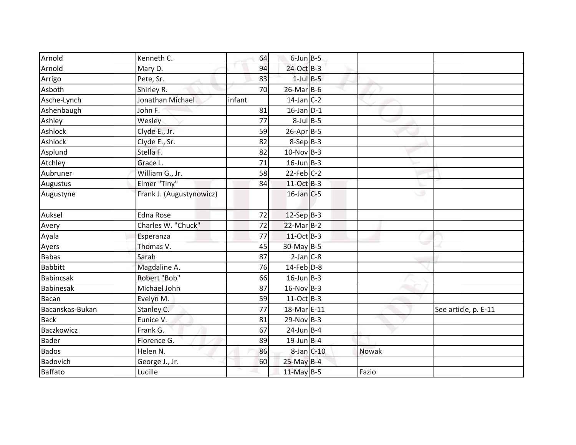| Arnold           | Kenneth C.               | 64     | $6$ -Jun $B$ -5  |              |                      |
|------------------|--------------------------|--------|------------------|--------------|----------------------|
| Arnold           | Mary D.                  | 94     | 24-Oct B-3       |              |                      |
| Arrigo           | Pete, Sr.                | 83     | $1$ -Jul $B-5$   |              |                      |
| Asboth           | Shirley R.               | 70     | $26$ -Mar $B$ -6 |              |                      |
| Asche-Lynch      | Jonathan Michael         | infant | $14$ -Jan C-2    |              |                      |
| Ashenbaugh       | John F.                  | 81     | $16$ -Jan $D-1$  |              |                      |
| Ashley           | Wesley                   | 77     | $8$ -Jul $B$ -5  |              |                      |
| Ashlock          | Clyde E., Jr.            | 59     | $26$ -Apr $B$ -5 |              |                      |
| Ashlock          | Clyde E., Sr.            | 82     | $8-Sep B-3$      |              |                      |
| Asplund          | Stella F.                | 82     | $10-Nov$ B-3     |              |                      |
| Atchley          | Grace L.                 | 71     | $16$ -Jun B-3    |              |                      |
| Aubruner         | William G., Jr.          | 58     | $22$ -Feb $C-2$  |              |                      |
| Augustus         | Elmer "Tiny"             | 84     | 11-Oct B-3       |              |                      |
| Augustyne        | Frank J. (Augustynowicz) |        | $16$ -Jan $C$ -5 |              |                      |
| Auksel           | <b>Edna Rose</b>         | 72     | $12-Sep$ B-3     |              |                      |
| Avery            | Charles W. "Chuck"       | 72     | $22$ -Mar $B-2$  |              |                      |
| Ayala            | Esperanza                | 77     | 11-Oct B-3       |              |                      |
| Ayers            | Thomas V.                | 45     | 30-May B-5       |              |                      |
| <b>Babas</b>     | Sarah                    | 87     | $2-Jan$ $C-8$    |              |                      |
| <b>Babbitt</b>   | Magdaline A.             | 76     | $14$ -Feb $D-8$  |              |                      |
| <b>Babincsak</b> | Robert "Bob"             | 66     | $16$ -Jun B-3    |              |                      |
| Babinesak        | Michael John             | 87     | $16-Nov$ B-3     |              |                      |
| <b>Bacan</b>     | Evelyn M.                | 59     | $11-Oct$ B-3     |              |                      |
| Bacanskas-Bukan  | Stanley C.               | 77     | 18-Mar E-11      |              | See article, p. E-11 |
| <b>Back</b>      | Eunice V.                | 81     | $29-Nov B-3$     |              |                      |
| Baczkowicz       | Frank G.                 | 67     | $24$ -Jun B-4    |              |                      |
| <b>Bader</b>     | Florence G.              | 89     | $19$ -Jun B-4    |              |                      |
| <b>Bados</b>     | Helen N.                 | 86     | $8$ -Jan $C$ -10 | <b>Nowak</b> |                      |
| Badovich         | George J., Jr.           | 60     | 25-May B-4       |              |                      |
| Baffato          | Lucille                  |        | 11-May B-5       | Fazio        |                      |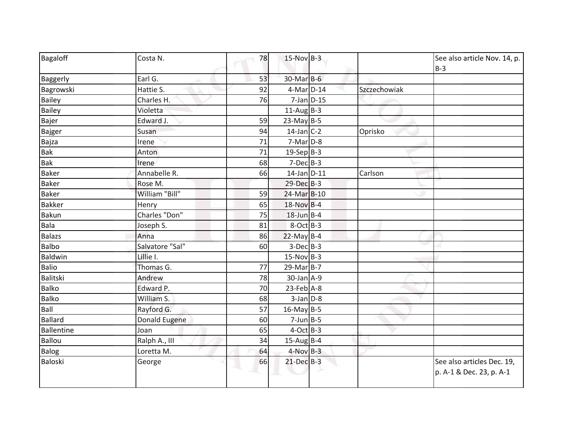| Bagaloff          | Costa N.        | 78 | $15-Nov$ B-3     |              | See also article Nov. 14, p.<br>$B-3$                  |
|-------------------|-----------------|----|------------------|--------------|--------------------------------------------------------|
| Baggerly          | Earl G.         | 53 | 30-Mar B-6       |              |                                                        |
| Bagrowski         | Hattie S.       | 92 | 4-Mar D-14       | Szczechowiak |                                                        |
| <b>Bailey</b>     | Charles H.      | 76 | $7$ -Jan $D-15$  |              |                                                        |
| Bailey            | Violetta        |    | $11$ -Aug B-3    |              |                                                        |
| Bajer             | Edward J.       | 59 | $23$ -May B-5    |              |                                                        |
| <b>Bajger</b>     | Susan           | 94 | $14$ -Jan C-2    | Oprisko      |                                                        |
| Bajza             | Irene           | 71 | $7-Mar$ D-8      |              |                                                        |
| <b>Bak</b>        | Anton           | 71 | $19-Sep B-3$     |              |                                                        |
| <b>Bak</b>        | Irene           | 68 | $7-Dec$ B-3      |              |                                                        |
| <b>Baker</b>      | Annabelle R.    | 66 | $14$ -Jan $D-11$ | Carlson      |                                                        |
| <b>Baker</b>      | Rose M.         |    | 29-Dec B-3       |              |                                                        |
| <b>Baker</b>      | William "Bill"  | 59 | 24-Mar B-10      |              |                                                        |
| <b>Bakker</b>     | Henry           | 65 | 18-Nov B-4       |              |                                                        |
| Bakun             | Charles "Don"   | 75 | $18$ -Jun B-4    |              |                                                        |
| Bala              | Joseph S.       | 81 | $8-Oct$ B-3      |              |                                                        |
| <b>Balazs</b>     | Anna            | 86 | $22$ -May B-4    |              |                                                        |
| <b>Balbo</b>      | Salvatore "Sal" | 60 | $3-Dec B-3$      |              |                                                        |
| Baldwin           | Lillie I.       |    | $15-Nov$ B-3     |              |                                                        |
| <b>Balio</b>      | Thomas G.       | 77 | $29$ -Mar $B-7$  |              |                                                        |
| Balitski          | Andrew          | 78 | $30$ -Jan $A-9$  |              |                                                        |
| <b>Balko</b>      | Edward P.       | 70 | $23$ -Feb $A-8$  |              |                                                        |
| <b>Balko</b>      | William S.      | 68 | $3$ -Jan $D-8$   |              |                                                        |
| Ball              | Rayford G.      | 57 | $16$ -May B-5    |              |                                                        |
| <b>Ballard</b>    | Donald Eugene   | 60 | $7$ -Jun B-5     |              |                                                        |
| <b>Ballentine</b> | Joan            | 65 | $4$ -Oct B-3     |              |                                                        |
| Ballou            | Ralph A., III   | 34 | $15$ -Aug B-4    |              |                                                        |
| Balog             | Loretta M.      | 64 | $4$ -Nov $B-3$   |              |                                                        |
| Baloski           | George          | 66 | $21$ -Dec $B-3$  |              | See also articles Dec. 19,<br>p. A-1 & Dec. 23, p. A-1 |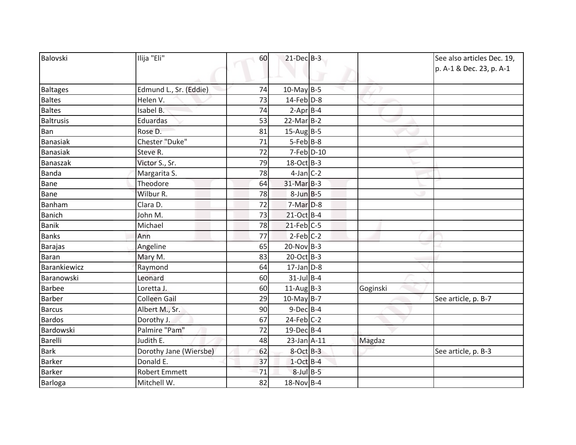| Balovski         | Ilija "Eli"            | 60 | $21$ -Dec $B-3$  |          | See also articles Dec. 19,<br>p. A-1 & Dec. 23, p. A-1 |
|------------------|------------------------|----|------------------|----------|--------------------------------------------------------|
|                  |                        |    |                  |          |                                                        |
| <b>Baltages</b>  | Edmund L., Sr. (Eddie) | 74 | $10$ -May B-5    |          |                                                        |
| <b>Baltes</b>    | Helen V.               | 73 | $14$ -Feb $D-8$  |          |                                                        |
| <b>Baltes</b>    | Isabel B.              | 74 | $2-Apr$ B-4      |          |                                                        |
| <b>Baltrusis</b> | Eduardas               | 53 | $22$ -Mar $B-2$  |          |                                                        |
| Ban              | Rose D.                | 81 | $15$ -Aug B-5    |          |                                                        |
| <b>Banasiak</b>  | Chester "Duke"         | 71 | $5-Feb$ B-8      |          |                                                        |
| Banasiak         | Steve R.               | 72 | 7-Feb D-10       |          |                                                        |
| Banaszak         | Victor S., Sr.         | 79 | 18-Oct B-3       |          |                                                        |
| <b>Banda</b>     | Margarita S.           | 78 | $4$ -Jan $C-2$   |          |                                                        |
| <b>Bane</b>      | Theodore               | 64 | $31$ -Mar $B-3$  |          |                                                        |
| Bane             | Wilbur R.              | 78 | $8$ -Jun $B$ -5  |          |                                                        |
| Banham           | Clara D.               | 72 | 7-Mar D-8        |          |                                                        |
| <b>Banich</b>    | John M.                | 73 | 21-Oct B-4       |          |                                                        |
| <b>Banik</b>     | Michael                | 78 | $21$ -Feb $C-5$  |          |                                                        |
| <b>Banks</b>     | Ann                    | 77 | $2-Feb$ C-2      |          |                                                        |
| <b>Barajas</b>   | Angeline               | 65 | $20$ -Nov B-3    |          |                                                        |
| <b>Baran</b>     | Mary M.                | 83 | 20-Oct B-3       |          |                                                        |
| Barankiewicz     | Raymond                | 64 | $17$ -Jan $D-8$  |          |                                                        |
| Baranowski       | Leonard                | 60 | $31$ -Jul B-4    |          |                                                        |
| <b>Barbee</b>    | Loretta J.             | 60 | $11-AugB-3$      | Goginski |                                                        |
| <b>Barber</b>    | <b>Colleen Gail</b>    | 29 | 10-May $B-7$     |          | See article, p. B-7                                    |
| <b>Barcus</b>    | Albert M., Sr.         | 90 | $9$ -Dec $B$ -4  |          |                                                        |
| <b>Bardos</b>    | Dorothy J.             | 67 | $24$ -Feb $C-2$  |          |                                                        |
| Bardowski        | Palmire "Pam"          | 72 | $19$ -Dec $B$ -4 |          |                                                        |
| <b>Barelli</b>   | Judith E.              | 48 | $23$ -Jan $A-11$ | Magdaz   |                                                        |
| <b>Bark</b>      | Dorothy Jane (Wiersbe) | 62 | $8$ -Oct $B-3$   |          | See article, p. B-3                                    |
| <b>Barker</b>    | Donald E.              | 37 | $1$ -Oct B-4     |          |                                                        |
| <b>Barker</b>    | <b>Robert Emmett</b>   | 71 | $8$ -Jul $B$ -5  |          |                                                        |
| Barloga          | Mitchell W.            | 82 | $18-Nov$ B-4     |          |                                                        |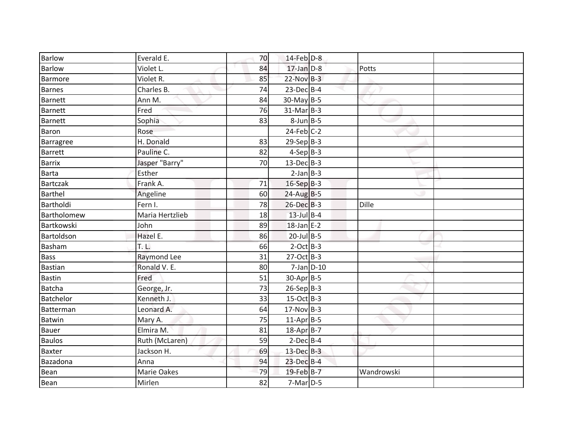| <b>Barlow</b>  | Everald E.      | 70 | 14-Feb D-8              |            |  |
|----------------|-----------------|----|-------------------------|------------|--|
| <b>Barlow</b>  | Violet L.       | 84 | $17$ -Jan $D-8$         | Potts      |  |
| Barmore        | Violet R.       | 85 | $22-Nov$ B-3            |            |  |
| <b>Barnes</b>  | Charles B.      | 74 | $23$ -Dec $B-4$         |            |  |
| <b>Barnett</b> | Ann M.          | 84 | 30-May B-5              |            |  |
| <b>Barnett</b> | Fred            | 76 | $31-Mar$ B-3            |            |  |
| <b>Barnett</b> | Sophia          | 83 | $8$ -Jun $B$ -5         |            |  |
| Baron          | Rose            |    | $24$ -Feb $C-2$         |            |  |
| Barragree      | H. Donald       | 83 | $29-Sep$ <sub>B-3</sub> |            |  |
| <b>Barrett</b> | Pauline C.      | 82 | $4-Sep$ B-3             |            |  |
| <b>Barrix</b>  | Jasper "Barry"  | 70 | $13$ -Dec $B-3$         |            |  |
| <b>Barta</b>   | Esther          |    | $2-Jan$ B-3             |            |  |
| Bartczak       | Frank A.        | 71 | 16-Sep B-3              |            |  |
| <b>Barthel</b> | Angeline        | 60 | $24$ -Aug B-5           |            |  |
| Bartholdi      | Fern I.         | 78 | 26-Dec B-3              | Dille      |  |
| Bartholomew    | Maria Hertzlieb | 18 | $13$ -Jul $B-4$         |            |  |
| Bartkowski     | John            | 89 | $18$ -Jan E-2           |            |  |
| Bartoldson     | Hazel E.        | 86 | $20$ -Jul B-5           |            |  |
| <b>Basham</b>  | T. L.           | 66 | $2$ -Oct $B-3$          |            |  |
| Bass           | Raymond Lee     | 31 | $27-Oct$ B-3            |            |  |
| <b>Bastian</b> | Ronald V. E.    | 80 | $7$ -Jan $D-10$         |            |  |
| <b>Bastin</b>  | Fred            | 51 | 30-Apr B-5              |            |  |
| Batcha         | George, Jr.     | 73 | $26-Sep B-3$            |            |  |
| Batchelor      | Kenneth J.      | 33 | $15-Oct$ B-3            |            |  |
| Batterman      | Leonard A.      | 64 | $17-Nov$ B-3            |            |  |
| <b>Batwin</b>  | Mary A.         | 75 | $11-Apr$ B-5            |            |  |
| <b>Bauer</b>   | Elmira M.       | 81 | $18$ -Apr $B$ -7        |            |  |
| <b>Baulos</b>  | Ruth (McLaren)  | 59 | $2$ -Dec $B$ -4         |            |  |
| <b>Baxter</b>  | Jackson H.      | 69 | $13$ -Dec $B-3$         |            |  |
| Bazadona       | Anna            | 94 | 23-Dec B-4              |            |  |
| Bean           | Marie Oakes     | 79 | 19-Feb B-7              | Wandrowski |  |
| Bean           | Mirlen          | 82 | $7-Mar$ D-5             |            |  |
|                |                 |    |                         |            |  |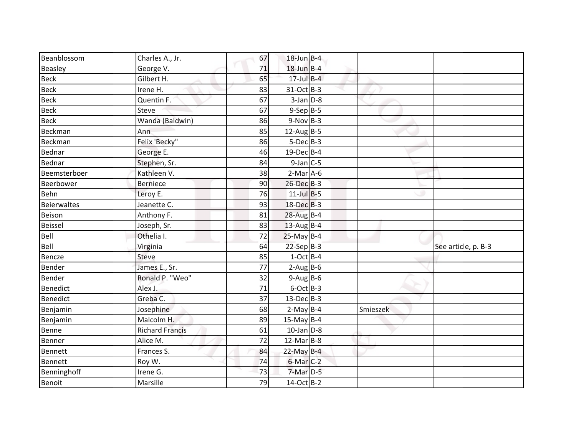| Beanblossom     | Charles A., Jr.        | 67 | $18$ -Jun $B-4$        |          |                     |
|-----------------|------------------------|----|------------------------|----------|---------------------|
| Beasley         | George V.              | 71 | $18$ -Jun $B-4$        |          |                     |
| <b>Beck</b>     | Gilbert H.             | 65 | $17$ -Jul B-4          |          |                     |
| <b>Beck</b>     | Irene H.               | 83 | 31-Oct B-3             |          |                     |
| <b>Beck</b>     | Quentin F.             | 67 | $3$ -Jan $D-8$         |          |                     |
| <b>Beck</b>     | <b>Steve</b>           | 67 | $9-Sep$ <sub>B-5</sub> |          |                     |
| <b>Beck</b>     | Wanda (Baldwin)        | 86 | $9-Nov$ B-3            |          |                     |
| Beckman         | Ann                    | 85 | $12$ -AugB-5           |          |                     |
| Beckman         | Felix 'Becky"          | 86 | $5-Dec$ B-3            |          |                     |
| Bednar          | George E.              | 46 | $19$ -Dec $B$ -4       |          |                     |
| Bednar          | Stephen, Sr.           | 84 | $9$ -Jan $C$ -5        |          |                     |
| Beemsterboer    | Kathleen V.            | 38 | $2-Mar$ A-6            |          |                     |
| Beerbower       | <b>Berniece</b>        | 90 | 26-Dec B-3             |          |                     |
| Behn            | Leroy E.               | 76 | $11$ -Jul B-5          |          |                     |
| Beierwaltes     | Jeanette C.            | 93 | 18-Dec B-3             |          |                     |
| Beison          | Anthony F.             | 81 | $28-Aug$ B-4           |          |                     |
| Beissel         | Joseph, Sr.            | 83 | $13$ -Aug B-4          |          |                     |
| Bell            | Othelia I.             | 72 | $25$ -May B-4          |          |                     |
| Bell            | Virginia               | 64 | $22-Sep B-3$           |          | See article, p. B-3 |
| Bencze          | <b>Steve</b>           | 85 | $1-Oct$ B-4            |          |                     |
| Bender          | James E., Sr.          | 77 | $2-Aug$ B-6            |          |                     |
| <b>Bender</b>   | Ronald P. "Weo"        | 32 | $9-Aug$ B-6            |          |                     |
| <b>Benedict</b> | Alex J.                | 71 | $6$ -Oct $B-3$         |          |                     |
| <b>Benedict</b> | Greba C.               | 37 | $13$ -Dec $B-3$        |          |                     |
| Benjamin        | Josephine              | 68 | $2-May$ B-4            | Smieszek |                     |
| Benjamin        | Malcolm H.             | 89 | $15$ -May B-4          |          |                     |
| Benne           | <b>Richard Francis</b> | 61 | $10$ -Jan $D-8$        |          |                     |
| Benner          | Alice M.               | 72 | $12$ -Mar $B-8$        |          |                     |
| Bennett         | Frances S.             | 84 | 22-May B-4             |          |                     |
| Bennett         | Roy W.                 | 74 | $6$ -Mar $C-2$         |          |                     |
| Benninghoff     | Irene G.               | 73 | 7-Mar D-5              |          |                     |
| Benoit          | Marsille               | 79 | 14-Oct B-2             |          |                     |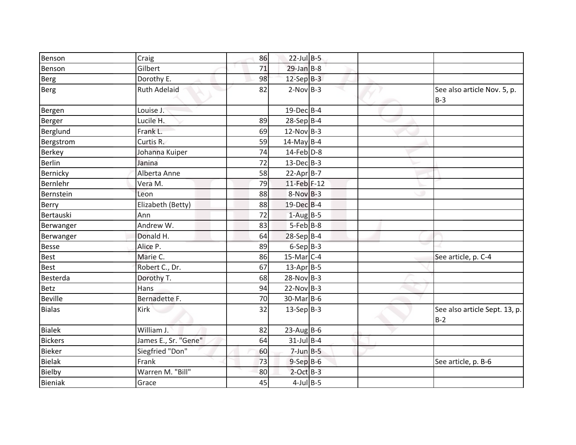| Craig                | 86 |  |                                                                                                                                                                                                                                                                                                                                                                                                                                                                                                             |                                        |
|----------------------|----|--|-------------------------------------------------------------------------------------------------------------------------------------------------------------------------------------------------------------------------------------------------------------------------------------------------------------------------------------------------------------------------------------------------------------------------------------------------------------------------------------------------------------|----------------------------------------|
| Gilbert              | 71 |  |                                                                                                                                                                                                                                                                                                                                                                                                                                                                                                             |                                        |
| Dorothy E.           | 98 |  |                                                                                                                                                                                                                                                                                                                                                                                                                                                                                                             |                                        |
| <b>Ruth Adelaid</b>  | 82 |  |                                                                                                                                                                                                                                                                                                                                                                                                                                                                                                             | See also article Nov. 5, p.<br>$B-3$   |
| Louise J.            |    |  |                                                                                                                                                                                                                                                                                                                                                                                                                                                                                                             |                                        |
| Lucile H.            | 89 |  |                                                                                                                                                                                                                                                                                                                                                                                                                                                                                                             |                                        |
| Frank L.             | 69 |  |                                                                                                                                                                                                                                                                                                                                                                                                                                                                                                             |                                        |
| Curtis R.            | 59 |  |                                                                                                                                                                                                                                                                                                                                                                                                                                                                                                             |                                        |
| Johanna Kuiper       | 74 |  |                                                                                                                                                                                                                                                                                                                                                                                                                                                                                                             |                                        |
| Janina               | 72 |  |                                                                                                                                                                                                                                                                                                                                                                                                                                                                                                             |                                        |
| Alberta Anne         | 58 |  |                                                                                                                                                                                                                                                                                                                                                                                                                                                                                                             |                                        |
| Vera M.              | 79 |  |                                                                                                                                                                                                                                                                                                                                                                                                                                                                                                             |                                        |
| Leon                 | 88 |  |                                                                                                                                                                                                                                                                                                                                                                                                                                                                                                             |                                        |
| Elizabeth (Betty)    | 88 |  |                                                                                                                                                                                                                                                                                                                                                                                                                                                                                                             |                                        |
| Ann                  | 72 |  |                                                                                                                                                                                                                                                                                                                                                                                                                                                                                                             |                                        |
| Andrew W.            | 83 |  |                                                                                                                                                                                                                                                                                                                                                                                                                                                                                                             |                                        |
| Donald H.            | 64 |  |                                                                                                                                                                                                                                                                                                                                                                                                                                                                                                             |                                        |
| Alice P.             | 89 |  |                                                                                                                                                                                                                                                                                                                                                                                                                                                                                                             |                                        |
| Marie C.             | 86 |  |                                                                                                                                                                                                                                                                                                                                                                                                                                                                                                             | See article, p. C-4                    |
| Robert C., Dr.       | 67 |  |                                                                                                                                                                                                                                                                                                                                                                                                                                                                                                             |                                        |
| Dorothy T.           | 68 |  |                                                                                                                                                                                                                                                                                                                                                                                                                                                                                                             |                                        |
| Hans                 | 94 |  |                                                                                                                                                                                                                                                                                                                                                                                                                                                                                                             |                                        |
| Bernadette F.        | 70 |  |                                                                                                                                                                                                                                                                                                                                                                                                                                                                                                             |                                        |
| Kirk                 | 32 |  |                                                                                                                                                                                                                                                                                                                                                                                                                                                                                                             | See also article Sept. 13, p.<br>$B-2$ |
| William J.           | 82 |  |                                                                                                                                                                                                                                                                                                                                                                                                                                                                                                             |                                        |
| James E., Sr. "Gene" | 64 |  |                                                                                                                                                                                                                                                                                                                                                                                                                                                                                                             |                                        |
| Siegfried "Don"      | 60 |  |                                                                                                                                                                                                                                                                                                                                                                                                                                                                                                             |                                        |
| Frank                | 73 |  |                                                                                                                                                                                                                                                                                                                                                                                                                                                                                                             | See article, p. B-6                    |
| Warren M. "Bill"     | 80 |  |                                                                                                                                                                                                                                                                                                                                                                                                                                                                                                             |                                        |
| Grace                | 45 |  |                                                                                                                                                                                                                                                                                                                                                                                                                                                                                                             |                                        |
|                      |    |  | $22$ -Jul B-5<br>$29$ -Jan B-8<br>$12-Sep$ B-3<br>$2-Nov$ B-3<br>19-Dec B-4<br>$28-Sep$ B-4<br>$12-Nov$ B-3<br>$14$ -May B-4<br>$14$ -Feb $D-8$<br>$13$ -Dec $B-3$<br>$22-Apr$ B-7<br>11-Feb F-12<br>$8-Nov$ B-3<br>19-Dec B-4<br>$1-Aug$ B-5<br>$5-Feb$ B-8<br>28-Sep B-4<br>$6-Sep B-3$<br>$15$ -Mar $ C-4 $<br>$13$ -Apr $B$ -5<br>$28-Nov$ B-3<br>$22-Nov$ B-3<br>$30$ -MarB-6<br>$13-Sep$ B-3<br>$23$ -Aug B-6<br>$31$ -Jul B-4<br>$7$ -Jun $B$ -5<br>$9-$ Sep $B-6$<br>$2$ -Oct $B-3$<br>$4$ -Jul B-5 |                                        |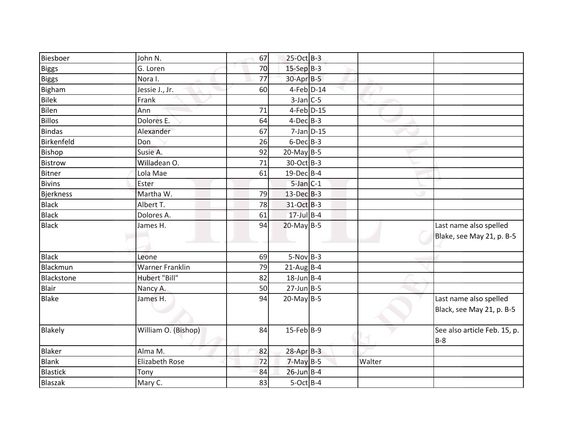| Biesboer          | John N.                | 67 | $25$ -Oct B-3           |        |                                                     |
|-------------------|------------------------|----|-------------------------|--------|-----------------------------------------------------|
| <b>Biggs</b>      | G. Loren               | 70 | $15-Sep$ <sub>B-3</sub> |        |                                                     |
| <b>Biggs</b>      | Nora I.                | 77 | $30-Apr$ B-5            |        |                                                     |
| Bigham            | Jessie J., Jr.         | 60 | $4$ -Feb $D-14$         |        |                                                     |
| Bilek             | Frank                  |    | $3$ -Jan $C$ -5         |        |                                                     |
| Bilen             | Ann                    | 71 | $4$ -Feb $D-15$         |        |                                                     |
| Billos            | Dolores E.             | 64 | $4$ -Dec $B-3$          |        |                                                     |
| Bindas            | Alexander              | 67 | $7$ -Jan $D-15$         |        |                                                     |
| Birkenfeld        | Don                    | 26 | $6$ -Dec $B$ -3         |        |                                                     |
| Bishop            | Susie A.               | 92 | $20$ -May B-5           |        |                                                     |
| <b>Bistrow</b>    | Willadean O.           | 71 | 30-Oct B-3              |        |                                                     |
| Bitner            | Lola Mae               | 61 | 19-Dec B-4              |        |                                                     |
| <b>Bivins</b>     | Ester                  |    | $5$ -Jan $C-1$          |        |                                                     |
| Bjerkness         | Martha W.              | 79 | $13$ -Dec $B-3$         |        |                                                     |
| <b>Black</b>      | Albert T.              | 78 | 31-Oct B-3              |        |                                                     |
| <b>Black</b>      | Dolores A.             | 61 | $17$ -Jul B-4           |        |                                                     |
| <b>Black</b>      | James H.               | 94 | $20$ -May B-5           |        | Last name also spelled<br>Blake, see May 21, p. B-5 |
| <b>Black</b>      | Leone                  | 69 | $5-Nov$ B-3             |        |                                                     |
| Blackmun          | <b>Warner Franklin</b> | 79 | $21$ -Aug B-4           |        |                                                     |
| <b>Blackstone</b> | Hubert "Bill"          | 82 | $18$ -Jun B-4           |        |                                                     |
| Blair             | Nancy A.               | 50 | $27$ -Jun $B - 5$       |        |                                                     |
| <b>Blake</b>      | James H.               | 94 | $20$ -May B-5           |        | Last name also spelled<br>Black, see May 21, p. B-5 |
| Blakely           | William O. (Bishop)    | 84 | $15$ -Feb $ B-9 $       |        | See also article Feb. 15, p.<br>$B-8$               |
| Blaker            | Alma M.                | 82 | $28$ -Apr $B-3$         |        |                                                     |
| Blank             | <b>Elizabeth Rose</b>  | 72 | $7-May$ B-5             | Walter |                                                     |
| <b>Blastick</b>   | Tony                   | 84 | $26$ -Jun B-4           |        |                                                     |
| Blaszak           | Mary C.                | 83 | $5-Oct$ B-4             |        |                                                     |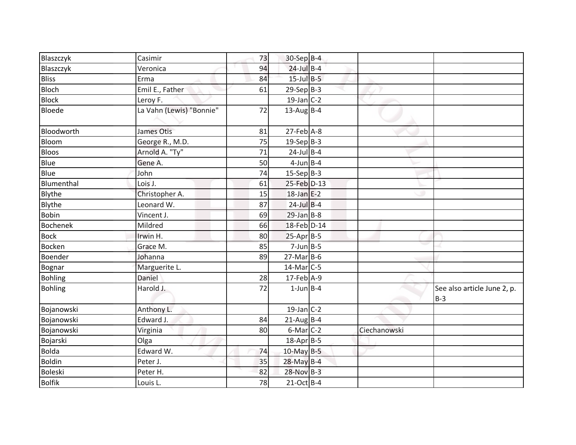| Blaszczyk       | Casimir                  | 73 | 30-Sep B-4       |              |                                      |
|-----------------|--------------------------|----|------------------|--------------|--------------------------------------|
| Blaszczyk       | Veronica                 | 94 | $24$ -Jul B-4    |              |                                      |
| <b>Bliss</b>    | Erma                     | 84 | $15$ -Jul $B-5$  |              |                                      |
| <b>Bloch</b>    | Emil E., Father          | 61 | $29-Sep$ B-3     |              |                                      |
| <b>Block</b>    | Leroy F.                 |    | $19$ -Jan C-2    |              |                                      |
| <b>Bloede</b>   | La Vahn (Lewis) "Bonnie" | 72 | $13$ -Aug B-4    |              |                                      |
| Bloodworth      | James Otis               | 81 | $27$ -Feb $A-8$  |              |                                      |
| Bloom           | George R., M.D.          | 75 | $19-Sep$ B-3     |              |                                      |
| <b>Bloos</b>    | Arnold A. "Ty"           | 71 | $24$ -Jul B-4    |              |                                      |
| Blue            | Gene A.                  | 50 | $4$ -Jun $B$ -4  |              |                                      |
| Blue            | John                     | 74 | $15-Sep B-3$     |              |                                      |
| Blumenthal      | Lois J.                  | 61 | 25-Feb D-13      |              |                                      |
| Blythe          | Christopher A.           | 15 | $18$ -Jan E-2    |              |                                      |
| Blythe          | Leonard W.               | 87 | $24$ -Jul B-4    |              |                                      |
| Bobin           | Vincent J.               | 69 | $29$ -Jan B-8    |              |                                      |
| <b>Bochenek</b> | Mildred                  | 66 | 18-Feb D-14      |              |                                      |
| <b>Bock</b>     | Irwin H.                 | 80 | $25-Apr$ B-5     |              |                                      |
| <b>Bocken</b>   | Grace M.                 | 85 | $7$ -Jun $B - 5$ |              |                                      |
| Boender         | Johanna                  | 89 | $27$ -Mar $B$ -6 |              |                                      |
| Bognar          | Marguerite L.            |    | $14$ -Mar $C-5$  |              |                                      |
| Bohling         | Daniel                   | 28 | $17$ -Feb $A-9$  |              |                                      |
| <b>Bohling</b>  | Harold J.                | 72 | $1$ -Jun $B$ -4  |              | See also article June 2, p.<br>$B-3$ |
| Bojanowski      | Anthony L.               |    | $19$ -Jan $C-2$  |              |                                      |
| Bojanowski      | Edward J.                | 84 | $21$ -Aug B-4    |              |                                      |
| Bojanowski      | Virginia                 | 80 | $6$ -Mar $C-2$   | Ciechanowski |                                      |
| Bojarski        | Olga                     |    | $18$ -Apr $B$ -5 |              |                                      |
| <b>Bolda</b>    | Edward W.                | 74 | 10-May B-5       |              |                                      |
| <b>Boldin</b>   | Peter J.                 | 35 | $28$ -May B-4    |              |                                      |
| <b>Boleski</b>  | Peter H.                 | 82 | 28-Nov B-3       |              |                                      |
| <b>Bolfik</b>   | Louis L.                 | 78 | $21-Oct$ B-4     |              |                                      |
|                 |                          |    |                  |              |                                      |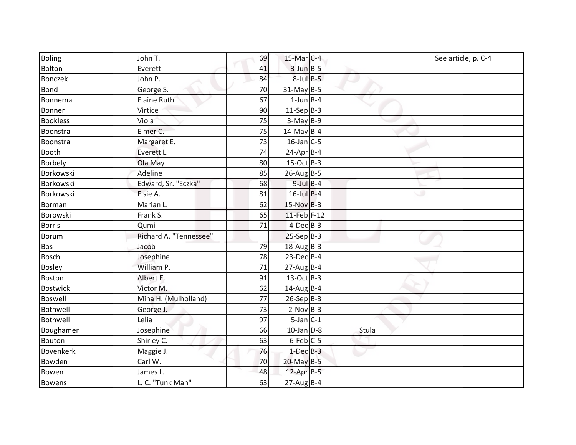| Boling           | John T.                | 69 | $15$ -Mar $ C-4 $ |       | See article, p. C-4 |
|------------------|------------------------|----|-------------------|-------|---------------------|
| Bolton           | Everett                | 41 | $3$ -Jun $B - 5$  |       |                     |
| <b>Bonczek</b>   | John P.                | 84 | $8$ -Jul $B$ -5   |       |                     |
| <b>Bond</b>      | George S.              | 70 | $31$ -May B-5     |       |                     |
| Bonnema          | Elaine Ruth            | 67 | $1$ -Jun $B$ -4   |       |                     |
| Bonner           | Virtice                | 90 | $11-Sep B-3$      |       |                     |
| <b>Bookless</b>  | Viola                  | 75 | $3-May$ B-9       |       |                     |
| Boonstra         | Elmer C.               | 75 | $14$ -May B-4     |       |                     |
| Boonstra         | Margaret E.            | 73 | $16$ -Jan $C$ -5  |       |                     |
| <b>Booth</b>     | Everett L.             | 74 | $24$ -Apr $B$ -4  |       |                     |
| <b>Borbely</b>   | Ola May                | 80 | $15-Oct$ B-3      |       |                     |
| Borkowski        | Adeline                | 85 | $26$ -Aug B-5     |       |                     |
| Borkowski        | Edward, Sr. "Eczka"    | 68 | $9$ -Jul $B$ -4   |       |                     |
| Borkowski        | Elsie A.               | 81 | $16$ -Jul B-4     |       |                     |
| Borman           | Marian L.              | 62 | $15-Nov$ B-3      |       |                     |
| Borowski         | Frank S.               | 65 | 11-Feb F-12       |       |                     |
| <b>Borris</b>    | Qumi                   | 71 | $4$ -Dec $B$ -3   |       |                     |
| Borum            | Richard A. "Tennessee" |    | $25-Sep B-3$      |       |                     |
| Bos              | Jacob                  | 79 | $18-Aug$ B-3      |       |                     |
| Bosch            | Josephine              | 78 | $23$ -Dec $B-4$   |       |                     |
| <b>Bosley</b>    | William P.             | 71 | $27$ -Aug B-4     |       |                     |
| Boston           | Albert E.              | 91 | $13-Oct$ B-3      |       |                     |
| <b>Bostwick</b>  | Victor M.              | 62 | $14$ -AugB-4      |       |                     |
| <b>Boswell</b>   | Mina H. (Mulholland)   | 77 | $26-Sep B-3$      |       |                     |
| Bothwell         | George J.              | 73 | $2-Nov$ B-3       |       |                     |
| Bothwell         | Lelia                  | 97 | $5$ -Jan C-1      |       |                     |
| Boughamer        | Josephine              | 66 | $10$ -Jan $D-8$   | Stula |                     |
| Bouton           | Shirley C.             | 63 | $6$ -Feb $C$ -5   |       |                     |
| <b>Bovenkerk</b> | Maggie J.              | 76 | $1$ -Dec $B-3$    |       |                     |
| Bowden           | Carl W.                | 70 | $20$ -May B-5     |       |                     |
| Bowen            | James L.               | 48 | 12-Apr B-5        |       |                     |
| <b>Bowens</b>    | L. C. "Tunk Man"       | 63 | $27$ -Aug B-4     |       |                     |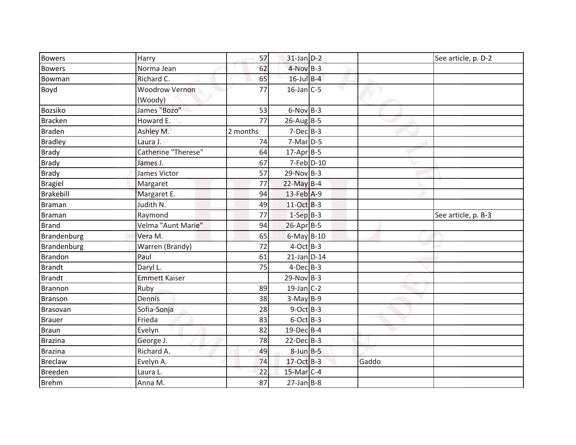| <b>Bowers</b>  | Harry                            | 57       | $31$ -Jan $D-2$  |       | See article, p. D-2 |
|----------------|----------------------------------|----------|------------------|-------|---------------------|
| <b>Bowers</b>  | Norma Jean                       | 62       | $4-Nov$ B-3      |       |                     |
| Bowman         | Richard C.                       | 65       | $16$ -Jul $B-4$  |       |                     |
| Boyd           | <b>Woodrow Vernon</b><br>(Woody) | 77       | $16$ -Jan $C$ -5 |       |                     |
| <b>Bozsiko</b> | James "Bozo"                     | 53       | $6-Nov$ B-3      |       |                     |
| <b>Bracken</b> | Howard E.                        | 77       | $26$ -AugB-5     |       |                     |
| <b>Braden</b>  | Ashley M.                        | 2 months | $7-Dec$ B-3      |       |                     |
| <b>Bradley</b> | Laura J.                         | 74       | $7-Mar$ D-5      |       |                     |
| <b>Brady</b>   | Catherine "Therese"              | 64       | $17$ -Apr $B$ -5 |       |                     |
| <b>Brady</b>   | James J.                         | 67       | $7$ -Feb $D-10$  |       |                     |
| <b>Brady</b>   | James Victor                     | 57       | $29-Nov$ B-3     |       |                     |
| <b>Bragiel</b> | Margaret                         | 77       | $22$ -May B-4    |       |                     |
| Brakebill      | Margaret E.                      | 94       | 13-Feb A-9       |       |                     |
| <b>Braman</b>  | Judith N.                        | 49       | 11-Oct B-3       |       |                     |
| Braman         | Raymond                          | 77       | $1-SepB-3$       |       | See article, p. B-3 |
| <b>Brand</b>   | Velma "Aunt Marie"               | 94       | $26$ -Apr $B$ -5 |       |                     |
| Brandenburg    | Vera M.                          | 65       | $6$ -May $B-10$  |       |                     |
| Brandenburg    | Warren (Brandy)                  | 72       | $4$ -Oct B-3     |       |                     |
| Brandon        | Paul                             | 61       | $21$ -Jan $D-14$ |       |                     |
| <b>Brandt</b>  | Daryl L.                         | 75       | $4$ -Dec $B-3$   |       |                     |
| <b>Brandt</b>  | <b>Emmett Kaiser</b>             |          | $29-Nov$ B-3     |       |                     |
| Brannon        | Ruby                             | 89       | $19$ -Jan C-2    |       |                     |
| <b>Branson</b> | Dennis                           | 38       | $3-May$ B-9      |       |                     |
| Brasovan       | Sofia-Sonja                      | 28       | $9$ -Oct B-3     |       |                     |
| <b>Brauer</b>  | Frieda                           | 83       | $6$ -Oct B-3     |       |                     |
| <b>Braun</b>   | Evelyn                           | 82       | 19-Dec B-4       |       |                     |
| <b>Brazina</b> | George J.                        | 78       | $22$ -Dec $B-3$  |       |                     |
| <b>Brazina</b> | Richard A.                       | 49       | $8$ -Jun $B$ -5  |       |                     |
| <b>Breclaw</b> | Evelyn A.                        | 74       | 17-Oct B-3       | Gaddo |                     |
| <b>Breeden</b> | Laura L.                         | 22       | 15-Mar C-4       |       |                     |
| <b>Brehm</b>   | Anna M.                          | 87       | $27$ -Jan B-8    |       |                     |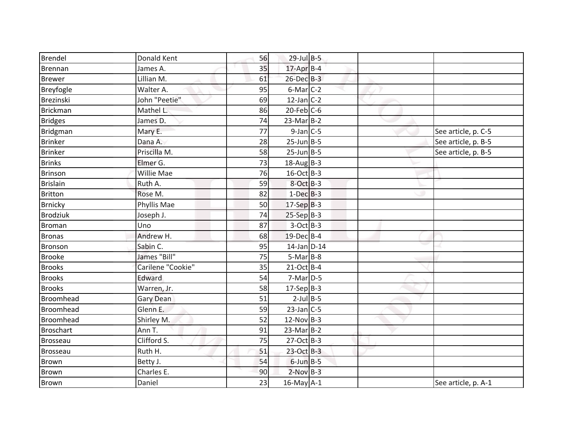| Brendel          | Donald Kent       | 56 | 29-Jul B-5       |  |                     |
|------------------|-------------------|----|------------------|--|---------------------|
| Brennan          | James A.          | 35 | $17$ -Apr $B-4$  |  |                     |
| <b>Brewer</b>    | Lillian M.        | 61 | $26$ -Dec $B-3$  |  |                     |
| Breyfogle        | Walter A.         | 95 | $6$ -Mar $C-2$   |  |                     |
| Brezinski        | John "Peetie"     | 69 | $12$ -Jan C-2    |  |                     |
| Brickman         | Mathel L.         | 86 | $20$ -Feb $C$ -6 |  |                     |
| <b>Bridges</b>   | James D.          | 74 | $23-MarB-2$      |  |                     |
| Bridgman         | Mary E.           | 77 | $9$ -Jan $C$ -5  |  | See article, p. C-5 |
| <b>Brinker</b>   | Dana A.           | 28 | $25$ -Jun $B$ -5 |  | See article, p. B-5 |
| <b>Brinker</b>   | Priscilla M.      | 58 | $25$ -Jun $B$ -5 |  | See article, p. B-5 |
| <b>Brinks</b>    | Elmer G.          | 73 | $18-Aug$ B-3     |  |                     |
| <b>Brinson</b>   | Willie Mae        | 76 | $16$ -Oct B-3    |  |                     |
| <b>Brislain</b>  | Ruth A.           | 59 | $8$ -Oct $B-3$   |  |                     |
| <b>Britton</b>   | Rose M.           | 82 | $1-Dec$ B-3      |  |                     |
| <b>Brnicky</b>   | Phyllis Mae       | 50 | $17-Sep$ B-3     |  |                     |
| <b>Brodziuk</b>  | Joseph J.         | 74 | $25-Sep$ B-3     |  |                     |
| <b>Broman</b>    | Uno               | 87 | $3-Oct$ B-3      |  |                     |
| <b>Bronas</b>    | Andrew H.         | 68 | 19-Dec B-4       |  |                     |
| Bronson          | Sabin C.          | 95 | $14$ -Jan $D-14$ |  |                     |
| <b>Brooke</b>    | James "Bill"      | 75 | $5-Mar$ B-8      |  |                     |
| <b>Brooks</b>    | Carilene "Cookie" | 35 | $21-Oct$ B-4     |  |                     |
| <b>Brooks</b>    | Edward            | 54 | $7-Mar$ D-5      |  |                     |
| <b>Brooks</b>    | Warren, Jr.       | 58 | $17-Sep B-3$     |  |                     |
| Broomhead        | Gary Dean         | 51 | $2$ -Jul B-5     |  |                     |
| Broomhead        | Glenn E.          | 59 | $23$ -Jan C-5    |  |                     |
| Broomhead        | Shirley M.        | 52 | 12-Nov B-3       |  |                     |
| <b>Broschart</b> | Ann T.            | 91 | $23-MarB-2$      |  |                     |
| <b>Brosseau</b>  | Clifford S.       | 75 | $27-Oct$ B-3     |  |                     |
| <b>Brosseau</b>  | Ruth H.           | 51 | 23-Oct B-3       |  |                     |
| Brown            | Betty J.          | 54 | $6$ -Jun $B$ -5  |  |                     |
| Brown            | Charles E.        | 90 | $2-Nov$ B-3      |  |                     |
| Brown            | Daniel            | 23 | $16$ -May $A-1$  |  | See article, p. A-1 |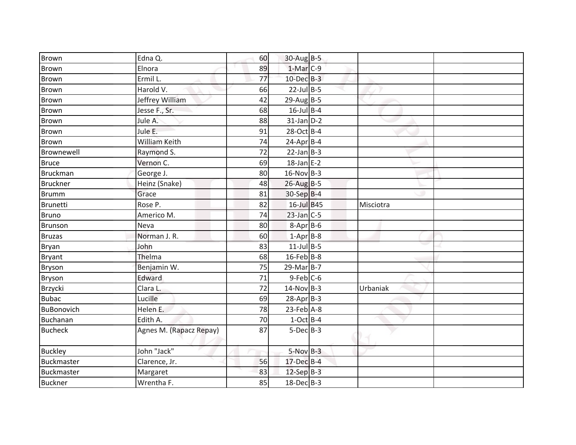| <b>Brown</b>    | Edna Q.                 | 60 | 30-Aug B-5       |           |  |
|-----------------|-------------------------|----|------------------|-----------|--|
| <b>Brown</b>    | Elnora                  | 89 | $1-Mar$ C-9      |           |  |
| <b>Brown</b>    | Ermil L.                | 77 | $10$ -Dec $B-3$  |           |  |
| <b>Brown</b>    | Harold V.               | 66 | $22$ -Jul B-5    |           |  |
| Brown           | Jeffrey William         | 42 | $29$ -AugB-5     |           |  |
| Brown           | Jesse F., Sr.           | 68 | $16$ -Jul B-4    |           |  |
| Brown           | Jule A.                 | 88 | $31$ -Jan $D-2$  |           |  |
| <b>Brown</b>    | Jule E.                 | 91 | 28-Oct B-4       |           |  |
| <b>Brown</b>    | <b>William Keith</b>    | 74 | $24$ -Apr $B$ -4 |           |  |
| Brownewell      | Raymond S.              | 72 | $22$ -Jan B-3    |           |  |
| <b>Bruce</b>    | Vernon C.               | 69 | $18$ -Jan E-2    |           |  |
| Bruckman        | George J.               | 80 | $16-Nov$ B-3     |           |  |
| <b>Bruckner</b> | Heinz (Snake)           | 48 | $26$ -Aug B-5    |           |  |
| <b>Brumm</b>    | Grace                   | 81 | 30-Sep B-4       |           |  |
| Brunetti        | Rose P.                 | 82 | 16-Jul B45       | Misciotra |  |
| <b>Bruno</b>    | Americo M.              | 74 | $23$ -Jan $C-5$  |           |  |
| <b>Brunson</b>  | Neva                    | 80 | $8 - Apr$ B-6    |           |  |
| <b>Bruzas</b>   | Norman J. R.            | 60 | $1-Apr$ B-8      |           |  |
| <b>Bryan</b>    | John                    | 83 | $11$ -Jul B-5    |           |  |
| <b>Bryant</b>   | Thelma                  | 68 | 16-Feb B-8       |           |  |
| Bryson          | Benjamin W.             | 75 | $29$ -Mar $B-7$  |           |  |
| Bryson          | Edward                  | 71 | $9$ -Feb $C$ -6  |           |  |
| Brzycki         | Clara L.                | 72 | $14$ -Nov B-3    | Urbaniak  |  |
| <b>Bubac</b>    | Lucille                 | 69 | $28$ -Apr $B-3$  |           |  |
| BuBonovich      | Helen E.                | 78 | $23$ -Feb $A-8$  |           |  |
| Buchanan        | Edith A.                | 70 | $1-Oct$ B-4      |           |  |
| <b>Bucheck</b>  | Agnes M. (Rapacz Repay) | 87 | $5-Dec$ B-3      |           |  |
| <b>Buckley</b>  | John "Jack"             |    | $5-Nov$ B-3      |           |  |
| Buckmaster      | Clarence, Jr.           | 56 | 17-Dec B-4       |           |  |
| Buckmaster      | Margaret                | 83 | $12-Sep$ B-3     |           |  |
| <b>Buckner</b>  | Wrentha F.              | 85 | 18-Dec B-3       |           |  |
|                 |                         |    |                  |           |  |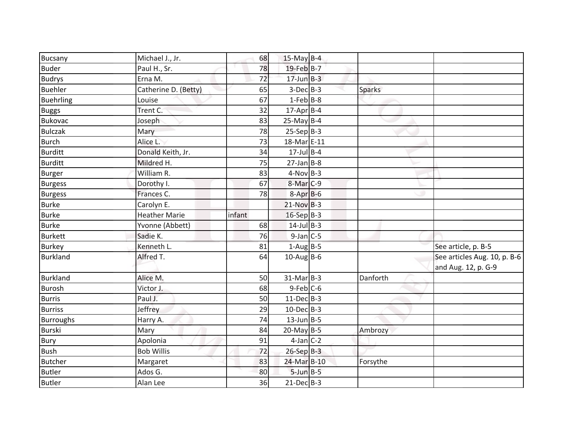|                                 |                                 | 68     | $15$ -May B-4        |               |                              |
|---------------------------------|---------------------------------|--------|----------------------|---------------|------------------------------|
| Bucsany<br><b>Buder</b>         | Michael J., Jr.<br>Paul H., Sr. | 78     | 19-Feb B-7           |               |                              |
|                                 |                                 | 72     | $17$ -Jun $B-3$      |               |                              |
| <b>Budrys</b><br><b>Buehler</b> | Erna M.                         |        | $3-Dec$ B-3          |               |                              |
|                                 | Catherine D. (Betty)            | 65     |                      | <b>Sparks</b> |                              |
| <b>Buehrling</b>                | Louise                          | 67     | $1$ -Feb $B$ -8      |               |                              |
| <b>Buggs</b>                    | Trent C:                        | 32     | 17-Apr B-4           |               |                              |
| <b>Bukovac</b>                  | Joseph                          | 83     | $25$ -May B-4        |               |                              |
| <b>Bulczak</b>                  | Mary                            | 78     | $25-Sep B-3$         |               |                              |
| <b>Burch</b>                    | Alice L.                        | 73     | 18-Mar E-11          |               |                              |
| <b>Burditt</b>                  | Donald Keith, Jr.               | 34     | $17$ -Jul B-4        |               |                              |
| <b>Burditt</b>                  | Mildred H.                      | 75     | $27$ -Jan B-8        |               |                              |
| Burger                          | William R.                      | 83     | $4-Nov$ B-3          |               |                              |
| <b>Burgess</b>                  | Dorothy I.                      | 67     | 8-Mar <sub>C-9</sub> |               |                              |
| <b>Burgess</b>                  | Frances C.                      | 78     | $8-Apr$ B-6          |               |                              |
| <b>Burke</b>                    | Carolyn E.                      |        | $21-Nov$ B-3         |               |                              |
| <b>Burke</b>                    | <b>Heather Marie</b>            | infant | $16-Sep$ B-3         |               |                              |
| <b>Burke</b>                    | Yvonne (Abbett)                 | 68     | $14$ -Jul B-3        |               |                              |
| <b>Burkett</b>                  | Sadie K.                        | 76     | $9$ -Jan $C$ -5      |               |                              |
| <b>Burkey</b>                   | Kenneth L.                      | 81     | $1-Aug$ B-5          |               | See article, p. B-5          |
| <b>Burkland</b>                 | Alfred T.                       | 64     | $10$ -Aug B-6        |               | See articles Aug. 10, p. B-6 |
|                                 |                                 |        |                      |               | and Aug. 12, p. G-9          |
| <b>Burkland</b>                 | Alice M.                        | 50     | $31-Mar$ B-3         | Danforth      |                              |
| <b>Burosh</b>                   | Victor J.                       | 68     | $9$ -Feb $C$ -6      |               |                              |
| <b>Burris</b>                   | Paul J.                         | 50     | $11-Dec$ B-3         |               |                              |
| <b>Burriss</b>                  | Jeffrey                         | 29     | $10$ -Dec $B-3$      |               |                              |
| <b>Burroughs</b>                | Harry A.                        | 74     | $13$ -Jun B-5        |               |                              |
| <b>Burski</b>                   | Mary                            | 84     | $20$ -May B-5        | Ambrozy       |                              |
| Bury                            | Apolonia                        | 91     | $4$ -Jan $C-2$       |               |                              |
| <b>Bush</b>                     | <b>Bob Willis</b>               | 72     | $26-Sep$ B-3         |               |                              |
| <b>Butcher</b>                  | Margaret                        | 83     | 24-Mar B-10          | Forsythe      |                              |
| <b>Butler</b>                   | Ados G.                         | 80     | $5$ -Jun $B - 5$     |               |                              |
| <b>Butler</b>                   | Alan Lee                        | 36     | $21-Dec$ B-3         |               |                              |
|                                 |                                 |        |                      |               |                              |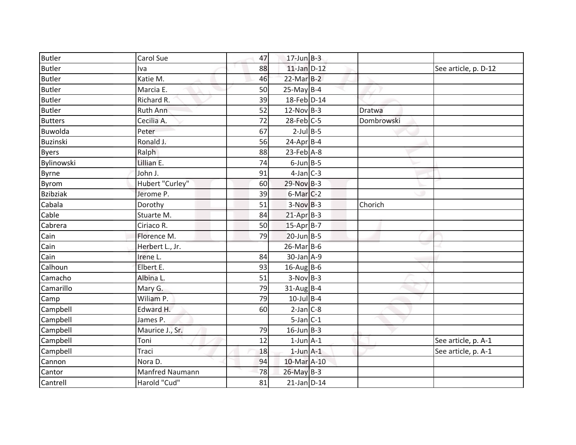| <b>Butler</b><br>88<br>$11$ -Jan $D-12$<br>Iva<br><b>Butler</b><br>Katie M.<br>$22$ -Mar $B-2$<br>46<br>$25$ -May B-4<br><b>Butler</b><br>Marcia E.<br>50<br>18-Feb D-14<br>Richard R.<br><b>Butler</b><br>39<br><b>Butler</b><br>$12-Nov$ B-3<br>52<br><b>Ruth Ann</b><br>Dratwa<br>72<br>$28$ -Feb $C-5$<br><b>Butters</b><br>Cecilia A.<br>Dombrowski<br>$2$ -Jul $B$ -5<br>Buwolda<br>Peter<br>67<br>$24$ -Apr $B$ -4<br>Ronald J.<br><b>Buzinski</b><br>56<br>88<br>$23$ -Feb $A-8$<br><b>Byers</b><br>Ralph<br>Lillian E.<br>Bylinowski<br>74<br>$6$ -Jun $B$ -5<br>$4$ -Jan $C-3$<br>John J.<br><b>Byrne</b><br>91<br>Hubert "Curley"<br><b>Byrom</b><br>60<br>29-Nov B-3<br>$6$ -Mar $C-2$<br><b>Bzibziak</b><br>Jerome P.<br>39<br>Cabala<br>51<br>$3-NovB-3$<br>Chorich<br>Dorothy<br>Cable<br>$21$ -Apr $B-3$<br>84<br>Stuarte M.<br>Cabrera<br>50<br>$15-Apr$ B-7<br>Ciriaco R.<br>$20$ -Jun $B - 5$<br>Cain<br>Florence M.<br>79<br>Cain<br>$26$ -Mar $B$ -6<br>Herbert L., Jr.<br>Cain<br>$30$ -Jan $A-9$<br>84<br>Irene L.<br>Calhoun<br>Elbert E.<br>93<br>$16$ -Aug B-6<br>Albina L.<br>51<br>$3-Nov$ B-3<br>Camacho<br>$31$ -AugB-4<br>Camarillo<br>79<br>Mary G.<br>79<br>$10$ -Jul B-4<br>Wiliam P.<br>Camp<br>Campbell<br>Edward H.<br>$2-Jan$ $C-8$<br>60<br>$5$ -Jan $C-1$<br>Campbell<br>James P.<br>$16$ -Jun B-3<br>Campbell<br>79<br>Maurice J., Sr.<br>Campbell<br>Toni<br>12<br>$1$ -Jun $A-1$<br>$1$ -Jun $A-1$<br>Campbell<br>18<br>Traci<br>10-Mar A-10<br>Cannon<br>Nora D.<br>94<br><b>Manfred Naumann</b><br>78<br>26-May B-3<br>Cantor | <b>Butler</b> | Carol Sue    | 47 | $17$ -Jun $B-3$ |  |                      |
|----------------------------------------------------------------------------------------------------------------------------------------------------------------------------------------------------------------------------------------------------------------------------------------------------------------------------------------------------------------------------------------------------------------------------------------------------------------------------------------------------------------------------------------------------------------------------------------------------------------------------------------------------------------------------------------------------------------------------------------------------------------------------------------------------------------------------------------------------------------------------------------------------------------------------------------------------------------------------------------------------------------------------------------------------------------------------------------------------------------------------------------------------------------------------------------------------------------------------------------------------------------------------------------------------------------------------------------------------------------------------------------------------------------------------------------------------------------------------------------------------------------------------------------------------------------------------|---------------|--------------|----|-----------------|--|----------------------|
|                                                                                                                                                                                                                                                                                                                                                                                                                                                                                                                                                                                                                                                                                                                                                                                                                                                                                                                                                                                                                                                                                                                                                                                                                                                                                                                                                                                                                                                                                                                                                                            |               |              |    |                 |  | See article, p. D-12 |
|                                                                                                                                                                                                                                                                                                                                                                                                                                                                                                                                                                                                                                                                                                                                                                                                                                                                                                                                                                                                                                                                                                                                                                                                                                                                                                                                                                                                                                                                                                                                                                            |               |              |    |                 |  |                      |
|                                                                                                                                                                                                                                                                                                                                                                                                                                                                                                                                                                                                                                                                                                                                                                                                                                                                                                                                                                                                                                                                                                                                                                                                                                                                                                                                                                                                                                                                                                                                                                            |               |              |    |                 |  |                      |
|                                                                                                                                                                                                                                                                                                                                                                                                                                                                                                                                                                                                                                                                                                                                                                                                                                                                                                                                                                                                                                                                                                                                                                                                                                                                                                                                                                                                                                                                                                                                                                            |               |              |    |                 |  |                      |
|                                                                                                                                                                                                                                                                                                                                                                                                                                                                                                                                                                                                                                                                                                                                                                                                                                                                                                                                                                                                                                                                                                                                                                                                                                                                                                                                                                                                                                                                                                                                                                            |               |              |    |                 |  |                      |
|                                                                                                                                                                                                                                                                                                                                                                                                                                                                                                                                                                                                                                                                                                                                                                                                                                                                                                                                                                                                                                                                                                                                                                                                                                                                                                                                                                                                                                                                                                                                                                            |               |              |    |                 |  |                      |
|                                                                                                                                                                                                                                                                                                                                                                                                                                                                                                                                                                                                                                                                                                                                                                                                                                                                                                                                                                                                                                                                                                                                                                                                                                                                                                                                                                                                                                                                                                                                                                            |               |              |    |                 |  |                      |
|                                                                                                                                                                                                                                                                                                                                                                                                                                                                                                                                                                                                                                                                                                                                                                                                                                                                                                                                                                                                                                                                                                                                                                                                                                                                                                                                                                                                                                                                                                                                                                            |               |              |    |                 |  |                      |
|                                                                                                                                                                                                                                                                                                                                                                                                                                                                                                                                                                                                                                                                                                                                                                                                                                                                                                                                                                                                                                                                                                                                                                                                                                                                                                                                                                                                                                                                                                                                                                            |               |              |    |                 |  |                      |
|                                                                                                                                                                                                                                                                                                                                                                                                                                                                                                                                                                                                                                                                                                                                                                                                                                                                                                                                                                                                                                                                                                                                                                                                                                                                                                                                                                                                                                                                                                                                                                            |               |              |    |                 |  |                      |
|                                                                                                                                                                                                                                                                                                                                                                                                                                                                                                                                                                                                                                                                                                                                                                                                                                                                                                                                                                                                                                                                                                                                                                                                                                                                                                                                                                                                                                                                                                                                                                            |               |              |    |                 |  |                      |
|                                                                                                                                                                                                                                                                                                                                                                                                                                                                                                                                                                                                                                                                                                                                                                                                                                                                                                                                                                                                                                                                                                                                                                                                                                                                                                                                                                                                                                                                                                                                                                            |               |              |    |                 |  |                      |
|                                                                                                                                                                                                                                                                                                                                                                                                                                                                                                                                                                                                                                                                                                                                                                                                                                                                                                                                                                                                                                                                                                                                                                                                                                                                                                                                                                                                                                                                                                                                                                            |               |              |    |                 |  |                      |
|                                                                                                                                                                                                                                                                                                                                                                                                                                                                                                                                                                                                                                                                                                                                                                                                                                                                                                                                                                                                                                                                                                                                                                                                                                                                                                                                                                                                                                                                                                                                                                            |               |              |    |                 |  |                      |
|                                                                                                                                                                                                                                                                                                                                                                                                                                                                                                                                                                                                                                                                                                                                                                                                                                                                                                                                                                                                                                                                                                                                                                                                                                                                                                                                                                                                                                                                                                                                                                            |               |              |    |                 |  |                      |
|                                                                                                                                                                                                                                                                                                                                                                                                                                                                                                                                                                                                                                                                                                                                                                                                                                                                                                                                                                                                                                                                                                                                                                                                                                                                                                                                                                                                                                                                                                                                                                            |               |              |    |                 |  |                      |
|                                                                                                                                                                                                                                                                                                                                                                                                                                                                                                                                                                                                                                                                                                                                                                                                                                                                                                                                                                                                                                                                                                                                                                                                                                                                                                                                                                                                                                                                                                                                                                            |               |              |    |                 |  |                      |
|                                                                                                                                                                                                                                                                                                                                                                                                                                                                                                                                                                                                                                                                                                                                                                                                                                                                                                                                                                                                                                                                                                                                                                                                                                                                                                                                                                                                                                                                                                                                                                            |               |              |    |                 |  |                      |
|                                                                                                                                                                                                                                                                                                                                                                                                                                                                                                                                                                                                                                                                                                                                                                                                                                                                                                                                                                                                                                                                                                                                                                                                                                                                                                                                                                                                                                                                                                                                                                            |               |              |    |                 |  |                      |
|                                                                                                                                                                                                                                                                                                                                                                                                                                                                                                                                                                                                                                                                                                                                                                                                                                                                                                                                                                                                                                                                                                                                                                                                                                                                                                                                                                                                                                                                                                                                                                            |               |              |    |                 |  |                      |
|                                                                                                                                                                                                                                                                                                                                                                                                                                                                                                                                                                                                                                                                                                                                                                                                                                                                                                                                                                                                                                                                                                                                                                                                                                                                                                                                                                                                                                                                                                                                                                            |               |              |    |                 |  |                      |
|                                                                                                                                                                                                                                                                                                                                                                                                                                                                                                                                                                                                                                                                                                                                                                                                                                                                                                                                                                                                                                                                                                                                                                                                                                                                                                                                                                                                                                                                                                                                                                            |               |              |    |                 |  |                      |
|                                                                                                                                                                                                                                                                                                                                                                                                                                                                                                                                                                                                                                                                                                                                                                                                                                                                                                                                                                                                                                                                                                                                                                                                                                                                                                                                                                                                                                                                                                                                                                            |               |              |    |                 |  |                      |
|                                                                                                                                                                                                                                                                                                                                                                                                                                                                                                                                                                                                                                                                                                                                                                                                                                                                                                                                                                                                                                                                                                                                                                                                                                                                                                                                                                                                                                                                                                                                                                            |               |              |    |                 |  |                      |
|                                                                                                                                                                                                                                                                                                                                                                                                                                                                                                                                                                                                                                                                                                                                                                                                                                                                                                                                                                                                                                                                                                                                                                                                                                                                                                                                                                                                                                                                                                                                                                            |               |              |    |                 |  |                      |
|                                                                                                                                                                                                                                                                                                                                                                                                                                                                                                                                                                                                                                                                                                                                                                                                                                                                                                                                                                                                                                                                                                                                                                                                                                                                                                                                                                                                                                                                                                                                                                            |               |              |    |                 |  |                      |
|                                                                                                                                                                                                                                                                                                                                                                                                                                                                                                                                                                                                                                                                                                                                                                                                                                                                                                                                                                                                                                                                                                                                                                                                                                                                                                                                                                                                                                                                                                                                                                            |               |              |    |                 |  | See article, p. A-1  |
|                                                                                                                                                                                                                                                                                                                                                                                                                                                                                                                                                                                                                                                                                                                                                                                                                                                                                                                                                                                                                                                                                                                                                                                                                                                                                                                                                                                                                                                                                                                                                                            |               |              |    |                 |  | See article, p. A-1  |
|                                                                                                                                                                                                                                                                                                                                                                                                                                                                                                                                                                                                                                                                                                                                                                                                                                                                                                                                                                                                                                                                                                                                                                                                                                                                                                                                                                                                                                                                                                                                                                            |               |              |    |                 |  |                      |
|                                                                                                                                                                                                                                                                                                                                                                                                                                                                                                                                                                                                                                                                                                                                                                                                                                                                                                                                                                                                                                                                                                                                                                                                                                                                                                                                                                                                                                                                                                                                                                            |               |              |    |                 |  |                      |
| Cantrell<br>$21$ -Jan D-14<br>81                                                                                                                                                                                                                                                                                                                                                                                                                                                                                                                                                                                                                                                                                                                                                                                                                                                                                                                                                                                                                                                                                                                                                                                                                                                                                                                                                                                                                                                                                                                                           |               | Harold "Cud" |    |                 |  |                      |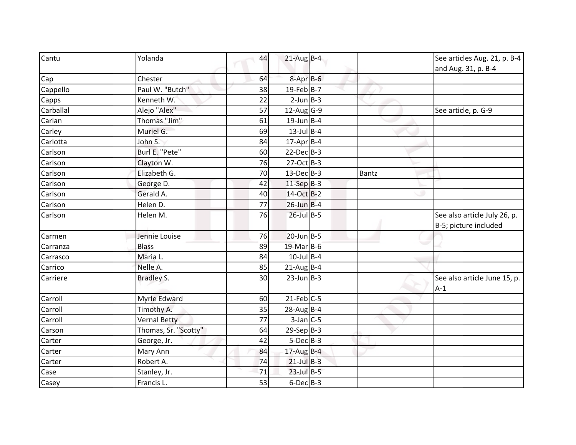| Cantu     | Yolanda              | 44 | $21$ -Aug B-4           |              | See articles Aug. 21, p. B-4<br>and Aug. 31, p. B-4   |
|-----------|----------------------|----|-------------------------|--------------|-------------------------------------------------------|
| Cap       | Chester              | 64 | $8 - Apr$ $B - 6$       |              |                                                       |
| Cappello  | Paul W. "Butch"      | 38 | $19$ -Feb B-7           |              |                                                       |
| Capps     | Kenneth W.           | 22 | $2$ -Jun $B-3$          |              |                                                       |
| Carballal | Alejo "Alex"         | 57 | $12$ -Aug G-9           |              | See article, p. G-9                                   |
| Carlan    | Thomas "Jim"         | 61 | $19$ -Jun B-4           |              |                                                       |
| Carley    | Muriel G.            | 69 | $13$ -Jul B-4           |              |                                                       |
| Carlotta  | John S.              | 84 | $17$ -Apr $B$ -4        |              |                                                       |
| Carlson   | Burl E. "Pete"       | 60 | $22$ -Dec $B-3$         |              |                                                       |
| Carlson   | Clayton W.           | 76 | 27-Oct B-3              |              |                                                       |
| Carlson   | Elizabeth G.         | 70 | $13$ -Dec B-3           | <b>Bantz</b> |                                                       |
| Carlson   | George D.            | 42 | $11-Sep$ B-3            |              |                                                       |
| Carlson   | Gerald A.            | 40 | 14-Oct B-2              |              |                                                       |
| Carlson   | Helen D.             | 77 | $26$ -Jun B-4           |              |                                                       |
| Carlson   | Helen M.             | 76 | $26$ -Jul B-5           |              | See also article July 26, p.<br>B-5; picture included |
| Carmen    | Jennie Louise        | 76 | $20$ -Jun B-5           |              |                                                       |
| Carranza  | <b>Blass</b>         | 89 | 19-Mar B-6              |              |                                                       |
| Carrasco  | Maria L.             | 84 | $10$ -Jul B-4           |              |                                                       |
| Carrico   | Nelle A.             | 85 | $21$ -Aug B-4           |              |                                                       |
| Carriere  | <b>Bradley S.</b>    | 30 | $23$ -Jun $B-3$         |              | See also article June 15, p.<br>$A-1$                 |
| Carroll   | Myrle Edward         | 60 | $21$ -Feb $ C-5$        |              |                                                       |
| Carroll   | Timothy A.           | 35 | $28$ -Aug B-4           |              |                                                       |
| Carroll   | <b>Vernal Betty</b>  | 77 | $3$ -Jan $C$ -5         |              |                                                       |
| Carson    | Thomas, Sr. "Scotty" | 64 | $29-Sep$ <sub>B-3</sub> |              |                                                       |
| Carter    | George, Jr.          | 42 | $5$ -Dec $B$ -3         |              |                                                       |
| Carter    | Mary Ann             | 84 | $17$ -Aug B-4           |              |                                                       |
| Carter    | Robert A.            | 74 | $21$ -Jul B-3           |              |                                                       |
| Case      | Stanley, Jr.         | 71 | $23$ -Jul B-5           |              |                                                       |
| Casey     | Francis L.           | 53 | $6$ -Dec $B$ -3         |              |                                                       |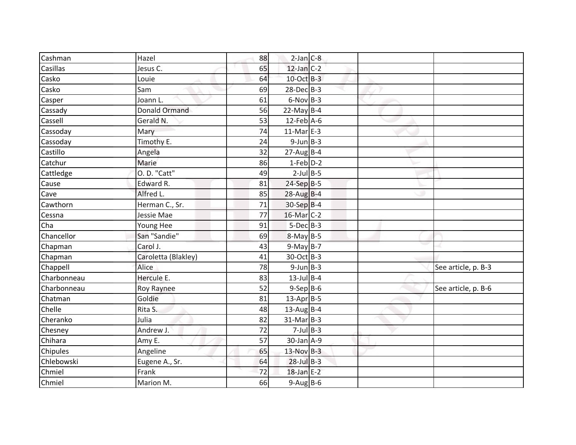| Casillas<br>Jesus C.             |    |                  | $2$ -Jan $C-8$ |                     |
|----------------------------------|----|------------------|----------------|---------------------|
|                                  | 65 | $12$ -Jan C-2    |                |                     |
| Casko<br>Louie                   | 64 | 10-Oct B-3       |                |                     |
| Casko<br>Sam                     | 69 | $28$ -Dec $B-3$  |                |                     |
| Joann L.<br>Casper               | 61 | $6-Nov$ B-3      |                |                     |
| <b>Donald Ormand</b><br>Cassady  | 56 | $22$ -May B-4    |                |                     |
| Cassell<br>Gerald N.             | 53 | $12$ -Feb $A$ -6 |                |                     |
| Cassoday<br>Mary                 | 74 | $11-Mar$ E-3     |                |                     |
| Timothy E.<br>Cassoday           | 24 | $9$ -Jun $B$ -3  |                |                     |
| Castillo<br>Angela               | 32 | $27$ -AugB-4     |                |                     |
| Catchur<br>Marie                 | 86 | $1-Feb$ $D-2$    |                |                     |
| O. D. "Catt"<br>Cattledge        | 49 | $2$ -Jul B-5     |                |                     |
| Edward R.<br>Cause               | 81 | $24-Sep$ B-5     |                |                     |
| Alfred L.<br>Cave                | 85 | $28$ -Aug B-4    |                |                     |
| Herman C., Sr.<br>Cawthorn       | 71 | 30-Sep B-4       |                |                     |
| Jessie Mae<br>Cessna             | 77 | 16-Mar C-2       |                |                     |
| Cha<br>Young Hee                 | 91 | $5-Dec$ B-3      |                |                     |
| San "Sandie"<br>Chancellor       | 69 | $8-May$ B-5      |                |                     |
| Carol J.<br>Chapman              | 43 | $9-May$ B-7      |                |                     |
| Caroletta (Blakley)<br>Chapman   | 41 | 30-Oct B-3       |                |                     |
| Chappell<br>Alice                | 78 | $9$ -Jun $B$ -3  |                | See article, p. B-3 |
| Hercule E.<br>Charbonneau        | 83 | $13$ -Jul B-4    |                |                     |
| Charbonneau<br><b>Roy Raynee</b> | 52 | $9-$ Sep $B-6$   |                | See article, p. B-6 |
| Goldie<br>Chatman                | 81 | $13$ -Apr $B$ -5 |                |                     |
| Chelle<br>Rita S.                | 48 | $13$ -Aug B-4    |                |                     |
| Cheranko<br>Julia                | 82 | $31-Mar$ B-3     |                |                     |
| Chesney<br>Andrew J.             | 72 | $7$ -Jul $B$ -3  |                |                     |
| Chihara<br>Amy E.                | 57 | $30$ -Jan $A-9$  |                |                     |
| Chipules<br>Angeline             | 65 | $13-Nov$ B-3     |                |                     |
| Chlebowski<br>Eugene A., Sr.     | 64 | $28$ -Jul $B-3$  |                |                     |
| Chmiel<br>Frank                  | 72 | $18$ -Jan E-2    |                |                     |
| Chmiel<br>Marion M.              | 66 | $9-Aug$ B-6      |                |                     |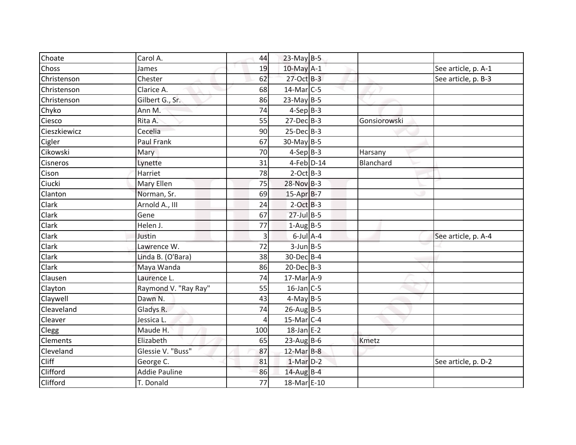| Choate          | Carol A.             | 44  | 23-May B-5        |              |                     |
|-----------------|----------------------|-----|-------------------|--------------|---------------------|
| Choss           | James                | 19  | $10$ -May $A-1$   |              | See article, p. A-1 |
| Christenson     | Chester              | 62  | 27-Oct B-3        |              | See article, p. B-3 |
| Christenson     | Clarice A.           | 68  | $14$ -Mar $C-5$   |              |                     |
| Christenson     | Gilbert G., Sr.      | 86  | $23-May$ B-5      |              |                     |
| Chyko           | Ann M.               | 74  | $4-Sep$ B-3       |              |                     |
| Ciesco          | Rita A.              | 55  | $27$ -Dec $B-3$   | Gonsiorowski |                     |
| Cieszkiewicz    | Cecelia              | 90  | $25$ -Dec $B-3$   |              |                     |
| Cigler          | Paul Frank           | 67  | 30-May B-5        |              |                     |
| Cikowski        | <b>Mary</b>          | 70  | $4-Sep B-3$       | Harsany      |                     |
| Cisneros        | Lynette              | 31  | $4$ -Feb $D-14$   | Blanchard    |                     |
| Cison           | Harriet              | 78  | $2$ -Oct B-3      |              |                     |
| Ciucki          | Mary Ellen           | 75  | 28-Nov B-3        |              |                     |
| Clanton         | Norman, Sr.          | 69  | 15-Apr B-7        |              |                     |
| Clark           | Arnold A., III       | 24  | $2-Oct$ B-3       |              |                     |
| Clark           | Gene                 | 67  | $27$ -Jul B-5     |              |                     |
| Clark           | Helen J.             | 77  | $1-Aug$ B-5       |              |                     |
| Clark           | Justin               | 3   | $6$ -Jul $A$ -4   |              | See article, p. A-4 |
| Clark           | Lawrence W.          | 72  | $3$ -Jun $B - 5$  |              |                     |
| Clark           | Linda B. (O'Bara)    | 38  | 30-Dec B-4        |              |                     |
| <b>Clark</b>    | Maya Wanda           | 86  | $20$ -Dec $B-3$   |              |                     |
| Clausen         | Laurence L.          | 74  | 17-Mar A-9        |              |                     |
| Clayton         | Raymond V. "Ray Ray" | 55  | $16$ -Jan C-5     |              |                     |
| Claywell        | Dawn N.              | 43  | $4-May$ B-5       |              |                     |
| Cleaveland      | Gladys R.            | 74  | $26$ -Aug B-5     |              |                     |
| Cleaver         | Jessica L.           | 4   | $15$ -Mar $ C-4 $ |              |                     |
| Clegg           | Maude H.             | 100 | $18$ -Jan E-2     |              |                     |
| <b>Clements</b> | Elizabeth            | 65  | $23$ -Aug B-6     | Kmetz        |                     |
| Cleveland       | Glessie V. "Buss"    | 87  | $12$ -Mar B-8     |              |                     |
| <b>Cliff</b>    | George C.            | 81  | $1-Mar$ D-2       |              | See article, p. D-2 |
| Clifford        | <b>Addie Pauline</b> | 86  | $14$ -Aug B-4     |              |                     |
| Clifford        | T. Donald            | 77  | 18-Mar E-10       |              |                     |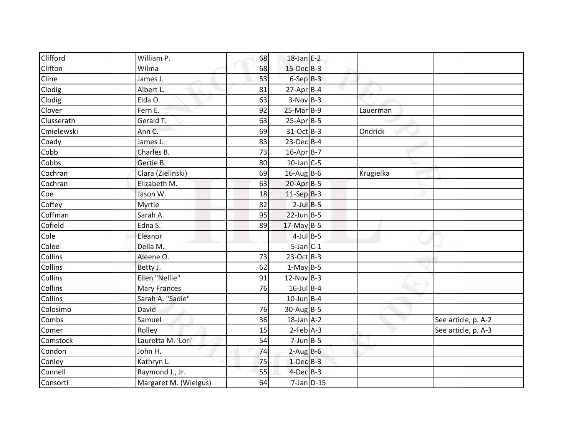| Clifford       | William P.            | 68 | $18$ -Jan E-2    |           |                     |
|----------------|-----------------------|----|------------------|-----------|---------------------|
| <b>Clifton</b> | Wilma                 | 68 | $15$ -Dec $B-3$  |           |                     |
| Cline          | James J.              | 53 | $6-SepB-3$       |           |                     |
| Clodig         | Albert L.             | 81 | $27$ -Apr $B$ -4 |           |                     |
| Clodig         | Elda O.               | 63 | $3-Nov$ B-3      |           |                     |
| Clover         | Fern E.               | 92 | $25-Mar$ B-9     | Lauerman  |                     |
| Clusserath     | Gerald T.             | 63 | $25-Apr$ B-5     |           |                     |
| Cmielewski     | Ann C.                | 69 | 31-Oct B-3       | Ondrick   |                     |
| Coady          | James J.              | 83 | $23$ -Dec $B-4$  |           |                     |
| Cobb           | Charles B.            | 73 | 16-Apr B-7       |           |                     |
| Cobbs          | Gertie B.             | 80 | $10$ -Jan C-5    |           |                     |
| Cochran        | Clara (Zielinski)     | 69 | $16$ -AugB-6     | Krugielka |                     |
| Cochran        | Elizabeth M.          | 63 | $20$ -Apr $B-5$  |           |                     |
| Coe            | Jason W.              | 18 | $11-Sep$ B-3     |           |                     |
| Coffey         | Myrtle                | 82 | $2$ -Jul $B$ -5  |           |                     |
| Coffman        | Sarah A.              | 95 | $22$ -Jun B-5    |           |                     |
| Cofield        | Edna S.               | 89 | $17$ -May B-5    |           |                     |
| Cole           | Eleanor               |    | $4$ -Jul B-5     |           |                     |
| Colee          | Della M.              |    | $5$ -Jan $C-1$   |           |                     |
| <b>Collins</b> | Aleene O.             | 73 | 23-Oct B-3       |           |                     |
| Collins        | Betty J.              | 62 | $1-May$ B-5      |           |                     |
| <b>Collins</b> | Ellen "Nellie"        | 91 | $12-Nov B-3$     |           |                     |
| Collins        | <b>Mary Frances</b>   | 76 | $16$ -Jul B-4    |           |                     |
| <b>Collins</b> | Sarah A. "Sadie"      |    | $10$ -Jun B-4    |           |                     |
| Colosimo       | David                 | 76 | $30$ -AugB-5     |           |                     |
| Combs          | Samuel                | 36 | $18$ -Jan $A-2$  |           | See article, p. A-2 |
| Comer          | Rolley                | 15 | $2-Feb$ $A-3$    |           | See article, p. A-3 |
| Comstock       | Lauretta M. 'Lori'    | 54 | $7$ -Jun $B - 5$ |           |                     |
| Condon         | John H.               | 74 | $2$ -Aug B-6     |           |                     |
| Conley         | Kathryn L.            | 75 | $1-Dec$ B-3      |           |                     |
| Connell        | Raymond J., Jr.       | 55 | $4$ -Dec $B-3$   |           |                     |
| Consorti       | Margaret M. (Wielgus) | 64 | $7$ -Jan $D-15$  |           |                     |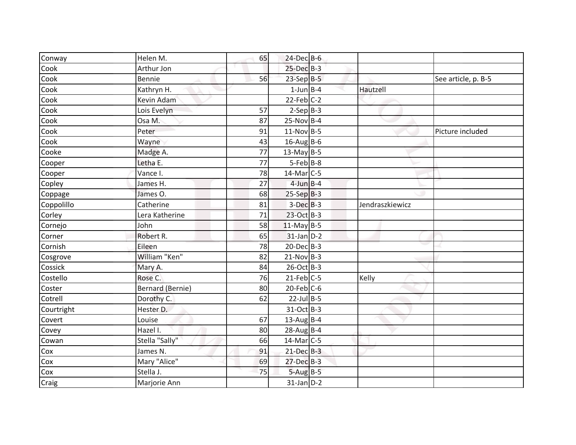| $25$ -Dec $B-3$<br>Cook<br>Arthur Jon<br>$23-Sep$ B-5<br>Cook<br>Bennie<br>56<br>See article, p. B-5<br>$1$ -Jun $B - 4$<br>Cook<br>Kathryn H.<br>Hautzell<br>$22$ -Feb $C-2$<br>Cook<br>Kevin Adam<br>Cook<br>57<br>$2-Sep B-3$<br>Lois Evelyn<br>Cook<br>$25-Nov$ B-4<br>87<br>Osa M.<br>$11-Nov$ B-5<br>Cook<br>Peter<br>91<br>Picture included<br>Cook<br>$16$ -Aug B-6<br>Wayne<br>43<br>Cooke<br>77<br>$13$ -May B-5<br>Madge A.<br>$5-Feb$ B-8<br>Letha E.<br>77<br>Cooper<br>$14$ -Mar $C-5$<br>Vance I.<br>78<br>Cooper<br>$4$ -Jun $B - 4$<br>27<br>Copley<br>James H.<br>James O.<br>68<br>$25-Sep$ B-3<br>Coppage<br>Catherine<br>$3-Dec$ B-3<br>Coppolillo<br>81<br>Jendraszkiewicz<br>23-Oct B-3<br>Lera Katherine<br>71<br>Corley<br>$11$ -May B-5<br>58<br>Cornejo<br>John<br>Robert R.<br>$31$ -Jan $D-2$<br>65<br>Corner<br>20-Dec B-3<br>Cornish<br>Eileen<br>78<br>William "Ken"<br>82<br>$21-Nov$ B-3<br>Cosgrove<br>Cossick<br>26-Oct B-3<br>Mary A.<br>84<br>$21$ -Feb $C-5$<br>Costello<br>Rose C.<br>76<br>Kelly<br>$20$ -Feb $C$ -6<br><b>Bernard (Bernie)</b><br>80<br>Coster<br>$22$ -Jul B-5<br>62<br>Cotrell<br>Dorothy C.<br>Courtright<br>31-Oct B-3<br>Hester D.<br>67<br>$13$ -Aug B-4<br>Covert<br>Louise<br>Covey<br>Hazel I.<br>80<br>$28$ -Aug B-4<br>Stella "Sally"<br>66<br>$14$ -Mar $C-5$<br>Cowan<br>James N.<br>$21$ -Dec $B-3$<br>Cox<br>91<br>Cox<br>Mary "Alice"<br>$27$ -Dec $B-3$<br>69<br>Stella J.<br>75<br>$5-Aug$ B-5<br>Cox<br>Marjorie Ann<br>$31$ -Jan $D-2$<br>Craig | Conway | Helen M. | 65 | 24-Dec B-6 |  |  |
|-------------------------------------------------------------------------------------------------------------------------------------------------------------------------------------------------------------------------------------------------------------------------------------------------------------------------------------------------------------------------------------------------------------------------------------------------------------------------------------------------------------------------------------------------------------------------------------------------------------------------------------------------------------------------------------------------------------------------------------------------------------------------------------------------------------------------------------------------------------------------------------------------------------------------------------------------------------------------------------------------------------------------------------------------------------------------------------------------------------------------------------------------------------------------------------------------------------------------------------------------------------------------------------------------------------------------------------------------------------------------------------------------------------------------------------------------------------------------------------------------------------------------------|--------|----------|----|------------|--|--|
|                                                                                                                                                                                                                                                                                                                                                                                                                                                                                                                                                                                                                                                                                                                                                                                                                                                                                                                                                                                                                                                                                                                                                                                                                                                                                                                                                                                                                                                                                                                               |        |          |    |            |  |  |
|                                                                                                                                                                                                                                                                                                                                                                                                                                                                                                                                                                                                                                                                                                                                                                                                                                                                                                                                                                                                                                                                                                                                                                                                                                                                                                                                                                                                                                                                                                                               |        |          |    |            |  |  |
|                                                                                                                                                                                                                                                                                                                                                                                                                                                                                                                                                                                                                                                                                                                                                                                                                                                                                                                                                                                                                                                                                                                                                                                                                                                                                                                                                                                                                                                                                                                               |        |          |    |            |  |  |
|                                                                                                                                                                                                                                                                                                                                                                                                                                                                                                                                                                                                                                                                                                                                                                                                                                                                                                                                                                                                                                                                                                                                                                                                                                                                                                                                                                                                                                                                                                                               |        |          |    |            |  |  |
|                                                                                                                                                                                                                                                                                                                                                                                                                                                                                                                                                                                                                                                                                                                                                                                                                                                                                                                                                                                                                                                                                                                                                                                                                                                                                                                                                                                                                                                                                                                               |        |          |    |            |  |  |
|                                                                                                                                                                                                                                                                                                                                                                                                                                                                                                                                                                                                                                                                                                                                                                                                                                                                                                                                                                                                                                                                                                                                                                                                                                                                                                                                                                                                                                                                                                                               |        |          |    |            |  |  |
|                                                                                                                                                                                                                                                                                                                                                                                                                                                                                                                                                                                                                                                                                                                                                                                                                                                                                                                                                                                                                                                                                                                                                                                                                                                                                                                                                                                                                                                                                                                               |        |          |    |            |  |  |
|                                                                                                                                                                                                                                                                                                                                                                                                                                                                                                                                                                                                                                                                                                                                                                                                                                                                                                                                                                                                                                                                                                                                                                                                                                                                                                                                                                                                                                                                                                                               |        |          |    |            |  |  |
|                                                                                                                                                                                                                                                                                                                                                                                                                                                                                                                                                                                                                                                                                                                                                                                                                                                                                                                                                                                                                                                                                                                                                                                                                                                                                                                                                                                                                                                                                                                               |        |          |    |            |  |  |
|                                                                                                                                                                                                                                                                                                                                                                                                                                                                                                                                                                                                                                                                                                                                                                                                                                                                                                                                                                                                                                                                                                                                                                                                                                                                                                                                                                                                                                                                                                                               |        |          |    |            |  |  |
|                                                                                                                                                                                                                                                                                                                                                                                                                                                                                                                                                                                                                                                                                                                                                                                                                                                                                                                                                                                                                                                                                                                                                                                                                                                                                                                                                                                                                                                                                                                               |        |          |    |            |  |  |
|                                                                                                                                                                                                                                                                                                                                                                                                                                                                                                                                                                                                                                                                                                                                                                                                                                                                                                                                                                                                                                                                                                                                                                                                                                                                                                                                                                                                                                                                                                                               |        |          |    |            |  |  |
|                                                                                                                                                                                                                                                                                                                                                                                                                                                                                                                                                                                                                                                                                                                                                                                                                                                                                                                                                                                                                                                                                                                                                                                                                                                                                                                                                                                                                                                                                                                               |        |          |    |            |  |  |
|                                                                                                                                                                                                                                                                                                                                                                                                                                                                                                                                                                                                                                                                                                                                                                                                                                                                                                                                                                                                                                                                                                                                                                                                                                                                                                                                                                                                                                                                                                                               |        |          |    |            |  |  |
|                                                                                                                                                                                                                                                                                                                                                                                                                                                                                                                                                                                                                                                                                                                                                                                                                                                                                                                                                                                                                                                                                                                                                                                                                                                                                                                                                                                                                                                                                                                               |        |          |    |            |  |  |
|                                                                                                                                                                                                                                                                                                                                                                                                                                                                                                                                                                                                                                                                                                                                                                                                                                                                                                                                                                                                                                                                                                                                                                                                                                                                                                                                                                                                                                                                                                                               |        |          |    |            |  |  |
|                                                                                                                                                                                                                                                                                                                                                                                                                                                                                                                                                                                                                                                                                                                                                                                                                                                                                                                                                                                                                                                                                                                                                                                                                                                                                                                                                                                                                                                                                                                               |        |          |    |            |  |  |
|                                                                                                                                                                                                                                                                                                                                                                                                                                                                                                                                                                                                                                                                                                                                                                                                                                                                                                                                                                                                                                                                                                                                                                                                                                                                                                                                                                                                                                                                                                                               |        |          |    |            |  |  |
|                                                                                                                                                                                                                                                                                                                                                                                                                                                                                                                                                                                                                                                                                                                                                                                                                                                                                                                                                                                                                                                                                                                                                                                                                                                                                                                                                                                                                                                                                                                               |        |          |    |            |  |  |
|                                                                                                                                                                                                                                                                                                                                                                                                                                                                                                                                                                                                                                                                                                                                                                                                                                                                                                                                                                                                                                                                                                                                                                                                                                                                                                                                                                                                                                                                                                                               |        |          |    |            |  |  |
|                                                                                                                                                                                                                                                                                                                                                                                                                                                                                                                                                                                                                                                                                                                                                                                                                                                                                                                                                                                                                                                                                                                                                                                                                                                                                                                                                                                                                                                                                                                               |        |          |    |            |  |  |
|                                                                                                                                                                                                                                                                                                                                                                                                                                                                                                                                                                                                                                                                                                                                                                                                                                                                                                                                                                                                                                                                                                                                                                                                                                                                                                                                                                                                                                                                                                                               |        |          |    |            |  |  |
|                                                                                                                                                                                                                                                                                                                                                                                                                                                                                                                                                                                                                                                                                                                                                                                                                                                                                                                                                                                                                                                                                                                                                                                                                                                                                                                                                                                                                                                                                                                               |        |          |    |            |  |  |
|                                                                                                                                                                                                                                                                                                                                                                                                                                                                                                                                                                                                                                                                                                                                                                                                                                                                                                                                                                                                                                                                                                                                                                                                                                                                                                                                                                                                                                                                                                                               |        |          |    |            |  |  |
|                                                                                                                                                                                                                                                                                                                                                                                                                                                                                                                                                                                                                                                                                                                                                                                                                                                                                                                                                                                                                                                                                                                                                                                                                                                                                                                                                                                                                                                                                                                               |        |          |    |            |  |  |
|                                                                                                                                                                                                                                                                                                                                                                                                                                                                                                                                                                                                                                                                                                                                                                                                                                                                                                                                                                                                                                                                                                                                                                                                                                                                                                                                                                                                                                                                                                                               |        |          |    |            |  |  |
|                                                                                                                                                                                                                                                                                                                                                                                                                                                                                                                                                                                                                                                                                                                                                                                                                                                                                                                                                                                                                                                                                                                                                                                                                                                                                                                                                                                                                                                                                                                               |        |          |    |            |  |  |
|                                                                                                                                                                                                                                                                                                                                                                                                                                                                                                                                                                                                                                                                                                                                                                                                                                                                                                                                                                                                                                                                                                                                                                                                                                                                                                                                                                                                                                                                                                                               |        |          |    |            |  |  |
|                                                                                                                                                                                                                                                                                                                                                                                                                                                                                                                                                                                                                                                                                                                                                                                                                                                                                                                                                                                                                                                                                                                                                                                                                                                                                                                                                                                                                                                                                                                               |        |          |    |            |  |  |
|                                                                                                                                                                                                                                                                                                                                                                                                                                                                                                                                                                                                                                                                                                                                                                                                                                                                                                                                                                                                                                                                                                                                                                                                                                                                                                                                                                                                                                                                                                                               |        |          |    |            |  |  |
|                                                                                                                                                                                                                                                                                                                                                                                                                                                                                                                                                                                                                                                                                                                                                                                                                                                                                                                                                                                                                                                                                                                                                                                                                                                                                                                                                                                                                                                                                                                               |        |          |    |            |  |  |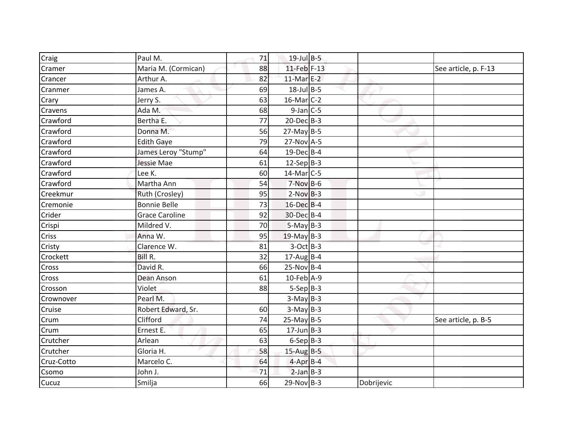| Craig      | Paul M.               | 71 | $19$ -Jul $B-5$         |            |                      |
|------------|-----------------------|----|-------------------------|------------|----------------------|
| Cramer     | Maria M. (Cormican)   | 88 | 11-Feb F-13             |            | See article, p. F-13 |
| Crancer    | Arthur A.             | 82 | $11-Mar$ <sub>E-2</sub> |            |                      |
| Cranmer    | James A.              | 69 | $18$ -Jul B-5           |            |                      |
| Crary      | Jerry S.              | 63 | $16$ -Mar $C-2$         |            |                      |
| Cravens    | Ada M.                | 68 | $9$ -Jan $C$ -5         |            |                      |
| Crawford   | Bertha E.             | 77 | $20$ -Dec $B-3$         |            |                      |
| Crawford   | Donna M.              | 56 | $27$ -May B-5           |            |                      |
| Crawford   | <b>Edith Gaye</b>     | 79 | 27-Nov A-5              |            |                      |
| Crawford   | James Leroy "Stump"   | 64 | $19$ -Dec $B$ -4        |            |                      |
| Crawford   | Jessie Mae            | 61 | $12-Sep$ B-3            |            |                      |
| Crawford   | Lee K.                | 60 | $14$ -Mar $C-5$         |            |                      |
| Crawford   | Martha Ann            | 54 | $7-Nov$ B-6             |            |                      |
| Creekmur   | Ruth (Crosley)        | 95 | $2-Nov$ B-3             |            |                      |
| Cremonie   | <b>Bonnie Belle</b>   | 73 | 16-Dec B-4              |            |                      |
| Crider     | <b>Grace Caroline</b> | 92 | 30-Dec B-4              |            |                      |
| Crispi     | Mildred V.            | 70 | $5-May$ B-3             |            |                      |
| Criss      | Anna W.               | 95 | $19$ -May B-3           |            |                      |
| Cristy     | Clarence W.           | 81 | $3-Oct$ B-3             |            |                      |
| Crockett   | Bill R.               | 32 | $17$ -AugB-4            |            |                      |
| Cross      | David R.              | 66 | $25-Nov$ B-4            |            |                      |
| Cross      | Dean Anson            | 61 | 10-Feb A-9              |            |                      |
| Crosson    | Violet                | 88 | $5-Sep B-3$             |            |                      |
| Crownover  | Pearl M.              |    | $3-May$ B-3             |            |                      |
| Cruise     | Robert Edward, Sr.    | 60 | $3-May$ B-3             |            |                      |
| Crum       | Clifford              | 74 | $25$ -May B-5           |            | See article, p. B-5  |
| Crum       | Ernest E.             | 65 | $17$ -Jun B-3           |            |                      |
| Crutcher   | Arlean                | 63 | $6-Sep B-3$             |            |                      |
| Crutcher   | Gloria H.             | 58 | $15$ -Aug B-5           |            |                      |
| Cruz-Cotto | Marcelo C.            | 64 | $4-Apr$ B-4             |            |                      |
| Csomo      | John J.               | 71 | $2$ -Jan $B-3$          |            |                      |
| Cucuz      | Smilja                | 66 | $29-Nov$ B-3            | Dobrijevic |                      |
|            |                       |    |                         |            |                      |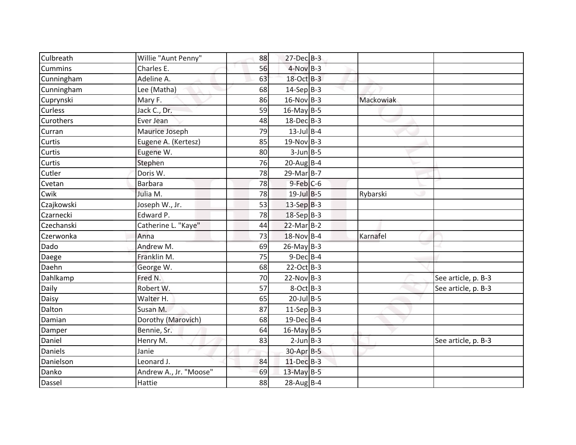| Culbreath        | Willie "Aunt Penny"    | 88 | $27$ -Dec $B-3$  |           |                     |
|------------------|------------------------|----|------------------|-----------|---------------------|
| Cummins          | Charles E.             | 56 | $4-Nov$ B-3      |           |                     |
| Cunningham       | Adeline A.             | 63 | 18-Oct B-3       |           |                     |
| Cunningham       | Lee (Matha)            | 68 | $14-Sep$ B-3     |           |                     |
| Cuprynski        | Mary F.                | 86 | $16-Nov$ B-3     | Mackowiak |                     |
| <b>Curless</b>   | Jack C., Dr.           | 59 | $16$ -May B-5    |           |                     |
| <b>Curothers</b> | Ever Jean              | 48 | $18$ -Dec $B-3$  |           |                     |
| Curran           | Maurice Joseph         | 79 | $13$ -Jul B-4    |           |                     |
| Curtis           | Eugene A. (Kertesz)    | 85 | $19-Nov$ B-3     |           |                     |
| Curtis           | Eugene W.              | 80 | $3$ -Jun $B$ -5  |           |                     |
| Curtis           | Stephen                | 76 | $20$ -Aug B-4    |           |                     |
| Cutler           | Doris W.               | 78 | $29$ -Mar $B-7$  |           |                     |
| Cvetan           | <b>Barbara</b>         | 78 | $9$ -Feb $C$ -6  |           |                     |
| Cwik             | Julia M.               | 78 | $19$ -Jul B-5    | Rybarski  |                     |
| Czajkowski       | Joseph W., Jr.         | 53 | $13-Sep$ B-3     |           |                     |
| Czarnecki        | Edward P.              | 78 | 18-Sep B-3       |           |                     |
| Czechanski       | Catherine L. "Kaye"    | 44 | $22$ -Mar $B-2$  |           |                     |
| Czerwonka        | Anna                   | 73 | 18-Nov B-4       | Karnafel  |                     |
| Dado             | Andrew M.              | 69 | $26$ -May B-3    |           |                     |
| Daege            | Franklin M.            | 75 | $9$ -Dec $B$ -4  |           |                     |
| Daehn            | George W.              | 68 | $22-Oct$ B-3     |           |                     |
| Dahlkamp         | Fred N.                | 70 | $22-Nov B-3$     |           | See article, p. B-3 |
| Daily            | Robert W.              | 57 | $8-Oct$ B-3      |           | See article, p. B-3 |
| Daisy            | Walter H.              | 65 | $20$ -Jul B-5    |           |                     |
| Dalton           | Susan M.               | 87 | $11-Sep B-3$     |           |                     |
| Damian           | Dorothy (Marovich)     | 68 | 19-Dec B-4       |           |                     |
| Damper           | Bennie, Sr.            | 64 | $16$ -May B-5    |           |                     |
| Daniel           | Henry M.               | 83 | $2$ -Jun $B - 3$ |           | See article, p. B-3 |
| <b>Daniels</b>   | Janie                  |    | 30-Apr B-5       |           |                     |
| Danielson        | Leonard J.             | 84 | $11$ -Dec $B-3$  |           |                     |
| Danko            | Andrew A., Jr. "Moose" | 69 | $13$ -May B-5    |           |                     |
| Dassel           | Hattie                 | 88 | $28$ -Aug B-4    |           |                     |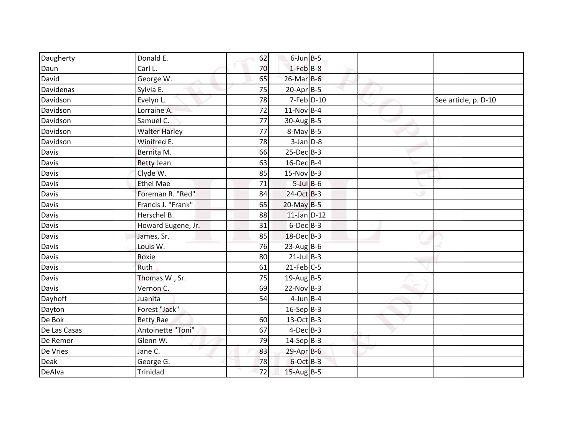| Daugherty    | Donald E.            | 62 | $6$ -Jun $B$ -5  |  |                      |
|--------------|----------------------|----|------------------|--|----------------------|
| Daun         | Carl L.              | 70 | $1$ -Feb $B$ -8  |  |                      |
| David        | George W.            | 65 | $26$ -Mar $B$ -6 |  |                      |
| Davidenas    | Sylvia E.            | 75 | $20$ -Apr $B-5$  |  |                      |
| Davidson     | Evelyn L.            | 78 | $7$ -Feb $D-10$  |  | See article, p. D-10 |
| Davidson     | Lorraine A.          | 72 | $11-Nov$ B-4     |  |                      |
| Davidson     | Samuel C.            | 77 | $30$ -Aug B-5    |  |                      |
| Davidson     | <b>Walter Harley</b> | 77 | $8-May B-5$      |  |                      |
| Davidson     | Winifred E.          | 78 | $3$ -Jan $D-8$   |  |                      |
| Davis        | Bernita M.           | 66 | $25-Dec$ B-3     |  |                      |
| Davis        | <b>Betty Jean</b>    | 63 | $16$ -Dec $B$ -4 |  |                      |
| Davis        | Clyde W.             | 85 | $15-Nov$ B-3     |  |                      |
| Davis        | <b>Ethel Mae</b>     | 71 | $5$ -Jul B-6     |  |                      |
| Davis        | Foreman R. "Red"     | 84 | 24-Oct B-3       |  |                      |
| Davis        | Francis J. "Frank"   | 65 | $20$ -May B-5    |  |                      |
| Davis        | Herschel B.          | 88 | $11$ -Jan $D-12$ |  |                      |
| Davis        | Howard Eugene, Jr.   | 31 | $6$ -Dec $B$ -3  |  |                      |
| Davis        | James, Sr.           | 85 | 18-Dec B-3       |  |                      |
| Davis        | Louis W.             | 76 | $23$ -Aug B-6    |  |                      |
| Davis        | Roxie                | 80 | $21$ -Jul B-3    |  |                      |
| Davis        | Ruth                 | 61 | $21$ -Feb $C-5$  |  |                      |
| Davis        | Thomas W., Sr.       | 75 | $19$ -Aug B-5    |  |                      |
| Davis        | Vernon C.            | 69 | $22-Nov B-3$     |  |                      |
| Dayhoff      | Juanita              | 54 | $4$ -Jun $B$ -4  |  |                      |
| Dayton       | Forest "Jack"        |    | $16-Sep$ B-3     |  |                      |
| De Bok       | <b>Betty Rae</b>     | 60 | $13-Oct$ B-3     |  |                      |
| De Las Casas | Antoinette "Toni"    | 67 | $4$ -Dec $B-3$   |  |                      |
| De Remer     | Glenn W.             | 79 | $14-Sep$ B-3     |  |                      |
| De Vries     | Jane C.              | 83 | 29-Apr B-6       |  |                      |
| Deak         | George G.            | 78 | $6$ -Oct $B-3$   |  |                      |
| DeAlva       | <b>Trinidad</b>      | 72 | $15$ -Aug B-5    |  |                      |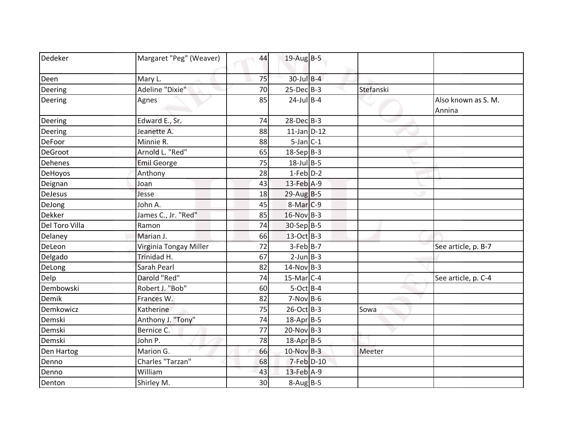| Dedeker        | Margaret "Peg" (Weaver) | 44 | $19$ -Aug B-5        |           |                               |
|----------------|-------------------------|----|----------------------|-----------|-------------------------------|
|                |                         |    |                      |           |                               |
| Deen           | Mary L.                 | 75 | $30$ -Jul $B-4$      |           |                               |
| Deering        | Adeline "Dixie"         | 70 | $25$ -Dec $B-3$      | Stefanski |                               |
| Deering        | Agnes                   | 85 | $24$ -Jul B-4        |           | Also known as S. M.<br>Annina |
| Deering        | Edward E., Sr.          | 74 | $28$ -Dec $B-3$      |           |                               |
| Deering        | Jeanette A.             | 88 | $11$ -Jan D-12       |           |                               |
| <b>DeFoor</b>  | Minnie R.               | 88 | $5$ -Jan $C-1$       |           |                               |
| DeGroot        | Arnold L. "Red"         | 65 | $18-Sep$ B-3         |           |                               |
| <b>Dehenes</b> | <b>Emil George</b>      | 75 | $18$ -Jul $B$ -5     |           |                               |
| DeHoyos        | Anthony                 | 28 | $1-Feb$ $D-2$        |           |                               |
| Deignan        | Joan                    | 43 | 13-Feb A-9           |           |                               |
| <b>DeJesus</b> | Jesse                   | 18 | $29$ -Aug B-5        |           |                               |
| DeJong         | John A.                 | 45 | 8-Mar <sub>C-9</sub> |           |                               |
| <b>Dekker</b>  | James C., Jr. "Red"     | 85 | 16-Nov B-3           |           |                               |
| Del Toro Villa | Ramon                   | 74 | 30-Sep B-5           |           |                               |
| Delaney        | Marian J.               | 66 | 13-Oct B-3           |           |                               |
| DeLeon         | Virginia Tongay Miller  | 72 | $3-Feb$ $B-7$        |           | See article, p. B-7           |
| Delgado        | Trinidad H.             | 67 | $2$ -Jun $B - 3$     |           |                               |
| DeLong         | Sarah Pearl             | 82 | $14$ -Nov B-3        |           |                               |
| Delp           | Darold "Red"            | 74 | $15$ -Mar $C-4$      |           | See article, p. C-4           |
| Dembowski      | Robert J. "Bob"         | 60 | $5-Oct$ B-4          |           |                               |
| Demik          | Frances W.              | 82 | $7-Nov$ B-6          |           |                               |
| Demkowicz      | Katherine               | 75 | $26$ -Oct B-3        | Sowa      |                               |
| Demski         | Anthony J. "Tony"       | 74 | $18$ -Apr $B$ -5     |           |                               |
| Demski         | Bernice C.              | 77 | $20-Nov$ B-3         |           |                               |
| Demski         | John P.                 | 78 | 18-Apr B-5           |           |                               |
| Den Hartog     | Marion G.               | 66 | $10$ -Nov B-3        | Meeter    |                               |
| Denno          | Charles "Tarzan"        | 68 | 7-Feb D-10           |           |                               |
| Denno          | William                 | 43 | 13-Feb A-9           |           |                               |
| Denton         | Shirley M.              | 30 | $8-Aug$ B-5          |           |                               |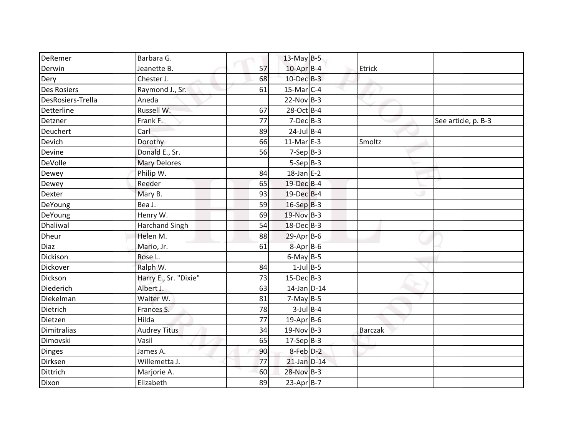| DeRemer            | Barbara G.            |    | $13$ -May B-5    |                |                     |
|--------------------|-----------------------|----|------------------|----------------|---------------------|
| Derwin             | Jeanette B.           | 57 | $10$ -Apr $B$ -4 | Etrick         |                     |
| Dery               | Chester J.            | 68 | $10$ -Dec $B-3$  |                |                     |
| <b>Des Rosiers</b> | Raymond J., Sr.       | 61 | $15$ -Mar $C-4$  |                |                     |
| DesRosiers-Trella  | Aneda                 |    | $22-Nov$ B-3     |                |                     |
| Detterline         | Russell W.            | 67 | 28-Oct B-4       |                |                     |
| Detzner            | Frank F.              | 77 | $7-Dec$ B-3      |                | See article, p. B-3 |
| Deuchert           | Carl                  | 89 | $24$ -Jul B-4    |                |                     |
| Devich             | Dorothy               | 66 | $11-Mar$ E-3     | Smoltz         |                     |
| Devine             | Donald E., Sr.        | 56 | $7-Sep$ B-3      |                |                     |
| DeVolle            | <b>Mary Delores</b>   |    | $5-Sep B-3$      |                |                     |
| Dewey              | Philip W.             | 84 | $18$ -Jan E-2    |                |                     |
| Dewey              | Reeder                | 65 | 19-Dec B-4       |                |                     |
| Dexter             | Mary B.               | 93 | 19-Dec B-4       |                |                     |
| DeYoung            | Bea J.                | 59 | $16-SepB-3$      |                |                     |
| DeYoung            | Henry W.              | 69 | 19-Nov B-3       |                |                     |
| Dhaliwal           | <b>Harchand Singh</b> | 54 | 18-Dec B-3       |                |                     |
| Dheur              | Helen M.              | 88 | 29-Apr B-6       |                |                     |
| Diaz               | Mario, Jr.            | 61 | $8 - Apr$ B-6    |                |                     |
| Dickison           | Rose L.               |    | $6$ -May B-5     |                |                     |
| Dickover           | Ralph W.              | 84 | $1$ -Jul B-5     |                |                     |
| Dickson            | Harry E., Sr. "Dixie" | 73 | $15$ -Dec $B$ -3 |                |                     |
| Diederich          | Albert J.             | 63 | 14-Jan D-14      |                |                     |
| Diekelman          | Walter W.             | 81 | $7-May$ B-5      |                |                     |
| Dietrich           | Frances S.            | 78 | $3$ -Jul $B$ -4  |                |                     |
| Dietzen            | Hilda                 | 77 | $19$ -Apr B-6    |                |                     |
| Dimitralias        | <b>Audrey Titus</b>   | 34 | $19-Nov$ B-3     | <b>Barczak</b> |                     |
| Dimovski           | Vasil                 | 65 | $17-Sep B-3$     |                |                     |
| Dinges             | James A.              | 90 | 8-Feb D-2        |                |                     |
| Dirksen            | Willemetta J.         | 77 | $21$ -Jan $D-14$ |                |                     |
| Dittrich           | Marjorie A.           | 60 | 28-Nov B-3       |                |                     |
| Dixon              | Elizabeth             | 89 | $23-AprB-7$      |                |                     |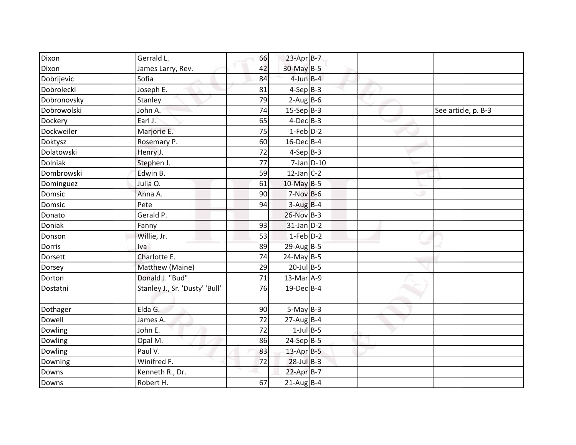| Dixon          | Gerrald L.                     | 66 | $23$ -Apr $B-7$  |                 |                     |
|----------------|--------------------------------|----|------------------|-----------------|---------------------|
| Dixon          | James Larry, Rev.              | 42 | 30-May B-5       |                 |                     |
| Dobrijevic     | Sofia                          | 84 | $4$ -Jun $B - 4$ |                 |                     |
| Dobrolecki     | Joseph E.                      | 81 | $4-Sep$ B-3      |                 |                     |
| Dobronovsky    | Stanley                        | 79 | $2-AugBB-6$      |                 |                     |
| Dobrowolski    | John A.                        | 74 | $15-Sep B-3$     |                 | See article, p. B-3 |
| Dockery        | Earl J.                        | 65 | $4$ -Dec $B$ -3  |                 |                     |
| Dockweiler     | Marjorie E.                    | 75 | $1-Feb$ $D-2$    |                 |                     |
| Doktysz        | Rosemary P.                    | 60 | $16$ -Dec $B$ -4 |                 |                     |
| Dolatowski     | Henry J.                       | 72 | $4-Sep$ B-3      |                 |                     |
| <b>Dolniak</b> | Stephen J.                     | 77 |                  | $7$ -Jan $D-10$ |                     |
| Dombrowski     | Edwin B.                       | 59 | $12$ -Jan C-2    |                 |                     |
| Dominguez      | Julia O.                       | 61 | $10$ -May B-5    |                 |                     |
| Domsic         | Anna A.                        | 90 | $7-Nov$ B-6      |                 |                     |
| Domsic         | Pete                           | 94 | $3-Aug$ B-4      |                 |                     |
| Donato         | Gerald P.                      |    | 26-Nov B-3       |                 |                     |
| Doniak         | Fanny                          | 93 | $31$ -Jan $D-2$  |                 |                     |
| Donson         | Willie, Jr.                    | 53 | $1-Feb$ $D-2$    |                 |                     |
| Dorris         | Iva                            | 89 | $29$ -Aug B-5    |                 |                     |
| <b>Dorsett</b> | Charlotte E.                   | 74 | $24$ -May B-5    |                 |                     |
| Dorsey         | Matthew (Maine)                | 29 | $20$ -Jul B-5    |                 |                     |
| Dorton         | Donald J. "Bud"                | 71 | $13$ -Mar $A-9$  |                 |                     |
| Dostatni       | Stanley J., Sr. 'Dusty' 'Bull' | 76 | 19-Dec B-4       |                 |                     |
| Dothager       | Elda G.                        | 90 | $5-May$ B-3      |                 |                     |
| Dowell         | James A.                       | 72 | $27$ -Aug B-4    |                 |                     |
| Dowling        | John E.                        | 72 | $1$ -Jul $B$ -5  |                 |                     |
| Dowling        | Opal M.                        | 86 | $24-Sep$ B-5     |                 |                     |
| Dowling        | Paul V.                        | 83 | $13$ -Apr $B-5$  |                 |                     |
| Downing        | Winifred F.                    | 72 | $28$ -Jul $B-3$  |                 |                     |
| Downs          | Kenneth R., Dr.                |    | $22$ -Apr $B-7$  |                 |                     |
| Downs          | Robert H.                      | 67 | $21$ -Aug B-4    |                 |                     |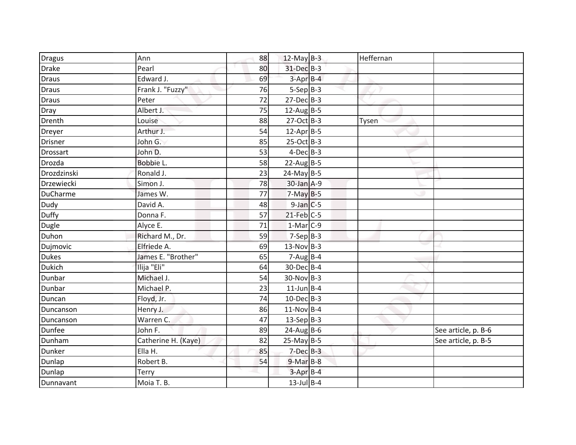| <b>Dragus</b>   | Ann                 | 88 | 12-May $B-3$     | Heffernan |                     |
|-----------------|---------------------|----|------------------|-----------|---------------------|
| Drake           | Pearl               | 80 | 31-Dec B-3       |           |                     |
| <b>Draus</b>    | Edward J.           | 69 | $3-AprB-4$       |           |                     |
| <b>Draus</b>    | Frank J. "Fuzzy"    | 76 | $5-Sep$ B-3      |           |                     |
| Draus           | Peter               | 72 | $27 - Dec$ B-3   |           |                     |
| Dray            | Albert J.           | 75 | $12$ -AugB-5     |           |                     |
| Drenth          | Louise              | 88 | $27-Oct$ B-3     | Tysen     |                     |
| Dreyer          | Arthur J.           | 54 | $12$ -Apr $B$ -5 |           |                     |
| Drisner         | John G.             | 85 | 25-Oct B-3       |           |                     |
| <b>Drossart</b> | John D.             | 53 | $4$ -Dec $B-3$   |           |                     |
| Drozda          | Bobbie L.           | 58 | $22$ -Aug B-5    |           |                     |
| Drozdzinski     | Ronald J.           | 23 | $24$ -May B-5    |           |                     |
| Drzewiecki      | Simon J.            | 78 | 30-Jan A-9       |           |                     |
| DuCharme        | James W.            | 77 | $7-May$ B-5      |           |                     |
| Dudy            | David A.            | 48 | $9$ -Jan $C$ -5  |           |                     |
| Duffy           | Donna F.            | 57 | $21$ -Feb $C-5$  |           |                     |
| Dugle           | Alyce E.            | 71 | $1-Mar$ C-9      |           |                     |
| Duhon           | Richard M., Dr.     | 59 | $7-SepB-3$       |           |                     |
| Dujmovic        | Elfriede A.         | 69 | $13-Nov$ B-3     |           |                     |
| Dukes           | James E. "Brother"  | 65 | $7-Aug$ B-4      |           |                     |
| <b>Dukich</b>   | Ilija "Eli"         | 64 | 30-Dec B-4       |           |                     |
| Dunbar          | Michael J.          | 54 | 30-Nov B-3       |           |                     |
| Dunbar          | Michael P.          | 23 | $11$ -Jun B-4    |           |                     |
| Duncan          | Floyd, Jr.          | 74 | $10$ -Dec $B-3$  |           |                     |
| Duncanson       | Henry J.            | 86 | $11-Nov$ B-4     |           |                     |
| Duncanson       | Warren C.           | 47 | $13-Sep$ B-3     |           |                     |
| Dunfee          | John F.             | 89 | $24$ -Aug B-6    |           | See article, p. B-6 |
| Dunham          | Catherine H. (Kaye) | 82 | $25$ -May B-5    |           | See article, p. B-5 |
| Dunker          | Ella H.             | 85 | $7-Dec$ B-3      |           |                     |
| Dunlap          | Robert B.           | 54 | $9-MarB-8$       |           |                     |
| Dunlap          | Terry               |    | $3-Apr$ B-4      |           |                     |
| Dunnavant       | Moia T. B.          |    | $13$ -Jul B-4    |           |                     |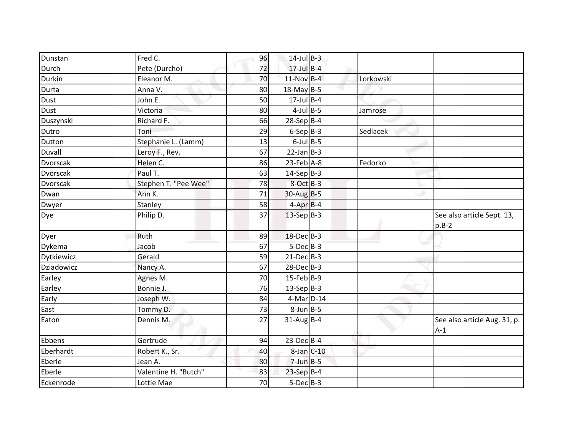| Dunstan     | Fred C.              | 96 | $14$ -Jul B-3    |           |                                       |
|-------------|----------------------|----|------------------|-----------|---------------------------------------|
| Durch       | Pete (Durcho)        | 72 | $17$ -Jul B-4    |           |                                       |
| Durkin      | Eleanor M.           | 70 | $11-Nov$ B-4     | Lorkowski |                                       |
| Durta       | Anna V.              | 80 | $18$ -May B-5    |           |                                       |
| <b>Dust</b> | John E.              | 50 | $17$ -Jul B-4    |           |                                       |
| Dust        | Victoria             | 80 | $4$ -Jul B-5     | Jamrose   |                                       |
| Duszynski   | Richard F.           | 66 | 28-Sep B-4       |           |                                       |
| Dutro       | Toni                 | 29 | $6-Sep B-3$      | Sedlacek  |                                       |
| Dutton      | Stephanie L. (Lamm)  | 13 | $6$ -Jul $B$ -5  |           |                                       |
| Duvall      | Leroy F., Rev.       | 67 | $22$ -Jan B-3    |           |                                       |
| Dvorscak    | Helen C.             | 86 | $23$ -Feb $A-8$  | Fedorko   |                                       |
| Dvorscak    | Paul T.              | 63 | $14-Sep B-3$     |           |                                       |
| Dvorscak    | Stephen T. "Pee Wee" | 78 | $8$ -Oct $B-3$   |           |                                       |
| Dwan        | Ann K.               | 71 | $30$ -Aug B-5    |           |                                       |
| Dwyer       | Stanley              | 58 | $4$ -Apr $B$ -4  |           |                                       |
| Dye         | Philip D.            | 37 | $13-Sep$ B-3     |           | See also article Sept. 13,<br>$p.B-2$ |
| Dyer        | Ruth                 | 89 | 18-Dec B-3       |           |                                       |
| Dykema      | Jacob                | 67 | $5$ -Dec $B$ -3  |           |                                       |
| Dytkiewicz  | Gerald               | 59 | $21$ -Dec $B-3$  |           |                                       |
| Dziadowicz  | Nancy A.             | 67 | $28$ -Dec $B-3$  |           |                                       |
| Earley      | Agnes M.             | 70 | $15$ -Feb B-9    |           |                                       |
| Earley      | Bonnie J.            | 76 | $13-Sep B-3$     |           |                                       |
| Early       | Joseph W.            | 84 | 4-Mar D-14       |           |                                       |
| East        | Tommy D.             | 73 | $8$ -Jun $B$ -5  |           |                                       |
| Eaton       | Dennis M.            | 27 | $31$ -Aug B-4    |           | See also article Aug. 31, p.<br>$A-1$ |
| Ebbens      | Gertrude             | 94 | $23$ -Dec $B-4$  |           |                                       |
| Eberhardt   | Robert K., Sr.       | 40 | $8$ -Jan $C$ -10 |           |                                       |
| Eberle      | Jean A.              | 80 | $7$ -Jun $B - 5$ |           |                                       |
| Eberle      | Valentine H. "Butch" | 83 | 23-Sep B-4       |           |                                       |
| Eckenrode   | Lottie Mae           | 70 | $5-Dec$ B-3      |           |                                       |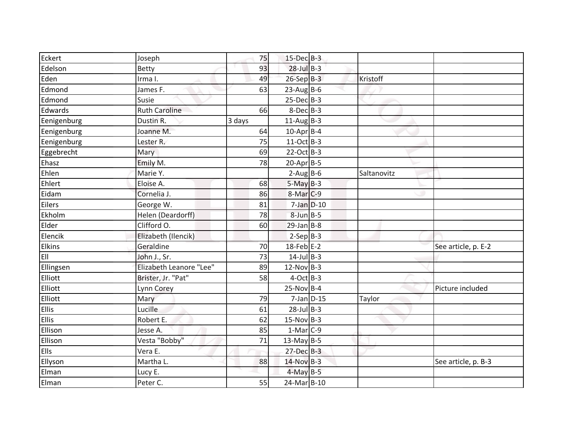| Eckert       | Joseph                  | 75     | 15-Dec B-3       |             |                     |
|--------------|-------------------------|--------|------------------|-------------|---------------------|
| Edelson      | Betty                   | 93     | $28$ -Jul $B-3$  |             |                     |
| Eden         | Irma I.                 | 49     | 26-Sep B-3       | Kristoff    |                     |
| Edmond       | James F.                | 63     | $23$ -Aug B-6    |             |                     |
| Edmond       | Susie                   |        | $25-Dec$ B-3     |             |                     |
| Edwards      | <b>Ruth Caroline</b>    | 66     | $8$ -Dec $B$ -3  |             |                     |
| Eenigenburg  | Dustin R.               | 3 days | $11$ -Aug B-3    |             |                     |
| Eenigenburg  | Joanne M.               | 64     | $10$ -Apr $B$ -4 |             |                     |
| Eenigenburg  | Lester R.               | 75     | $11-Oct$ B-3     |             |                     |
| Eggebrecht   | Mary                    | 69     | 22-Oct B-3       |             |                     |
| Ehasz        | Emily M.                | 78     | $20$ -Apr $B-5$  |             |                     |
| Ehlen        | Marie Y.                |        | $2-Aug$ B-6      | Saltanovitz |                     |
| Ehlert       | Eloise A.               | 68     | $5-May$ B-3      |             |                     |
| Eidam        | Cornelia J.             | 86     | 8-Mar C-9        |             |                     |
| Eilers       | George W.               | 81     | $7$ -Jan $D-10$  |             |                     |
| Ekholm       | Helen (Deardorff)       | 78     | $8$ -Jun $B$ -5  |             |                     |
| Elder        | Clifford O.             | 60     | $29$ -Jan B-8    |             |                     |
| Elencik      | Elizabeth (Ilencik)     |        | $2-SepB-3$       |             |                     |
| Elkins       | Geraldine               | 70     | $18$ -Feb E-2    |             | See article, p. E-2 |
| EII          | John J., Sr.            | 73     | $14$ -Jul B-3    |             |                     |
| Ellingsen    | Elizabeth Leanore "Lee" | 89     | $12-Nov$ B-3     |             |                     |
| Elliott      | Brister, Jr. "Pat"      | 58     | $4$ -Oct B-3     |             |                     |
| Elliott      | <b>Lynn Corey</b>       |        | $25-Nov$ B-4     |             | Picture included    |
| Elliott      | Mary                    | 79     | $7$ -Jan $D-15$  | Taylor      |                     |
| Ellis        | Lucille                 | 61     | $28$ -Jul B-3    |             |                     |
| <b>Ellis</b> | Robert E.               | 62     | $15-Nov$ B-3     |             |                     |
| Ellison      | Jesse A.                | 85     | $1-Mar$ C-9      |             |                     |
| Ellison      | Vesta "Bobby"           | 71     | $13$ -May B-5    |             |                     |
| <b>Ells</b>  | Vera E.                 |        | $27 - Dec$ B-3   |             |                     |
| Ellyson      | Martha L.               | 88     | $14-Nov$ B-3     |             | See article, p. B-3 |
| Elman        | Lucy E.                 |        | $4$ -May B-5     |             |                     |
| Elman        | Peter C.                | 55     | 24-Mar B-10      |             |                     |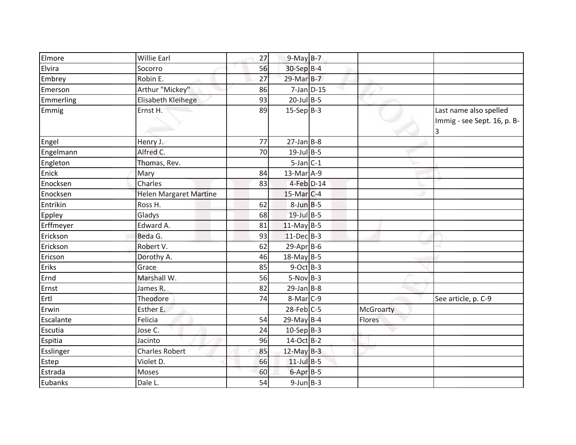| Elmore    | <b>Willie Earl</b>            | 27 | $9-May$ B-7       |                  |                                                            |
|-----------|-------------------------------|----|-------------------|------------------|------------------------------------------------------------|
| Elvira    | Socorro                       | 56 | $30-Sep$ B-4      |                  |                                                            |
| Embrey    | Robin E.                      | 27 | 29-Mar B-7        |                  |                                                            |
| Emerson   | Arthur "Mickey"               | 86 | $7$ -Jan $D-15$   |                  |                                                            |
| Emmerling | Elisabeth Kleihege            | 93 | $20$ -Jul B-5     |                  |                                                            |
| Emmig     | Ernst H.                      | 89 | $15-Sep B-3$      |                  | Last name also spelled<br>Immig - see Sept. 16, p. B-<br>3 |
| Engel     | Henry J.                      | 77 | $27$ -Jan B-8     |                  |                                                            |
| Engelmann | Alfred C.                     | 70 | $19$ -Jul B-5     |                  |                                                            |
| Engleton  | Thomas, Rev.                  |    | $5$ -Jan $C-1$    |                  |                                                            |
| Enick     | Mary                          | 84 | 13-Mar A-9        |                  |                                                            |
| Enocksen  | Charles                       | 83 | 4-Feb D-14        |                  |                                                            |
| Enocksen  | <b>Helen Margaret Martine</b> |    | $15$ -Mar $ C-4 $ |                  |                                                            |
| Entrikin  | Ross H.                       | 62 | $8$ -Jun $B - 5$  |                  |                                                            |
| Eppley    | Gladys                        | 68 | $19$ -Jul B-5     |                  |                                                            |
| Erffmeyer | Edward A.                     | 81 | $11$ -May B-5     |                  |                                                            |
| Erickson  | Beda G.                       | 93 | $11-Dec$ B-3      |                  |                                                            |
| Erickson  | Robert V.                     | 62 | $29$ -Apr $B$ -6  |                  |                                                            |
| Ericson   | Dorothy A.                    | 46 | $18$ -May B-5     |                  |                                                            |
| Eriks     | Grace                         | 85 | $9$ -Oct B-3      |                  |                                                            |
| Ernd      | Marshall W.                   | 56 | $5-Nov$ B-3       |                  |                                                            |
| Ernst     | James R.                      | 82 | $29$ -Jan B-8     |                  |                                                            |
| Ertl      | Theodore                      | 74 | $8-Mar$ C-9       |                  | See article, p. C-9                                        |
| Erwin     | Esther E.                     |    | $28$ -Feb $C-5$   | <b>McGroarty</b> |                                                            |
| Escalante | Felicia                       | 54 | $29$ -May B-4     | Flores           |                                                            |
| Escutia   | Jose C.                       | 24 | $10-Sep$ B-3      |                  |                                                            |
| Espitia   | Jacinto                       | 96 | 14-Oct B-2        |                  |                                                            |
| Esslinger | <b>Charles Robert</b>         | 85 | 12-May $B-3$      |                  |                                                            |
| Estep     | Violet D.                     | 66 | $11$ -Jul B-5     |                  |                                                            |
| Estrada   | Moses                         | 60 | $6$ -Apr $B$ -5   |                  |                                                            |
| Eubanks   | Dale L.                       | 54 | $9$ -Jun $B$ -3   |                  |                                                            |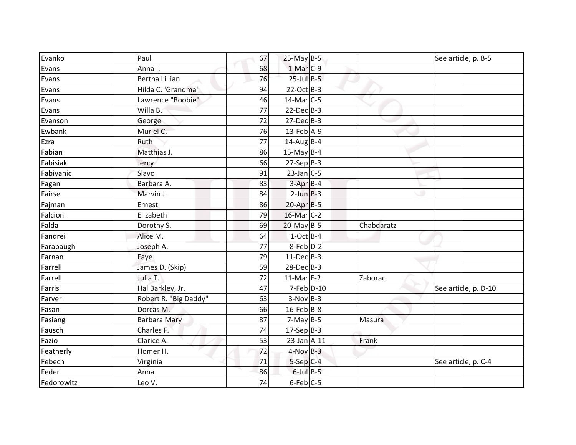| Evanko     | Paul                  | 67 | $25-May$ B-5     |            | See article, p. B-5  |
|------------|-----------------------|----|------------------|------------|----------------------|
| Evans      | Anna I.               | 68 | 1-Mar C-9        |            |                      |
| Evans      | <b>Bertha Lillian</b> | 76 | $25$ -Jul $B-5$  |            |                      |
| Evans      | Hilda C. 'Grandma'    | 94 | $22-Oct$ B-3     |            |                      |
| Evans      | Lawrence "Boobie"     | 46 | $14$ -Mar $C-5$  |            |                      |
| Evans      | Willa B.              | 77 | $22$ -Dec $B-3$  |            |                      |
| Evanson    | George                | 72 | $27$ -Dec $B-3$  |            |                      |
| Ewbank     | Muriel C.             | 76 | 13-Feb A-9       |            |                      |
| Ezra       | Ruth                  | 77 | $14$ -Aug B-4    |            |                      |
| Fabian     | Matthias J.           | 86 | $15$ -May B-4    |            |                      |
| Fabisiak   | Jercy                 | 66 | $27-Sep$ B-3     |            |                      |
| Fabiyanic  | Slavo                 | 91 | $23$ -Jan C-5    |            |                      |
| Fagan      | Barbara A.            | 83 | $3-Apr$ B-4      |            |                      |
| Fairse     | Marvin J.             | 84 | $2$ -Jun $B-3$   |            |                      |
| Fajman     | Ernest                | 86 | $20-Apr$ B-5     |            |                      |
| Falcioni   | Elizabeth             | 79 | 16-Mar C-2       |            |                      |
| Falda      | Dorothy S.            | 69 | $20$ -May B-5    | Chabdaratz |                      |
| Fandrei    | Alice M.              | 64 | $1-Oct$ B-4      |            |                      |
| Farabaugh  | Joseph A.             | 77 | 8-Feb D-2        |            |                      |
| Farnan     | Faye                  | 79 | $11-Dec$ B-3     |            |                      |
| Farrell    | James D. (Skip)       | 59 | $28$ -Dec $B-3$  |            |                      |
| Farrell    | Julia T.              | 72 | $11-MarE-2$      | Zaborac    |                      |
| Farris     | Hal Barkley, Jr.      | 47 | $7$ -Feb $D-10$  |            | See article, p. D-10 |
| Farver     | Robert R. "Big Daddy" | 63 | $3-Nov$ B-3      |            |                      |
| Fasan      | Dorcas M.             | 66 | $16$ -Feb B-8    |            |                      |
| Fasiang    | <b>Barbara Mary</b>   | 87 | $7-May$ B-5      | Masura     |                      |
| Fausch     | Charles F.            | 74 | $17-Sep B-3$     |            |                      |
| Fazio      | Clarice A.            | 53 | $23$ -Jan $A-11$ | Frank      |                      |
| Featherly  | Homer H.              | 72 | $4-Nov$ B-3      |            |                      |
| Febech     | Virginia              | 71 | $5-Sep C-4$      |            | See article, p. C-4  |
| Feder      | Anna                  | 86 | $6$ -Jul $B$ -5  |            |                      |
| Fedorowitz | Leo V.                | 74 | $6$ -Feb $C$ -5  |            |                      |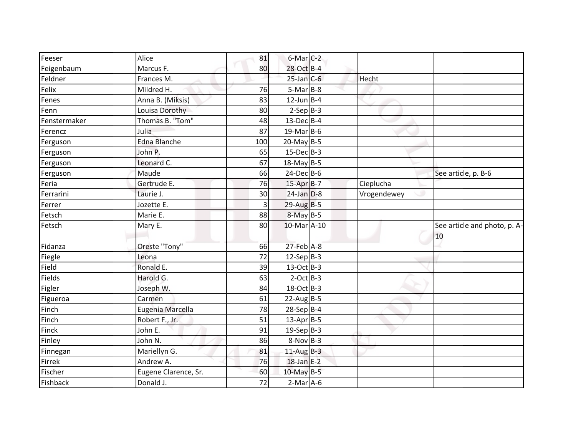| Feeser       | Alice                | 81  | $6$ -Mar $C-2$    |             |                                    |
|--------------|----------------------|-----|-------------------|-------------|------------------------------------|
| Feigenbaum   | Marcus F.            | 80  | 28-Oct B-4        |             |                                    |
| Feldner      | Frances M.           |     | $25$ -Jan $C$ -6  | Hecht       |                                    |
| Felix        | Mildred H.           | 76  | $5-MarB-8$        |             |                                    |
| Fenes        | Anna B. (Miksis)     | 83  | $12$ -Jun B-4     |             |                                    |
| Fenn         | Louisa Dorothy       | 80  | $2-Sep$ B-3       |             |                                    |
| Fenstermaker | Thomas B. "Tom"      | 48  | $13$ -Dec B-4     |             |                                    |
| Ferencz      | Julia                | 87  | $19$ -MarB-6      |             |                                    |
| Ferguson     | <b>Edna Blanche</b>  | 100 | 20-May B-5        |             |                                    |
| Ferguson     | John P.              | 65  | $15$ -Dec $B$ -3  |             |                                    |
| Ferguson     | Leonard C.           | 67  | $18$ -May B-5     |             |                                    |
| Ferguson     | Maude                | 66  | $24$ -DecB-6      |             | See article, p. B-6                |
| Feria        | Gertrude E.          | 76  | 15-Apr B-7        | Cieplucha   |                                    |
| Ferrarini    | Laurie J.            | 30  | $24$ -Jan $D-8$   | Vrogendewey |                                    |
| Ferrer       | Jozette E.           | 3   | 29-Aug B-5        |             |                                    |
| Fetsch       | Marie E.             | 88  | $8-May$ B-5       |             |                                    |
| Fetsch       | Mary E.              | 80  | $10$ -Mar $A$ -10 |             | See article and photo, p. A-<br>10 |
| Fidanza      | Oreste "Tony"        | 66  | $27$ -Feb $A-8$   |             |                                    |
| Fiegle       | Leona                | 72  | 12-Sep $B-3$      |             |                                    |
| Field        | Ronald E.            | 39  | 13-Oct B-3        |             |                                    |
| Fields       | Harold G.            | 63  | $2$ -Oct B-3      |             |                                    |
| Figler       | Joseph W.            | 84  | 18-Oct B-3        |             |                                    |
| Figueroa     | Carmen               | 61  | $22$ -AugB-5      |             |                                    |
| Finch        | Eugenia Marcella     | 78  | $28-Sep B-4$      |             |                                    |
| Finch        | Robert F., Jr.       | 51  | $13$ -Apr B-5     |             |                                    |
| Finck        | John E.              | 91  | $19-Sep B-3$      |             |                                    |
| Finley       | John N.              | 86  | $8-Nov$ B-3       |             |                                    |
| Finnegan     | Mariellyn G.         | 81  | $11$ -Aug B-3     |             |                                    |
| Firrek       | Andrew A.            | 76  | $18$ -Jan E-2     |             |                                    |
| Fischer      | Eugene Clarence, Sr. | 60  | 10-May B-5        |             |                                    |
| Fishback     | Donald J.            | 72  | $2-Mar$ A-6       |             |                                    |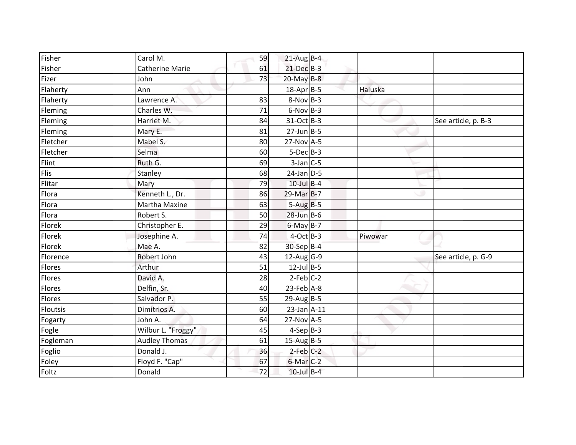| Fisher      | Carol M.               | 59 | $21$ -Aug B-4          |         |                     |
|-------------|------------------------|----|------------------------|---------|---------------------|
| Fisher      | <b>Catherine Marie</b> | 61 | $21$ -Dec $B-3$        |         |                     |
| Fizer       | John                   | 73 | $20$ -May B-8          |         |                     |
| Flaherty    | Ann                    |    | 18-Apr B-5             | Haluska |                     |
| Flaherty    | Lawrence A.            | 83 | $8-Nov$ B-3            |         |                     |
| Fleming     | Charles W.             | 71 | $6-Nov$ B-3            |         |                     |
| Fleming     | Harriet M.             | 84 | 31-Oct B-3             |         | See article, p. B-3 |
| Fleming     | Mary E.                | 81 | $27$ -Jun $B - 5$      |         |                     |
| Fletcher    | Mabel S.               | 80 | $27-Nov$ A-5           |         |                     |
| Fletcher    | Selma                  | 60 | $5-Dec$ B-3            |         |                     |
| Flint       | Ruth G.                | 69 | $3$ -Jan $C$ -5        |         |                     |
| <b>Flis</b> | Stanley                | 68 | $24$ -Jan $D-5$        |         |                     |
| Flitar      | Mary                   | 79 | $10$ -Jul $B-4$        |         |                     |
| Flora       | Kenneth L., Dr.        | 86 | 29-Mar B-7             |         |                     |
| Flora       | Martha Maxine          | 63 | $5-AugB-5$             |         |                     |
| Flora       | Robert S.              | 50 | $28$ -Jun $B$ -6       |         |                     |
| Florek      | Christopher E.         | 29 | $6$ -May B-7           |         |                     |
| Florek      | Josephine A.           | 74 | $4-Oct$ B-3            | Piwowar |                     |
| Florek      | Mae A.                 | 82 | $30-Sep$ B-4           |         |                     |
| Florence    | Robert John            | 43 | $12$ -Aug G-9          |         | See article, p. G-9 |
| Flores      | Arthur                 | 51 | $12$ -Jul B-5          |         |                     |
| Flores      | David A.               | 28 | $2-Feb$ C-2            |         |                     |
| Flores      | Delfin, Sr.            | 40 | $23$ -Feb $A-8$        |         |                     |
| Flores      | Salvador P.            | 55 | $29$ -Aug B-5          |         |                     |
| Floutsis    | Dimitrios A.           | 60 | $23$ -Jan $A-11$       |         |                     |
| Fogarty     | John A.                | 64 | 27-Nov A-5             |         |                     |
| Fogle       | Wilbur L. "Froggy"     | 45 | $4-Sep$ B-3            |         |                     |
| Fogleman    | <b>Audley Thomas</b>   | 61 | $15$ -Aug B-5          |         |                     |
| Foglio      | Donald J.              | 36 | $2-Feb$ <sub>C-2</sub> |         |                     |
| Foley       | Floyd F. "Cap"         | 67 | 6-Mar C-2              |         |                     |
| Foltz       | Donald                 | 72 | $10$ -Jul $B-4$        |         |                     |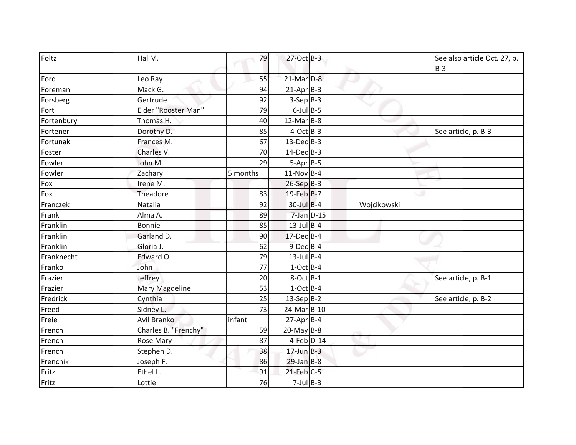| Foltz      | Hal M.               | 79       | 27-Oct B-3              |             | See also article Oct. 27, p.<br>$B-3$ |
|------------|----------------------|----------|-------------------------|-------------|---------------------------------------|
| Ford       | Leo Ray              | 55       | $21$ -Mar $D-8$         |             |                                       |
| Foreman    | Mack G.              | 94       | $21-AprB-3$             |             |                                       |
| Forsberg   | Gertrude             | 92       | $3-SepB-3$              |             |                                       |
| Fort       | Elder "Rooster Man"  | 79       | $6$ -Jul $B$ -5         |             |                                       |
| Fortenbury | Thomas H.            | 40       | $12$ -Mar $B-8$         |             |                                       |
| Fortener   | Dorothy D.           | 85       | $4$ -Oct B-3            |             | See article, p. B-3                   |
| Fortunak   | Frances M.           | 67       | $13$ -DecB-3            |             |                                       |
| Foster     | Charles V.           | 70       | $14$ -Dec $B-3$         |             |                                       |
| Fowler     | John M.              | 29       | $5 - Apr$ B-5           |             |                                       |
| Fowler     | Zachary              | 5 months | $11-Nov$ B-4            |             |                                       |
| Fox        | Irene M.             |          | $26-Sep$ B-3            |             |                                       |
| Fox        | Theadore             | 83       | 19-Feb B-7              |             |                                       |
| Franczek   | Natalia              | 92       | $30$ -Jul $B-4$         | Wojcikowski |                                       |
| Frank      | Alma A.              | 89       | 7-Jan D-15              |             |                                       |
| Franklin   | <b>Bonnie</b>        | 85       | $13$ -Jul B-4           |             |                                       |
| Franklin   | Garland D.           | 90       | 17-Dec B-4              |             |                                       |
| Franklin   | Gloria J.            | 62       | $9$ -Dec $B$ -4         |             |                                       |
| Franknecht | Edward O.            | 79       | $13$ -Jul B-4           |             |                                       |
| Franko     | John                 | 77       | $1-Oct$ B-4             |             |                                       |
| Frazier    | Jeffrey              | 20       | $8$ -Oct $B-1$          |             | See article, p. B-1                   |
| Frazier    | Mary Magdeline       | 53       | $1-Oct$ B-4             |             |                                       |
| Fredrick   | Cynthia              | 25       | $13-Sep B-2$            |             | See article, p. B-2                   |
| Freed      | Sidney L.            | 73       | 24-Mar B-10             |             |                                       |
| Freie      | Avil Branko          | infant   | 27-Apr B-4              |             |                                       |
| French     | Charles B. "Frenchy" | 59       | $20$ -May B-8           |             |                                       |
| French     | Rose Mary            | 87       | 4-Feb D-14              |             |                                       |
| French     | Stephen D.           | 38       | $17$ -Jun $B-3$         |             |                                       |
| Frenchik   | Joseph F.            | 86       | $29$ -Jan B-8           |             |                                       |
| Fritz      | Ethel L.             | 91       | $21$ -Feb $C-5$         |             |                                       |
| Fritz      | Lottie               | 76       | $\overline{7}$ -Jul B-3 |             |                                       |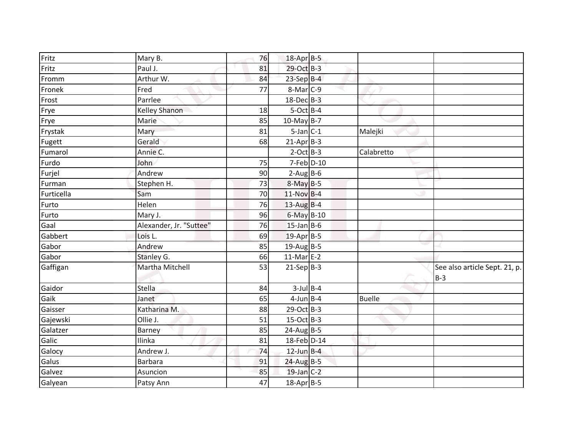| Paul J.                 | 81                | 29-Oct B-3             |                                                                   |                               |
|-------------------------|-------------------|------------------------|-------------------------------------------------------------------|-------------------------------|
| Arthur W.               | 84                | 23-Sep B-4             |                                                                   |                               |
| Fred                    | 77                | $8-Mar$ <sub>C-9</sub> |                                                                   |                               |
| Parrlee                 |                   | 18-Dec B-3             |                                                                   |                               |
| <b>Kelley Shanon</b>    | 18                | $5-Oct$ B-4            |                                                                   |                               |
| Marie                   | 85                | $10$ -May B-7          |                                                                   |                               |
| Mary                    | 81                | $5$ -Jan $C-1$         | Malejki                                                           |                               |
| Gerald                  | 68                | $21-AprB-3$            |                                                                   |                               |
| Annie C.                |                   | $2$ -Oct B-3           | Calabretto                                                        |                               |
| John                    | 75                | $7$ -Feb $D-10$        |                                                                   |                               |
| Andrew                  | 90                | $2-AugBB-6$            |                                                                   |                               |
| Stephen H.              | 73                | $8-May$ B-5            |                                                                   |                               |
| Sam                     | 70                | $11-Nov$ B-4           |                                                                   |                               |
| Helen                   | 76                | $13$ -Aug B-4          |                                                                   |                               |
| Mary J.                 | 96                | 6-May B-10             |                                                                   |                               |
| Alexander, Jr. "Suttee" | 76                | $15$ -Jan B-6          |                                                                   |                               |
| Lois L.                 | 69                | 19-Apr B-5             |                                                                   |                               |
| Andrew                  | 85                | 19-Aug B-5             |                                                                   |                               |
| Stanley G.              | 66                | $11-Mar$ E-2           |                                                                   |                               |
| Martha Mitchell         | 53                | $21-Sep B-3$           |                                                                   | See also article Sept. 21, p. |
|                         |                   |                        |                                                                   | $B-3$                         |
|                         |                   |                        |                                                                   |                               |
| Janet                   | 65                |                        | <b>Buelle</b>                                                     |                               |
| Katharina M.            | 88                |                        |                                                                   |                               |
| Ollie J.                | 51                | $15-Oct$ B-3           |                                                                   |                               |
| Barney                  | 85                | $24$ -Aug B-5          |                                                                   |                               |
| Ilinka                  | 81                | 18-Feb D-14            |                                                                   |                               |
| Andrew J.               | 74                | $12$ -Jun $B-4$        |                                                                   |                               |
| <b>Barbara</b>          | 91                | 24-Aug B-5             |                                                                   |                               |
| Asuncion                | 85                | $19$ -Jan C-2          |                                                                   |                               |
| Patsy Ann               | 47                | $18$ -Apr B-5          |                                                                   |                               |
|                         | Mary B.<br>Stella | 76<br>84               | 18-Apr B-5<br>$3$ -Jul $B$ -4<br>$4$ -Jun $B$ -4<br>$29$ -Oct B-3 |                               |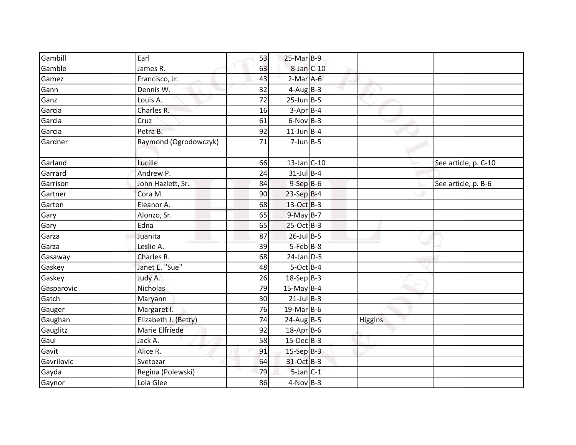| Gambill    | Earl                  | 53 | $25-Mar$ B-9      |         |                      |
|------------|-----------------------|----|-------------------|---------|----------------------|
| Gamble     | James R.              | 63 | $8$ -Jan $C$ -10  |         |                      |
| Gamez      | Francisco, Jr.        | 43 | $2-Mar$ A-6       |         |                      |
| Gann       | Dennis W.             | 32 | $4$ -Aug B-3      |         |                      |
| Ganz       | Louis A.              | 72 | $25$ -Jun $B$ -5  |         |                      |
| Garcia     | Charles R.            | 16 | $3-Apr$ B-4       |         |                      |
| Garcia     | Cruz                  | 61 | $6-Nov$ B-3       |         |                      |
| Garcia     | Petra B.              | 92 | $11$ -Jun $B - 4$ |         |                      |
| Gardner    | Raymond (Ogrodowczyk) | 71 | $7$ -Jun $B - 5$  |         |                      |
| Garland    | Lucille               | 66 | $13$ -Jan C-10    |         | See article, p. C-10 |
| Garrard    | Andrew P.             | 24 | $31$ -Jul B-4     |         |                      |
| Garrison   | John Hazlett, Sr.     | 84 | $9-$ Sep $B-6$    |         | See article, p. B-6  |
| Gartner    | Cora M.               | 90 | $23-SepB-4$       |         |                      |
| Garton     | Eleanor A.            | 68 | $13-Oct$ B-3      |         |                      |
| Gary       | Alonzo, Sr.           | 65 | $9-May$ B-7       |         |                      |
| Gary       | Edna                  | 65 | 25-Oct B-3        |         |                      |
| Garza      | Juanita               | 87 | $26$ -Jul B-5     |         |                      |
| Garza      | Leslie A.             | 39 | $5 - Feb$ $B-8$   |         |                      |
| Gasaway    | Charles R.            | 68 | $24$ -Jan $D-5$   |         |                      |
| Gaskey     | Janet E. "Sue"        | 48 | $5-Oct$ B-4       |         |                      |
| Gaskey     | Judy A.               | 26 | $18-Sep$ B-3      |         |                      |
| Gasparovic | Nicholas              | 79 | $15$ -May B-4     |         |                      |
| Gatch      | Maryann               | 30 | $21$ -Jul B-3     |         |                      |
| Gauger     | Margaret I.           | 76 | $19$ -Mar B-6     |         |                      |
| Gaughan    | Elizabeth J. (Betty)  | 74 | $24$ -AugB-5      | Higgins |                      |
| Gauglitz   | Marie Elfriede        | 92 | 18-Apr B-6        |         |                      |
| Gaul       | Jack A.               | 58 | $15$ -Dec $B$ -3  |         |                      |
| Gavit      | Alice R.              | 91 | $15-Sep$ $B-3$    |         |                      |
| Gavrilovic | Svetozar              | 64 | 31-Oct B-3        |         |                      |
| Gayda      | Regina (Polewski)     | 79 | $5$ -Jan $C-1$    |         |                      |
| Gaynor     | Lola Glee             | 86 | $4-Nov$ B-3       |         |                      |
|            |                       |    |                   |         |                      |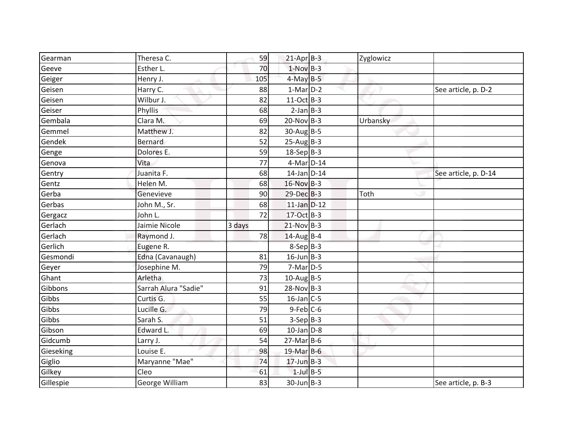| Gearman   | Theresa C.           | 59     | $21-Apr$ B-3     | Zyglowicz |                      |
|-----------|----------------------|--------|------------------|-----------|----------------------|
| Geeve     | Esther L.            | 70     | $1-Nov$ B-3      |           |                      |
| Geiger    | Henry J.             | 105    | $4-MayB-5$       |           |                      |
| Geisen    | Harry C.             | 88     | $1-Mar$ D-2      |           | See article, p. D-2  |
| Geisen    | Wilbur J.            | 82     | 11-Oct B-3       |           |                      |
| Geiser    | Phyllis              | 68     | $2-Jan$ B-3      |           |                      |
| Gembala   | Clara M.             | 69     | $20-Nov$ B-3     | Urbansky  |                      |
| Gemmel    | Matthew J.           | 82     | $30$ -AugB-5     |           |                      |
| Gendek    | <b>Bernard</b>       | 52     | $25-Aug$ B-3     |           |                      |
| Genge     | Dolores E.           | 59     | $18-Sep B-3$     |           |                      |
| Genova    | Vita                 | 77     | 4-Mar D-14       |           |                      |
| Gentry    | Juanita F.           | 68     | $14$ -Jan $D-14$ |           | See article, p. D-14 |
| Gentz     | Helen M.             | 68     | 16-Nov B-3       |           |                      |
| Gerba     | Genevieve            | 90     | 29-Dec B-3       | Toth      |                      |
| Gerbas    | John M., Sr.         | 68     | $11$ -Jan $D-12$ |           |                      |
| Gergacz   | John L.              | 72     | 17-Oct B-3       |           |                      |
| Gerlach   | Jaimie Nicole        | 3 days | $21-Nov$ B-3     |           |                      |
| Gerlach   | Raymond J.           | 78     | $14$ -AugB-4     |           |                      |
| Gerlich   | Eugene R.            |        | 8-Sep B-3        |           |                      |
| Gesmondi  | Edna (Cavanaugh)     | 81     | $16$ -Jun $B$ -3 |           |                      |
| Geyer     | Josephine M.         | 79     | $7-Mar$ D-5      |           |                      |
| Ghant     | Arletha              | 73     | $10$ -Aug B-5    |           |                      |
| Gibbons   | Sarrah Alura "Sadie" | 91     | $28-Nov$ B-3     |           |                      |
| Gibbs     | Curtis G.            | 55     | $16$ -Jan C-5    |           |                      |
| Gibbs     | Lucille G.           | 79     | $9$ -Feb $C$ -6  |           |                      |
| Gibbs     | Sarah S.             | 51     | $3-Sep B-3$      |           |                      |
| Gibson    | Edward L.            | 69     | $10$ -Jan $D-8$  |           |                      |
| Gidcumb   | Larry J.             | 54     | $27$ -Mar $B$ -6 |           |                      |
| Gieseking | Louise E.            | 98     | $19$ -Mar B-6    |           |                      |
| Giglio    | Maryanne "Mae"       | 74     | $17$ -Jun B-3    |           |                      |
| Gilkey    | Cleo                 | 61     | $1$ -Jul $B-5$   |           |                      |
| Gillespie | George William       | 83     | $30$ -Jun $B-3$  |           | See article, p. B-3  |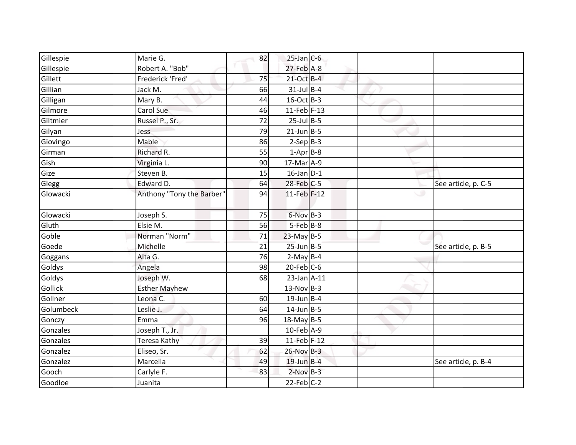| Gillespie | Marie G.                  | 82 | $25$ -Jan C-6     |   |                     |
|-----------|---------------------------|----|-------------------|---|---------------------|
| Gillespie | Robert A. "Bob"           |    | $27$ -Feb $A-8$   |   |                     |
| Gillett   | Frederick 'Fred'          | 75 | 21-Oct B-4        |   |                     |
| Gillian   | Jack M.                   | 66 | $31$ -Jul B-4     |   |                     |
| Gilligan  | Mary B.                   | 44 | $16$ -Oct B-3     |   |                     |
| Gilmore   | Carol Sue                 | 46 | 11-Feb $F-13$     |   |                     |
| Giltmier  | Russel P., Sr.            | 72 | $25$ -Jul B-5     |   |                     |
| Gilyan    | Jess                      | 79 | $21$ -Jun B-5     |   |                     |
| Giovingo  | Mable                     | 86 | $2-Sep B-3$       |   |                     |
| Girman    | Richard R.                | 55 | $1-Apr$ B-8       |   |                     |
| Gish      | Virginia L.               | 90 | 17-Mar A-9        |   |                     |
| Gize      | Steven B.                 | 15 | $16$ -Jan $D-1$   |   |                     |
| Glegg     | Edward D.                 | 64 | 28-Feb C-5        |   | See article, p. C-5 |
| Glowacki  | Anthony "Tony the Barber" | 94 | 11-Feb F-12       | w |                     |
| Glowacki  | Joseph S.                 | 75 | $6-Nov$ B-3       |   |                     |
| Gluth     | Elsie M.                  | 56 | $5 - Feb$ $B-8$   |   |                     |
| Goble     | Norman "Norm"             | 71 | $23$ -May B-5     |   |                     |
| Goede     | Michelle                  | 21 | $25$ -Jun $B - 5$ |   | See article, p. B-5 |
| Goggans   | Alta G.                   | 76 | $2-May B-4$       |   |                     |
| Goldys    | Angela                    | 98 | $20$ -Feb $C$ -6  |   |                     |
| Goldys    | Joseph W.                 | 68 | $23$ -Jan $A-11$  |   |                     |
| Gollick   | <b>Esther Mayhew</b>      |    | $13-Nov$ B-3      |   |                     |
| Gollner   | Leona C.                  | 60 | $19$ -Jun B-4     |   |                     |
| Golumbeck | Leslie J.                 | 64 | $14$ -Jun $B-5$   |   |                     |
| Gonczy    | Emma                      | 96 | $18$ -May B-5     |   |                     |
| Gonzales  | Joseph T., Jr.            |    | 10-Feb A-9        |   |                     |
| Gonzales  | <b>Teresa Kathy</b>       | 39 | $11$ -Feb F-12    |   |                     |
| Gonzalez  | Eliseo, Sr.               | 62 | $26-Nov$ B-3      |   |                     |
| Gonzalez  | Marcella                  | 49 | 19-Jun B-4        |   | See article, p. B-4 |
| Gooch     | Carlyle F.                | 83 | $2-Nov$ B-3       |   |                     |
| Goodloe   | Juanita                   |    | $22$ -Feb $C-2$   |   |                     |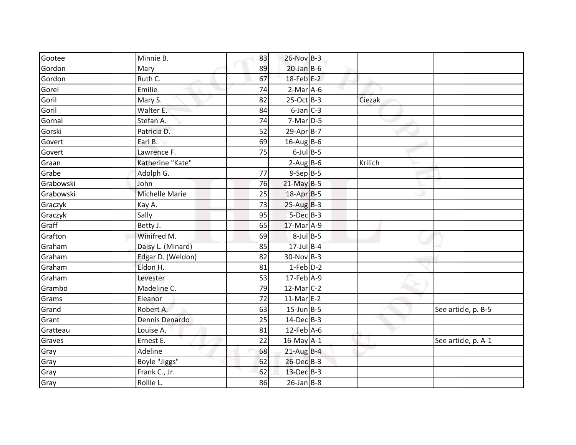| Gootee    | Minnie B.         | 83 | 26-Nov B-3        |         |                     |
|-----------|-------------------|----|-------------------|---------|---------------------|
| Gordon    | Mary              | 89 | $20$ -Jan B-6     |         |                     |
| Gordon    | Ruth C.           | 67 | $18$ -Feb $E-2$   |         |                     |
| Gorel     | Emilie            | 74 | $2-Mar$ A-6       |         |                     |
| Goril     | Mary S.           | 82 | $25-Oct$ B-3      | Ciezak  |                     |
| Goril     | Walter E.         | 84 | $6$ -Jan $C$ -3   |         |                     |
| Gornal    | Stefan A.         | 74 | $7-Mar$ D-5       |         |                     |
| Gorski    | Patricia D.       | 52 | $29$ -Apr $B$ -7  |         |                     |
| Govert    | Earl B.           | 69 | $16$ -Aug B-6     |         |                     |
| Govert    | Lawrence F.       | 75 | $6$ -Jul $B$ -5   |         |                     |
| Graan     | Katherine "Kate"  |    | $2-Aug$ B-6       | Krilich |                     |
| Grabe     | Adolph G.         | 77 | $9-Sep$ B-5       |         |                     |
| Grabowski | John              | 76 | $21$ -May B-5     |         |                     |
| Grabowski | Michelle Marie    | 25 | 18-Apr B-5        |         |                     |
| Graczyk   | Kay A.            | 73 | $25-AugB-3$       |         |                     |
| Graczyk   | Sally             | 95 | $5$ -Dec $B$ -3   |         |                     |
| Graff     | Betty J.          | 65 | 17-Mar A-9        |         |                     |
| Grafton   | Winifred M.       | 69 | $8$ -Jul $B$ -5   |         |                     |
| Graham    | Daisy L. (Minard) | 85 | $17$ -Jul B-4     |         |                     |
| Graham    | Edgar D. (Weldon) | 82 | $30-Nov$ B-3      |         |                     |
| Graham    | Eldon H.          | 81 | $1-Feb$ D-2       |         |                     |
| Graham    | Levester          | 53 | 17-Feb A-9        |         |                     |
| Grambo    | Madeline C.       | 79 | $12$ -Mar $C-2$   |         |                     |
| Grams     | Eleanor           | 72 | $11-Mar$ E-2      |         |                     |
| Grand     | Robert A.         | 63 | $15$ -Jun $B - 5$ |         | See article, p. B-5 |
| Grant     | Dennis Denardo    | 25 | $14$ -Dec $B-3$   |         |                     |
| Gratteau  | Louise A.         | 81 | $12$ -Feb $A$ -6  |         |                     |
| Graves    | Ernest E.         | 22 | $16$ -May $A-1$   |         | See article, p. A-1 |
| Gray      | Adeline           | 68 | $21$ -Aug B-4     |         |                     |
| Gray      | Boyle "Jiggs"     | 62 | 26-Dec B-3        |         |                     |
| Gray      | Frank C., Jr.     | 62 | 13-Dec B-3        |         |                     |
| Gray      | Rollie L.         | 86 | $26$ -Jan B-8     |         |                     |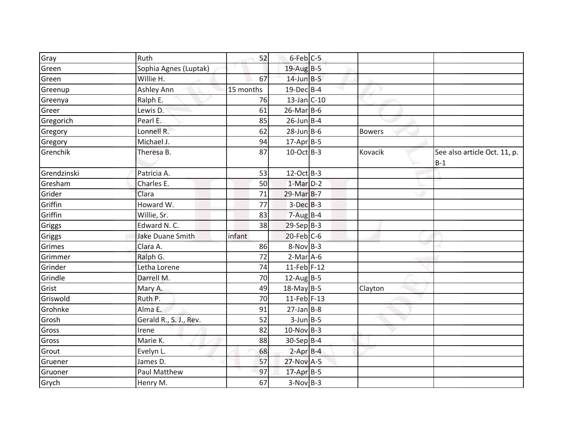| Gray               | Ruth                    | 52        | 6-Feb C-5        |               |                              |
|--------------------|-------------------------|-----------|------------------|---------------|------------------------------|
| Green              | Sophia Agnes (Luptak)   |           | $19$ -Aug B-5    |               |                              |
| Green              | Willie H.               | 67        | $14$ -Jun $B-5$  |               |                              |
| Greenup            | Ashley Ann              | 15 months | 19-Dec B-4       |               |                              |
| Greenya            | Ralph E.                | 76        | $13$ -Jan C-10   |               |                              |
| Greer              | Lewis D.                | 61        | $26$ -Mar $B$ -6 |               |                              |
| Gregorich          | Pearl E.                | 85        | $26$ -Jun B-4    |               |                              |
|                    | Lonnell R.              | 62        | $28$ -Jun $B$ -6 |               |                              |
| Gregory<br>Gregory | Michael J.              |           |                  | <b>Bowers</b> |                              |
|                    |                         | 94        | $17$ -Apr $B$ -5 |               |                              |
| Grenchik           | Theresa B.              | 87        | $10$ -Oct B-3    | Kovacik       | See also article Oct. 11, p. |
|                    |                         |           | $12-Oct$ B-3     |               | $B-1$                        |
| Grendzinski        | Patricia A.             | 53        |                  |               |                              |
| Gresham            | Charles E.              | 50        | $1-Mar$ D-2      |               |                              |
| Grider             | Clara                   | 71        | 29-Mar B-7       |               |                              |
| Griffin            | Howard W.               | 77        | $3-Dec$ B-3      |               |                              |
| Griffin            | Willie, Sr.             | 83        | $7 - Aug$ B-4    |               |                              |
| Griggs             | Edward N.C.             | 38        | $29-Sep B-3$     |               |                              |
| Griggs             | <b>Jake Duane Smith</b> | infant    | $20$ -Feb $C$ -6 |               |                              |
| Grimes             | Clara A.                | 86        | $8-Nov$ B-3      |               |                              |
| Grimmer            | Ralph G.                | 72        | $2-Mar$ A-6      |               |                              |
| Grinder            | Letha Lorene            | 74        | $11$ -Feb F-12   |               |                              |
| Grindle            | Darrell M.              | 70        | $12$ -Aug B-5    |               |                              |
| Grist              | Mary A.                 | 49        | $18$ -May B-5    | Clayton       |                              |
| Griswold           | Ruth P.                 | 70        | 11-Feb $F-13$    |               |                              |
| Grohnke            | Alma E.                 | 91        | $27$ -Jan B-8    |               |                              |
| Grosh              | Gerald R., S. J., Rev.  | 52        | $3$ -Jun $B - 5$ |               |                              |
| Gross              | Irene                   | 82        | $10$ -Nov B-3    |               |                              |
| Gross              | Marie K.                | 88        | 30-Sep B-4       |               |                              |
| Grout              | Evelyn L.               | 68        | $2-Apr$ B-4      |               |                              |
| Gruener            | James D.                | 57        | 27-Nov A-5       |               |                              |
| Gruoner            | Paul Matthew            | 97        | 17-Apr B-5       |               |                              |
| Grych              | Henry M.                | 67        | $3-Nov$ B-3      |               |                              |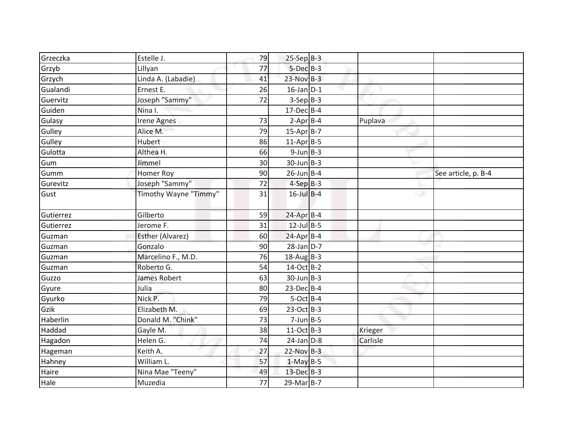| Grzeczka  | Estelle J.            | 79 | $25-Sep$ B-3     |          |                     |
|-----------|-----------------------|----|------------------|----------|---------------------|
| Grzyb     | Lillyan               | 77 | $5$ -Dec $B$ -3  |          |                     |
| Grzych    | Linda A. (Labadie)    | 41 | $23-Nov$ B-3     |          |                     |
| Gualandi  | Ernest E.             | 26 | $16$ -Jan $D-1$  |          |                     |
| Guervitz  | Joseph "Sammy"        | 72 | $3-SepB-3$       |          |                     |
| Guiden    | Nina I.               |    | $17$ -Dec $B$ -4 |          |                     |
| Gulasy    | <b>Irene Agnes</b>    | 73 | $2-Apr$ B-4      | Puplava  |                     |
| Gulley    | Alice M.              | 79 | $15-Apr$ B-7     |          |                     |
| Gulley    | Hubert                | 86 | $11-Apr$ B-5     |          |                     |
| Gulotta   | Althea H.             | 66 | $9$ -Jun $B$ -3  |          |                     |
| Gum       | Jimmel                | 30 | $30$ -Jun $B-3$  |          |                     |
| Gumm      | Homer Roy             | 90 | $26$ -Jun B-4    |          | See article, p. B-4 |
| Gurevitz  | Joseph "Sammy"        | 72 | $4-SepB-3$       |          |                     |
| Gust      | Timothy Wayne "Timmy" | 31 | $16$ -Jul $B-4$  | w        |                     |
| Gutierrez | Gilberto              | 59 | $24$ -Apr $B$ -4 |          |                     |
| Gutierrez | Jerome F.             | 31 | $12$ -Jul B-5    |          |                     |
| Guzman    | Esther (Alvarez)      | 60 | $24$ -Apr $B$ -4 |          |                     |
| Guzman    | Gonzalo               | 90 | $28$ -Jan $D-7$  |          |                     |
| Guzman    | Marcelino F., M.D.    | 76 | $18$ -Aug B-3    |          |                     |
| Guzman    | Roberto G.            | 54 | 14-Oct B-2       |          |                     |
| Guzzo     | James Robert          | 63 | $30$ -Jun $B-3$  |          |                     |
| Gyure     | Julia                 | 80 | $23$ -Dec $B-4$  |          |                     |
| Gyurko    | Nick P.               | 79 | $5-Oct$ B-4      |          |                     |
| Gzik      | Elizabeth M.          | 69 | $23-Oct$ B-3     |          |                     |
| Haberlin  | Donald M. "Chink"     | 73 | $7$ -Jun $B$ -5  |          |                     |
| Haddad    | Gayle M.              | 38 | 11-Oct B-3       | Krieger  |                     |
| Hagadon   | Helen G.              | 74 | $24$ -Jan $D-8$  | Carlisle |                     |
| Hageman   | Keith A.              | 27 | $22-Nov$ B-3     |          |                     |
| Hahney    | William L.            | 57 | $1-May$ B-5      |          |                     |
| Haire     | Nina Mae "Teeny"      | 49 | 13-Dec B-3       |          |                     |
| Hale      | Muzedia               | 77 | $29$ -Mar $B-7$  |          |                     |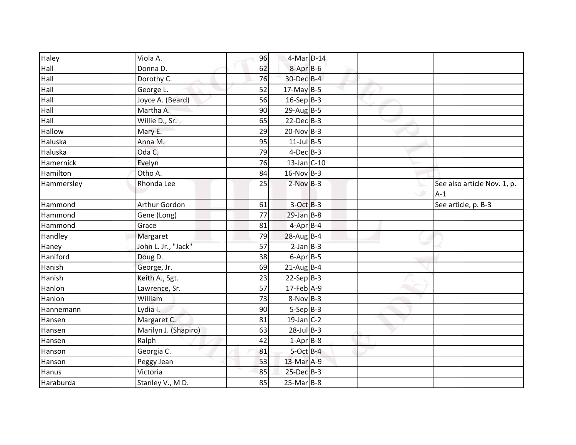| Haley      | Viola A.             | 96 | 4-Mar D-14       |        |                                      |
|------------|----------------------|----|------------------|--------|--------------------------------------|
| Hall       | Donna D.             | 62 | $8 - Apr$ B-6    |        |                                      |
| Hall       | Dorothy C.           | 76 | 30-Dec B-4       |        |                                      |
| Hall       | George L.            | 52 | $17$ -May B-5    |        |                                      |
| Hall       | Joyce A. (Beard)     | 56 | $16-Sep B-3$     |        |                                      |
| Hall       | Martha A.            | 90 | $29$ -Aug B-5    |        |                                      |
| Hall       | Willie D., Sr.       | 65 | $22$ -Dec $B-3$  |        |                                      |
| Hallow     | Mary E.              | 29 | $20$ -Nov B-3    |        |                                      |
| Haluska    | Anna M.              | 95 | $11$ -Jul B-5    |        |                                      |
| Haluska    | Oda C.               | 79 | $4$ -Dec $B-3$   |        |                                      |
| Hamernick  | Evelyn               | 76 | $13$ -Jan C-10   |        |                                      |
| Hamilton   | Otho A.              | 84 | $16-Nov$ B-3     |        |                                      |
| Hammersley | Rhonda Lee           | 25 | $2-Nov$ B-3      | $\cup$ | See also article Nov. 1, p.<br>$A-1$ |
| Hammond    | Arthur Gordon        | 61 | $3-Oct$ B-3      |        | See article, p. B-3                  |
| Hammond    | Gene (Long)          | 77 | $29$ -Jan B-8    |        |                                      |
| Hammond    | Grace                | 81 | $4-Apr$ B-4      |        |                                      |
| Handley    | Margaret             | 79 | $28$ -Aug B-4    |        |                                      |
| Haney      | John L. Jr., "Jack"  | 57 | $2-Jan$ B-3      |        |                                      |
| Haniford   | Doug D.              | 38 | $6 - Apr$ B-5    |        |                                      |
| Hanish     | George, Jr.          | 69 | $21$ -Aug B-4    |        |                                      |
| Hanish     | Keith A., Sgt.       | 23 | $22-Sep$ B-3     |        |                                      |
| Hanlon     | Lawrence, Sr.        | 57 | $17$ -Feb $A-9$  |        |                                      |
| Hanlon     | William              | 73 | $8-Nov$ B-3      |        |                                      |
| Hannemann  | Lydia I.             | 90 | $5-Sep B-3$      |        |                                      |
| Hansen     | Margaret C.          | 81 | $19$ -Jan $C-2$  |        |                                      |
| Hansen     | Marilyn J. (Shapiro) | 63 | $28$ -Jul B-3    |        |                                      |
| Hansen     | Ralph                | 42 | $1-Apr$ B-8      |        |                                      |
| Hanson     | Georgia C.           | 81 | $5$ -Oct $B-4$   |        |                                      |
| Hanson     | Peggy Jean           | 53 | 13-Mar A-9       |        |                                      |
| Hanus      | Victoria             | 85 | $25$ -Dec $B-3$  |        |                                      |
| Haraburda  | Stanley V., MD.      | 85 | $25$ -Mar $B$ -8 |        |                                      |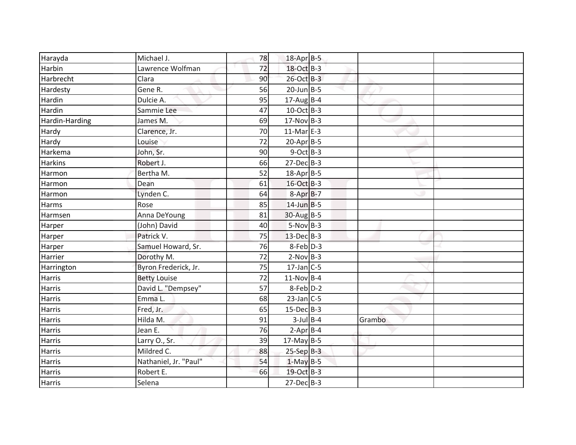| Harayda        | Michael J.            | 78 | 18-Apr B-5        |        |  |
|----------------|-----------------------|----|-------------------|--------|--|
| Harbin         | Lawrence Wolfman      | 72 | 18-Oct B-3        |        |  |
| Harbrecht      | Clara                 | 90 | 26-Oct B-3        |        |  |
| Hardesty       | Gene R.               | 56 | $20$ -Jun $B - 5$ |        |  |
| Hardin         | Dulcie A.             | 95 | $17$ -Aug $B-4$   |        |  |
| Hardin         | Sammie Lee            | 47 | $10$ -Oct B-3     |        |  |
| Hardin-Harding | James M.              | 69 | $17-Nov$ B-3      |        |  |
| Hardy          | Clarence, Jr.         | 70 | $11-Mar$ E-3      |        |  |
| Hardy          | Louise                | 72 | $20-Apr$ B-5      |        |  |
| Harkema        | John, Sr.             | 90 | $9$ -Oct B-3      |        |  |
| <b>Harkins</b> | Robert J.             | 66 | $27 - Dec$ B-3    |        |  |
| Harmon         | Bertha M.             | 52 | 18-Apr B-5        |        |  |
| Harmon         | Dean                  | 61 | 16-Oct B-3        |        |  |
| Harmon         | Lynden C.             | 64 | $8-AprB-7$        |        |  |
| <b>Harms</b>   | Rose                  | 85 | $14$ -Jun B-5     |        |  |
| Harmsen        | Anna DeYoung          | 81 | 30-Aug B-5        |        |  |
| Harper         | (John) David          | 40 | $5-Nov$ B-3       |        |  |
| Harper         | Patrick V.            | 75 | $13$ -Dec $B-3$   |        |  |
| Harper         | Samuel Howard, Sr.    | 76 | 8-Feb D-3         |        |  |
| Harrier        | Dorothy M.            | 72 | $2-Nov$ B-3       |        |  |
| Harrington     | Byron Frederick, Jr.  | 75 | $17$ -Jan C-5     |        |  |
| <b>Harris</b>  | <b>Betty Louise</b>   | 72 | $11-Nov$ B-4      |        |  |
| Harris         | David L. "Dempsey"    | 57 | 8-Feb D-2         |        |  |
| Harris         | Emma L.               | 68 | $23$ -Jan $C-5$   |        |  |
| <b>Harris</b>  | Fred, Jr.             | 65 | $15$ -Dec $B-3$   |        |  |
| <b>Harris</b>  | Hilda M.              | 91 | $3$ -Jul $B$ -4   | Grambo |  |
| Harris         | Jean E.               | 76 | $2$ -Apr $B$ -4   |        |  |
| <b>Harris</b>  | Larry O., Sr.         | 39 | $17$ -May B-5     |        |  |
| <b>Harris</b>  | Mildred C.            | 88 | $25-Sep$ $B-3$    |        |  |
| Harris         | Nathaniel, Jr. "Paul" | 54 | $1-May$ B-5       |        |  |
| Harris         | Robert E.             | 66 | 19-Oct B-3        |        |  |
| <b>Harris</b>  | Selena                |    | $27$ -Dec $B-3$   |        |  |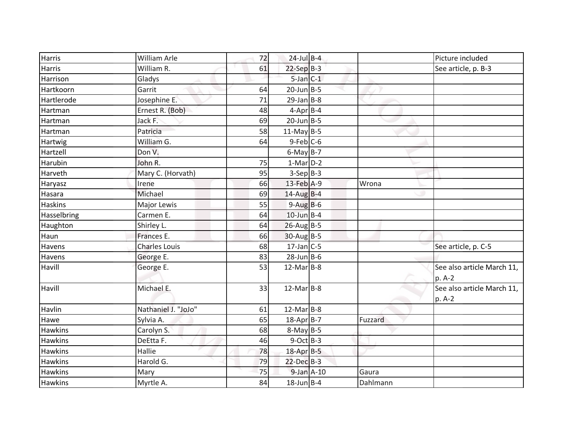| <b>Harris</b>  | <b>William Arle</b>  | 72 | $24$ -Jul $B-4$  |          | Picture included           |
|----------------|----------------------|----|------------------|----------|----------------------------|
| <b>Harris</b>  | William R.           | 61 | $22-Sep$ B-3     |          | See article, p. B-3        |
| Harrison       | Gladys               |    | $5$ -Jan $C-1$   |          |                            |
| Hartkoorn      | Garrit               | 64 | $20$ -Jun B-5    |          |                            |
| Hartlerode     | Josephine E.         | 71 | $29$ -Jan B-8    |          |                            |
| Hartman        | Ernest R. (Bob)      | 48 | $4-Apr$ B-4      |          |                            |
| Hartman        | Jack F.              | 69 | $20$ -Jun B-5    |          |                            |
| Hartman        | Patricia             | 58 | $11-May$ B-5     |          |                            |
| Hartwig        | William G.           | 64 | $9$ -Feb $C$ -6  |          |                            |
| Hartzell       | Don V.               |    | $6$ -May B-7     |          |                            |
| Harubin        | John R.              | 75 | $1-Mar$ D-2      |          |                            |
| Harveth        | Mary C. (Horvath)    | 95 | $3-Sep B-3$      |          |                            |
| Haryasz        | Irene                | 66 | 13-Feb A-9       | Wrona    |                            |
| Hasara         | Michael              | 69 | $14$ -Aug B-4    |          |                            |
| Haskins        | Major Lewis          | 55 | $9-AugB-6$       |          |                            |
| Hasselbring    | Carmen E.            | 64 | $10$ -Jun B-4    |          |                            |
| Haughton       | Shirley L.           | 64 | $26$ -Aug B-5    |          |                            |
| Haun           | Frances E.           | 66 | $30-Aug$ B-5     |          |                            |
| Havens         | <b>Charles Louis</b> | 68 | $17$ -Jan C-5    |          | See article, p. C-5        |
| Havens         | George E.            | 83 | $28$ -Jun $B$ -6 |          |                            |
| Havill         | George E.            | 53 | $12$ -Mar $B-8$  |          | See also article March 11, |
|                |                      |    |                  |          | p. A-2                     |
| Havill         | Michael E.           | 33 | $12$ -MarB-8     |          | See also article March 11, |
|                |                      |    |                  |          | p. A-2                     |
| Havlin         | Nathaniel J. "JoJo"  | 61 | $12$ -Mar $B-8$  |          |                            |
| Hawe           | Sylvia A.            | 65 | 18-Apr B-7       | Fuzzard  |                            |
| <b>Hawkins</b> | Carolyn S.           | 68 | $8-May$ B-5      |          |                            |
| <b>Hawkins</b> | DeEtta F.            | 46 | $9$ -Oct B-3     |          |                            |
| <b>Hawkins</b> | Hallie               | 78 | 18-Apr B-5       |          |                            |
| <b>Hawkins</b> | Harold G.            | 79 | 22-Dec B-3       |          |                            |
| <b>Hawkins</b> | Mary                 | 75 | $9$ -Jan $A-10$  | Gaura    |                            |
| Hawkins        | Myrtle A.            | 84 | $18$ -Jun B-4    | Dahlmann |                            |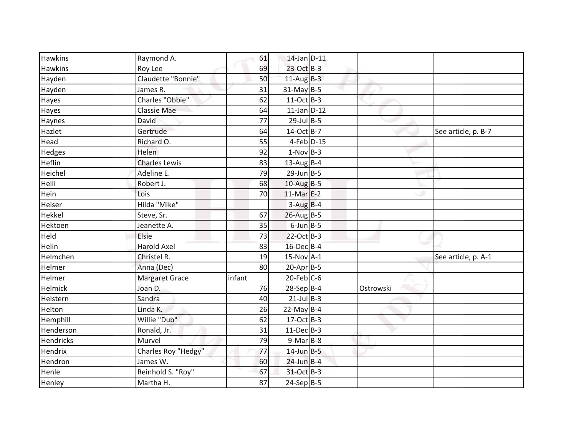|        |                                                                |                                                                                                                                                                                                                                                                                                                                                                                                                                                                                                                                  | See article, p. B-7 |
|--------|----------------------------------------------------------------|----------------------------------------------------------------------------------------------------------------------------------------------------------------------------------------------------------------------------------------------------------------------------------------------------------------------------------------------------------------------------------------------------------------------------------------------------------------------------------------------------------------------------------|---------------------|
|        |                                                                |                                                                                                                                                                                                                                                                                                                                                                                                                                                                                                                                  |                     |
|        |                                                                |                                                                                                                                                                                                                                                                                                                                                                                                                                                                                                                                  |                     |
|        |                                                                |                                                                                                                                                                                                                                                                                                                                                                                                                                                                                                                                  |                     |
| 79     |                                                                |                                                                                                                                                                                                                                                                                                                                                                                                                                                                                                                                  |                     |
| 68     |                                                                |                                                                                                                                                                                                                                                                                                                                                                                                                                                                                                                                  |                     |
| 70     |                                                                |                                                                                                                                                                                                                                                                                                                                                                                                                                                                                                                                  |                     |
|        |                                                                |                                                                                                                                                                                                                                                                                                                                                                                                                                                                                                                                  |                     |
| 67     |                                                                |                                                                                                                                                                                                                                                                                                                                                                                                                                                                                                                                  |                     |
| 35     |                                                                |                                                                                                                                                                                                                                                                                                                                                                                                                                                                                                                                  |                     |
| 73     |                                                                |                                                                                                                                                                                                                                                                                                                                                                                                                                                                                                                                  |                     |
| 83     |                                                                |                                                                                                                                                                                                                                                                                                                                                                                                                                                                                                                                  |                     |
| 19     |                                                                |                                                                                                                                                                                                                                                                                                                                                                                                                                                                                                                                  | See article, p. A-1 |
| 80     |                                                                |                                                                                                                                                                                                                                                                                                                                                                                                                                                                                                                                  |                     |
| infant |                                                                |                                                                                                                                                                                                                                                                                                                                                                                                                                                                                                                                  |                     |
| 76     |                                                                | Ostrowski                                                                                                                                                                                                                                                                                                                                                                                                                                                                                                                        |                     |
| 40     |                                                                |                                                                                                                                                                                                                                                                                                                                                                                                                                                                                                                                  |                     |
| 26     |                                                                |                                                                                                                                                                                                                                                                                                                                                                                                                                                                                                                                  |                     |
| 62     |                                                                |                                                                                                                                                                                                                                                                                                                                                                                                                                                                                                                                  |                     |
| 31     |                                                                |                                                                                                                                                                                                                                                                                                                                                                                                                                                                                                                                  |                     |
| 79     |                                                                |                                                                                                                                                                                                                                                                                                                                                                                                                                                                                                                                  |                     |
| 77     |                                                                |                                                                                                                                                                                                                                                                                                                                                                                                                                                                                                                                  |                     |
| 60     |                                                                |                                                                                                                                                                                                                                                                                                                                                                                                                                                                                                                                  |                     |
| 67     |                                                                |                                                                                                                                                                                                                                                                                                                                                                                                                                                                                                                                  |                     |
| 87     |                                                                |                                                                                                                                                                                                                                                                                                                                                                                                                                                                                                                                  |                     |
|        | 61<br>69<br>50<br>31<br>62<br>64<br>77<br>64<br>55<br>92<br>83 | 14-Jan D-11<br>23-Oct B-3<br>$11-Aug$ B-3<br>$31$ -May B-5<br>$11-Oct$ B-3<br>$11$ -Jan D-12<br>$29$ -Jul B-5<br>14-Oct B-7<br>4-Feb D-15<br>$1-Nov$ B-3<br>$13$ -Aug B-4<br>$29$ -Jun B-5<br>$10$ -Aug B-5<br>$11-Mar$ E-2<br>$3-Aug$ B-4<br>$26$ -Aug B-5<br>$6$ -Jun B-5<br>22-Oct B-3<br>16-Dec B-4<br>$15-Nov$ A-1<br>$20-Apr$ B-5<br>$20$ -Feb $C$ -6<br>$28-Sep B-4$<br>$21$ -Jul B-3<br>$22$ -May B-4<br>$17-Oct$ B-3<br>$11-Dec$ B-3<br>$9-Mar$ B-8<br>$14$ -Jun $B - 5$<br>$24$ -Jun B-4<br>31-Oct B-3<br>$24-Sep B-5$ |                     |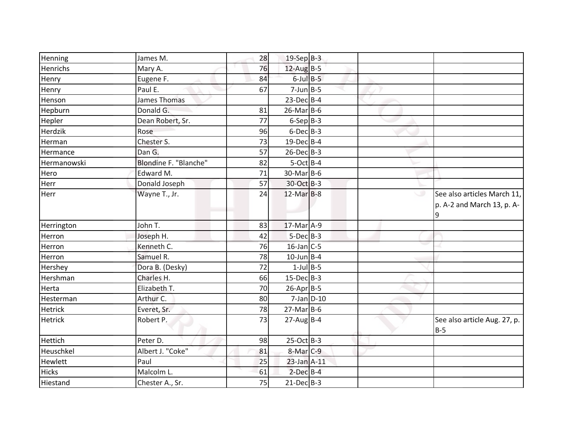| Henning        | James M.              | 28 | $19-Sep$ B-3     |  |                                                           |
|----------------|-----------------------|----|------------------|--|-----------------------------------------------------------|
| Henrichs       | Mary A.               | 76 | $12$ -Aug B-5    |  |                                                           |
| Henry          | Eugene F.             | 84 | $6$ -Jul $B$ -5  |  |                                                           |
| Henry          | Paul E.               | 67 | $7$ -Jun $B$ -5  |  |                                                           |
| Henson         | <b>James Thomas</b>   |    | $23$ -Dec $B-4$  |  |                                                           |
| Hepburn        | Donald G.             | 81 | $26$ -Mar $B$ -6 |  |                                                           |
| Hepler         | Dean Robert, Sr.      | 77 | $6-Sep B-3$      |  |                                                           |
| Herdzik        | Rose                  | 96 | $6$ -Dec $B$ -3  |  |                                                           |
| Herman         | Chester S.            | 73 | $19$ -Dec $B$ -4 |  |                                                           |
| Hermance       | Dan G.                | 57 | $26$ -Dec $B-3$  |  |                                                           |
| Hermanowski    | Blondine F. "Blanche" | 82 | $5-Oct$ B-4      |  |                                                           |
| Hero           | Edward M.             | 71 | $30$ -MarB-6     |  |                                                           |
| Herr           | Donald Joseph         | 57 | 30-Oct B-3       |  |                                                           |
| Herr           | Wayne T., Jr.         | 24 | $12$ -Mar $B-8$  |  | See also articles March 11,<br>p. A-2 and March 13, p. A- |
| Herrington     | John T.               | 83 | $17$ -Mar $A-9$  |  |                                                           |
| Herron         | Joseph H.             | 42 | $5-Dec$ B-3      |  |                                                           |
| Herron         | Kenneth C.            | 76 | $16$ -Jan C-5    |  |                                                           |
| Herron         | Samuel R.             | 78 | $10$ -Jun B-4    |  |                                                           |
| Hershey        | Dora B. (Desky)       | 72 | $1$ -Jul B-5     |  |                                                           |
| Hershman       | Charles H.            | 66 | $15$ -Dec $B$ -3 |  |                                                           |
| Herta          | Elizabeth T.          | 70 | $26$ -Apr $B$ -5 |  |                                                           |
| Hesterman      | Arthur C.             | 80 | $7$ -Jan $D-10$  |  |                                                           |
| <b>Hetrick</b> | Everet, Sr.           | 78 | $27$ -Mar $B$ -6 |  |                                                           |
| <b>Hetrick</b> | Robert P.             | 73 | $27$ -AugB-4     |  | See also article Aug. 27, p.<br>$B-5$                     |
| Hettich        | Peter D.              | 98 | 25-Oct B-3       |  |                                                           |
| Heuschkel      | Albert J. "Coke"      | 81 | $8-Mar$ C-9      |  |                                                           |
| Hewlett        | Paul                  | 25 | 23-Jan A-11      |  |                                                           |
|                |                       |    |                  |  |                                                           |
| <b>Hicks</b>   | Malcolm L.            | 61 | $2$ -Dec $B-4$   |  |                                                           |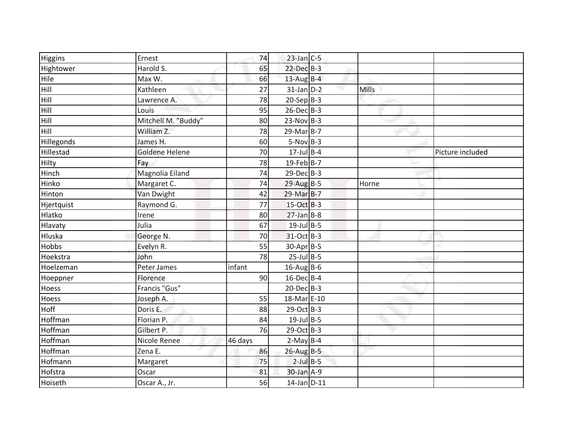| Higgins      | Ernest              | 74      | $23$ -Jan C-5     |       |                  |
|--------------|---------------------|---------|-------------------|-------|------------------|
| Hightower    | Harold S.           | 65      | $22$ -Dec $B-3$   |       |                  |
| Hile         | Max W.              | 66      | $13$ -Aug B-4     |       |                  |
| Hill         | Kathleen            | 27      | $31$ -Jan $D-2$   | Mills |                  |
| Hill         | Lawrence A.         | 78      | $20-Sep B-3$      |       |                  |
| Hill         | Louis               | 95      | 26-Dec B-3        |       |                  |
| Hill         | Mitchell M. "Buddy" | 80      | $23-Nov$ B-3      |       |                  |
| Hill         | William Z.          | 78      | $29$ -Mar $B-7$   |       |                  |
| Hillegonds   | James H.            | 60      | $5-Nov$ B-3       |       |                  |
| Hillestad    | Goldene Helene      | 70      | $17$ -Jul B-4     |       | Picture included |
| Hilty        | Fay                 | 78      | $19$ -Feb B-7     |       |                  |
| Hinch        | Magnolia Eiland     | 74      | $29$ -Dec $B-3$   |       |                  |
| Hinko        | Margaret C.         | 74      | $29$ -Aug B-5     | Horne |                  |
| Hinton       | Van Dwight          | 42      | 29-Mar B-7        |       |                  |
| Hjertquist   | Raymond G.          | 77      | 15-Oct B-3        |       |                  |
| Hlatko       | Irene               | 80      | $27$ -Jan B-8     |       |                  |
| Hlavaty      | Julia               | 67      | $19$ -Jul B-5     |       |                  |
| Hluska       | George N.           | 70      | 31-Oct B-3        |       |                  |
| <b>Hobbs</b> | Evelyn R.           | 55      | 30-Apr B-5        |       |                  |
| Hoekstra     | John                | 78      | $25$ -Jul B-5     |       |                  |
| Hoelzeman    | Peter James         | infant  | $16$ -Aug B-6     |       |                  |
| Hoeppner     | Florence            | 90      | $16$ -Dec $B$ -4  |       |                  |
| Hoess        | Francis "Gus"       |         | $20$ -Dec $B-3$   |       |                  |
| Hoess        | Joseph A.           | 55      | 18-Mar E-10       |       |                  |
| Hoff         | Doris E.            | 88      | $29$ -Oct B-3     |       |                  |
| Hoffman      | Florian P.          | 84      | $19$ -Jul B-5     |       |                  |
| Hoffman      | Gilbert P.          | 76      | 29-Oct B-3        |       |                  |
| Hoffman      | Nicole Renee        | 46 days | $2-May B-4$       |       |                  |
| Hoffman      | Zena E.             | 86      | $26$ -Aug $B - 5$ |       |                  |
| Hofmann      | Margaret            | 75      | $2$ -Jul $B$ -5   |       |                  |
| Hofstra      | Oscar               | 81      | 30-Jan A-9        |       |                  |
| Hoiseth      | Oscar A., Jr.       | 56      | $14$ -Jan $D-11$  |       |                  |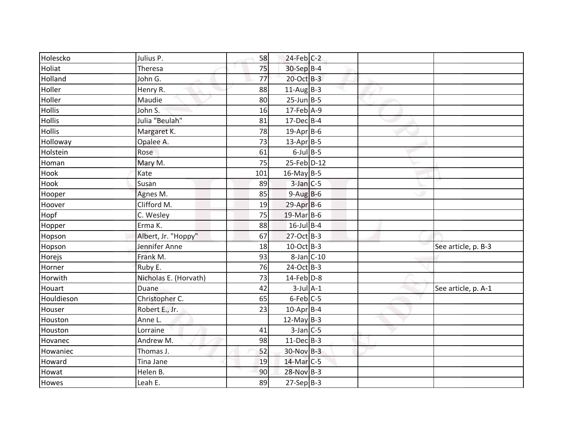| Holescko      | Julius P.             | 58  | $24$ -Feb $C-2$  |  |                     |
|---------------|-----------------------|-----|------------------|--|---------------------|
| Holiat        | Theresa               | 75  | 30-Sep B-4       |  |                     |
| Holland       | John G.               | 77  | 20-Oct B-3       |  |                     |
| Holler        | Henry R.              | 88  | $11-AugB-3$      |  |                     |
| Holler        | Maudie                | 80  | $25$ -Jun $B-5$  |  |                     |
| <b>Hollis</b> | John S.               | 16  | $17$ -Feb $A$ -9 |  |                     |
| <b>Hollis</b> | Julia "Beulah"        | 81  | $17$ -Dec $B$ -4 |  |                     |
| <b>Hollis</b> | Margaret K.           | 78  | $19$ -Apr B-6    |  |                     |
| Holloway      | Opalee A.             | 73  | $13$ -Apr B-5    |  |                     |
| Holstein      | Rose                  | 61  | $6$ -Jul $B$ -5  |  |                     |
| Homan         | Mary M.               | 75  | 25-Feb D-12      |  |                     |
| Hook          | Kate                  | 101 | $16$ -May B-5    |  |                     |
| Hook          | Susan                 | 89  | $3$ -Jan $C$ -5  |  |                     |
| Hooper        | Agnes M.              | 85  | $9-AugB-6$       |  |                     |
| Hoover        | Clifford M.           | 19  | $29$ -Apr $B$ -6 |  |                     |
| Hopf          | C. Wesley             | 75  | 19-Mar B-6       |  |                     |
| Hopper        | Erma K.               | 88  | $16$ -Jul B-4    |  |                     |
| Hopson        | Albert, Jr. "Hoppy"   | 67  | 27-Oct B-3       |  |                     |
| Hopson        | Jennifer Anne         | 18  | $10$ -Oct B-3    |  | See article, p. B-3 |
| Horejs        | Frank M.              | 93  | $8$ -Jan $C$ -10 |  |                     |
| Horner        | Ruby E.               | 76  | 24-Oct B-3       |  |                     |
| Horwith       | Nicholas E. (Horvath) | 73  | $14$ -Feb $D-8$  |  |                     |
| Houart        | <b>Duane</b>          | 42  | $3$ -Jul $A-1$   |  | See article, p. A-1 |
| Houldieson    | Christopher C.        | 65  | $6$ -Feb $C$ -5  |  |                     |
| Houser        | Robert E., Jr.        | 23  | $10$ -Apr $B$ -4 |  |                     |
| Houston       | Anne L.               |     | 12-May $B-3$     |  |                     |
| Houston       | Lorraine              | 41  | $3$ -Jan C-5     |  |                     |
| Hovanec       | Andrew M.             | 98  | $11 - Dec$ B-3   |  |                     |
| Howaniec      | Thomas J.             | 52  | 30-Nov B-3       |  |                     |
| Howard        | Tina Jane             | 19  | 14-Mar C-5       |  |                     |
| Howat         | Helen B.              | 90  | 28-Nov B-3       |  |                     |
| Howes         | Leah E.               | 89  | $27-Sep B-3$     |  |                     |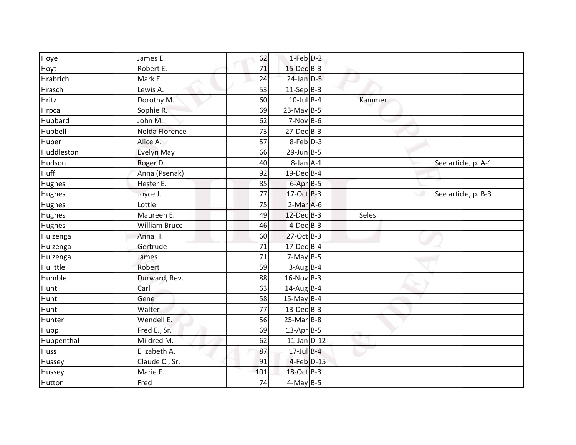| Hoye          | James E.             | 62  | $1-Feb$ $D-2$     |        |                     |
|---------------|----------------------|-----|-------------------|--------|---------------------|
| Hoyt          | Robert E.            | 71  | $15$ -Dec $B-3$   |        |                     |
| Hrabrich      | Mark E.              | 24  | $24$ -Jan $D-5$   |        |                     |
| Hrasch        | Lewis A.             | 53  | $11-Sep$ B-3      |        |                     |
| Hritz         | Dorothy M.           | 60  | $10$ -Jul B-4     | Kammer |                     |
| Hrpca         | Sophie R.            | 69  | $23$ -May B-5     |        |                     |
| Hubbard       | John M.              | 62  | $7-Nov$ B-6       |        |                     |
| Hubbell       | Nelda Florence       | 73  | $27 - Dec$ B-3    |        |                     |
| Huber         | Alice A.             | 57  | 8-Feb D-3         |        |                     |
| Huddleston    | Evelyn May           | 66  | $29$ -Jun $B - 5$ |        |                     |
| Hudson        | Roger D.             | 40  | $8$ -Jan $A-1$    |        | See article, p. A-1 |
| <b>Huff</b>   | Anna (Psenak)        | 92  | 19-Dec B-4        |        |                     |
| <b>Hughes</b> | Hester E.            | 85  | $6$ -Apr $B$ -5   |        |                     |
| Hughes        | Joyce J.             | 77  | 17-Oct B-3        |        | See article, p. B-3 |
| Hughes        | Lottie               | 75  | $2-Mar$ A-6       |        |                     |
| Hughes        | Maureen E.           | 49  | 12-Dec B-3        | Seles  |                     |
| Hughes        | <b>William Bruce</b> | 46  | $4$ -Dec $B-3$    |        |                     |
| Huizenga      | Anna H.              | 60  | $27-Oct$ B-3      |        |                     |
| Huizenga      | Gertrude             | 71  | 17-Dec B-4        |        |                     |
| Huizenga      | James                | 71  | $7-May$ B-5       |        |                     |
| Hulittle      | Robert               | 59  | $3-Aug$ B-4       |        |                     |
| Humble        | Durward, Rev.        | 88  | $16-Nov$ B-3      |        |                     |
| Hunt          | Carl                 | 63  | $14$ -AugB-4      |        |                     |
| Hunt          | Gene                 | 58  | $15$ -May B-4     |        |                     |
| Hunt          | Walter               | 77  | $13$ -Dec $B-3$   |        |                     |
| Hunter        | Wendell E.           | 56  | $25-Mar$ B-8      |        |                     |
| Hupp          | Fred E., Sr.         | 69  | $13$ -Apr $B$ -5  |        |                     |
| Huppenthal    | Mildred M.           | 62  | $11$ -Jan D-12    |        |                     |
| <b>Huss</b>   | Elizabeth A.         | 87  | $17$ -Jul $B-4$   |        |                     |
| Hussey        | Claude C., Sr.       | 91  | $4$ -Feb $D-15$   |        |                     |
| Hussey        | Marie F.             | 101 | 18-Oct B-3        |        |                     |
| Hutton        | Fred                 | 74  | $4-May$ B-5       |        |                     |
|               |                      |     |                   |        |                     |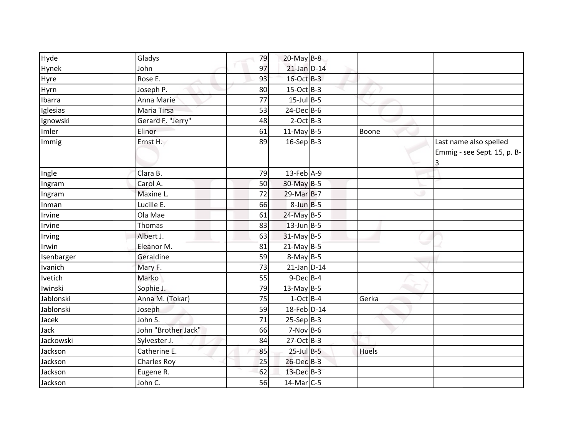| Hyde       | Gladys              | 79 | $20$ -May B-8    |              |                             |
|------------|---------------------|----|------------------|--------------|-----------------------------|
| Hynek      | John                | 97 | $21$ -Jan $D-14$ |              |                             |
| Hyre       | Rose E.             | 93 | $16$ -Oct B-3    |              |                             |
| Hyrn       | Joseph P.           | 80 | $15-Oct$ B-3     |              |                             |
| Ibarra     | Anna Marie          | 77 | $15$ -Jul B-5    |              |                             |
| Iglesias   | Maria Tirsa         | 53 | $24$ -Dec $B$ -6 |              |                             |
| Ignowski   | Gerard F. "Jerry"   | 48 | $2$ -Oct B-3     |              |                             |
| Imler      | Elinor              | 61 | $11-May$ B-5     | Boone        |                             |
| Immig      | Ernst H.            | 89 | $16-Sep B-3$     |              | Last name also spelled      |
|            |                     |    |                  |              | Emmig - see Sept. 15, p. B- |
|            |                     |    |                  |              | 3                           |
| Ingle      | Clara B.            | 79 | $13$ -Feb A-9    |              |                             |
| Ingram     | Carol A.            | 50 | 30-May B-5       |              |                             |
| Ingram     | Maxine L.           | 72 | 29-Mar B-7       |              |                             |
| Inman      | Lucille E.          | 66 | $8$ -Jun $B - 5$ |              |                             |
| Irvine     | Ola Mae             | 61 | 24-May B-5       |              |                             |
| Irvine     | Thomas              | 83 | $13$ -Jun $B-5$  |              |                             |
| Irving     | Albert J.           | 63 | $31$ -May B-5    |              |                             |
| Irwin      | Eleanor M.          | 81 | $21$ -May B-5    |              |                             |
| Isenbarger | Geraldine           | 59 | $8-May$ B-5      |              |                             |
| Ivanich    | Mary F.             | 73 | $21$ -Jan $D-14$ |              |                             |
| Ivetich    | Marko               | 55 | $9$ -Dec $B$ -4  |              |                             |
| Iwinski    | Sophie J.           | 79 | $13$ -May B-5    |              |                             |
| Jablonski  | Anna M. (Tokar)     | 75 | $1-Oct$ B-4      | Gerka        |                             |
| Jablonski  | Joseph              | 59 | 18-Feb D-14      |              |                             |
| Jacek      | John S.             | 71 | $25-Sep$ B-3     |              |                             |
| Jack       | John "Brother Jack" | 66 | $7-Nov$ B-6      |              |                             |
| Jackowski  | Sylvester J.        | 84 | 27-Oct B-3       |              |                             |
| Jackson    | Catherine E.        | 85 | $25$ -Jul $B$ -5 | <b>Huels</b> |                             |
| Jackson    | <b>Charles Roy</b>  | 25 | 26-Dec B-3       |              |                             |
| Jackson    | Eugene R.           | 62 | 13-Dec B-3       |              |                             |
| Jackson    | John C.             | 56 | $14$ -Mar $C-5$  |              |                             |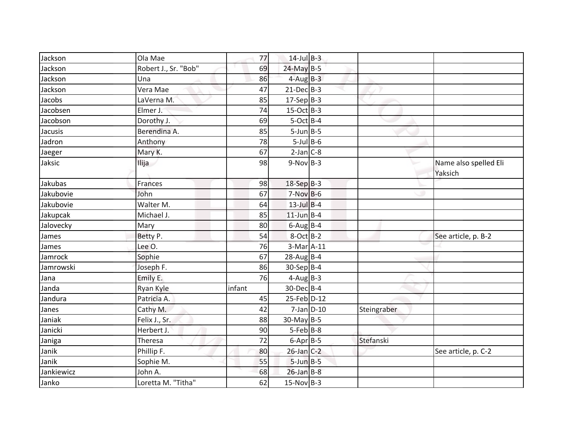| Jackson    | Ola Mae              | 77     | $14$ -Jul $B-3$ |             |                                  |
|------------|----------------------|--------|-----------------|-------------|----------------------------------|
| Jackson    | Robert J., Sr. "Bob" | 69     | 24-May B-5      |             |                                  |
| Jackson    | Una                  | 86     | $4$ -Aug $B-3$  |             |                                  |
| Jackson    | Vera Mae             | 47     | $21$ -Dec $B-3$ |             |                                  |
| Jacobs     | LaVerna M.           | 85     | $17-Sep B-3$    |             |                                  |
| Jacobsen   | Elmer J.             | 74     | $15$ -Oct B-3   |             |                                  |
| Jacobson   | Dorothy J.           | 69     | $5-Oct$ B-4     |             |                                  |
| Jacusis    | Berendina A.         | 85     | $5$ -Jun $B$ -5 |             |                                  |
| Jadron     | Anthony              | 78     | $5$ -Jul $B$ -6 |             |                                  |
| Jaeger     | Mary K.              | 67     | $2-Jan$ $C-8$   |             |                                  |
| Jaksic     | Ilija                | 98     | $9-Nov$ B-3     |             | Name also spelled Eli<br>Yaksich |
| Jakubas    | Frances              | 98     | $18-SepB-3$     |             |                                  |
| Jakubovie  | John                 | 67     | $7-Nov$ B-6     |             |                                  |
| Jakubovie  | Walter M.            | 64     | $13$ -Jul $B-4$ |             |                                  |
| Jakupcak   | Michael J.           | 85     | $11$ -Jun B-4   |             |                                  |
| Jalovecky  | Mary                 | 80     | $6$ -Aug B-4    |             |                                  |
| James      | Betty P.             | 54     | $8-Oct$ B-2     |             | See article, p. B-2              |
| James      | Lee O.               | 76     | 3-Mar A-11      |             |                                  |
| Jamrock    | Sophie               | 67     | $28$ -Aug B-4   |             |                                  |
| Jamrowski  | Joseph F.            | 86     | 30-Sep B-4      |             |                                  |
| Jana       | Emily E.             | 76     | $4$ -Aug B-3    |             |                                  |
| Janda      | Ryan Kyle            | infant | 30-Dec B-4      |             |                                  |
| Jandura    | Patricia A.          | 45     | 25-Feb D-12     |             |                                  |
| Janes      | Cathy M.             | 42     | $7$ -Jan $D-10$ | Steingraber |                                  |
| Janiak     | Felix J., Sr.        | 88     | $30$ -May B-5   |             |                                  |
| Janicki    | Herbert J.           | 90     | $5-Feb$ B-8     |             |                                  |
| Janiga     | Theresa              | 72     | $6 - Apr$ B-5   | Stefanski   |                                  |
| Janik      | Phillip F.           | 80     | $26$ -Jan $C-2$ |             | See article, p. C-2              |
| Janik      | Sophie M.            | 55     | $5$ -Jun $B$ -5 |             |                                  |
| Jankiewicz | John A.              | 68     | $26$ -Jan B-8   |             |                                  |
| Janko      | Loretta M. "Titha"   | 62     | $15-Nov$ B-3    |             |                                  |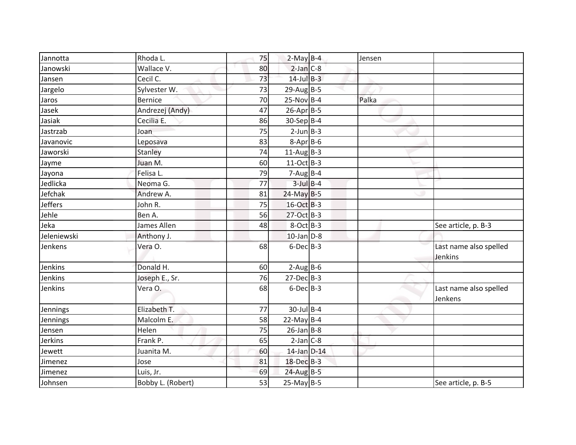| Jannotta       | Rhoda L.          | 75 | $2-May$ B-4              | Jensen |                                   |
|----------------|-------------------|----|--------------------------|--------|-----------------------------------|
| Janowski       | Wallace V.        | 80 | $2$ -Jan $C-8$           |        |                                   |
| Jansen         | Cecil C.          | 73 | $14$ -Jul $B-3$          |        |                                   |
| Jargelo        | Sylvester W.      | 73 | $29$ -Aug B-5            |        |                                   |
| Jaros          | Bernice           | 70 | $25-Nov$ B-4             | Palka  |                                   |
| Jasek          | Andrezej (Andy)   | 47 | $26$ -Apr $B$ -5         |        |                                   |
| Jasiak         | Cecilia E.        | 86 | $30-Sep$ B-4             |        |                                   |
| Jastrzab       | Joan              | 75 | $2$ -Jun $B - 3$         |        |                                   |
| Javanovic      | Leposava          | 83 | $8 - Apr$ $B - 6$        |        |                                   |
| Jaworski       | Stanley           | 74 | 11-Aug $B-3$             |        |                                   |
| Jayme          | Juan M.           | 60 | $11-Oct$ B-3             |        |                                   |
| Jayona         | Felisa L.         | 79 | $7 - Aug$ <sub>B-4</sub> |        |                                   |
| Jedlicka       | Neoma G.          | 77 | $3$ -Jul $B$ -4          |        |                                   |
| Jefchak        | Andrew A.         | 81 | $24$ -May B-5            |        |                                   |
| <b>Jeffers</b> | John R.           | 75 | 16-Oct B-3               |        |                                   |
| Jehle          | Ben A.            | 56 | 27-Oct B-3               |        |                                   |
| Jeka           | James Allen       | 48 | $8-Oct$ B-3              |        | See article, p. B-3               |
| Jeleniewski    | Anthony J.        |    | $10$ -Jan $D-8$          |        |                                   |
| Jenkens        | Vera O.           | 68 | $6$ -Dec $B$ -3          |        | Last name also spelled<br>Jenkins |
| Jenkins        | Donald H.         | 60 | $2-Aug$ B-6              |        |                                   |
| Jenkins        | Joseph E., Sr.    | 76 | $27$ -Dec $B-3$          |        |                                   |
| Jenkins        | Vera O.           | 68 | $6$ -Dec $B$ -3          |        | Last name also spelled<br>Jenkens |
| Jennings       | Elizabeth T.      | 77 | $30$ -Jul B-4            |        |                                   |
| Jennings       | Malcolm E.        | 58 | 22-May $B-4$             |        |                                   |
| Jensen         | Helen             | 75 | $26$ -Jan B-8            |        |                                   |
| Jerkins        | Frank P.          | 65 | $2-Jan$ $C-8$            |        |                                   |
| Jewett         | Juanita M.        | 60 | 14-Jan D-14              |        |                                   |
| Jimenez        | Jose              | 81 | 18-Dec B-3               |        |                                   |
| Jimenez        | Luis, Jr.         | 69 | $24$ -Aug B-5            |        |                                   |
| Johnsen        | Bobby L. (Robert) | 53 | $25$ -May B-5            |        | See article, p. B-5               |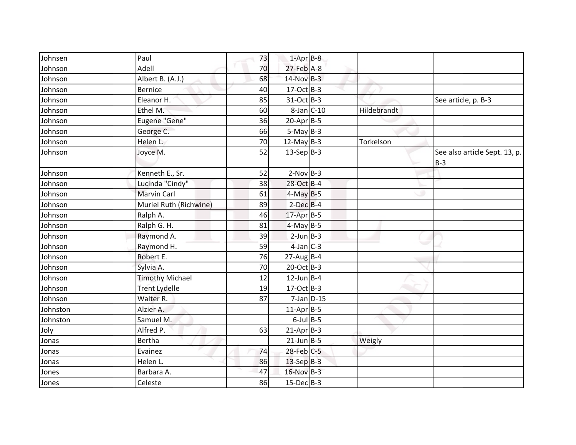| Johnsen  | Paul                   | 73 | $1-Apr$ B-8      |             |                                        |
|----------|------------------------|----|------------------|-------------|----------------------------------------|
| Johnson  | Adell                  | 70 | $27$ -Feb $A-8$  |             |                                        |
| Johnson  | Albert B. (A.J.)       | 68 | 14-Nov B-3       |             |                                        |
| Johnson  | <b>Bernice</b>         | 40 | $17-Oct$ B-3     |             |                                        |
| Johnson  | Eleanor H.             | 85 | 31-Oct B-3       |             | See article, p. B-3                    |
| Johnson  | Ethel M.               | 60 | $8$ -Jan $C$ -10 | Hildebrandt |                                        |
| Johnson  | Eugene "Gene"          | 36 | $20$ -Apr $B-5$  |             |                                        |
| Johnson  | George C.              | 66 | $5-May$ B-3      |             |                                        |
| Johnson  | Helen L.               | 70 | 12-May $B-3$     | Torkelson   |                                        |
| Johnson  | Joyce M.               | 52 | $13-Sep B-3$     |             | See also article Sept. 13, p.<br>$B-3$ |
| Johnson  | Kenneth E., Sr.        | 52 | $2-Nov$ B-3      |             |                                        |
| Johnson  | Lucinda "Cindy"        | 38 | 28-Oct B-4       |             |                                        |
| Johnson  | <b>Marvin Carl</b>     | 61 | $4-May$ B-5      |             |                                        |
| Johnson  | Muriel Ruth (Richwine) | 89 | $2$ -Dec $B$ -4  |             |                                        |
| Johnson  | Ralph A.               | 46 | 17-Apr B-5       |             |                                        |
| Johnson  | Ralph G. H.            | 81 | $4-May$ B-5      |             |                                        |
| Johnson  | Raymond A.             | 39 | $2$ -Jun $B - 3$ |             |                                        |
| Johnson  | Raymond H.             | 59 | $4$ -Jan $C-3$   |             |                                        |
| Johnson  | Robert E.              | 76 | $27$ -Aug B-4    |             |                                        |
| Johnson  | Sylvia A.              | 70 | 20-Oct B-3       |             |                                        |
| Johnson  | <b>Timothy Michael</b> | 12 | $12$ -Jun B-4    |             |                                        |
| Johnson  | <b>Trent Lydelle</b>   | 19 | $17-Oct$ B-3     |             |                                        |
| Johnson  | Walter R.              | 87 | $7$ -Jan $D-15$  |             |                                        |
| Johnston | Alzier A.              |    | $11-Apr$ B-5     |             |                                        |
| Johnston | Samuel M.              |    | $6$ -Jul $B$ -5  |             |                                        |
| Joly     | Alfred P.              | 63 | $21-AprB-3$      |             |                                        |
| Jonas    | Bertha                 |    | $21$ -Jun $B-5$  | Weigly      |                                        |
| Jonas    | Evainez                | 74 | 28-Feb C-5       |             |                                        |
| Jonas    | Helen L.               | 86 | 13-Sep B-3       |             |                                        |
| Jones    | Barbara A.             | 47 | 16-Nov B-3       |             |                                        |
| Jones    | Celeste                | 86 | $15$ -Dec $B$ -3 |             |                                        |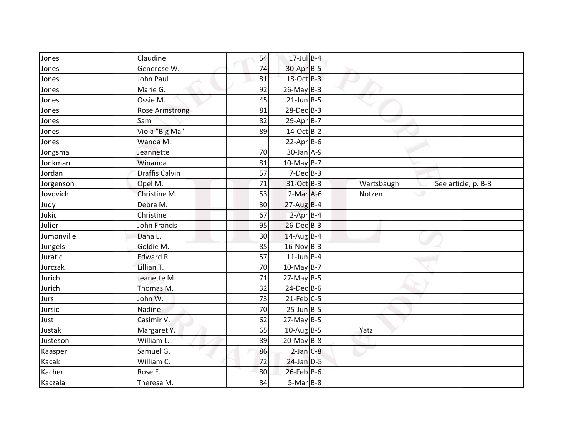| Jones      | Claudine              | 54 | $17$ -Jul $B-4$   |            |                     |
|------------|-----------------------|----|-------------------|------------|---------------------|
| Jones      | Generose W.           | 74 | 30-Apr B-5        |            |                     |
| Jones      | John Paul             | 81 | 18-Oct B-3        |            |                     |
| Jones      | Marie G.              | 92 | $26$ -May B-3     |            |                     |
| Jones      | Ossie M.              | 45 | $21$ -Jun B-5     |            |                     |
| Jones      | <b>Rose Armstrong</b> | 81 | 28-Dec B-3        |            |                     |
| Jones      | Sam                   | 82 | 29-Apr B-7        |            |                     |
| Jones      | Viola "Big Ma"        | 89 | 14-Oct B-2        |            |                     |
| Jones      | Wanda M.              |    | $22-Apr$ B-6      |            |                     |
| Jongsma    | Jeannette             | 70 | $30$ -Jan $A-9$   |            |                     |
| Jonkman    | Winanda               | 81 | $10$ -May B-7     |            |                     |
| Jordan     | <b>Draffis Calvin</b> | 57 | $7-Dec$ B-3       |            |                     |
| Jorgenson  | Opel M.               | 71 | 31-Oct B-3        | Wartsbaugh | See article, p. B-3 |
| Jovovich   | Christine M.          | 53 | $2-Mar$ A-6       | Notzen     |                     |
| Judy       | Debra M.              | 30 | $27$ -Aug B-4     |            |                     |
| Jukic      | Christine             | 67 | $2-Apr$ B-4       |            |                     |
| Julier     | <b>John Francis</b>   | 95 | 26-Dec B-3        |            |                     |
| Jumonville | Dana L.               | 30 | $14$ -Aug B-4     |            |                     |
| Jungels    | Goldie M.             | 85 | $16$ -Nov B-3     |            |                     |
| Juratic    | Edward R.             | 57 | $11$ -Jun B-4     |            |                     |
| Jurczak    | Lillian T.            | 70 | $10$ -May B-7     |            |                     |
| Jurich     | Jeanette M.           | 71 | $27$ -May B-5     |            |                     |
| Jurich     | Thomas M.             | 32 | $24$ -Dec $B$ -6  |            |                     |
| Jurs       | John W.               | 73 | $21$ -Feb $C-5$   |            |                     |
| Jursic     | Nadine                | 70 | $25$ -Jun $B - 5$ |            |                     |
| Just       | Casimir V.            | 62 | $27$ -May B-5     |            |                     |
| Justak     | Margaret Y.           | 65 | $10$ -AugB-5      | Yatz       |                     |
| Justeson   | William L.            | 89 | $20$ -May B-8     |            |                     |
| Kaasper    | Samuel G.             | 86 | $2$ -Jan $C-8$    |            |                     |
| Kacak      | William C.            | 72 | $24$ -Jan $D-5$   |            |                     |
| Kacher     | Rose E.               | 80 | 26-Feb B-6        |            |                     |
| Kaczala    | Theresa M.            | 84 | $5-Mar$ B-8       |            |                     |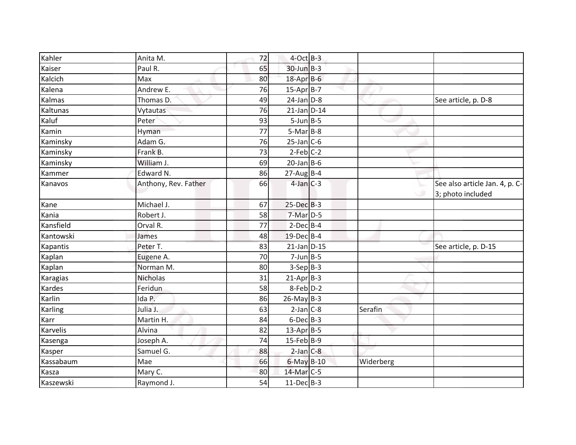| Kahler    | Anita M.             | 72 | $4$ -Oct B-3      |           |                                                     |
|-----------|----------------------|----|-------------------|-----------|-----------------------------------------------------|
| Kaiser    | Paul R.              | 65 | $30$ -Jun $B-3$   |           |                                                     |
| Kalcich   | Max                  | 80 | 18-Apr B-6        |           |                                                     |
| Kalena    | Andrew E.            | 76 | $15-Apr$ B-7      |           |                                                     |
| Kalmas    | Thomas D.            | 49 | $24$ -Jan $D-8$   |           | See article, p. D-8                                 |
| Kaltunas  | Vytautas             | 76 | $21$ -Jan D-14    |           |                                                     |
| Kaluf     | Peter                | 93 | $5$ -Jun $B$ -5   |           |                                                     |
| Kamin     | Hyman                | 77 | $5-Mar$ B-8       |           |                                                     |
| Kaminsky  | Adam G.              | 76 | $25$ -Jan C-6     |           |                                                     |
| Kaminsky  | Frank B.             | 73 | $2-Feb$ C-2       |           |                                                     |
| Kaminsky  | William J.           | 69 | $20$ -Jan B-6     |           |                                                     |
| Kammer    | Edward N.            | 86 | $27$ -Aug B-4     |           |                                                     |
| Kanavos   | Anthony, Rev. Father | 66 | $4$ -Jan $C-3$    |           | See also article Jan. 4, p. C-<br>3; photo included |
| Kane      | Michael J.           | 67 | $25$ -Dec $B-3$   |           |                                                     |
| Kania     | Robert J.            | 58 | 7-Mar D-5         |           |                                                     |
| Kansfield | Orval R.             | 77 | $2$ -Dec $B$ -4   |           |                                                     |
| Kantowski | James                | 48 | 19-Dec B-4        |           |                                                     |
| Kapantis  | Peter T.             | 83 | $21$ -Jan $D-15$  |           | See article, p. D-15                                |
| Kaplan    | Eugene A.            | 70 | $7$ -Jun $B - 5$  |           |                                                     |
| Kaplan    | Norman M.            | 80 | $3-Sep B-3$       |           |                                                     |
| Karagias  | <b>Nicholas</b>      | 31 | $21-Apr$ B-3      |           |                                                     |
| Kardes    | Feridun              | 58 | $8$ -Feb $D-2$    |           |                                                     |
| Karlin    | Ida P.               | 86 | $26$ -May B-3     |           |                                                     |
| Karling   | Julia J.             | 63 | $2-Jan$ $C-8$     | Serafin   |                                                     |
| Karr      | Martin H.            | 84 | $6$ -Dec $B$ -3   |           |                                                     |
| Karvelis  | Alvina               | 82 | 13-Apr B-5        |           |                                                     |
| Kasenga   | Joseph A.            | 74 | $15$ -Feb $ B-9 $ |           |                                                     |
| Kasper    | Samuel G.            | 88 | $2$ -Jan $C$ -8   |           |                                                     |
| Kassabaum | Mae                  | 66 | $6$ -May $B-10$   | Widerberg |                                                     |
| Kasza     | Mary C.              | 80 | 14-Mar C-5        |           |                                                     |
| Kaszewski | Raymond J.           | 54 | $11-Dec$ B-3      |           |                                                     |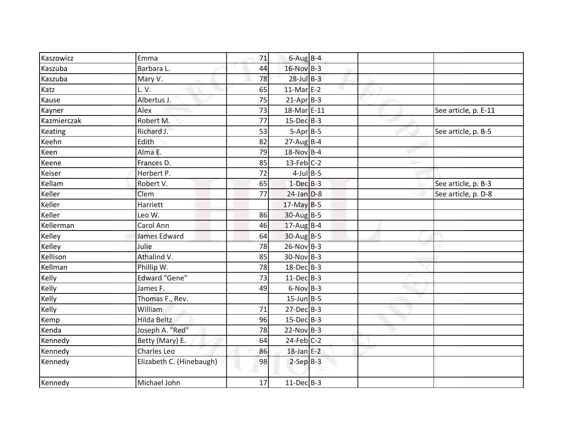| Kaszowicz   | Emma                     | 71       | $6$ -Aug B-4      |                      |
|-------------|--------------------------|----------|-------------------|----------------------|
| Kaszuba     | Barbara L.               | 44       | $16$ -Nov $B-3$   |                      |
| Kaszuba     | Mary V.                  | 78       | $28$ -Jul $B-3$   |                      |
| Katz        | L.V.                     | 65       | $11-Mar$ E-2      |                      |
| Kause       | Albertus J.              | 75       | $21-Apr$ B-3      |                      |
|             |                          |          | 18-Mar E-11       |                      |
| Kayner      | Alex                     | 73<br>77 | $15$ -Dec $B$ -3  | See article, p. E-11 |
| Kazmierczak | Robert M.                |          |                   |                      |
| Keating     | Richard J.               | 53       | $5-Apr$ B-5       | See article, p. B-5  |
| Keehn       | Edith                    | 82       | $27$ -Aug B-4     |                      |
| Keen        | Alma E.                  | 79       | 18-Nov B-4        |                      |
| Keene       | Frances D.               | 85       | $13$ -Feb $ C-2 $ |                      |
| Keiser      | Herbert P.               | 72       | $4$ -Jul B-5      |                      |
| Kellam      | Robert V.                | 65       | $1$ -Dec $B-3$    | See article, p. B-3  |
| Keller      | Clem                     | 77       | $24$ -Jan $D-8$   | See article, p. D-8  |
| Keller      | Harriett                 |          | $17$ -May B-5     |                      |
| Keller      | Leo W.                   | 86       | $30-Aug$ B-5      |                      |
| Kellerman   | Carol Ann                | 46       | $17$ -AugB-4      |                      |
| Kelley      | James Edward             | 64       | $30-AugB-5$       |                      |
| Kelley      | Julie                    | 78       | $26-Nov$ B-3      |                      |
| Kellison    | Athalind V.              | 85       | $30-Nov$ B-3      |                      |
| Kellman     | Phillip W.               | 78       | $18$ -Dec $B-3$   |                      |
| Kelly       | <b>Edward "Gene"</b>     | 73       | $11-Dec$ B-3      |                      |
| Kelly       | James F.                 | 49       | $6-Nov$ B-3       |                      |
| Kelly       | Thomas F., Rev.          |          | $15$ -Jun $B$ -5  |                      |
| Kelly       | William                  | 71       | $27 - Dec$ B-3    |                      |
| Kemp        | Hilda Beltz              | 96       | $15$ -Dec $B$ -3  |                      |
| Kenda       | Joseph A. "Red"          | 78       | $22-Nov$ B-3      |                      |
| Kennedy     | Betty (Mary) E.          | 64       | $24$ -Feb $C-2$   |                      |
| Kennedy     | Charles Leo              | 86       | $18$ -Jan E-2     |                      |
| Kennedy     | Elizabeth C. (Hinebaugh) | 98       | $2-SepB-3$        |                      |
| Kennedy     | Michael John             | 17       | $11-Dec$ B-3      |                      |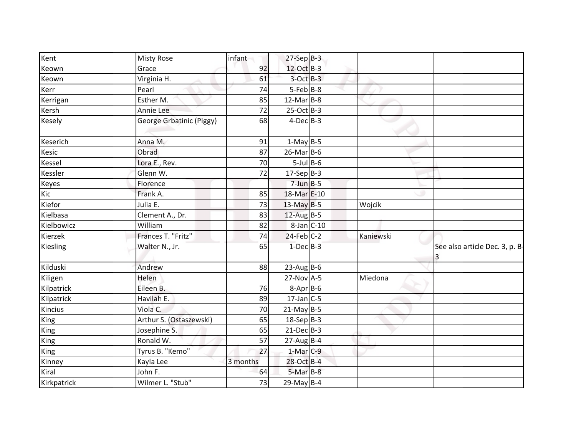| Kent        | <b>Misty Rose</b>        | infant   | $27-Sep$ B-3     |           |                                     |
|-------------|--------------------------|----------|------------------|-----------|-------------------------------------|
| Keown       | Grace                    | 92       | 12-Oct B-3       |           |                                     |
| Keown       | Virginia H.              | 61       | $3$ -Oct $B-3$   |           |                                     |
| Kerr        | Pearl                    | 74       | $5 - Feb$ $B-8$  |           |                                     |
| Kerrigan    | Esther M.                | 85       | $12$ -Mar $B-8$  |           |                                     |
| Kersh       | Annie Lee                | 72       | $25-Oct$ B-3     |           |                                     |
| Kesely      | George Grbatinic (Piggy) | 68       | $4-Dec$ B-3      |           |                                     |
| Keserich    | Anna M.                  | 91       | $1-May$ B-5      |           |                                     |
| Kesic       | Obrad                    | 87       | $26$ -Mar $B$ -6 |           |                                     |
| Kessel      | Lora E., Rev.            | 70       | $5$ -Jul B-6     |           |                                     |
| Kessler     | Glenn W.                 | 72       | $17-Sep B-3$     |           |                                     |
| Keyes       | Florence                 |          | $7$ -Jun $B - 5$ |           |                                     |
| Kic         | Frank A.                 | 85       | 18-Mar E-10      |           |                                     |
| Kiefor      | Julia E.                 | 73       | $13$ -May B-5    | Wojcik    |                                     |
| Kielbasa    | Clement A., Dr.          | 83       | $12$ -Aug B-5    |           |                                     |
| Kielbowicz  | William                  | 82       | $8$ -Jan $C$ -10 |           |                                     |
| Kierzek     | Frances T. "Fritz"       | 74       | $24$ -Feb $C-2$  | Kaniewski |                                     |
| Kiesling    | Walter N., Jr.           | 65       | $1-Dec$ B-3      |           | See also article Dec. 3, p. B-<br>3 |
| Kilduski    | Andrew                   | 88       | $23$ -Aug B-6    |           |                                     |
| Kiligen     | Helen                    |          | $27-Nov$ A-5     | Miedona   |                                     |
| Kilpatrick  | Eileen B.                | 76       | $8-Apr$ B-6      |           |                                     |
| Kilpatrick  | Havilah E.               | 89       | $17$ -Jan C-5    |           |                                     |
| Kincius     | Viola C.                 | 70       | $21$ -May B-5    |           |                                     |
| King        | Arthur S. (Ostaszewski)  | 65       | 18-Sep B-3       |           |                                     |
| King        | Josephine S.             | 65       | $21-Dec$ B-3     |           |                                     |
| King        | Ronald W.                | 57       | $27$ -AugB-4     |           |                                     |
| King        | Tyrus B. "Kemo"          | 27       | $1-Mar$ C-9      |           |                                     |
| Kinney      | Kayla Lee                | 3 months | 28-Oct B-4       |           |                                     |
| Kiral       | John F.                  | 64       | $5-MarB-8$       |           |                                     |
| Kirkpatrick | Wilmer L. "Stub"         | 73       | 29-May $B-4$     |           |                                     |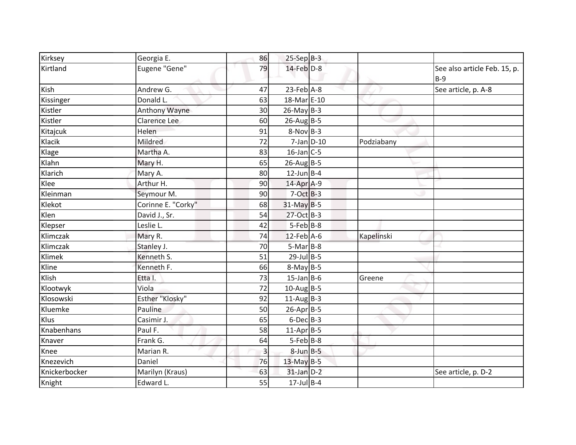| Kirksey       | Georgia E.          | 86             | $25-Sep$ B-3             |            |                                       |
|---------------|---------------------|----------------|--------------------------|------------|---------------------------------------|
| Kirtland      | Eugene "Gene"       | 79             | $14$ -Feb $D-8$          |            | See also article Feb. 15, p.<br>$B-9$ |
| Kish          | Andrew G.           | 47             | $23$ -Feb $A-8$          |            | See article, p. A-8                   |
| Kissinger     | Donald L.           | 63             | 18-Mar E-10              |            |                                       |
| Kistler       | Anthony Wayne       | 30             | $26$ -May B-3            |            |                                       |
| Kistler       | <b>Clarence Lee</b> | 60             | $26$ -Aug B-5            |            |                                       |
| Kitajcuk      | Helen               | 91             | $8-Nov$ B-3              |            |                                       |
| Klacik        | Mildred             | 72             | $7$ -Jan $D-10$          | Podziabany |                                       |
| Klage         | Martha A.           | 83             | $16$ -Jan C-5            |            |                                       |
| Klahn         | Mary H.             | 65             | $26$ -Aug B-5            |            |                                       |
| Klarich       | Mary A.             | 80             | $12$ -Jun B-4            |            |                                       |
| Klee          | Arthur H.           | 90             | 14-Apr A-9               |            |                                       |
| Kleinman      | Seymour M.          | 90             | $7-Oct$ $B-3$            |            |                                       |
| Klekot        | Corinne E. "Corky"  | 68             | $31$ -May B-5            |            |                                       |
| Klen          | David J., Sr.       | 54             | 27-Oct B-3               |            |                                       |
| Klepser       | Leslie L.           | 42             | $5-Feb$ B-8              |            |                                       |
| Klimczak      | Mary R.             | 74             | 12-Feb A-6               | Kapelinski |                                       |
| Klimczak      | Stanley J.          | 70             | $5-Mar$ B-8              |            |                                       |
| Klimek        | Kenneth S.          | 51             | $29$ -Jul B-5            |            |                                       |
| Kline         | Kenneth F.          | 66             | $8-May$ B-5              |            |                                       |
| Klish         | Etta I.             | 73             | $15$ -Jan B-6            | Greene     |                                       |
| Klootwyk      | Viola               | 72             | $10$ -Aug B-5            |            |                                       |
| Klosowski     | Esther "Klosky"     | 92             | $11$ -Aug B-3            |            |                                       |
| Kluemke       | Pauline             | 50             | $26$ -Apr $B$ -5         |            |                                       |
| Klus          | Casimir J.          | 65             | $6$ -Dec $B$ -3          |            |                                       |
| Knabenhans    | Paul F.             | 58             | $11-Apr$ B-5             |            |                                       |
| Knaver        | Frank G.            | 64             | $5-Feb$ B-8              |            |                                       |
| Knee          | Marian R.           | $\overline{3}$ | $8$ -Jun $B$ -5          |            |                                       |
| Knezevich     | Daniel              | 76             | 13-May B-5               |            |                                       |
| Knickerbocker | Marilyn (Kraus)     | 63             | $31$ -Jan $D-2$          |            | See article, p. D-2                   |
| Knight        | Edward L.           | 55             | $\overline{17}$ -Jul B-4 |            |                                       |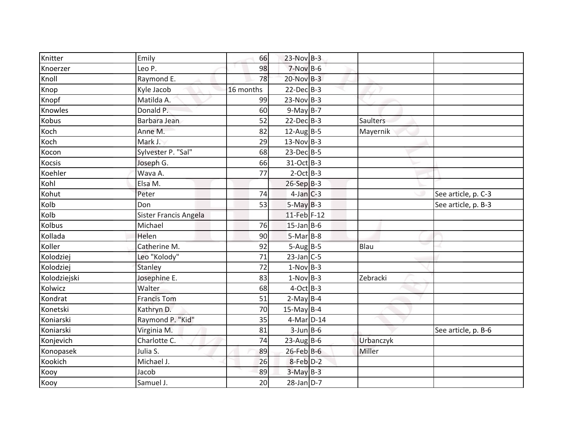| Knitter       | Emily                 | 66        | 23-Nov B-3      |                 |                     |
|---------------|-----------------------|-----------|-----------------|-----------------|---------------------|
| Knoerzer      | Leo P.                | 98        | $7-Nov$ B-6     |                 |                     |
| Knoll         | Raymond E.            | 78        | $20$ -Nov B-3   |                 |                     |
| Knop          | Kyle Jacob            | 16 months | $22$ -Dec $B-3$ |                 |                     |
| Knopf         | Matilda A.            | 99        | $23-Nov$ B-3    |                 |                     |
| Knowles       | Donald P.             | 60        | $9-May$ B-7     |                 |                     |
| Kobus         | Barbara Jean          | 52        | $22$ -Dec $B-3$ | <b>Saulters</b> |                     |
| Koch          | Anne M.               | 82        | $12$ -Aug B-5   | Mayernik        |                     |
| Koch          | Mark J.               | 29        | $13-Nov$ B-3    |                 |                     |
| Kocon         | Sylvester P. "Sal"    | 68        | $23$ -Dec $B-5$ |                 |                     |
| <b>Kocsis</b> | Joseph G.             | 66        | 31-Oct B-3      |                 |                     |
| Koehler       | Wava A.               | 77        | $2$ -Oct B-3    |                 |                     |
| Kohl          | Elsa M.               |           | $26-Sep$ B-3    |                 |                     |
| Kohut         | Peter                 | 74        | $4$ -Jan $C-3$  |                 | See article, p. C-3 |
| Kolb          | Don                   | 53        | $5-May$ B-3     |                 | See article, p. B-3 |
| Kolb          | Sister Francis Angela |           | 11-Feb F-12     |                 |                     |
| Kolbus        | Michael               | 76        | $15$ -Jan B-6   |                 |                     |
| Kollada       | Helen                 | 90        | $5-Mar$ B-8     |                 |                     |
| Koller        | Catherine M.          | 92        | $5-AugB-5$      | Blau            |                     |
| Kolodziej     | Leo "Kolody"          | 71        | $23$ -Jan $C-5$ |                 |                     |
| Kolodziej     | Stanley               | 72        | $1-Nov$ B-3     |                 |                     |
| Kolodziejski  | Josephine E.          | 83        | $1-Nov$ B-3     | Zebracki        |                     |
| Kolwicz       | Walter                | 68        | $4-Oct$ B-3     |                 |                     |
| Kondrat       | <b>Francis Tom</b>    | 51        | $2-May$ B-4     |                 |                     |
| Konetski      | Kathryn D.            | 70        | $15$ -May B-4   |                 |                     |
| Koniarski     | Raymond P. "Kid"      | 35        | 4-Mar D-14      |                 |                     |
| Koniarski     | Virginia M.           | 81        | $3$ -Jun $B$ -6 |                 | See article, p. B-6 |
| Konjevich     | Charlotte C.          | 74        | $23$ -Aug B-6   | Urbanczyk       |                     |
| Konopasek     | Julia S.              | 89        | $26$ -Feb B-6   | <b>Miller</b>   |                     |
| Kookich       | Michael J.            | 26        | 8-Feb D-2       |                 |                     |
| Kooy          | Jacob                 | 89        | $3-May$ B-3     |                 |                     |
| Kooy          | Samuel J.             | 20        | $28$ -Jan $D-7$ |                 |                     |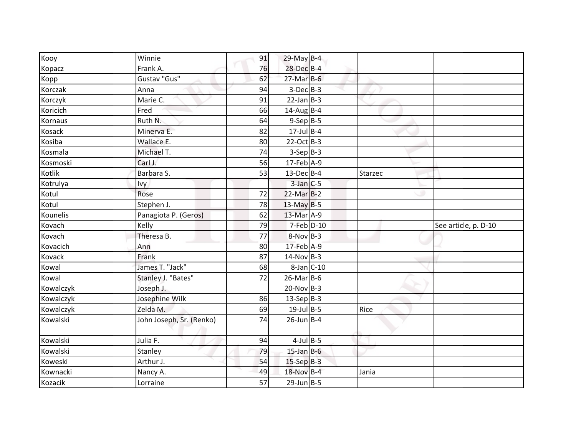| See article, p. D-10 |
|----------------------|
|                      |
|                      |
|                      |
|                      |
|                      |
|                      |
|                      |
|                      |
|                      |
|                      |
|                      |
|                      |
|                      |
|                      |
|                      |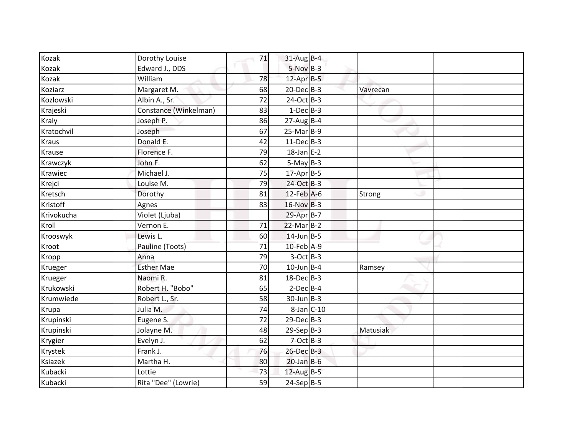| Kozak        | Dorothy Louise        | 71 | $31$ -Aug B-4    |          |  |
|--------------|-----------------------|----|------------------|----------|--|
| Kozak        | Edward J., DDS        |    | $5-NovB-3$       |          |  |
| Kozak        | William               | 78 | 12-Apr B-5       |          |  |
| Koziarz      | Margaret M.           | 68 | $20$ -Dec $B-3$  | Vavrecan |  |
| Kozlowski    | Albin A., Sr.         | 72 | $24-Oct$ B-3     |          |  |
| Krajeski     | Constance (Winkelman) | 83 | $1-Dec$ B-3      |          |  |
| Kraly        | Joseph P.             | 86 | $27$ -Aug B-4    |          |  |
| Kratochvil   | Joseph                | 67 | $25-Mar$ B-9     |          |  |
| <b>Kraus</b> | Donald E.             | 42 | $11 - Dec$ B-3   |          |  |
| Krause       | Florence F.           | 79 | $18$ -Jan E-2    |          |  |
| Krawczyk     | John F.               | 62 | $5-May$ B-3      |          |  |
| Krawiec      | Michael J.            | 75 | $17$ -Apr $B-5$  |          |  |
| Krejci       | Louise M.             | 79 | 24-Oct B-3       |          |  |
| Kretsch      | Dorothy               | 81 | $12$ -Feb $A$ -6 | Strong   |  |
| Kristoff     | Agnes                 | 83 | $16-Nov$ B-3     |          |  |
| Krivokucha   | Violet (Ljuba)        |    | 29-Apr B-7       |          |  |
| Kroll        | Vernon E.             | 71 | $22$ -Mar $B-2$  |          |  |
| Krooswyk     | Lewis L.              | 60 | $14$ -Jun $B-5$  |          |  |
| Kroot        | Pauline (Toots)       | 71 | 10-Feb A-9       |          |  |
| Kropp        | Anna                  | 79 | $3-Oct$ B-3      |          |  |
| Krueger      | <b>Esther Mae</b>     | 70 | $10$ -Jun B-4    | Ramsey   |  |
| Krueger      | Naomi R.              | 81 | 18-Dec B-3       |          |  |
| Krukowski    | Robert H. "Bobo"      | 65 | $2$ -Dec $B$ -4  |          |  |
| Krumwiede    | Robert L., Sr.        | 58 | $30$ -Jun $B-3$  |          |  |
| Krupa        | Julia M.              | 74 | $8$ -Jan $C$ -10 |          |  |
| Krupinski    | Eugene S.             | 72 | $29$ -Dec $B-3$  |          |  |
| Krupinski    | Jolayne M.            | 48 | $29-Sep$ B-3     | Matusiak |  |
| Krygier      | Evelyn J.             | 62 | $7-Oct$ B-3      |          |  |
| Krystek      | Frank J.              | 76 | 26-Dec B-3       |          |  |
| Ksiazek      | Martha H.             | 80 | $20$ -Jan B-6    |          |  |
| Kubacki      | Lottie                | 73 | $12$ -Aug B-5    |          |  |
| Kubacki      | Rita "Dee" (Lowrie)   | 59 | $24-Sep B-5$     |          |  |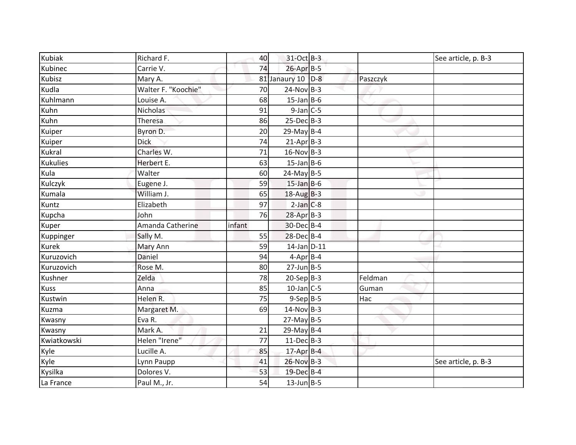| Kubiak          | Richard F.          | 40     | 31-Oct B-3        |          | See article, p. B-3 |
|-----------------|---------------------|--------|-------------------|----------|---------------------|
| Kubinec         | Carrie V.           | 74     | $26$ -Apr $B-5$   |          |                     |
| Kubisz          | Mary A.             |        | 81 Janaury 10 D-8 | Paszczyk |                     |
| Kudla           | Walter F. "Koochie" | 70     | $24-Nov$ B-3      |          |                     |
| Kuhlmann        | Louise A.           | 68     | $15$ -Jan B-6     |          |                     |
| Kuhn            | Nicholas            | 91     | $9$ -Jan $C$ -5   |          |                     |
| Kuhn            | Theresa             | 86     | $25$ -Dec $B-3$   |          |                     |
| Kuiper          | Byron D.            | 20     | 29-May $B-4$      |          |                     |
| Kuiper          | <b>Dick</b>         | 74     | $21-AprB-3$       |          |                     |
| Kukral          | Charles W.          | 71     | 16-Nov B-3        |          |                     |
| <b>Kukulies</b> | Herbert E.          | 63     | $15$ -Jan B-6     |          |                     |
| Kula            | Walter              | 60     | $24$ -May B-5     |          |                     |
| Kulczyk         | Eugene J.           | 59     | $15$ -Jan B-6     |          |                     |
| Kumala          | William J.          | 65     | $18-AugB-3$       |          |                     |
| Kuntz           | Elizabeth           | 97     | $2-Jan$ $C-8$     |          |                     |
| Kupcha          | John                | 76     | $28$ -Apr $B-3$   |          |                     |
| Kuper           | Amanda Catherine    | infant | 30-Dec B-4        |          |                     |
| Kuppinger       | Sally M.            | 55     | 28-Dec B-4        |          |                     |
| Kurek           | Mary Ann            | 59     | $14$ -Jan $D-11$  |          |                     |
| Kuruzovich      | Daniel              | 94     | $4$ -Apr $B$ -4   |          |                     |
| Kuruzovich      | Rose M.             | 80     | $27$ -Jun B-5     |          |                     |
| Kushner         | Zelda               | 78     | $20-Sep B-3$      | Feldman  |                     |
| <b>Kuss</b>     | Anna                | 85     | $10$ -Jan C-5     | Guman    |                     |
| Kustwin         | Helen R.            | 75     | $9-Sep$ $B-5$     | Hac      |                     |
| Kuzma           | Margaret M.         | 69     | $14-Nov$ B-3      |          |                     |
| Kwasny          | Eva R.              |        | $27$ -May B-5     |          |                     |
| Kwasny          | Mark A.             | 21     | 29-May B-4        |          |                     |
| Kwiatkowski     | Helen "Irene"       | 77     | $11$ -Dec $B-3$   |          |                     |
| Kyle            | Lucille A.          | 85     | 17-Apr B-4        |          |                     |
| Kyle            | Lynn Paupp          | 41     | 26-Nov B-3        |          | See article, p. B-3 |
| Kysilka         | Dolores V.          | 53     | 19-Dec B-4        |          |                     |
| La France       | Paul M., Jr.        | 54     | $13$ -Jun B-5     |          |                     |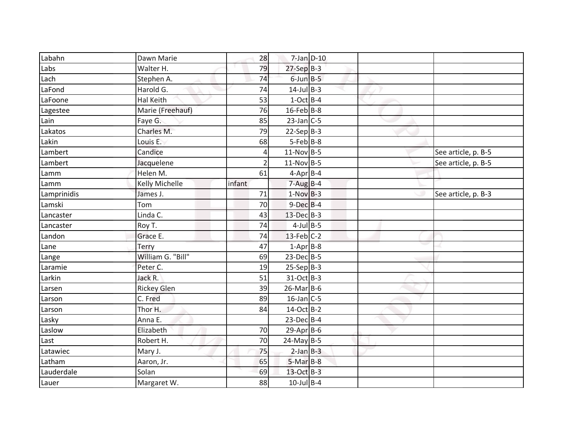| Labahn      | Dawn Marie            | 28             | $7$ -Jan $D-10$   |  |                     |
|-------------|-----------------------|----------------|-------------------|--|---------------------|
| Labs        | Walter H.             | 79             | $27-SepB-3$       |  |                     |
| Lach        | Stephen A.            | 74             | $6$ -Jun $B - 5$  |  |                     |
| LaFond      | Harold G.             | 74             | $14$ -Jul B-3     |  |                     |
| LaFoone     | Hal Keith             | 53             | $1-Oct$ B-4       |  |                     |
| Lagestee    | Marie (Freehauf)      | 76             | $16$ -Feb B-8     |  |                     |
| Lain        | Faye G.               | 85             | $23$ -Jan C-5     |  |                     |
| Lakatos     | Charles M.            | 79             | $22-Sep B-3$      |  |                     |
| Lakin       | Louis E.              | 68             | $5-Feb$ B-8       |  |                     |
| Lambert     | Candice               | 4              | $11-Nov$ B-5      |  | See article, p. B-5 |
| Lambert     | Jacquelene            | $\overline{2}$ | $11-Nov$ B-5      |  | See article, p. B-5 |
| Lamm        | Helen M.              | 61             | $4-Apr$ B-4       |  |                     |
| Lamm        | <b>Kelly Michelle</b> | infant         | $7 - Aug$ B-4     |  |                     |
| Lamprinidis | James J.              | 71             | $1-NovB-3$        |  | See article, p. B-3 |
| Lamski      | Tom                   | 70             | $9$ -Dec $B$ -4   |  |                     |
| Lancaster   | Linda C.              | 43             | 13-Dec B-3        |  |                     |
| Lancaster   | Roy T.                | 74             | $4$ -Jul B-5      |  |                     |
| Landon      | Grace E.              | 74             | $13$ -Feb $ C-2 $ |  |                     |
| Lane        | Terry                 | 47             | $1$ -Apr $B$ -8   |  |                     |
| Lange       | William G. "Bill"     | 69             | $23$ -Dec $B-5$   |  |                     |
| Laramie     | Peter C.              | 19             | $25-Sep B-3$      |  |                     |
| Larkin      | Jack R.               | 51             | 31-Oct B-3        |  |                     |
| Larsen      | <b>Rickey Glen</b>    | 39             | $26$ -Mar $B$ -6  |  |                     |
| Larson      | C. Fred               | 89             | $16$ -Jan C-5     |  |                     |
| Larson      | Thor H.               | 84             | 14-Oct B-2        |  |                     |
| Lasky       | Anna E.               |                | $23$ -Dec $B-4$   |  |                     |
| Laslow      | Elizabeth             | 70             | $29$ -Apr $B$ -6  |  |                     |
| Last        | Robert H.             | 70             | $24$ -May B-5     |  |                     |
| Latawiec    | Mary J.               | 75             | $2-Jan$ $B-3$     |  |                     |
| Latham      | Aaron, Jr.            | 65             | $5-MarB-8$        |  |                     |
| Lauderdale  | Solan                 | 69             | 13-Oct B-3        |  |                     |
| Lauer       | Margaret W.           | 88             | $10$ -Jul B-4     |  |                     |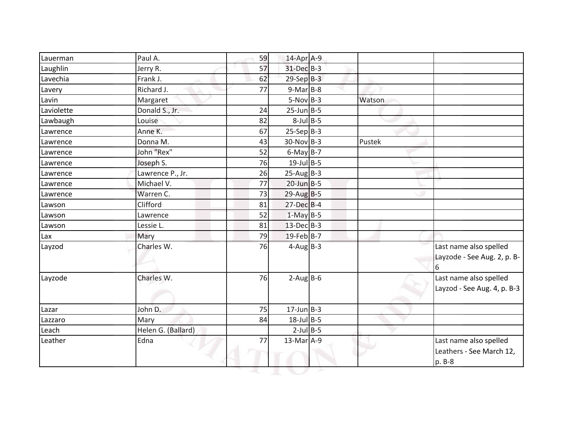| Lauerman   | Paul A.            | 59 | 14-Apr A-9        |        |                                                              |
|------------|--------------------|----|-------------------|--------|--------------------------------------------------------------|
| Laughlin   | Jerry R.           | 57 | $31$ -Dec $B-3$   |        |                                                              |
| Lavechia   | Frank J.           | 62 | $29-SepB-3$       |        |                                                              |
| Lavery     | Richard J.         | 77 | $9-Mar$ B-8       |        |                                                              |
| Lavin      | Margaret           |    | $5-Nov$ B-3       | Watson |                                                              |
| Laviolette | Donald S., Jr.     | 24 | $25$ -Jun B-5     |        |                                                              |
| Lawbaugh   | Louise             | 82 | $8$ -Jul $B$ -5   |        |                                                              |
| Lawrence   | Anne K.            | 67 | $25-Sep B-3$      |        |                                                              |
| Lawrence   | Donna M.           | 43 | $30-Nov$ B-3      | Pustek |                                                              |
| Lawrence   | John "Rex"         | 52 | $6$ -May $B-7$    |        |                                                              |
| Lawrence   | Joseph S.          | 76 | $19$ -Jul B-5     |        |                                                              |
| Lawrence   | Lawrence P., Jr.   | 26 | $25$ -Aug B-3     |        |                                                              |
| Lawrence   | Michael V.         | 77 | $20$ -Jun $B - 5$ |        |                                                              |
| Lawrence   | Warren C.          | 73 | $29$ -Aug B-5     |        |                                                              |
| Lawson     | Clifford           | 81 | $27$ -Dec $B-4$   |        |                                                              |
| Lawson     | Lawrence           | 52 | $1-May$ B-5       |        |                                                              |
| Lawson     | Lessie L.          | 81 | $13$ -Dec $B-3$   |        |                                                              |
| Lax        | Mary               | 79 | $19$ -Feb B-7     |        |                                                              |
| Layzod     | Charles W.         | 76 | $4$ -Aug B-3      |        | Last name also spelled<br>Layzode - See Aug. 2, p. B-<br>6   |
| Layzode    | Charles W.         | 76 | $2$ -Aug B-6      |        | Last name also spelled<br>Layzod - See Aug. 4, p. B-3        |
| Lazar      | John D.            | 75 | $17$ -Jun $B-3$   |        |                                                              |
| Lazzaro    | Mary               | 84 | $18$ -Jul B-5     |        |                                                              |
| Leach      | Helen G. (Ballard) |    | $2$ -Jul B-5      |        |                                                              |
| Leather    | Edna               | 77 | 13-Mar A-9        |        | Last name also spelled<br>Leathers - See March 12,<br>p. B-8 |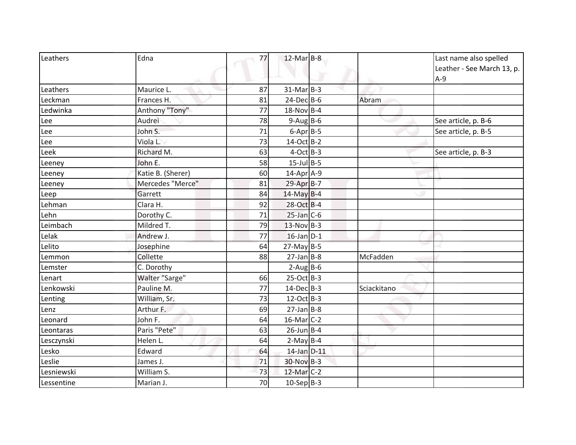| Leathers   | Edna              | 77 | $12$ -Mar $B-8$  |             | Last name also spelled<br>Leather - See March 13, p.<br>$A-9$ |
|------------|-------------------|----|------------------|-------------|---------------------------------------------------------------|
| Leathers   | Maurice L.        | 87 | $31-Mar$ B-3     |             |                                                               |
| Leckman    | Frances H.        | 81 | $24$ -Dec $B$ -6 | Abram       |                                                               |
| Ledwinka   | Anthony "Tony"    | 77 | $18-Nov$ B-4     |             |                                                               |
| Lee        | Audrei            | 78 | $9-Aug$ B-6      |             | See article, p. B-6                                           |
| Lee        | John S.           | 71 | $6$ -Apr $B$ -5  |             | See article, p. B-5                                           |
| Lee        | Viola L.          | 73 | 14-Oct B-2       |             |                                                               |
| Leek       | Richard M.        | 63 | $4$ -Oct B-3     |             | See article, p. B-3                                           |
| Leeney     | John E.           | 58 | $15$ -Jul B-5    |             |                                                               |
| Leeney     | Katie B. (Sherer) | 60 | 14-Apr A-9       |             |                                                               |
| Leeney     | Mercedes "Merce"  | 81 | 29-Apr B-7       |             |                                                               |
| Leep       | Garrett           | 84 | 14-May B-4       |             |                                                               |
| Lehman     | Clara H.          | 92 | 28-Oct B-4       |             |                                                               |
| Lehn       | Dorothy C.        | 71 | $25$ -Jan C-6    |             |                                                               |
| Leimbach   | Mildred T.        | 79 | $13-Nov$ B-3     |             |                                                               |
| Lelak      | Andrew J.         | 77 | $16$ -Jan $D-1$  |             |                                                               |
| Lelito     | Josephine         | 64 | $27$ -May B-5    |             |                                                               |
| Lemmon     | Collette          | 88 | $27$ -Jan B-8    | McFadden    |                                                               |
| Lemster    | C. Dorothy        |    | $2-AugBB-6$      |             |                                                               |
| Lenart     | Walter "Sarge"    | 66 | $25-Oct$ B-3     |             |                                                               |
| Lenkowski  | Pauline M.        | 77 | $14$ -Dec $B-3$  | Sciackitano |                                                               |
| Lenting    | William, Sr.      | 73 | 12-Oct B-3       |             |                                                               |
| Lenz       | Arthur F.         | 69 | $27$ -Jan B-8    |             |                                                               |
| Leonard    | John F.           | 64 | $16$ -Mar $C-2$  |             |                                                               |
| Leontaras  | Paris "Pete"      | 63 | $26$ -Jun B-4    |             |                                                               |
| Lesczynski | Helen L.          | 64 | $2-MayBB-4$      |             |                                                               |
| Lesko      | Edward            | 64 | 14-Jan D-11      |             |                                                               |
| Leslie     | James J.          | 71 | 30-Nov B-3       |             |                                                               |
| Lesniewski | William S.        | 73 | 12-Mar C-2       |             |                                                               |
| Lessentine | Marian J.         | 70 | $10-Sep B-3$     |             |                                                               |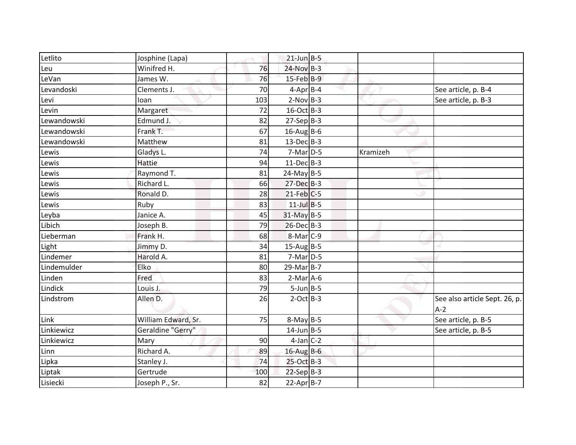| Letlito           | Josphine (Lapa)     |     | $21$ -Jun B-5   |          |                                        |
|-------------------|---------------------|-----|-----------------|----------|----------------------------------------|
| Leu               | Winifred H.         | 76  | $24-Nov$ B-3    |          |                                        |
| LeVan             | James W.            | 76  | $15$ -Feb $B-9$ |          |                                        |
| Levandoski        | Clements J.         | 70  | $4-Apr$ B-4     |          | See article, p. B-4                    |
| Levi              | loan                | 103 | $2-Nov$ B-3     |          | See article, p. B-3                    |
| Levin             | Margaret            | 72  | 16-Oct B-3      |          |                                        |
| Lewandowski       | Edmund J.           | 82  | $27-Sep B-3$    |          |                                        |
| Lewandowski       | Frank T.            | 67  | $16$ -AugB-6    |          |                                        |
| Lewandowski       | Matthew             | 81  | $13$ -Dec $B-3$ |          |                                        |
| Lewis             | Gladys L.           | 74  | $7-Mar$ D-5     | Kramizeh |                                        |
| Lewis             | Hattie              | 94  | $11-Dec$ B-3    |          |                                        |
| Lewis             | Raymond T.          | 81  | $24$ -May B-5   |          |                                        |
| Lewis             | Richard L.          | 66  | $27 - Dec$ B-3  |          |                                        |
| Lewis             | Ronald D.           | 28  | $21$ -Feb $C-5$ |          |                                        |
| Lewis             | Ruby                | 83  | $11$ -Jul B-5   |          |                                        |
| Leyba             | Janice A.           | 45  | 31-May B-5      |          |                                        |
| Libich            | Joseph B.           | 79  | $26$ -Dec $B-3$ |          |                                        |
| Lieberman         | Frank H.            | 68  | $8-Mar$ C-9     |          |                                        |
| Light<br>Lindemer | Jimmy D.            | 34  | $15-AugB-5$     |          |                                        |
|                   | Harold A.           | 81  | $7-Mar$ D-5     |          |                                        |
| Lindemulder       | Elko                | 80  | 29-Mar B-7      |          |                                        |
| Linden            | Fred                | 83  | $2-Mar$ A-6     |          |                                        |
| Lindick           | Louis J.            | 79  | $5$ -Jun $B$ -5 |          |                                        |
| Lindstrom         | Allen D.            | 26  | $2$ -Oct B-3    |          | See also article Sept. 26, p.<br>$A-2$ |
| Link              | William Edward, Sr. | 75  | $8-May$ B-5     |          | See article, p. B-5                    |
| Linkiewicz        | Geraldine "Gerry"   |     | $14$ -Jun B-5   |          | See article, p. B-5                    |
| Linkiewicz        | Mary                | 90  | $4$ -Jan $C-2$  |          |                                        |
| Linn              | Richard A.          | 89  | $16$ -Aug B-6   |          |                                        |
| Lipka             | Stanley J.          | 74  | 25-Oct B-3      |          |                                        |
| Liptak            | Gertrude            | 100 | $22-Sep$ B-3    |          |                                        |
| Lisiecki          | Joseph P., Sr.      | 82  | $22-AprB-7$     |          |                                        |
|                   |                     |     |                 |          |                                        |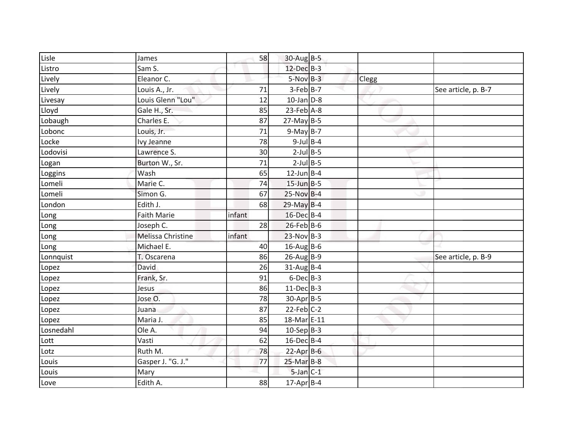| Lisle     | James              | 58     | $30$ -Aug B-5    |       |                     |
|-----------|--------------------|--------|------------------|-------|---------------------|
| Listro    | Sam S.             |        | 12-Dec B-3       |       |                     |
| Lively    | Eleanor C.         |        | $5-NovB-3$       | Clegg |                     |
| Lively    | Louis A., Jr.      | 71     | $3-Feb B-7$      |       | See article, p. B-7 |
| Livesay   | Louis Glenn "Lou"  | 12     | $10$ -Jan $D-8$  |       |                     |
| Lloyd     | Gale H., Sr.       | 85     | $23$ -Feb $A-8$  |       |                     |
| Lobaugh   | Charles E.         | 87     | $27$ -May B-5    |       |                     |
| Lobonc    | Louis, Jr.         | 71     | $9-MayB-7$       |       |                     |
| Locke     | Ivy Jeanne         | 78     | $9$ -Jul B-4     |       |                     |
| Lodovisi  | Lawrence S.        | 30     | $2$ -Jul $B$ -5  |       |                     |
| Logan     | Burton W., Sr.     | 71     | $2$ -Jul $B$ -5  |       |                     |
| Loggins   | Wash               | 65     | $12$ -Jun B-4    |       |                     |
| Lomeli    | Marie C.           | 74     | $15$ -Jun B-5    |       |                     |
| Lomeli    | Simon G.           | 67     | $25-Nov$ B-4     |       |                     |
| London    | Edith J.           | 68     | $29$ -May B-4    |       |                     |
| Long      | <b>Faith Marie</b> | infant | 16-Dec B-4       |       |                     |
| Long      | Joseph C.          | 28     | $26$ -Feb B-6    |       |                     |
| Long      | Melissa Christine  | infant | $23-Nov$ B-3     |       |                     |
| Long      | Michael E.         | 40     | 16-Aug B-6       |       |                     |
| Lonnquist | T. Oscarena        | 86     | $26$ -Aug B-9    |       | See article, p. B-9 |
| Lopez     | David              | 26     | $31$ -Aug B-4    |       |                     |
| Lopez     | Frank, Sr.         | 91     | $6$ -Dec $B$ -3  |       |                     |
| Lopez     | Jesus              | 86     | $11-Dec$ B-3     |       |                     |
| Lopez     | Jose O.            | 78     | 30-Apr B-5       |       |                     |
| Lopez     | Juana              | 87     | $22$ -Feb $C-2$  |       |                     |
| Lopez     | Maria J.           | 85     | 18-Mar E-11      |       |                     |
| Losnedahl | Ole A.             | 94     | $10-Sep$ B-3     |       |                     |
| Lott      | Vasti              | 62     | $16$ -Dec $B$ -4 |       |                     |
| Lotz      | Ruth M.            | 78     | 22-Apr B-6       |       |                     |
| Louis     | Gasper J. "G. J."  | 77     | $25-Mar$ B-8     |       |                     |
| Louis     | Mary               |        | $5$ -Jan $C-1$   |       |                     |
| Love      | Edith A.           | 88     | $17$ -Apr $B$ -4 |       |                     |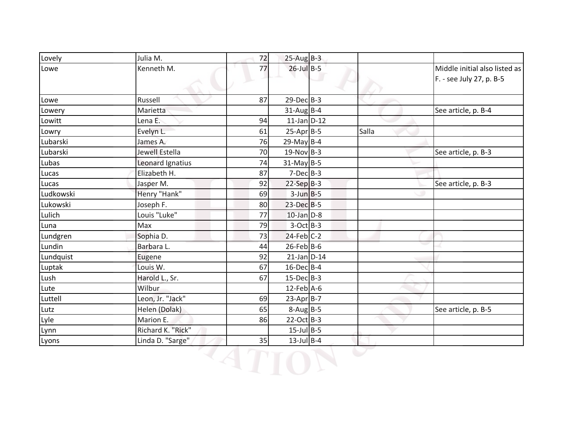| Lovely    | Julia M.          | 72 | $25-Aug$ B-3     |       |                                                           |
|-----------|-------------------|----|------------------|-------|-----------------------------------------------------------|
| Lowe      | Kenneth M.        | 77 | $26$ -Jul B-5    |       | Middle initial also listed as<br>F. - see July 27, p. B-5 |
| Lowe      | Russell           | 87 | $29$ -Dec $B-3$  |       |                                                           |
| Lowery    | Marietta          |    | $31$ -Aug B-4    |       | See article, p. B-4                                       |
| Lowitt    | Lena E.           | 94 | $11$ -Jan $D-12$ |       |                                                           |
| Lowry     | Evelyn L.         | 61 | $25-Apr$ B-5     | Salla |                                                           |
| Lubarski  | James A.          | 76 | $29$ -May B-4    |       |                                                           |
| Lubarski  | Jewell Estella    | 70 | $19-Nov$ B-3     |       | See article, p. B-3                                       |
| Lubas     | Leonard Ignatius  | 74 | $31$ -May B-5    |       |                                                           |
| Lucas     | Elizabeth H.      | 87 | $7-Dec$ B-3      |       |                                                           |
| Lucas     | Jasper M.         | 92 | $22-Sep$ B-3     |       | See article, p. B-3                                       |
| Ludkowski | Henry "Hank"      | 69 | $3$ -Jun $B$ -5  |       |                                                           |
| Lukowski  | Joseph F.         | 80 | 23-Dec B-5       |       |                                                           |
| Lulich    | Louis "Luke"      | 77 | $10$ -Jan $D-8$  |       |                                                           |
| Luna      | Max               | 79 | $3-Oct$ B-3      |       |                                                           |
| Lundgren  | Sophia D.         | 73 | $24$ -Feb $C-2$  |       |                                                           |
| Lundin    | Barbara L.        | 44 | $26$ -Feb $B$ -6 |       |                                                           |
| Lundquist | Eugene            | 92 | $21$ -Jan $D-14$ |       |                                                           |
| Luptak    | Louis W.          | 67 | $16$ -Dec $B$ -4 |       |                                                           |
| Lush      | Harold L., Sr.    | 67 | $15$ -Dec $B$ -3 |       |                                                           |
| Lute      | Wilbur            |    | $12$ -Feb $A$ -6 |       |                                                           |
| Luttell   | Leon, Jr. "Jack"  | 69 | 23-Apr B-7       |       |                                                           |
| Lutz      | Helen (Dolak)     | 65 | $8-Aug$ B-5      |       | See article, p. B-5                                       |
| Lyle      | Marion E.         | 86 | $22-Oct$ B-3     |       |                                                           |
| Lynn      | Richard K. "Rick" |    | $15$ -Jul B-5    |       |                                                           |
|           | Linda D. "Sarge"  | 35 | $13$ -Jul B-4    |       |                                                           |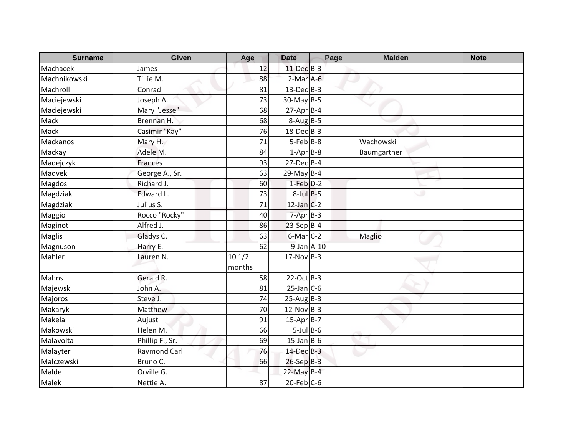| <b>Surname</b> | <b>Given</b>        | Age             | <b>Date</b>      | Page | <b>Maiden</b> | <b>Note</b> |
|----------------|---------------------|-----------------|------------------|------|---------------|-------------|
| Machacek       | James               | 12              | 11-Dec B-3       |      |               |             |
| Machnikowski   | Tillie M.           | 88              | $2-Mar$ A-6      |      |               |             |
| Machroll       | Conrad              | 81              | $13$ -Dec $B-3$  |      |               |             |
| Maciejewski    | Joseph A.           | 73              | $30$ -May B-5    |      |               |             |
| Maciejewski    | Mary "Jesse"        | 68              | $27$ -Apr $B$ -4 |      |               |             |
| Mack           | Brennan H.          | 68              | $8-Aug$ B-5      |      |               |             |
| Mack           | Casimir "Kay"       | 76              | $18$ -Dec $B-3$  |      |               |             |
| Mackanos       | Mary H.             | 71              | $5 - Feb$ $B-8$  |      | Wachowski     |             |
| Mackay         | Adele M.            | 84              | $1-Apr$ B-8      |      | Baumgartner   |             |
| Madejczyk      | <b>Frances</b>      | 93              | $27$ -Dec $B-4$  |      |               |             |
| Madvek         | George A., Sr.      | 63              | $29$ -May B-4    |      |               |             |
| Magdos         | Richard J.          | 60              | $1-Feb$ $D-2$    |      |               |             |
| Magdziak       | Edward L.           | 73              | $8$ -Jul $B$ -5  |      |               |             |
| Magdziak       | Julius S.           | 71              | $12$ -Jan $C-2$  |      |               |             |
| Maggio         | Rocco "Rocky"       | 40              | $7-Apr$ B-3      |      |               |             |
| Maginot        | Alfred J.           | 86              | $23-Sep$ B-4     |      |               |             |
| <b>Maglis</b>  | Gladys C.           | 63              | $6$ -Mar $C-2$   |      | Maglio        |             |
| Magnuson       | Harry E.            | 62              | $9$ -Jan $A-10$  |      |               |             |
| Mahler         | Lauren N.           | 101/2<br>months | $17-Nov$ B-3     |      |               |             |
| Mahns          | Gerald R.           | 58              | $22-Oct$ B-3     |      |               |             |
| Majewski       | John A.             | 81              | $25$ -Jan C-6    |      |               |             |
| Majoros        | Steve J.            | 74              | $25$ -Aug B-3    |      |               |             |
| Makaryk        | Matthew             | 70              | $12-Nov$ B-3     |      |               |             |
| Makela         | Aujust              | 91              | $15-Apr$ B-7     |      |               |             |
| Makowski       | Helen M.            | 66              | $5$ -Jul $B$ -6  |      |               |             |
| Malavolta      | Phillip F., Sr.     | 69              | $15$ -Jan B-6    |      |               |             |
| Malayter       | <b>Raymond Carl</b> | 76              | 14-Dec B-3       |      |               |             |
| Malczewski     | Bruno C.            | 66              | 26-Sep B-3       |      |               |             |
| Malde          | Orville G.          |                 | $22$ -May B-4    |      |               |             |
| Malek          | Nettie A.           | 87              | $20$ -Feb $C$ -6 |      |               |             |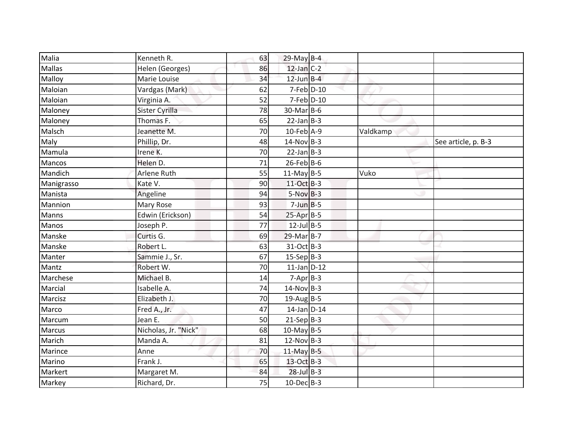| Malia      | Kenneth R.           | 63 | $29$ -May B-4    |          |                     |
|------------|----------------------|----|------------------|----------|---------------------|
| Mallas     | Helen (Georges)      | 86 | $12$ -Jan C-2    |          |                     |
| Malloy     | Marie Louise         | 34 | $12$ -Jun $B-4$  |          |                     |
| Maloian    | Vardgas (Mark)       | 62 | $7$ -Feb $D-10$  |          |                     |
| Maloian    | Virginia A.          | 52 | $7$ -Feb $D-10$  |          |                     |
| Maloney    | Sister Cyrilla       | 78 | 30-Mar B-6       |          |                     |
| Maloney    | Thomas F.            | 65 | $22$ -Jan B-3    |          |                     |
| Malsch     | Jeanette M.          | 70 | $10$ -Feb $A-9$  | Valdkamp |                     |
| Maly       | Phillip, Dr.         | 48 | $14$ -Nov B-3    |          | See article, p. B-3 |
| Mamula     | Irene K.             | 70 | $22$ -Jan B-3    |          |                     |
| Mancos     | Helen D.             | 71 | $26$ -Feb B-6    |          |                     |
| Mandich    | Arlene Ruth          | 55 | $11-May$ B-5     | Vuko     |                     |
| Manigrasso | Kate V.              | 90 | 11-Oct B-3       |          |                     |
| Manista    | Angeline             | 94 | $5-Nov$ B-3      |          |                     |
| Mannion    | Mary Rose            | 93 | $7$ -Jun $B - 5$ |          |                     |
| Manns      | Edwin (Erickson)     | 54 | $25-Apr$ B-5     |          |                     |
| Manos      | Joseph P.            | 77 | $12$ -Jul B-5    |          |                     |
| Manske     | Curtis G.            | 69 | 29-Mar B-7       |          |                     |
| Manske     | Robert L.            | 63 | 31-Oct B-3       |          |                     |
| Manter     | Sammie J., Sr.       | 67 | $15-Sep B-3$     |          |                     |
| Mantz      | Robert W.            | 70 | $11$ -Jan D-12   |          |                     |
| Marchese   | Michael B.           | 14 | $7-Apr$ B-3      |          |                     |
| Marcial    | Isabelle A.          | 74 | $14-Nov$ B-3     |          |                     |
| Marcisz    | Elizabeth J.         | 70 | $19$ -AugB-5     |          |                     |
| Marco      | Fred A., Jr.         | 47 | 14-Jan D-14      |          |                     |
| Marcum     | Jean E.              | 50 | $21-Sep B-3$     |          |                     |
| Marcus     | Nicholas, Jr. "Nick" | 68 | $10$ -May B-5    |          |                     |
| Marich     | Manda A.             | 81 | $12-Nov$ B-3     |          |                     |
| Marince    | Anne                 | 70 | $11$ -May B-5    |          |                     |
| Marino     | Frank J.             | 65 | 13-Oct B-3       |          |                     |
| Markert    | Margaret M.          | 84 | $28$ -Jul $B-3$  |          |                     |
| Markey     | Richard, Dr.         | 75 | $10$ -Dec $B-3$  |          |                     |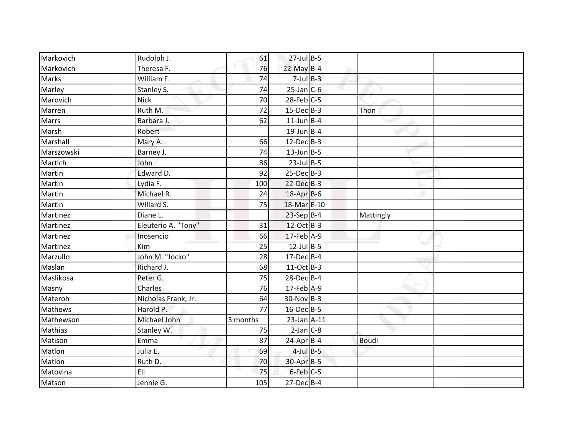| $27$ -Jul $B-5$<br>76<br>Theresa F.<br>$22$ -May B-4<br>Markovich<br>$7$ -Jul $B-3$<br>William F.<br>74<br>Marks<br>$25$ -Jan $C$ -6<br>Marley<br>Stanley S.<br>74<br>$28$ -Feb $C$ -5<br><b>Nick</b><br>70<br>Ruth M.<br>$15$ -Dec $B-3$<br>72<br>Marren<br>Thon<br>62<br>$11$ -Jun B-4<br>Barbara J.<br><b>Marrs</b><br>$19$ -Jun B-4<br>Robert<br>Marshall<br>66<br>$12$ -Dec $B-3$<br>Mary A.<br>$13$ -Jun $B - 5$<br>Marszowski<br>Barney J.<br>74<br>$23$ -Jul B-5<br>John<br>86<br>Edward D.<br>$25$ -Dec $B-3$<br>92<br>Martin<br>Lydia F.<br>$22$ -Dec $B-3$<br>100<br>Michael R.<br>Martin<br>24<br>18-Apr B-6<br>Willard S.<br>75<br>18-Mar E-10<br>$23-SepB-4$<br>Martinez<br>Diane L.<br>Mattingly<br>Eleuterio A. "Tony"<br>12-Oct B-3<br>31<br>Martinez<br>$17$ -Feb $A-9$<br>Martinez<br>Inosencio<br>66<br>$12$ -Jul B-5<br>Martinez<br>Kim<br>25<br>John M. "Jocko"<br>Marzullo<br>28<br>$17$ -Dec $B$ -4<br>Maslan<br>Richard J.<br>68<br>11-Oct B-3<br>Peter G.<br>75<br>$28$ -Dec $B$ -4<br>Charles<br>76<br>17-Feb A-9<br>Masny<br>$30-Nov B-3$<br>Materoh<br>Nicholas Frank, Jr.<br>64<br>Harold P.<br>16-Dec B-5<br>77<br>Michael John<br>3 months<br>$23$ -Jan $A-11$<br>Mathewson<br>$2-Jan$ $C-8$<br><b>Mathias</b><br>Stanley W.<br>75<br>Emma<br>Matison<br>87<br>$24$ -Apr $B$ -4<br><b>Boudi</b><br>Julia E.<br>$4$ -Jul $B$ -5<br>69<br>30-Apr B-5<br>Matlon<br>Ruth D.<br>70<br>6-Feb C-5<br>Eli<br>75<br>Matovina<br>Jennie G.<br>$27$ -Dec $B-4$<br>105 |           |            |    |  |  |
|--------------------------------------------------------------------------------------------------------------------------------------------------------------------------------------------------------------------------------------------------------------------------------------------------------------------------------------------------------------------------------------------------------------------------------------------------------------------------------------------------------------------------------------------------------------------------------------------------------------------------------------------------------------------------------------------------------------------------------------------------------------------------------------------------------------------------------------------------------------------------------------------------------------------------------------------------------------------------------------------------------------------------------------------------------------------------------------------------------------------------------------------------------------------------------------------------------------------------------------------------------------------------------------------------------------------------------------------------------------------------------------------------------------------------------------------------------------------------------------------|-----------|------------|----|--|--|
|                                                                                                                                                                                                                                                                                                                                                                                                                                                                                                                                                                                                                                                                                                                                                                                                                                                                                                                                                                                                                                                                                                                                                                                                                                                                                                                                                                                                                                                                                            | Markovich | Rudolph J. | 61 |  |  |
|                                                                                                                                                                                                                                                                                                                                                                                                                                                                                                                                                                                                                                                                                                                                                                                                                                                                                                                                                                                                                                                                                                                                                                                                                                                                                                                                                                                                                                                                                            |           |            |    |  |  |
|                                                                                                                                                                                                                                                                                                                                                                                                                                                                                                                                                                                                                                                                                                                                                                                                                                                                                                                                                                                                                                                                                                                                                                                                                                                                                                                                                                                                                                                                                            |           |            |    |  |  |
| Marovich<br>Marsh<br>Martich<br>Martin<br>Martin<br>Maslikosa<br>Mathews<br>Matlon<br>Matson                                                                                                                                                                                                                                                                                                                                                                                                                                                                                                                                                                                                                                                                                                                                                                                                                                                                                                                                                                                                                                                                                                                                                                                                                                                                                                                                                                                               |           |            |    |  |  |
|                                                                                                                                                                                                                                                                                                                                                                                                                                                                                                                                                                                                                                                                                                                                                                                                                                                                                                                                                                                                                                                                                                                                                                                                                                                                                                                                                                                                                                                                                            |           |            |    |  |  |
|                                                                                                                                                                                                                                                                                                                                                                                                                                                                                                                                                                                                                                                                                                                                                                                                                                                                                                                                                                                                                                                                                                                                                                                                                                                                                                                                                                                                                                                                                            |           |            |    |  |  |
|                                                                                                                                                                                                                                                                                                                                                                                                                                                                                                                                                                                                                                                                                                                                                                                                                                                                                                                                                                                                                                                                                                                                                                                                                                                                                                                                                                                                                                                                                            |           |            |    |  |  |
|                                                                                                                                                                                                                                                                                                                                                                                                                                                                                                                                                                                                                                                                                                                                                                                                                                                                                                                                                                                                                                                                                                                                                                                                                                                                                                                                                                                                                                                                                            |           |            |    |  |  |
|                                                                                                                                                                                                                                                                                                                                                                                                                                                                                                                                                                                                                                                                                                                                                                                                                                                                                                                                                                                                                                                                                                                                                                                                                                                                                                                                                                                                                                                                                            |           |            |    |  |  |
|                                                                                                                                                                                                                                                                                                                                                                                                                                                                                                                                                                                                                                                                                                                                                                                                                                                                                                                                                                                                                                                                                                                                                                                                                                                                                                                                                                                                                                                                                            |           |            |    |  |  |
|                                                                                                                                                                                                                                                                                                                                                                                                                                                                                                                                                                                                                                                                                                                                                                                                                                                                                                                                                                                                                                                                                                                                                                                                                                                                                                                                                                                                                                                                                            |           |            |    |  |  |
|                                                                                                                                                                                                                                                                                                                                                                                                                                                                                                                                                                                                                                                                                                                                                                                                                                                                                                                                                                                                                                                                                                                                                                                                                                                                                                                                                                                                                                                                                            |           |            |    |  |  |
|                                                                                                                                                                                                                                                                                                                                                                                                                                                                                                                                                                                                                                                                                                                                                                                                                                                                                                                                                                                                                                                                                                                                                                                                                                                                                                                                                                                                                                                                                            |           |            |    |  |  |
|                                                                                                                                                                                                                                                                                                                                                                                                                                                                                                                                                                                                                                                                                                                                                                                                                                                                                                                                                                                                                                                                                                                                                                                                                                                                                                                                                                                                                                                                                            |           |            |    |  |  |
|                                                                                                                                                                                                                                                                                                                                                                                                                                                                                                                                                                                                                                                                                                                                                                                                                                                                                                                                                                                                                                                                                                                                                                                                                                                                                                                                                                                                                                                                                            |           |            |    |  |  |
|                                                                                                                                                                                                                                                                                                                                                                                                                                                                                                                                                                                                                                                                                                                                                                                                                                                                                                                                                                                                                                                                                                                                                                                                                                                                                                                                                                                                                                                                                            |           |            |    |  |  |
|                                                                                                                                                                                                                                                                                                                                                                                                                                                                                                                                                                                                                                                                                                                                                                                                                                                                                                                                                                                                                                                                                                                                                                                                                                                                                                                                                                                                                                                                                            |           |            |    |  |  |
|                                                                                                                                                                                                                                                                                                                                                                                                                                                                                                                                                                                                                                                                                                                                                                                                                                                                                                                                                                                                                                                                                                                                                                                                                                                                                                                                                                                                                                                                                            |           |            |    |  |  |
|                                                                                                                                                                                                                                                                                                                                                                                                                                                                                                                                                                                                                                                                                                                                                                                                                                                                                                                                                                                                                                                                                                                                                                                                                                                                                                                                                                                                                                                                                            |           |            |    |  |  |
|                                                                                                                                                                                                                                                                                                                                                                                                                                                                                                                                                                                                                                                                                                                                                                                                                                                                                                                                                                                                                                                                                                                                                                                                                                                                                                                                                                                                                                                                                            |           |            |    |  |  |
|                                                                                                                                                                                                                                                                                                                                                                                                                                                                                                                                                                                                                                                                                                                                                                                                                                                                                                                                                                                                                                                                                                                                                                                                                                                                                                                                                                                                                                                                                            |           |            |    |  |  |
|                                                                                                                                                                                                                                                                                                                                                                                                                                                                                                                                                                                                                                                                                                                                                                                                                                                                                                                                                                                                                                                                                                                                                                                                                                                                                                                                                                                                                                                                                            |           |            |    |  |  |
|                                                                                                                                                                                                                                                                                                                                                                                                                                                                                                                                                                                                                                                                                                                                                                                                                                                                                                                                                                                                                                                                                                                                                                                                                                                                                                                                                                                                                                                                                            |           |            |    |  |  |
|                                                                                                                                                                                                                                                                                                                                                                                                                                                                                                                                                                                                                                                                                                                                                                                                                                                                                                                                                                                                                                                                                                                                                                                                                                                                                                                                                                                                                                                                                            |           |            |    |  |  |
|                                                                                                                                                                                                                                                                                                                                                                                                                                                                                                                                                                                                                                                                                                                                                                                                                                                                                                                                                                                                                                                                                                                                                                                                                                                                                                                                                                                                                                                                                            |           |            |    |  |  |
|                                                                                                                                                                                                                                                                                                                                                                                                                                                                                                                                                                                                                                                                                                                                                                                                                                                                                                                                                                                                                                                                                                                                                                                                                                                                                                                                                                                                                                                                                            |           |            |    |  |  |
|                                                                                                                                                                                                                                                                                                                                                                                                                                                                                                                                                                                                                                                                                                                                                                                                                                                                                                                                                                                                                                                                                                                                                                                                                                                                                                                                                                                                                                                                                            |           |            |    |  |  |
|                                                                                                                                                                                                                                                                                                                                                                                                                                                                                                                                                                                                                                                                                                                                                                                                                                                                                                                                                                                                                                                                                                                                                                                                                                                                                                                                                                                                                                                                                            |           |            |    |  |  |
|                                                                                                                                                                                                                                                                                                                                                                                                                                                                                                                                                                                                                                                                                                                                                                                                                                                                                                                                                                                                                                                                                                                                                                                                                                                                                                                                                                                                                                                                                            |           |            |    |  |  |
|                                                                                                                                                                                                                                                                                                                                                                                                                                                                                                                                                                                                                                                                                                                                                                                                                                                                                                                                                                                                                                                                                                                                                                                                                                                                                                                                                                                                                                                                                            |           |            |    |  |  |
|                                                                                                                                                                                                                                                                                                                                                                                                                                                                                                                                                                                                                                                                                                                                                                                                                                                                                                                                                                                                                                                                                                                                                                                                                                                                                                                                                                                                                                                                                            |           |            |    |  |  |
|                                                                                                                                                                                                                                                                                                                                                                                                                                                                                                                                                                                                                                                                                                                                                                                                                                                                                                                                                                                                                                                                                                                                                                                                                                                                                                                                                                                                                                                                                            |           |            |    |  |  |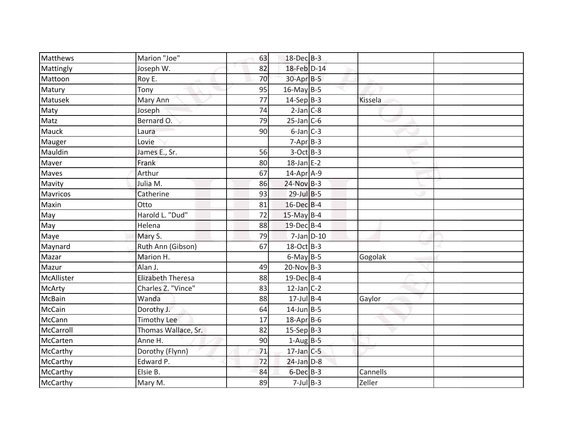| 18-Feb D-14<br>82<br>Joseph W.<br>Mattingly<br>70<br>Mattoon<br>$30$ -Apr $B-5$<br>Roy E.<br>$16$ -May B-5<br>Matury<br>Tony<br>95<br>$14-Sep$ B-3<br>Matusek<br>Mary Ann<br>77<br>$2$ -Jan $C-8$<br>74<br>Maty<br>Joseph<br>79<br>$25$ -Jan C-6<br>Matz<br>Bernard O.<br>$6$ -Jan $C$ -3<br>90<br>Mauck<br>Laura<br>Lovie<br>$7-Apr$ B-3<br>Mauger<br>$3-Oct$ B-3<br>Mauldin<br>James E., Sr.<br>56 | Kissela  |
|------------------------------------------------------------------------------------------------------------------------------------------------------------------------------------------------------------------------------------------------------------------------------------------------------------------------------------------------------------------------------------------------------|----------|
|                                                                                                                                                                                                                                                                                                                                                                                                      |          |
|                                                                                                                                                                                                                                                                                                                                                                                                      |          |
|                                                                                                                                                                                                                                                                                                                                                                                                      |          |
|                                                                                                                                                                                                                                                                                                                                                                                                      |          |
|                                                                                                                                                                                                                                                                                                                                                                                                      |          |
|                                                                                                                                                                                                                                                                                                                                                                                                      |          |
|                                                                                                                                                                                                                                                                                                                                                                                                      |          |
|                                                                                                                                                                                                                                                                                                                                                                                                      |          |
|                                                                                                                                                                                                                                                                                                                                                                                                      |          |
| $18$ -Jan E-2<br>Frank<br>Maver<br>80                                                                                                                                                                                                                                                                                                                                                                |          |
| Arthur<br>14-Apr A-9<br>Maves<br>67                                                                                                                                                                                                                                                                                                                                                                  |          |
| Julia M.<br>$24-Nov$ B-3<br>Mavity<br>86                                                                                                                                                                                                                                                                                                                                                             |          |
| $29$ -Jul B-5<br>Mavricos<br>Catherine<br>93                                                                                                                                                                                                                                                                                                                                                         |          |
| 16-Dec B-4<br>Otto<br>81<br>Maxin                                                                                                                                                                                                                                                                                                                                                                    |          |
| Harold L. "Dud"<br>$15$ -May B-4<br>72<br>May                                                                                                                                                                                                                                                                                                                                                        |          |
| May<br>Helena<br>88<br>19-Dec B-4                                                                                                                                                                                                                                                                                                                                                                    |          |
| 79<br>$7$ -Jan $D-10$<br>Mary S.<br>Maye                                                                                                                                                                                                                                                                                                                                                             |          |
| Ruth Ann (Gibson)<br>18-Oct B-3<br>Maynard<br>67                                                                                                                                                                                                                                                                                                                                                     |          |
| Marion H.<br>$6$ -May B-5<br>Mazar                                                                                                                                                                                                                                                                                                                                                                   | Gogolak  |
| $20-Nov$ B-3<br>Alan J.<br>Mazur<br>49                                                                                                                                                                                                                                                                                                                                                               |          |
| <b>Elizabeth Theresa</b><br>19-Dec B-4<br>McAllister<br>88                                                                                                                                                                                                                                                                                                                                           |          |
| $12$ -Jan $C-2$<br>Charles Z. "Vince"<br>83<br><b>McArty</b>                                                                                                                                                                                                                                                                                                                                         |          |
| $17$ -Jul B-4<br>McBain<br>88<br>Wanda                                                                                                                                                                                                                                                                                                                                                               | Gaylor   |
| McCain<br>$14$ -Jun B-5<br>Dorothy J.<br>64                                                                                                                                                                                                                                                                                                                                                          |          |
| $18$ -Apr $B$ -6<br>McCann<br><b>Timothy Lee</b><br>17                                                                                                                                                                                                                                                                                                                                               |          |
| 82<br>$15-Sep$ B-3<br>McCarroll<br>Thomas Wallace, Sr.                                                                                                                                                                                                                                                                                                                                               |          |
| Anne H.<br>McCarten<br>90<br>$1-Aug$ B-5                                                                                                                                                                                                                                                                                                                                                             |          |
| McCarthy<br>Dorothy (Flynn)<br>71<br>$17$ -Jan C-5                                                                                                                                                                                                                                                                                                                                                   |          |
| Edward P.<br>72<br>$24$ -Jan $D-8$<br>McCarthy                                                                                                                                                                                                                                                                                                                                                       |          |
| $6$ -Dec $B$ -3<br>Elsie B.<br>McCarthy<br>84                                                                                                                                                                                                                                                                                                                                                        | Cannells |
| $7$ -Jul $B$ -3<br>McCarthy<br>Mary M.<br>89                                                                                                                                                                                                                                                                                                                                                         | Zeller   |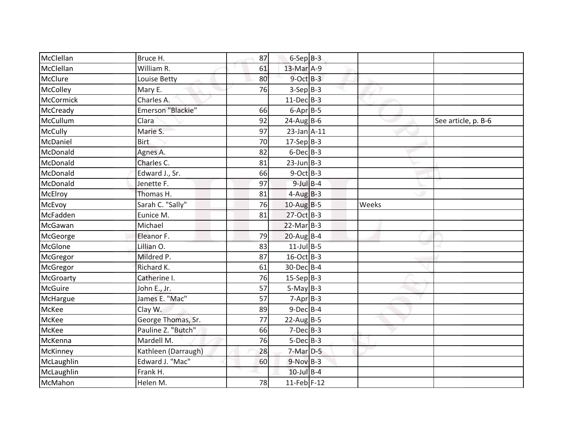| McClellan      | Bruce H.            | 87 | $6-SepB-3$       |       |                     |
|----------------|---------------------|----|------------------|-------|---------------------|
| McClellan      | William R.          | 61 | 13-Mar A-9       |       |                     |
| McClure        | Louise Betty        | 80 | $9$ -Oct $B-3$   |       |                     |
| McColley       | Mary E.             | 76 | $3-Sep B-3$      |       |                     |
| McCormick      | Charles A.          |    | $11-Dec$ B-3     |       |                     |
| McCready       | Emerson "Blackie"   | 66 | $6$ -Apr $B$ -5  |       |                     |
| McCullum       | Clara               | 92 | $24$ -Aug B-6    |       | See article, p. B-6 |
| McCully        | Marie S.            | 97 | $23$ -Jan $A-11$ |       |                     |
| McDaniel       | <b>Birt</b>         | 70 | $17-Sep B-3$     |       |                     |
| McDonald       | Agnes A.            | 82 | $6$ -Dec $B$ -3  |       |                     |
| McDonald       | Charles C.          | 81 | $23$ -Jun $B-3$  |       |                     |
| McDonald       | Edward J., Sr.      | 66 | $9$ -Oct B-3     |       |                     |
| McDonald       | Jenette F.          | 97 | $9$ -Jul $B$ -4  |       |                     |
| McElroy        | Thomas H.           | 81 | $4-Aug$ B-3      |       |                     |
| McEvoy         | Sarah C. "Sally"    | 76 | $10$ -Aug B-5    | Weeks |                     |
| McFadden       | Eunice M.           | 81 | 27-Oct B-3       |       |                     |
| McGawan        | Michael             |    | $22$ -Mar $B-3$  |       |                     |
| McGeorge       | Eleanor F.          | 79 | $20$ -Aug B-4    |       |                     |
| McGlone        | Lillian O.          | 83 | $11$ -Jul B-5    |       |                     |
| McGregor       | Mildred P.          | 87 | 16-Oct B-3       |       |                     |
| McGregor       | Richard K.          | 61 | 30-Dec B-4       |       |                     |
| McGroarty      | Catherine I.        | 76 | $15-Sep$ B-3     |       |                     |
| <b>McGuire</b> | John E., Jr.        | 57 | $5-May$ B-3      |       |                     |
| McHargue       | James E. "Mac"      | 57 | $7-Apr$ B-3      |       |                     |
| McKee          | Clay W.             | 89 | $9$ -Dec $B$ -4  |       |                     |
| McKee          | George Thomas, Sr.  | 77 | $22$ -Aug B-5    |       |                     |
| McKee          | Pauline Z. "Butch"  | 66 | $7-Dec$ B-3      |       |                     |
| McKenna        | Mardell M.          | 76 | $5-Dec$ B-3      |       |                     |
| McKinney       | Kathleen (Darraugh) | 28 | $7-Mar$ D-5      |       |                     |
| McLaughlin     | Edward J. "Mac"     | 60 | $9-Nov$ B-3      |       |                     |
| McLaughlin     | Frank H.            |    | $10$ -Jul B-4    |       |                     |
| McMahon        | Helen M.            | 78 | 11-Feb F-12      |       |                     |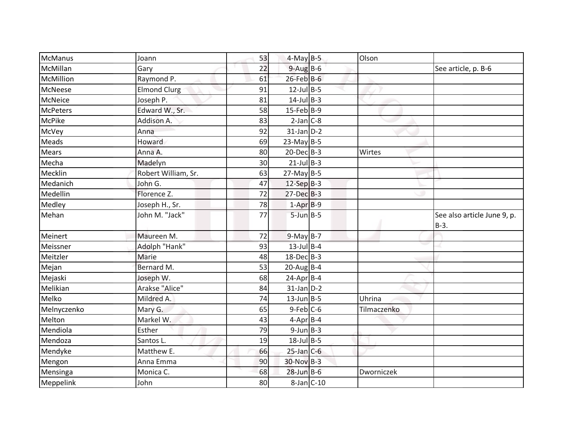| McManus         | Joann               | 53 | $4-May$ B-5      | Olson       |                                       |
|-----------------|---------------------|----|------------------|-------------|---------------------------------------|
| McMillan        | Gary                | 22 | $9-AugB-6$       |             | See article, p. B-6                   |
| McMillion       | Raymond P.          | 61 | $26$ -Feb $B$ -6 |             |                                       |
| McNeese         | <b>Elmond Clurg</b> | 91 | $12$ -Jul B-5    |             |                                       |
| McNeice         | Joseph P.           | 81 | $14$ -Jul B-3    |             |                                       |
| <b>McPeters</b> | Edward W., Sr.      | 58 | $15$ -Feb B-9    |             |                                       |
| <b>McPike</b>   | Addison A.          | 83 | $2-Jan$ $C-8$    |             |                                       |
| McVey           | Anna                | 92 | $31$ -Jan $D-2$  |             |                                       |
| Meads           | Howard              | 69 | $23-May$ B-5     |             |                                       |
| <b>Mears</b>    | Anna A.             | 80 | $20$ -Dec $B-3$  | Wirtes      |                                       |
| Mecha           | Madelyn             | 30 | $21$ -Jul B-3    |             |                                       |
| Mecklin         | Robert William, Sr. | 63 | $27$ -May B-5    |             |                                       |
| Medanich        | John G.             | 47 | $12-Sep$ B-3     |             |                                       |
| Medellin        | Florence Z.         | 72 | $27 - Dec$ B-3   |             |                                       |
| Medley          | Joseph H., Sr.      | 78 | $1-Apr$ B-9      |             |                                       |
| Mehan           | John M. "Jack"      | 77 | $5$ -Jun $B$ -5  |             | See also article June 9, p.<br>$B-3.$ |
| Meinert         | Maureen M.          | 72 | $9-May$ B-7      |             |                                       |
| Meissner        | Adolph "Hank"       | 93 | $13$ -Jul B-4    |             |                                       |
| Meitzler        | Marie               | 48 | $18$ -Dec $B$ -3 |             |                                       |
| Mejan           | Bernard M.          | 53 | $20$ -AugB-4     |             |                                       |
| Mejaski         | Joseph W.           | 68 | $24$ -Apr $B$ -4 |             |                                       |
| Melikian        | Arakse "Alice"      | 84 | $31$ -Jan $D-2$  |             |                                       |
| Melko           | Mildred A.          | 74 | $13$ -Jun B-5    | Uhrina      |                                       |
| Melnyczenko     | Mary G.             | 65 | $9$ -Feb $C$ -6  | Tilmaczenko |                                       |
| Melton          | Markel W.           | 43 | $4$ -Apr $B$ -4  |             |                                       |
| Mendiola        | Esther              | 79 | $9$ -Jun $B$ -3  |             |                                       |
| Mendoza         | Santos L.           | 19 | $18$ -Jul B-5    |             |                                       |
| Mendyke         | Matthew E.          | 66 | $25$ -Jan C-6    |             |                                       |
| Mengon          | Anna Emma           | 90 | 30-Nov B-3       |             |                                       |
| Mensinga        | Monica C.           | 68 | $28$ -Jun B-6    | Dworniczek  |                                       |
| Meppelink       | John                | 80 | $8$ -Jan $C$ -10 |             |                                       |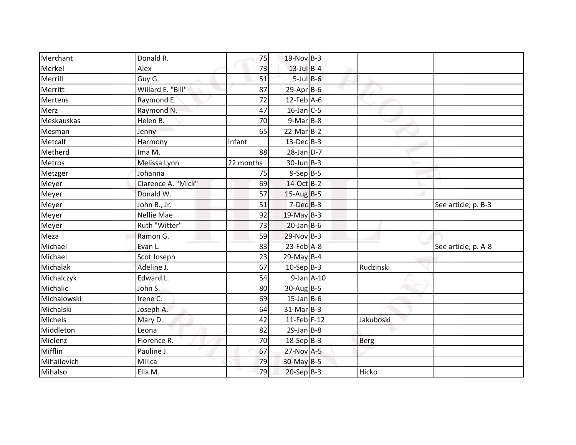| Merchant       | Donald R.          | 75        | $19-Nov$ B-3      |           |                     |
|----------------|--------------------|-----------|-------------------|-----------|---------------------|
| Merkel         | Alex               | 73        | $13$ -Jul $B-4$   |           |                     |
| Merrill        | Guy G.             | 51        | $5$ -Jul $B$ -6   |           |                     |
| Merritt        | Willard E. "Bill"  | 87        | $29$ -Apr $B$ -6  |           |                     |
| <b>Mertens</b> | Raymond E.         | 72        | $12$ -Feb $A$ -6  |           |                     |
| Merz           | Raymond N.         | 47        | $16$ -Jan $C$ -5  |           |                     |
| Meskauskas     | Helen B.           | 70        | $9-Mar$ B-8       |           |                     |
| Mesman         | Jenny              | 65        | $22$ -Mar $B-2$   |           |                     |
| Metcalf        | Harmony            | infant    | $13$ -Dec $B-3$   |           |                     |
| Metherd        | Ima M.             | 88        | $28$ -Jan $D-7$   |           |                     |
| Metros         | Melissa Lynn       | 22 months | $30$ -Jun $B - 3$ |           |                     |
| Metzger        | Johanna            | 75        | $9-Sep$ B-5       |           |                     |
| Meyer          | Clarence A. "Mick" | 69        | 14-Oct B-2        |           |                     |
| Meyer          | Donald W.          | 57        | $15$ -Aug B-5     |           |                     |
| Meyer          | John B., Jr.       | 51        | $7-Dec$ B-3       |           | See article, p. B-3 |
| Meyer          | Nellie Mae         | 92        | 19-May B-3        |           |                     |
| Meyer          | Ruth "Witter"      | 73        | $20$ -Jan B-6     |           |                     |
| Meza           | Ramon G.           | 59        | $29-Nov$ B-3      |           |                     |
| Michael        | Evan L.            | 83        | $23$ -Feb $A-8$   |           | See article, p. A-8 |
| Michael        | Scot Joseph        | 23        | $29$ -May B-4     |           |                     |
| Michalak       | Adeline J.         | 67        | $10-Sep$ B-3      | Rudzinski |                     |
| Michalczyk     | Edward L.          | 54        | $9$ -Jan $A$ -10  |           |                     |
| Michalic       | John S.            | 80        | $30-Aug$ B-5      |           |                     |
| Michalowski    | Irene C.           | 69        | $15$ -Jan B-6     |           |                     |
| Michalski      | Joseph A.          | 64        | $31-Mar$ B-3      |           |                     |
| Michels        | Mary D.            | 42        | $11$ -Feb F-12    | Jakuboski |                     |
| Middleton      | Leona              | 82        | $29$ -Jan B-8     |           |                     |
| Mielenz        | Florence R.        | 70        | $18-Sep$ B-3      | Berg      |                     |
| Mifflin        | Pauline J.         | 67        | 27-Nov A-5        |           |                     |
| Mihailovich    | Milica             | 79        | 30-May B-5        |           |                     |
| Mihalso        | Ella M.            | 79        | 20-Sep B-3        | Hicko     |                     |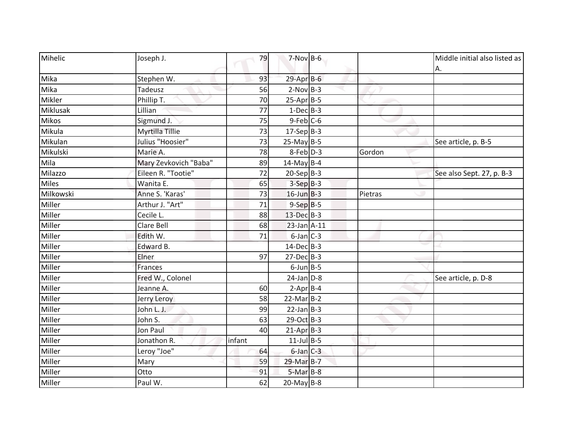| Mihelic<br>Joseph J.          | 79     | $7-Nov$ B-6      |         | Middle initial also listed as |
|-------------------------------|--------|------------------|---------|-------------------------------|
|                               |        |                  |         | A.                            |
| Mika<br>Stephen W.            | 93     | $29$ -Apr $B$ -6 |         |                               |
| Mika<br>Tadeusz               | 56     | $2-Nov$ B-3      |         |                               |
| Mikler<br>Phillip T.          | 70     | $25-Apr$ B-5     |         |                               |
| Miklusak<br>Lillian           | 77     | $1-Dec$ B-3      |         |                               |
| <b>Mikos</b><br>Sigmund J.    | 75     | $9$ -Feb $C$ -6  |         |                               |
| Mikula<br>Myrtilla Tillie     | 73     | $17-Sep B-3$     |         |                               |
| Julius "Hoosier"<br>Mikulan   | 73     | $25$ -May B-5    |         | See article, p. B-5           |
| Mikulski<br>Marie A.          | 78     | $8$ -Feb $D-3$   | Gordon  |                               |
| Mary Zevkovich "Baba"<br>Mila | 89     | $14$ -May B-4    |         |                               |
| Eileen R. "Tootie"<br>Milazzo | 72     | $20-Sep B-3$     |         | See also Sept. 27, p. B-3     |
| <b>Miles</b><br>Wanita E.     | 65     | $3-SepB-3$       |         |                               |
| Milkowski<br>Anne S. 'Karas'  | 73     | $16$ -Jun B-3    | Pietras |                               |
| Arthur J. "Art"<br>Miller     | 71     | $9-Sep$ $B-5$    |         |                               |
| Miller<br>Cecile L.           | 88     | 13-Dec B-3       |         |                               |
| Clare Bell<br>Miller          | 68     | 23-Jan A-11      |         |                               |
| Miller<br>Edith W.            | 71     | $6$ -Jan $C$ -3  |         |                               |
| Miller<br>Edward B.           |        | 14-Dec B-3       |         |                               |
| Miller<br>Elner               | 97     | $27$ -Dec $B-3$  |         |                               |
| Miller<br>Frances             |        | $6$ -Jun $B$ -5  |         |                               |
| Fred W., Colonel<br>Miller    |        | $24$ -Jan $D-8$  |         | See article, p. D-8           |
| Miller<br>Jeanne A.           | 60     | $2$ -Apr $B$ -4  |         |                               |
| Miller<br>Jerry Leroy         | 58     | $22$ -Mar $B-2$  |         |                               |
| Miller<br>John L. J.          | 99     | $22$ -Jan B-3    |         |                               |
| Miller<br>John S.             | 63     | 29-Oct B-3       |         |                               |
| Miller<br>Jon Paul            | 40     | $21-AprB-3$      |         |                               |
| Miller<br>Jonathon R.         | infant | $11$ -Jul B-5    |         |                               |
| Leroy "Joe"<br>Miller         | 64     | $6$ -Jan $C-3$   |         |                               |
| Miller<br>Mary                | 59     | 29-Mar B-7       |         |                               |
| Miller<br>Otto                | 91     | $5-MarB-8$       |         |                               |
| Miller<br>Paul W.             | 62     | $20$ -May B-8    |         |                               |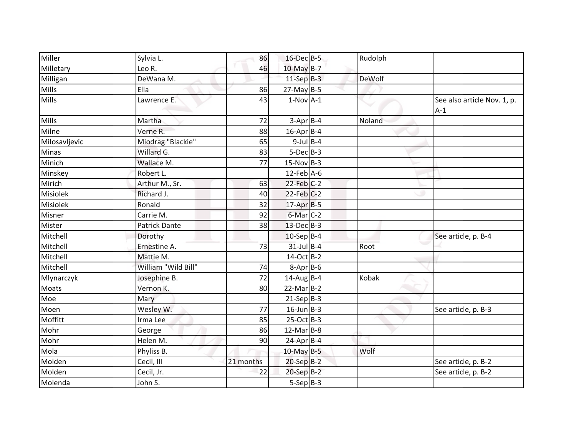| Miller          | Sylvia L.            | 86        | 16-Dec B-5       | Rudolph |                                      |
|-----------------|----------------------|-----------|------------------|---------|--------------------------------------|
| Milletary       | Leo R.               | 46        | 10-May B-7       |         |                                      |
| Milligan        | DeWana M.            |           | $11-Sep$ B-3     | DeWolf  |                                      |
| <b>Mills</b>    | Ella                 | 86        | $27$ -May B-5    |         |                                      |
| Mills           | Lawrence E.          | 43        | $1-Nov$ A-1      |         | See also article Nov. 1, p.<br>$A-1$ |
| <b>Mills</b>    | Martha               | 72        | $3-Apr$ B-4      | Noland  |                                      |
| Milne           | Verne R.             | 88        | $16$ -Apr $B$ -4 |         |                                      |
| Milosavljevic   | Miodrag "Blackie"    | 65        | $9$ -Jul B-4     |         |                                      |
| Minas           | Willard G.           | 83        | $5-Dec$ B-3      |         |                                      |
| Minich          | Wallace M.           | 77        | $15-Nov$ B-3     |         |                                      |
| Minskey         | Robert L.            |           | $12$ -Feb $A$ -6 |         |                                      |
| Mirich          | Arthur M., Sr.       | 63        | $22$ -Feb $C-2$  |         |                                      |
| <b>Misiolek</b> | Richard J.           | 40        | $22$ -Feb $C-2$  |         |                                      |
| Misiolek        | Ronald               | 32        | $17$ -Apr $B$ -5 |         |                                      |
| Misner          | Carrie M.            | 92        | $6$ -Mar $C-2$   |         |                                      |
| Mister          | <b>Patrick Dante</b> | 38        | $13$ -Dec $B-3$  |         |                                      |
| Mitchell        | Dorothy              |           | $10-Sep$ B-4     |         | See article, p. B-4                  |
| Mitchell        | Ernestine A.         | 73        | $31$ -Jul B-4    | Root    |                                      |
| Mitchell        | Mattie M.            |           | 14-Oct B-2       |         |                                      |
| Mitchell        | William "Wild Bill"  | 74        | $8-Apr$ B-6      |         |                                      |
| Mlynarczyk      | Josephine B.         | 72        | 14-Aug B-4       | Kobak   |                                      |
| Moats           | Vernon K.            | 80        | $22$ -Mar $B-2$  |         |                                      |
| Moe             | Mary                 |           | $21-Sep B-3$     |         |                                      |
| Moen            | Wesley W.            | 77        | $16$ -Jun $B-3$  |         | See article, p. B-3                  |
| Moffitt         | Irma Lee             | 85        | $25-Oct$ B-3     |         |                                      |
| Mohr            | George               | 86        | $12$ -Mar $B-8$  |         |                                      |
| Mohr            | Helen M.             | 90        | $24$ -Apr $B$ -4 |         |                                      |
| Mola            | Phyliss B.           |           | $10$ -May B-5    | Wolf    |                                      |
| Molden          | Cecil, III           | 21 months | $20-SepB-2$      |         | See article, p. B-2                  |
| Molden          | Cecil, Jr.           | 22        | $20-Sep B-2$     |         | See article, p. B-2                  |
| Molenda         | John S.              |           | $5-Sep B-3$      |         |                                      |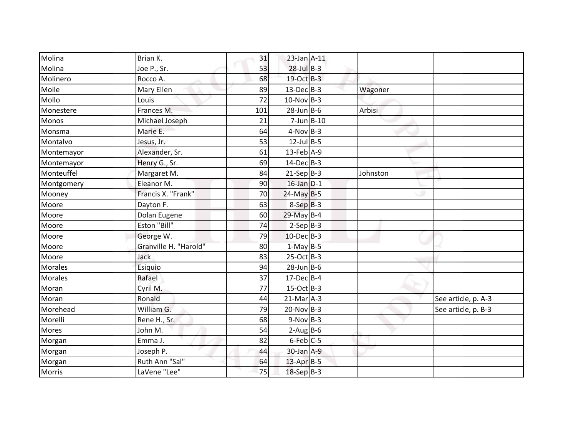| Molina        | Brian K.              | 31  | 23-Jan A-11      |          |                     |
|---------------|-----------------------|-----|------------------|----------|---------------------|
| Molina        | Joe P., Sr.           | 53  | $28$ -Jul $B-3$  |          |                     |
| Molinero      | Rocco A.              | 68  | 19-Oct B-3       |          |                     |
| Molle         | Mary Ellen            | 89  | $13$ -Dec $B-3$  | Wagoner  |                     |
| Mollo         | Louis                 | 72  | $10-Nov$ B-3     |          |                     |
| Monestere     | Frances M.            | 101 | $28$ -Jun $B$ -6 | Arbisi   |                     |
| Monos         | Michael Joseph        | 21  | $7$ -Jun $B$ -10 |          |                     |
| Monsma        | Marie E.              | 64  | $4-Nov$ B-3      |          |                     |
| Montalvo      | Jesus, Jr.            | 53  | $12$ -Jul B-5    |          |                     |
| Montemayor    | Alexander, Sr.        | 61  | $13$ -Feb $A-9$  |          |                     |
| Montemayor    | Henry G., Sr.         | 69  | $14$ -Dec $B-3$  |          |                     |
| Monteuffel    | Margaret M.           | 84  | $21-Sep B-3$     | Johnston |                     |
| Montgomery    | Eleanor M.            | 90  | $16$ -Jan $D-1$  |          |                     |
| Mooney        | Francis X. "Frank"    | 70  | $24$ -May B-5    |          |                     |
| Moore         | Dayton F.             | 63  | $8-SepB-3$       |          |                     |
| Moore         | Dolan Eugene          | 60  | 29-May B-4       |          |                     |
| Moore         | Eston "Bill"          | 74  | $2-Sep B-3$      |          |                     |
| Moore         | George W.             | 79  | $10$ -Dec $B-3$  |          |                     |
| Moore         | Granville H. "Harold" | 80  | $1-May$ B-5      |          |                     |
| Moore         | Jack                  | 83  | $25-Oct$ B-3     |          |                     |
| Morales       | Esiquio               | 94  | $28$ -Jun B-6    |          |                     |
| Morales       | Rafael                | 37  | $17$ -Dec $B$ -4 |          |                     |
| Moran         | Cyril M.              | 77  | $15-Oct$ B-3     |          |                     |
| Moran         | Ronald                | 44  | $21$ -Mar $A-3$  |          | See article, p. A-3 |
| Morehead      | William G.            | 79  | $20-Nov$ B-3     |          | See article, p. B-3 |
| Morelli       | Rene H., Sr.          | 68  | $9-Nov$ B-3      |          |                     |
| Mores         | John M.               | 54  | $2-Aug$ B-6      |          |                     |
| Morgan        | Emma J.               | 82  | $6$ -Feb $ C$ -5 |          |                     |
| Morgan        | Joseph P.             | 44  | 30-Jan A-9       |          |                     |
| Morgan        | Ruth Ann "Sal"        | 64  | $13$ -Apr $B-5$  |          |                     |
| <b>Morris</b> | LaVene "Lee"          | 75  | $18-Sep$ B-3     |          |                     |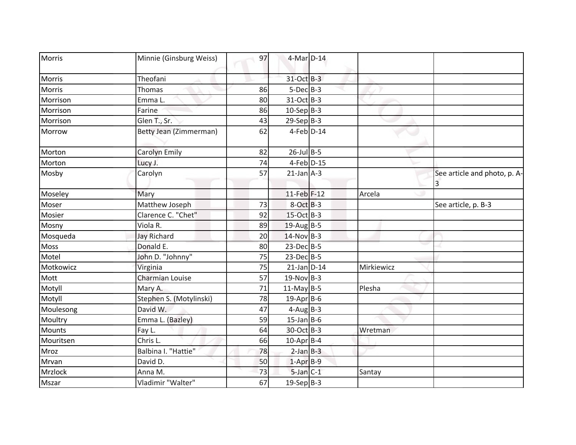| 31-Oct B-3<br>Theofani<br>Morris<br>$5-Dec$ B-3<br>Morris<br>Thomas<br>86<br>31-Oct B-3<br>Morrison<br>Emma L.<br>80<br>$10-Sep B-3$<br>Morrison<br>86<br>Farine<br>$29-Sep B-3$<br>Morrison<br>Glen T., Sr.<br>43<br>62<br>Betty Jean (Zimmerman)<br>$4$ -Feb $D-14$<br>Morrow<br>$26$ -Jul B-5<br>Carolyn Emily<br>82<br>Morton<br>$4$ -Feb $D-15$<br>Morton<br>Lucy J.<br>74<br>$21$ -Jan $A-3$<br>Mosby<br>Carolyn<br>57<br>See article and photo, p. A-<br>3<br>11-Feb F-12<br>Moseley<br>Mary<br>Arcela<br>73<br>$8-Oct$ B-3<br>Matthew Joseph<br>Moser<br>See article, p. B-3<br>15-Oct B-3<br>Clarence C. "Chet"<br>Mosier<br>92<br>Mosny<br>Viola R.<br>89<br>$19$ -Aug B-5<br>$14$ -Nov B-3<br>Mosqueda<br><b>Jay Richard</b><br>20<br>$23$ -Dec $B-5$<br>Donald E.<br><b>Moss</b><br>80<br>$23$ -Dec $B-5$<br>Motel<br>John D. "Johnny"<br>75 |  |
|----------------------------------------------------------------------------------------------------------------------------------------------------------------------------------------------------------------------------------------------------------------------------------------------------------------------------------------------------------------------------------------------------------------------------------------------------------------------------------------------------------------------------------------------------------------------------------------------------------------------------------------------------------------------------------------------------------------------------------------------------------------------------------------------------------------------------------------------------------|--|
|                                                                                                                                                                                                                                                                                                                                                                                                                                                                                                                                                                                                                                                                                                                                                                                                                                                          |  |
|                                                                                                                                                                                                                                                                                                                                                                                                                                                                                                                                                                                                                                                                                                                                                                                                                                                          |  |
|                                                                                                                                                                                                                                                                                                                                                                                                                                                                                                                                                                                                                                                                                                                                                                                                                                                          |  |
|                                                                                                                                                                                                                                                                                                                                                                                                                                                                                                                                                                                                                                                                                                                                                                                                                                                          |  |
|                                                                                                                                                                                                                                                                                                                                                                                                                                                                                                                                                                                                                                                                                                                                                                                                                                                          |  |
|                                                                                                                                                                                                                                                                                                                                                                                                                                                                                                                                                                                                                                                                                                                                                                                                                                                          |  |
|                                                                                                                                                                                                                                                                                                                                                                                                                                                                                                                                                                                                                                                                                                                                                                                                                                                          |  |
|                                                                                                                                                                                                                                                                                                                                                                                                                                                                                                                                                                                                                                                                                                                                                                                                                                                          |  |
|                                                                                                                                                                                                                                                                                                                                                                                                                                                                                                                                                                                                                                                                                                                                                                                                                                                          |  |
|                                                                                                                                                                                                                                                                                                                                                                                                                                                                                                                                                                                                                                                                                                                                                                                                                                                          |  |
|                                                                                                                                                                                                                                                                                                                                                                                                                                                                                                                                                                                                                                                                                                                                                                                                                                                          |  |
|                                                                                                                                                                                                                                                                                                                                                                                                                                                                                                                                                                                                                                                                                                                                                                                                                                                          |  |
|                                                                                                                                                                                                                                                                                                                                                                                                                                                                                                                                                                                                                                                                                                                                                                                                                                                          |  |
|                                                                                                                                                                                                                                                                                                                                                                                                                                                                                                                                                                                                                                                                                                                                                                                                                                                          |  |
|                                                                                                                                                                                                                                                                                                                                                                                                                                                                                                                                                                                                                                                                                                                                                                                                                                                          |  |
|                                                                                                                                                                                                                                                                                                                                                                                                                                                                                                                                                                                                                                                                                                                                                                                                                                                          |  |
|                                                                                                                                                                                                                                                                                                                                                                                                                                                                                                                                                                                                                                                                                                                                                                                                                                                          |  |
| 75<br>Motkowicz<br>$21$ -Jan D-14<br>Mirkiewicz<br>Virginia                                                                                                                                                                                                                                                                                                                                                                                                                                                                                                                                                                                                                                                                                                                                                                                              |  |
| 57<br>$19-Nov$ B-3<br>Mott<br><b>Charmian Louise</b>                                                                                                                                                                                                                                                                                                                                                                                                                                                                                                                                                                                                                                                                                                                                                                                                     |  |
| $11-May$ B-5<br>Plesha<br>Motyll<br>71<br>Mary A.                                                                                                                                                                                                                                                                                                                                                                                                                                                                                                                                                                                                                                                                                                                                                                                                        |  |
| Stephen S. (Motylinski)<br>78<br>19-Apr B-6<br>Motyll                                                                                                                                                                                                                                                                                                                                                                                                                                                                                                                                                                                                                                                                                                                                                                                                    |  |
| David W.<br>$4-Aug$ B-3<br>Moulesong<br>47                                                                                                                                                                                                                                                                                                                                                                                                                                                                                                                                                                                                                                                                                                                                                                                                               |  |
| $15$ -Jan B-6<br>Emma L. (Bazley)<br>Moultry<br>59                                                                                                                                                                                                                                                                                                                                                                                                                                                                                                                                                                                                                                                                                                                                                                                                       |  |
| 64<br>30-Oct B-3<br><b>Mounts</b><br>Fay L.<br>Wretman                                                                                                                                                                                                                                                                                                                                                                                                                                                                                                                                                                                                                                                                                                                                                                                                   |  |
| Mouritsen<br>Chris L.<br>66<br>10-Apr B-4                                                                                                                                                                                                                                                                                                                                                                                                                                                                                                                                                                                                                                                                                                                                                                                                                |  |
| Balbina I. "Hattie"<br>$2-Jan$ $B-3$<br>78<br>Mroz                                                                                                                                                                                                                                                                                                                                                                                                                                                                                                                                                                                                                                                                                                                                                                                                       |  |
| $1-AprB-9$<br>David D.<br>50<br>Mrvan                                                                                                                                                                                                                                                                                                                                                                                                                                                                                                                                                                                                                                                                                                                                                                                                                    |  |
| $5$ -Jan $C-1$<br>Mrzlock<br>73<br>Santay<br>Anna M.                                                                                                                                                                                                                                                                                                                                                                                                                                                                                                                                                                                                                                                                                                                                                                                                     |  |
| Vladimir "Walter"<br>67<br>$19-Sep$ B-3<br>Mszar                                                                                                                                                                                                                                                                                                                                                                                                                                                                                                                                                                                                                                                                                                                                                                                                         |  |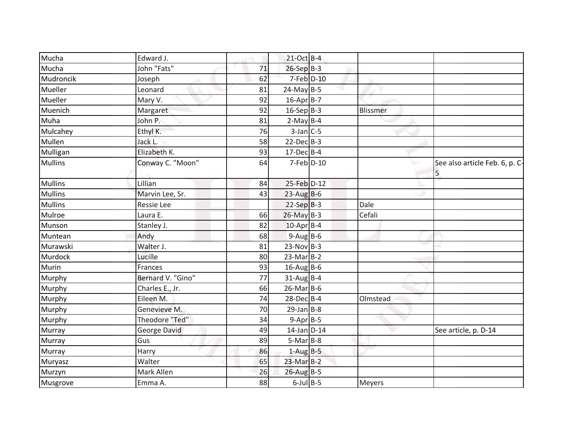| Mucha          | Edward J.         |    | 21-Oct B-4        |          |                                     |
|----------------|-------------------|----|-------------------|----------|-------------------------------------|
| Mucha          | John "Fats"       | 71 | 26-Sep B-3        |          |                                     |
| Mudroncik      | Joseph            | 62 | 7-Feb D-10        |          |                                     |
| Mueller        | Leonard           | 81 | $24$ -May B-5     |          |                                     |
| Mueller        | Mary V.           | 92 | 16-Apr B-7        |          |                                     |
| Muenich        | Margaret          | 92 | $16-Sep B-3$      | Blissmer |                                     |
| Muha           | John P.           | 81 | $2-May$ B-4       |          |                                     |
| Mulcahey       | Ethyl K.          | 76 | $3$ -Jan C-5      |          |                                     |
| Mullen         | Jack L.           | 58 | $22$ -Dec $B-3$   |          |                                     |
| Mulligan       | Elizabeth K.      | 93 | $17$ -Dec $B - 4$ |          |                                     |
| <b>Mullins</b> | Conway C. "Moon"  | 64 | $7$ -Feb $D-10$   |          | See also article Feb. 6, p. C-<br>5 |
| <b>Mullins</b> | Lillian           | 84 | 25-Feb D-12       |          |                                     |
| <b>Mullins</b> | Marvin Lee, Sr.   | 43 | $23$ -Aug B-6     |          |                                     |
| <b>Mullins</b> | Ressie Lee        |    | $22-SepB-3$       | Dale     |                                     |
| Mulroe         | Laura E.          | 66 | $26$ -May $B-3$   | Cefali   |                                     |
| Munson         | Stanley J.        | 82 | 10-Apr B-4        |          |                                     |
| Muntean        | Andy              | 68 | $9-AugB-6$        |          |                                     |
| Murawski       | Walter J.         | 81 | $23-Nov$ B-3      |          |                                     |
| Murdock        | Lucille           | 80 | $23-Mar$ B-2      |          |                                     |
| Murin          | Frances           | 93 | $16$ -Aug B-6     |          |                                     |
| Murphy         | Bernard V. "Gino" | 77 | $31-AugBB-4$      |          |                                     |
| Murphy         | Charles E., Jr.   | 66 | $26$ -Mar $B$ -6  |          |                                     |
| Murphy         | Eileen M.         | 74 | 28-Dec B-4        | Olmstead |                                     |
| Murphy         | Genevieve M.      | 70 | $29$ -Jan B-8     |          |                                     |
| Murphy         | Theodore "Ted"    | 34 | $9-Apr$ B-5       |          |                                     |
| Murray         | George David      | 49 | $14$ -Jan D-14    |          | See article, p. D-14                |
| Murray         | Gus               | 89 | $5-Mar$ B-8       |          |                                     |
| Murray         | Harry             | 86 | $1-Aug$ B-5       |          |                                     |
| Muryasz        | Walter            | 65 | $23-Mar$ B-2      |          |                                     |
| Murzyn         | Mark Allen        | 26 | $26$ -Aug B-5     |          |                                     |
| Musgrove       | Emma A.           | 88 | $6$ -Jul $B$ -5   | Meyers   |                                     |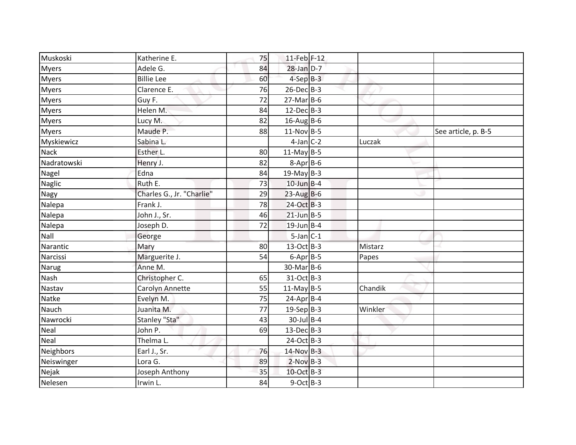| Muskoski     | Katherine E.              | 75 | $11$ -Feb F-12   |         |                     |
|--------------|---------------------------|----|------------------|---------|---------------------|
| <b>Myers</b> | Adele G.                  | 84 | $28$ -Jan $D-7$  |         |                     |
| <b>Myers</b> | <b>Billie Lee</b>         | 60 | $4-SepB-3$       |         |                     |
| <b>Myers</b> | Clarence E.               | 76 | $26$ -Dec $B-3$  |         |                     |
| <b>Myers</b> | Guy F.                    | 72 | $27$ -Mar $B$ -6 |         |                     |
| <b>Myers</b> | Helen M.                  | 84 | $12$ -Dec $B-3$  |         |                     |
| <b>Myers</b> | Lucy M.                   | 82 | $16$ -Aug B-6    |         |                     |
| <b>Myers</b> | Maude P.                  | 88 | $11-Nov$ B-5     |         | See article, p. B-5 |
| Myskiewicz   | Sabina L.                 |    | $4$ -Jan $C-2$   | Luczak  |                     |
| <b>Nack</b>  | Esther L.                 | 80 | $11$ -May B-5    |         |                     |
| Nadratowski  | Henry J.                  | 82 | $8-Apr$ B-6      |         |                     |
| Nagel        | Edna                      | 84 | $19$ -May B-3    |         |                     |
| Naglic       | Ruth E.                   | 73 | $10$ -Jun B-4    |         |                     |
| Nagy         | Charles G., Jr. "Charlie" | 29 | $23$ -Aug B-6    |         |                     |
| Nalepa       | Frank J.                  | 78 | 24-Oct B-3       |         |                     |
| Nalepa       | John J., Sr.              | 46 | $21$ -Jun B-5    |         |                     |
| Nalepa       | Joseph D.                 | 72 | $19$ -Jun B-4    |         |                     |
| Nall         | George                    |    | $5$ -Jan $C-1$   |         |                     |
| Narantic     | Mary                      | 80 | 13-Oct B-3       | Mistarz |                     |
| Narcissi     | Marguerite J.             | 54 | $6 - Apr$ B-5    | Papes   |                     |
| <b>Narug</b> | Anne M.                   |    | $30$ -Mar $B$ -6 |         |                     |
| Nash         | Christopher C.            | 65 | 31-Oct B-3       |         |                     |
| Nastav       | Carolyn Annette           | 55 | $11$ -May B-5    | Chandik |                     |
| Natke        | Evelyn M.                 | 75 | $24$ -Apr $B$ -4 |         |                     |
| Nauch        | Juanita M.                | 77 | $19-Sep$ B-3     | Winkler |                     |
| Nawrocki     | Stanley "Sta"             | 43 | $30$ -Jul B-4    |         |                     |
| Neal         | John P.                   | 69 | $13$ -Dec $B-3$  |         |                     |
| Neal         | Thelma L.                 |    | 24-Oct B-3       |         |                     |
| Neighbors    | Earl J., Sr.              | 76 | 14-Nov B-3       |         |                     |
| Neiswinger   | Lora G.                   | 89 | $2-Nov$ B-3      |         |                     |
| Nejak        | Joseph Anthony            | 35 | 10-Oct B-3       |         |                     |
| Nelesen      | Irwin L.                  | 84 | $9-Oct$ B-3      |         |                     |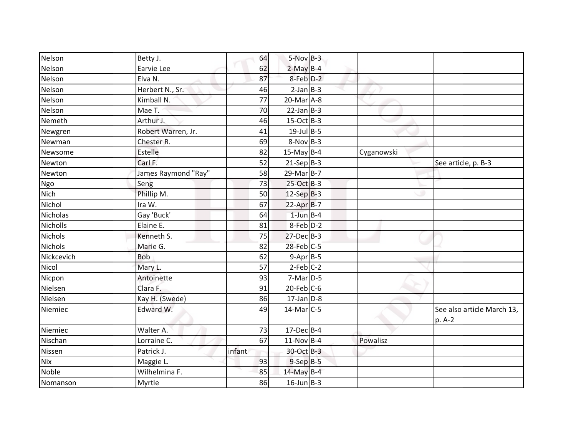| Nelson          | Betty J.            | 64     | $5-Nov$ B-3      |            |                                      |
|-----------------|---------------------|--------|------------------|------------|--------------------------------------|
| Nelson          | Earvie Lee          | 62     | $2-May$ B-4      |            |                                      |
| Nelson          | Elva N.             | 87     | 8-Feb D-2        |            |                                      |
| Nelson          | Herbert N., Sr.     | 46     | $2-Jan$ B-3      |            |                                      |
| Nelson          | Kimball N.          | 77     | $20$ -Mar $A$ -8 |            |                                      |
| Nelson          | Mae T.              | 70     | $22$ -Jan B-3    |            |                                      |
| Nemeth          | Arthur J.           | 46     | $15-Oct$ B-3     |            |                                      |
| Newgren         | Robert Warren, Jr.  | 41     | $19$ -Jul B-5    |            |                                      |
| Newman          | Chester R.          | 69     | $8-Nov$ B-3      |            |                                      |
| Newsome         | Estelle             | 82     | $15$ -May B-4    | Cyganowski |                                      |
| Newton          | Carl F.             | 52     | $21-Sep B-3$     |            | See article, p. B-3                  |
| Newton          | James Raymond "Ray" | 58     | $29$ -Mar $B-7$  |            |                                      |
| Ngo             | Seng                | 73     | 25-Oct B-3       |            |                                      |
| Nich            | Phillip M.          | 50     | $12-Sep$ B-3     |            |                                      |
| Nichol          | Ira W.              | 67     | $22-AprB-7$      |            |                                      |
| <b>Nicholas</b> | Gay 'Buck'          | 64     | $1$ -Jun $B-4$   |            |                                      |
| Nicholls        | Elaine E.           | 81     | 8-Feb D-2        |            |                                      |
| <b>Nichols</b>  | Kenneth S.          | 75     | $27 - Dec$ B-3   |            |                                      |
| <b>Nichols</b>  | Marie G.            | 82     | $28$ -Feb $C$ -5 |            |                                      |
| Nickcevich      | <b>Bob</b>          | 62     | $9-Apr$ B-5      |            |                                      |
| Nicol           | Mary L.             | 57     | $2-Feb$ C-2      |            |                                      |
| Nicpon          | Antoinette          | 93     | $7-Mar$ D-5      |            |                                      |
| Nielsen         | Clara F.            | 91     | $20$ -Feb $C$ -6 |            |                                      |
| Nielsen         | Kay H. (Swede)      | 86     | $17$ -Jan D-8    |            |                                      |
| Niemiec         | Edward W.           | 49     | $14$ -Mar $C-5$  |            | See also article March 13,<br>p. A-2 |
| Niemiec         | Walter A.           | 73     | $17$ -Dec $B-4$  |            |                                      |
| Nischan         | Lorraine C.         | 67     | $11-Nov$ B-4     | Powalisz   |                                      |
| Nissen          | Patrick J.          | infant | 30-Oct B-3       |            |                                      |
| <b>Nix</b>      | Maggie L.           | 93     | $9-SepB-5$       |            |                                      |
| Noble           | Wilhelmina F.       | 85     | 14-May B-4       |            |                                      |
| Nomanson        | Myrtle              | 86     | $16$ -Jun $B-3$  |            |                                      |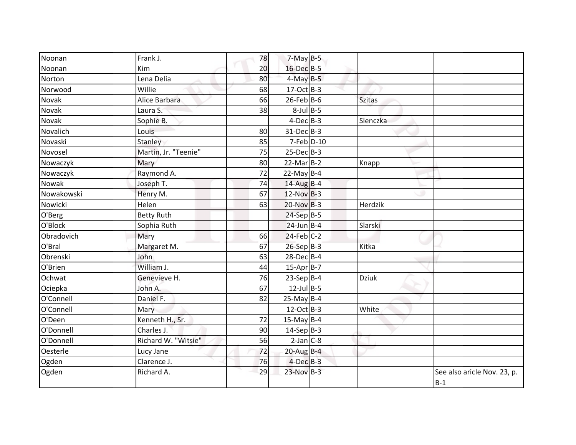| Noonan       | Frank J.             | 78 | $7-May$ B-5      |               |                                      |
|--------------|----------------------|----|------------------|---------------|--------------------------------------|
| Noonan       | Kim                  | 20 | 16-Dec B-5       |               |                                      |
| Norton       | Lena Delia           | 80 | $4$ -May $B-5$   |               |                                      |
| Norwood      | Willie               | 68 | $17-Oct$ B-3     |               |                                      |
| <b>Novak</b> | Alice Barbara        | 66 | $26$ -Feb $B$ -6 | <b>Szitas</b> |                                      |
| Novak        | Laura S.             | 38 | $8$ -Jul B-5     |               |                                      |
| Novak        | Sophie B.            |    | $4$ -Dec $B-3$   | Slenczka      |                                      |
| Novalich     | Louis                | 80 | 31-Dec B-3       |               |                                      |
| Novaski      | Stanley              | 85 | $7$ -Feb $D-10$  |               |                                      |
| Novosel      | Martin, Jr. "Teenie" | 75 | $25$ -Dec $B-3$  |               |                                      |
| Nowaczyk     | Mary                 | 80 | $22$ -Mar $B-2$  | Knapp         |                                      |
| Nowaczyk     | Raymond A.           | 72 | 22-May $B-4$     |               |                                      |
| Nowak        | Joseph T.            | 74 | $14$ -Aug B-4    |               |                                      |
| Nowakowski   | Henry M.             | 67 | $12-Nov$ B-3     |               |                                      |
| Nowicki      | Helen                | 63 | $20-Nov$ B-3     | Herdzik       |                                      |
| O'Berg       | <b>Betty Ruth</b>    |    | $24-Sep$ B-5     |               |                                      |
| O'Block      | Sophia Ruth          |    | 24-Jun B-4       | Slarski       |                                      |
| Obradovich   | Mary                 | 66 | $24$ -Feb $C-2$  |               |                                      |
| O'Bral       | Margaret M.          | 67 | $26-Sep$ B-3     | Kitka         |                                      |
| Obrenski     | John                 | 63 | $28$ -Dec $B-4$  |               |                                      |
| O'Brien      | William J.           | 44 | $15-AprB-7$      |               |                                      |
| Ochwat       | Genevieve H.         | 76 | $23-Sep B-4$     | <b>Dziuk</b>  |                                      |
| Ociepka      | John A.              | 67 | $12$ -Jul B-5    |               |                                      |
| O'Connell    | Daniel F.            | 82 | $25-May$ B-4     |               |                                      |
| O'Connell    | Mary                 |    | $12$ -Oct B-3    | White         |                                      |
| O'Deen       | Kenneth H., Sr.      | 72 | 15-May B-4       |               |                                      |
| O'Donnell    | Charles J.           | 90 | $14-Sep$ B-3     |               |                                      |
| O'Donnell    | Richard W. "Witsie"  | 56 | $2$ -Jan $C-8$   |               |                                      |
| Oesterle     | Lucy Jane            | 72 | $20$ -Aug B-4    |               |                                      |
| Ogden        | Clarence J.          | 76 | $4$ -Dec $B-3$   |               |                                      |
| Ogden        | Richard A.           | 29 | $23-Nov$ B-3     |               | See also aricle Nov. 23, p.<br>$B-1$ |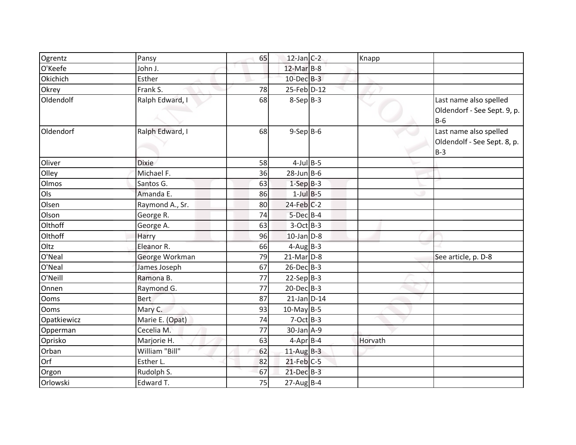| Ogrentz     | Pansy           | 65 | $12$ -Jan C-2    | Knapp   |                                                                |
|-------------|-----------------|----|------------------|---------|----------------------------------------------------------------|
| O'Keefe     | John J.         |    | $12$ -Mar $B-8$  |         |                                                                |
| Okichich    | Esther          |    | $10$ -Dec $B-3$  |         |                                                                |
| Okrey       | Frank S.        | 78 | $25$ -Feb $D-12$ |         |                                                                |
| Oldendolf   | Ralph Edward, I | 68 | $8-Sep B-3$      |         | Last name also spelled<br>Oldendorf - See Sept. 9, p.<br>$B-6$ |
| Oldendorf   | Ralph Edward, I | 68 | $9-Sep$ B-6      |         | Last name also spelled<br>Oldendolf - See Sept. 8, p.<br>$B-3$ |
| Oliver      | <b>Dixie</b>    | 58 | $4$ -Jul B-5     |         |                                                                |
| Olley       | Michael F.      | 36 | $28$ -Jun $B$ -6 |         |                                                                |
| Olmos       | Santos G.       | 63 | $1-SepB-3$       |         |                                                                |
| Ols         | Amanda E.       | 86 | $1$ -Jul B-5     |         |                                                                |
| Olsen       | Raymond A., Sr. | 80 | $24$ -Feb $C-2$  |         |                                                                |
| Olson       | George R.       | 74 | $5$ -Dec $B$ -4  |         |                                                                |
| Olthoff     | George A.       | 63 | $3-Oct$ B-3      |         |                                                                |
| Olthoff     | Harry           | 96 | $10$ -Jan $D-8$  |         |                                                                |
| Oltz        | Eleanor R.      | 66 | $4$ -Aug B-3     |         |                                                                |
| O'Neal      | George Workman  | 79 | $21$ -Mar $D-8$  |         | See article, p. D-8                                            |
| O'Neal      | James Joseph    | 67 | $26$ -Dec $B-3$  |         |                                                                |
| O'Neill     | Ramona B.       | 77 | $22-Sep B-3$     |         |                                                                |
| Onnen       | Raymond G.      | 77 | $20$ -Dec $B-3$  |         |                                                                |
| <b>Ooms</b> | <b>Bert</b>     | 87 | $21$ -Jan $D-14$ |         |                                                                |
| <b>Ooms</b> | Mary C.         | 93 | $10$ -May B-5    |         |                                                                |
| Opatkiewicz | Marie E. (Opat) | 74 | $7-Oct$ B-3      |         |                                                                |
| Opperman    | Cecelia M.      | 77 | 30-Jan A-9       |         |                                                                |
| Oprisko     | Marjorie H.     | 63 | $4-Apr$ B-4      | Horvath |                                                                |
| Orban       | William "Bill"  | 62 | $11$ -Aug B-3    |         |                                                                |
| Orf         | Esther L.       | 82 | $21$ -Feb $C-5$  |         |                                                                |
| Orgon       | Rudolph S.      | 67 | $21$ -Dec $B-3$  |         |                                                                |
| Orlowski    | Edward T.       | 75 | $27$ -Aug B-4    |         |                                                                |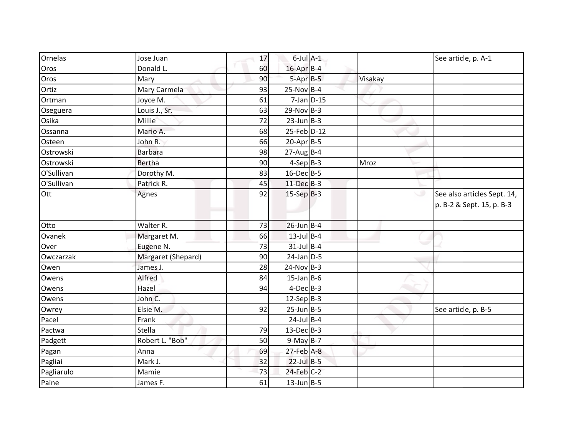| Ornelas    | Jose Juan          | 17 | $6$ -Jul $A-1$           |         | See article, p. A-1                                      |
|------------|--------------------|----|--------------------------|---------|----------------------------------------------------------|
| Oros       | Donald L.          | 60 | 16-Apr B-4               |         |                                                          |
| Oros       | Mary               | 90 | $5 - Apr$ $B-5$          | Visakay |                                                          |
| Ortiz      | Mary Carmela       | 93 | $25-Nov$ B-4             |         |                                                          |
| Ortman     | Joyce M.           | 61 | $7$ -Jan $D-15$          |         |                                                          |
| Oseguera   | Louis J., Sr.      | 63 | $29-Nov$ B-3             |         |                                                          |
| Osika      | Millie             | 72 | $23$ -Jun $B-3$          |         |                                                          |
| Ossanna    | Mario A.           | 68 | 25-Feb D-12              |         |                                                          |
| Osteen     | John R.            | 66 | $20-Apr$ B-5             |         |                                                          |
| Ostrowski  | <b>Barbara</b>     | 98 | $27$ -AugB-4             |         |                                                          |
| Ostrowski  | <b>Bertha</b>      | 90 | $4-Sep B-3$              | Mroz    |                                                          |
| O'Sullivan | Dorothy M.         | 83 | 16-Dec B-5               |         |                                                          |
| O'Sullivan | Patrick R.         | 45 | $11 - Dec$ B-3           |         |                                                          |
| Ott        | Agnes              | 92 | $15-Sep$ <sub>B</sub> -3 |         | See also articles Sept. 14,<br>p. B-2 & Sept. 15, p. B-3 |
| Otto       | Walter R.          | 73 | $26$ -Jun B-4            |         |                                                          |
| Ovanek     | Margaret M.        | 66 | $13$ -Jul B-4            |         |                                                          |
| Over       | Eugene N.          | 73 | $31$ -Jul B-4            |         |                                                          |
| Owczarzak  | Margaret (Shepard) | 90 | $24$ -Jan $D-5$          |         |                                                          |
| Owen       | James J.           | 28 | $24-Nov$ B-3             |         |                                                          |
| Owens      | Alfred             | 84 | $15$ -Jan B-6            |         |                                                          |
| Owens      | Hazel              | 94 | $4$ -Dec $B$ -3          |         |                                                          |
| Owens      | John C.            |    | $12-Sep B-3$             |         |                                                          |
| Owrey      | Elsie M.           | 92 | $25$ -Jun $B$ -5         |         | See article, p. B-5                                      |
| Pacel      | Frank              |    | $24$ -Jul B-4            |         |                                                          |
| Pactwa     | Stella             | 79 | $13$ -Dec $B-3$          |         |                                                          |
| Padgett    | Robert L. "Bob"    | 50 | $9-May$ B-7              |         |                                                          |
| Pagan      | Anna               | 69 | $27$ -Feb $A-8$          |         |                                                          |
| Pagliai    | Mark J.            | 32 | $22$ -Jul B-5            |         |                                                          |
| Pagliarulo | Mamie              | 73 | $24$ -Feb $C-2$          |         |                                                          |
| Paine      | James F.           | 61 | $13$ -Jun B-5            |         |                                                          |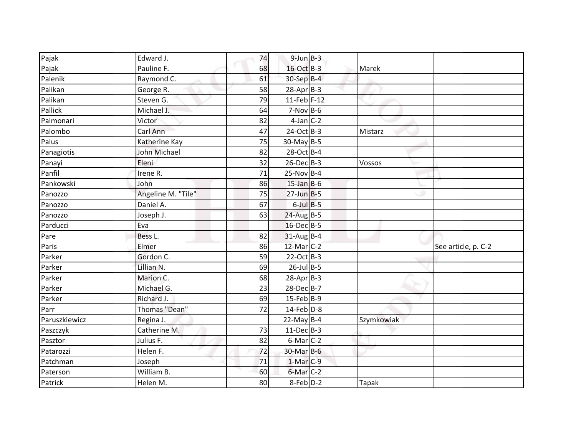| Pajak         | Edward J.          | 74 | $9$ -Jun $B$ -3        |            |                     |
|---------------|--------------------|----|------------------------|------------|---------------------|
| Pajak         | Pauline F.         | 68 | 16-Oct B-3             | Marek      |                     |
| Palenik       | Raymond C.         | 61 | 30-Sep B-4             |            |                     |
| Palikan       | George R.          | 58 | $28$ -Apr $B-3$        |            |                     |
| Palikan       | Steven G.          | 79 | $11$ -Feb F-12         |            |                     |
| Pallick       | Michael J.         | 64 | $7-Nov$ B-6            |            |                     |
| Palmonari     | Victor             | 82 | $4$ -Jan $C-2$         |            |                     |
| Palombo       | Carl Ann           | 47 | $24-Oct$ B-3           | Mistarz    |                     |
| Palus         | Katherine Kay      | 75 | 30-May B-5             |            |                     |
| Panagiotis    | John Michael       | 82 | 28-Oct B-4             |            |                     |
| Panayi        | Eleni              | 32 | $26$ -Dec $B-3$        | Vossos     |                     |
| Panfil        | Irene R.           | 71 | $25-Nov$ B-4           |            |                     |
| Pankowski     | John               | 86 | $15$ -Jan B-6          |            |                     |
| Panozzo       | Angeline M. "Tile" | 75 | $27$ -Jun B-5          |            |                     |
| Panozzo       | Daniel A.          | 67 | $6$ -Jul $B$ -5        |            |                     |
| Panozzo       | Joseph J.          | 63 | $24$ -Aug B-5          |            |                     |
| Parducci      | Eva                |    | 16-Dec B-5             |            |                     |
| Pare          | Bess L.            | 82 | $31$ -Aug B-4          |            |                     |
| Paris         | Elmer              | 86 | $12$ -Mar $C-2$        |            | See article, p. C-2 |
| Parker        | Gordon C.          | 59 | 22-Oct B-3             |            |                     |
| Parker        | Lillian N.         | 69 | $26$ -Jul B-5          |            |                     |
| Parker        | Marion C.          | 68 | $28$ -Apr $B-3$        |            |                     |
| Parker        | Michael G.         | 23 | 28-Dec B-7             |            |                     |
| Parker        | Richard J.         | 69 | $15$ -Feb $B$ -9       |            |                     |
| Parr          | Thomas "Dean"      | 72 | $14$ -Feb $D-8$        |            |                     |
| Paruszkiewicz | Regina J.          |    | $22$ -May B-4          | Szymkowiak |                     |
| Paszczyk      | Catherine M.       | 73 | $11-Dec$ B-3           |            |                     |
| Pasztor       | Julius F.          | 82 | $6$ -Mar $C-2$         |            |                     |
| Patarozzi     | Helen F.           | 72 | 30-Mar B-6             |            |                     |
| Patchman      | Joseph             | 71 | $1-Mar$ <sub>C-9</sub> |            |                     |
| Paterson      | William B.         | 60 | 6-Mar C-2              |            |                     |
| Patrick       | Helen M.           | 80 | 8-Feb D-2              | Tapak      |                     |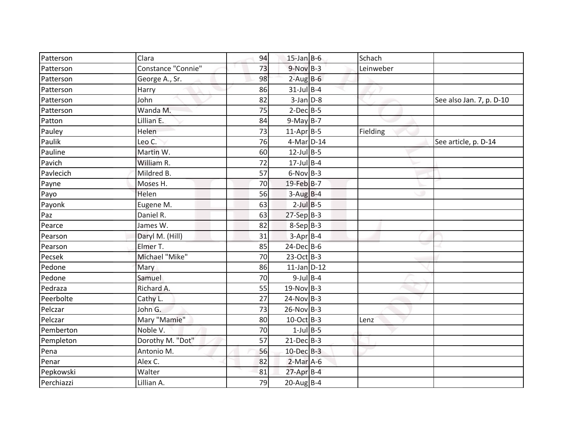| Patterson  | Clara              | 94 | $15$ -Jan B-6    | Schach    |                          |
|------------|--------------------|----|------------------|-----------|--------------------------|
| Patterson  | Constance "Connie" | 73 | $9-Nov$ B-3      | Leinweber |                          |
| Patterson  | George A., Sr.     | 98 | $2$ -Aug $B$ -6  |           |                          |
| Patterson  | Harry              | 86 | $31$ -Jul B-4    |           |                          |
| Patterson  | John               | 82 | $3$ -Jan $D-8$   |           | See also Jan. 7, p. D-10 |
| Patterson  | Wanda M.           | 75 | $2-Dec$ B-5      |           |                          |
| Patton     | Lillian E.         | 84 | $9-May$ B-7      |           |                          |
| Pauley     | Helen              | 73 | $11-AprB-5$      | Fielding  |                          |
| Paulik     | Leo C.             | 76 | 4-Mar D-14       |           | See article, p. D-14     |
| Pauline    | Martin W.          | 60 | $12$ -Jul B-5    |           |                          |
| Pavich     | William R.         | 72 | $17$ -Jul B-4    |           |                          |
| Pavlecich  | Mildred B.         | 57 | $6-Nov$ B-3      |           |                          |
| Payne      | Moses H.           | 70 | 19-Feb B-7       |           |                          |
| Payo       | Helen              | 56 | $3-Aug$ B-4      |           |                          |
| Payonk     | Eugene M.          | 63 | $2$ -Jul $B$ -5  |           |                          |
| Paz        | Daniel R.          | 63 | $27-SepB-3$      |           |                          |
| Pearce     | James W.           | 82 | $8-Sep B-3$      |           |                          |
| Pearson    | Daryl M. (Hill)    | 31 | $3-Apr$ B-4      |           |                          |
| Pearson    | Elmer T.           | 85 | $24$ -Dec $B$ -6 |           |                          |
| Pecsek     | Michael "Mike"     | 70 | $23-Oct$ B-3     |           |                          |
| Pedone     | Mary               | 86 | $11$ -Jan D-12   |           |                          |
| Pedone     | Samuel             | 70 | $9$ -Jul $B$ -4  |           |                          |
| Pedraza    | Richard A.         | 55 | $19-Nov$ B-3     |           |                          |
| Peerbolte  | Cathy L.           | 27 | $24-Nov$ B-3     |           |                          |
| Pelczar    | John G.            | 73 | $26-Nov$ B-3     |           |                          |
| Pelczar    | Mary "Mamie"       | 80 | 10-Oct B-3       | Lenz      |                          |
| Pemberton  | Noble V.           | 70 | $1$ -Jul $B$ -5  |           |                          |
| Pempleton  | Dorothy M. "Dot"   | 57 | $21$ -Dec $B-3$  |           |                          |
| Pena       | Antonio M.         | 56 | 10-Dec B-3       |           |                          |
| Penar      | Alex C.            | 82 | $2-Mar$ A-6      |           |                          |
| Pepkowski  | Walter             | 81 | $27$ -Apr $B-4$  |           |                          |
| Perchiazzi | Lillian A.         | 79 | $20$ -Aug B-4    |           |                          |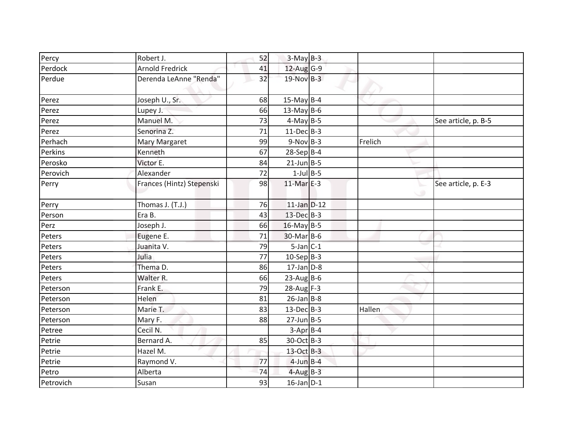| Percy     | Robert J.                 | 52 | $3-May$ B-3             |         |                     |
|-----------|---------------------------|----|-------------------------|---------|---------------------|
| Perdock   | <b>Arnold Fredrick</b>    | 41 | 12-Aug G-9              |         |                     |
| Perdue    | Derenda LeAnne "Renda"    | 32 | $19-Nov$ B-3            |         |                     |
| Perez     | Joseph U., Sr.            | 68 | 15-May $B-4$            |         |                     |
| Perez     | Lupey J.                  | 66 | $13$ -May B-6           |         |                     |
| Perez     | Manuel M.                 | 73 | $4$ -May B-5            |         | See article, p. B-5 |
| Perez     | Senorina Z.               | 71 | $11 - Dec$ B-3          |         |                     |
| Perhach   | Mary Margaret             | 99 | $9-Nov$ B-3             | Frelich |                     |
| Perkins   | Kenneth                   | 67 | $28-Sep B-4$            |         |                     |
| Perosko   | Victor E.                 | 84 | $21$ -Jun B-5           |         |                     |
| Perovich  | Alexander                 | 72 | $1$ -Jul $B - 5$        |         |                     |
| Perry     | Frances (Hintz) Stepenski | 98 | $11-Mar$ <sub>E-3</sub> | ت       | See article, p. E-3 |
| Perry     | Thomas J. (T.J.)          | 76 | $11$ -Jan $D-12$        |         |                     |
| Person    | Era B.                    | 43 | 13-Dec B-3              |         |                     |
| Perz      | Joseph J.                 | 66 | $16$ -May B-5           |         |                     |
| Peters    | Eugene E.                 | 71 | 30-Mar B-6              |         |                     |
| Peters    | Juanita V.                | 79 | $5$ -Jan $C-1$          |         |                     |
| Peters    | Julia                     | 77 | $10-Sep B-3$            |         |                     |
| Peters    | Thema D.                  | 86 | $17$ -Jan $D-8$         |         |                     |
| Peters    | Walter R.                 | 66 | $23$ -Aug B-6           |         |                     |
| Peterson  | Frank E.                  | 79 | $28$ -Aug F-3           |         |                     |
| Peterson  | Helen                     | 81 | $26$ -Jan B-8           |         |                     |
| Peterson  | Marie T.                  | 83 | $13$ -Dec $B-3$         | Hallen  |                     |
| Peterson  | Mary F.                   | 88 | $27$ -Jun B-5           |         |                     |
| Petree    | Cecil N.                  |    | $3-Apr$ B-4             |         |                     |
| Petrie    | Bernard A.                | 85 | 30-Oct B-3              |         |                     |
| Petrie    | Hazel M.                  |    | 13-Oct B-3              |         |                     |
| Petrie    | Raymond V.                | 77 | $4$ -Jun $B-4$          |         |                     |
| Petro     | Alberta                   | 74 | $4$ -Aug B-3            |         |                     |
| Petrovich | Susan                     | 93 | $16$ -Jan $D-1$         |         |                     |
|           |                           |    |                         |         |                     |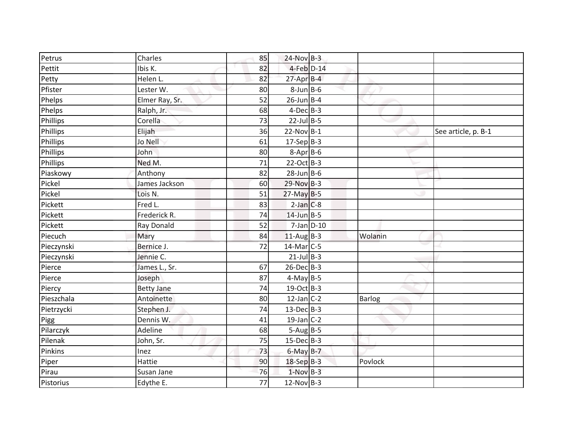| Petrus     | Charles           | 85 | $24-Nov$ B-3     |         |                     |
|------------|-------------------|----|------------------|---------|---------------------|
| Pettit     | Ibis K.           | 82 | 4-Feb D-14       |         |                     |
| Petty      | Helen L.          | 82 | 27-Apr B-4       |         |                     |
| Pfister    | Lester W.         | 80 | $8$ -Jun $B$ -6  |         |                     |
| Phelps     | Elmer Ray, Sr.    | 52 | $26$ -Jun $B$ -4 |         |                     |
| Phelps     | Ralph, Jr.        | 68 | $4$ -Dec $B$ -3  |         |                     |
| Phillips   | Corella           | 73 | $22$ -Jul B-5    |         |                     |
| Phillips   | Elijah            | 36 | $22-Nov$ B-1     |         | See article, p. B-1 |
| Phillips   | Jo Nell           | 61 | $17-Sep$ B-3     |         |                     |
| Phillips   | John              | 80 | $8-Apr$ B-6      |         |                     |
| Phillips   | Ned M.            | 71 | $22-Oct$ B-3     |         |                     |
| Piaskowy   | Anthony           | 82 | $28$ -Jun $B$ -6 |         |                     |
| Pickel     | James Jackson     | 60 | 29-Nov B-3       |         |                     |
| Pickel     | Lois N.           | 51 | $27$ -May B-5    |         |                     |
| Pickett    | Fred L.           | 83 | $2$ -Jan $C-8$   |         |                     |
| Pickett    | Frederick R.      | 74 | $14$ -Jun $B-5$  |         |                     |
| Pickett    | Ray Donald        | 52 | $7$ -Jan $D-10$  |         |                     |
| Piecuch    | Mary              | 84 | $11-AugB-3$      | Wolanin |                     |
| Pieczynski | Bernice J.        | 72 | 14-Mar C-5       |         |                     |
| Pieczynski | Jennie C.         |    | $21$ -Jul B-3    |         |                     |
| Pierce     | James L., Sr.     | 67 | $26$ -Dec $B-3$  |         |                     |
| Pierce     | Joseph            | 87 | $4-May$ B-5      |         |                     |
| Piercy     | <b>Betty Jane</b> | 74 | 19-Oct B-3       |         |                     |
| Pieszchala | Antoinette        | 80 | $12$ -Jan C-2    | Barlog  |                     |
| Pietrzycki | Stephen J.        | 74 | $13$ -DecB-3     |         |                     |
| Pigg       | Dennis W.         | 41 | $19$ -Jan $C-2$  |         |                     |
| Pilarczyk  | Adeline           | 68 | $5-Aug$ B-5      |         |                     |
| Pilenak    | John, Sr.         | 75 | $15$ -Dec $B$ -3 |         |                     |
| Pinkins    | Inez              | 73 | $6$ -May $B-7$   |         |                     |
| Piper      | Hattie            | 90 | $18-SepB-3$      | Povlock |                     |
| Pirau      | Susan Jane        | 76 | $1-Nov$ B-3      |         |                     |
| Pistorius  | Edythe E.         | 77 | $12-Nov$ B-3     |         |                     |
|            |                   |    |                  |         |                     |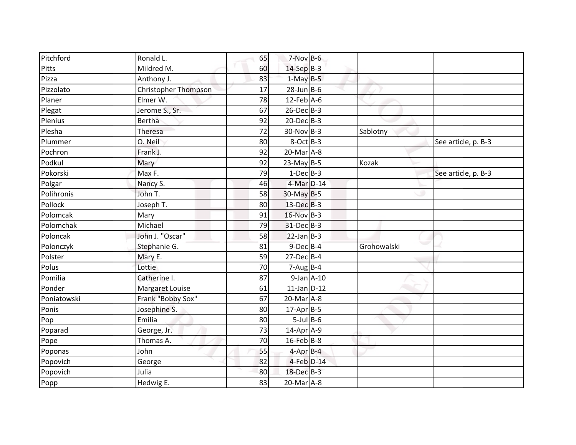| Pitchford   | Ronald L.                   | 65 | $7-Nov$ B-6      |                  |             |                     |
|-------------|-----------------------------|----|------------------|------------------|-------------|---------------------|
| Pitts       | Mildred M.                  | 60 | 14-Sep B-3       |                  |             |                     |
| Pizza       | Anthony J.                  | 83 | $1-May$ B-5      |                  |             |                     |
| Pizzolato   | <b>Christopher Thompson</b> | 17 | $28$ -Jun B-6    |                  |             |                     |
| Planer      | Elmer W.                    | 78 | $12$ -Feb $A$ -6 |                  |             |                     |
| Plegat      | Jerome S., Sr.              | 67 | 26-Dec B-3       |                  |             |                     |
| Plenius     | <b>Bertha</b>               | 92 | $20$ -Dec $B-3$  |                  |             |                     |
| Plesha      | Theresa                     | 72 | $30-Nov$ B-3     |                  | Sablotny    |                     |
| Plummer     | O. Neil                     | 80 | $8$ -Oct $B-3$   |                  |             | See article, p. B-3 |
| Pochron     | Frank J.                    | 92 | $20$ -Mar $A-8$  |                  |             |                     |
| Podkul      | Mary                        | 92 | $23-May$ B-5     |                  | Kozak       |                     |
| Pokorski    | Max F.                      | 79 | $1$ -Dec $B-3$   |                  |             | See article, p. B-3 |
| Polgar      | Nancy S.                    | 46 | 4-Mar D-14       |                  |             |                     |
| Polihronis  | John T.                     | 58 | $30$ -May B-5    |                  |             |                     |
| Pollock     | Joseph T.                   | 80 | $13$ -Dec $B-3$  |                  |             |                     |
| Polomcak    | Mary                        | 91 | 16-Nov B-3       |                  |             |                     |
| Polomchak   | Michael                     | 79 | 31-Dec B-3       |                  |             |                     |
| Poloncak    | John J. "Oscar"             | 58 | $22$ -Jan B-3    |                  |             |                     |
| Polonczyk   | Stephanie G.                | 81 | $9$ -Dec $B$ -4  |                  | Grohowalski |                     |
| Polster     | Mary E.                     | 59 | $27$ -Dec $B-4$  |                  |             |                     |
| Polus       | Lottie                      | 70 | $7-Aug$ B-4      |                  |             |                     |
| Pomilia     | Catherine I.                | 87 |                  | $9$ -Jan $A$ -10 |             |                     |
| Ponder      | Margaret Louise             | 61 | $11$ -Jan $D-12$ |                  |             |                     |
| Poniatowski | Frank "Bobby Sox"           | 67 | $20$ -Mar $A-8$  |                  |             |                     |
| Ponis       | Josephine S.                | 80 | $17$ -Apr $B$ -5 |                  |             |                     |
| Pop         | Emilia                      | 80 | $5$ -Jul $B$ -6  |                  |             |                     |
| Poparad     | George, Jr.                 | 73 | $14$ -Apr $A$ -9 |                  |             |                     |
| Pope        | Thomas A.                   | 70 | $16$ -Feb $B$ -8 |                  |             |                     |
| Poponas     | John                        | 55 | $4$ -Apr $B$ -4  |                  |             |                     |
| Popovich    | George                      | 82 | 4-Feb D-14       |                  |             |                     |
| Popovich    | Julia                       | 80 | 18-Dec B-3       |                  |             |                     |
| Popp        | Hedwig E.                   | 83 | 20-Mar A-8       |                  |             |                     |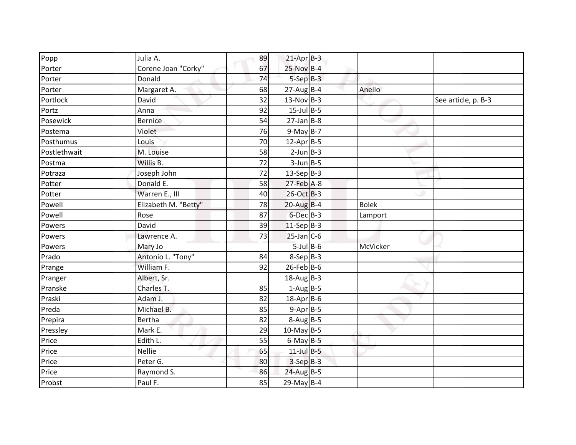| Popp         | Julia A.             | 89 | $21$ -Apr $B-3$  |              |                     |
|--------------|----------------------|----|------------------|--------------|---------------------|
| Porter       | Corene Joan "Corky"  | 67 | 25-Nov B-4       |              |                     |
| Porter       | Donald               | 74 | $5-$ Sep $B-3$   |              |                     |
| Porter       | Margaret A.          | 68 | $27$ -AugB-4     | Anello       |                     |
| Portlock     | David                | 32 | $13-Nov$ B-3     |              | See article, p. B-3 |
| Portz        | Anna                 | 92 | $15$ -Jul B-5    |              |                     |
| Posewick     | <b>Bernice</b>       | 54 | $27$ -Jan B-8    |              |                     |
| Postema      | Violet               | 76 | $9-May$ B-7      |              |                     |
| Posthumus    | Louis                | 70 | $12$ -Apr $B$ -5 |              |                     |
| Postlethwait | M. Louise            | 58 | $2$ -Jun $B - 3$ |              |                     |
| Postma       | Willis B.            | 72 | $3$ -Jun B-5     |              |                     |
| Potraza      | Joseph John          | 72 | $13-Sep B-3$     |              |                     |
| Potter       | Donald E.            | 58 | $27$ -Feb $A-8$  |              |                     |
| Potter       | Warren E., III       | 40 | 26-Oct B-3       |              |                     |
| Powell       | Elizabeth M. "Betty" | 78 | $20-AugB-4$      | <b>Bolek</b> |                     |
| Powell       | Rose                 | 87 | $6$ -Dec $B$ -3  | Lamport      |                     |
| Powers       | David                | 39 | $11-Sep B-3$     |              |                     |
| Powers       | Lawrence A.          | 73 | $25$ -Jan $C$ -6 |              |                     |
| Powers       | Mary Jo              |    | $5$ -Jul $B$ -6  | McVicker     |                     |
| Prado        | Antonio L. "Tony"    | 84 | $8-Sep B-3$      |              |                     |
| Prange       | William F.           | 92 | $26$ -Feb $B$ -6 |              |                     |
| Pranger      | Albert, Sr.          |    | $18$ -Aug B-3    |              |                     |
| Pranske      | Charles T.           | 85 | $1-Aug$ B-5      |              |                     |
| Praski       | Adam J.              | 82 | 18-Apr B-6       |              |                     |
| Preda        | Michael B.           | 85 | $9-Apr$ B-5      |              |                     |
| Prepira      | Bertha               | 82 | $8-Aug$ B-5      |              |                     |
| Pressley     | Mark E.              | 29 | $10$ -May B-5    |              |                     |
| Price        | Edith L.             | 55 | $6$ -May B-5     |              |                     |
| Price        | <b>Nellie</b>        | 65 | $11$ -Jul $B-5$  |              |                     |
| Price        | Peter G.             | 80 | $3-SepB-3$       |              |                     |
| Price        | Raymond S.           | 86 | $24$ -Aug B-5    |              |                     |
| Probst       | Paul F.              | 85 | $29$ -May B-4    |              |                     |
|              |                      |    |                  |              |                     |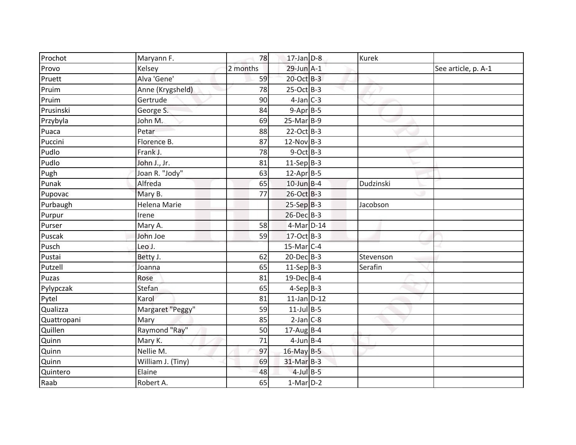| Prochot     | Maryann F.          | 78       | $17$ -Jan $D-8$   | <b>Kurek</b> |                     |
|-------------|---------------------|----------|-------------------|--------------|---------------------|
| Provo       | Kelsey              | 2 months | $29$ -Jun $A-1$   |              | See article, p. A-1 |
| Pruett      | Alva 'Gene'         | 59       | 20-Oct B-3        |              |                     |
| Pruim       | Anne (Krygsheld)    | 78       | 25-Oct B-3        |              |                     |
| Pruim       | Gertrude            | 90       | $4$ -Jan $C-3$    |              |                     |
| Prusinski   | George S.           | 84       | $9-Apr$ B-5       |              |                     |
| Przybyla    | John M.             | 69       | $25-Mar$ B-9      |              |                     |
| Puaca       | Petar               | 88       | $22-Oct$ B-3      |              |                     |
| Puccini     | Florence B.         | 87       | $12-Nov$ B-3      |              |                     |
| Pudlo       | Frank J.            | 78       | $9$ -Oct B-3      |              |                     |
| Pudlo       | John J., Jr.        | 81       | $11-Sep B-3$      |              |                     |
| Pugh        | Joan R. "Jody"      | 63       | $12$ -Apr $B-5$   |              |                     |
| Punak       | Alfreda             | 65       | $10$ -Jun $B-4$   | Dudzinski    |                     |
| Pupovac     | Mary B.             | 77       | 26-Oct B-3        |              |                     |
| Purbaugh    | <b>Helena Marie</b> |          | $25-SepB-3$       | Jacobson     |                     |
| Purpur      | Irene               |          | $26$ -Dec $B-3$   |              |                     |
| Purser      | Mary A.             | 58       | 4-Mar D-14        |              |                     |
| Puscak      | John Joe            | 59       | 17-Oct B-3        |              |                     |
| Pusch       | Leo J.              |          | $15$ -Mar $ C-4 $ |              |                     |
| Pustai      | Betty J.            | 62       | $20$ -Dec $B-3$   | Stevenson    |                     |
| Putzell     | Joanna              | 65       | $11-Sep$ B-3      | Serafin      |                     |
| Puzas       | Rose                | 81       | 19-Dec B-4        |              |                     |
| Pylypczak   | Stefan              | 65       | $4-Sep$ B-3       |              |                     |
| Pytel       | Karol               | 81       | $11$ -Jan $D-12$  |              |                     |
| Qualizza    | Margaret "Peggy"    | 59       | $11$ -Jul B-5     |              |                     |
| Quattropani | Mary                | 85       | $2-Jan$ C-8       |              |                     |
| Quillen     | Raymond "Ray"       | 50       | $17$ -AugB-4      |              |                     |
| Quinn       | Mary K.             | 71       | $4$ -Jun $B$ -4   |              |                     |
| Quinn       | Nellie M.           | 97       | 16-May B-5        |              |                     |
| Quinn       | William J. (Tiny)   | 69       | $31$ -Mar $B-3$   |              |                     |
| Quintero    | Elaine              | 48       | $4$ -Jul $B$ -5   |              |                     |
| Raab        | Robert A.           | 65       | $1-Mar$ D-2       |              |                     |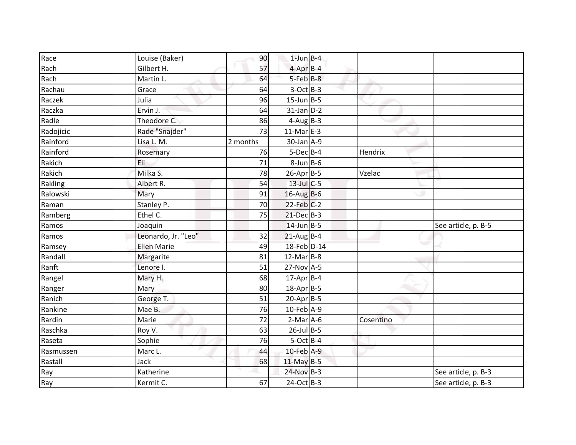| Race      | Louise (Baker)      | 90       | $1$ -Jun $B - 4$ |           |                     |
|-----------|---------------------|----------|------------------|-----------|---------------------|
| Rach      | Gilbert H.          | 57       | $4$ -Apr $B$ -4  |           |                     |
| Rach      | Martin L.           | 64       | $5-Feb$ $B-8$    |           |                     |
| Rachau    | Grace               | 64       | $3-Oct$ B-3      |           |                     |
| Raczek    | Julia               | 96       | $15$ -Jun B-5    |           |                     |
| Raczka    | Ervin J.            | 64       | $31$ -Jan $D-2$  |           |                     |
| Radle     | Theodore C.         | 86       | $4-Aug$ B-3      |           |                     |
| Radojicic | Rade "Snajder"      | 73       | $11-MarE-3$      |           |                     |
| Rainford  | Lisa L. M.          | 2 months | $30$ -Jan $A-9$  |           |                     |
| Rainford  | Rosemary            | 76       | $5$ -Dec $B$ -4  | Hendrix   |                     |
| Rakich    | Eli                 | 71       | $8$ -Jun $B$ -6  |           |                     |
| Rakich    | Milka S.            | 78       | 26-Apr B-5       | Vzelac    |                     |
| Rakling   | Albert R.           | 54       | $13$ -Jul C-5    |           |                     |
| Ralowski  | Mary                | 91       | $16$ -Aug B-6    |           |                     |
| Raman     | Stanley P.          | 70       | $22$ -Feb $C-2$  |           |                     |
| Ramberg   | Ethel C.            | 75       | $21$ -Dec $B-3$  |           |                     |
| Ramos     | Joaquin             |          | $14$ -Jun $B-5$  |           | See article, p. B-5 |
| Ramos     | Leonardo, Jr. "Leo" | 32       | $21$ -Aug B-4    |           |                     |
| Ramsey    | <b>Ellen Marie</b>  | 49       | 18-Feb D-14      |           |                     |
| Randall   | Margarite           | 81       | $12$ -Mar $B-8$  |           |                     |
| Ranft     | Lenore I.           | 51       | 27-Nov A-5       |           |                     |
| Rangel    | Mary H.             | 68       | $17$ -Apr $B$ -4 |           |                     |
| Ranger    | Mary                | 80       | 18-Apr B-5       |           |                     |
| Ranich    | George T.           | 51       | $20-Apr$ B-5     |           |                     |
| Rankine   | Mae B.              | 76       | 10-Feb A-9       |           |                     |
| Rardin    | Marie               | 72       | $2-Mar$ A-6      | Cosentino |                     |
| Raschka   | Roy V.              | 63       | $26$ -Jul B-5    |           |                     |
| Raseta    | Sophie              | 76       | $5-Oct$ B-4      |           |                     |
| Rasmussen | Marc L.             | 44       | 10-Feb A-9       |           |                     |
| Rastall   | Jack                | 68       | 11-May B-5       |           |                     |
| Ray       | Katherine           |          | 24-Nov B-3       |           | See article, p. B-3 |
| Ray       | Kermit C.           | 67       | $24-Oct$ B-3     |           | See article, p. B-3 |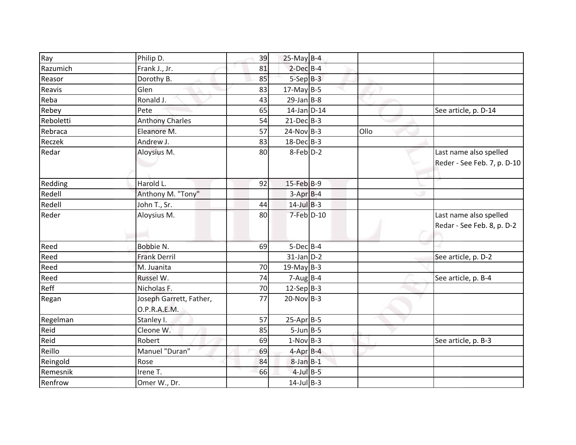| Ray       | Philip D.                               | 39 | $25$ -May B-4            |      |                                                       |
|-----------|-----------------------------------------|----|--------------------------|------|-------------------------------------------------------|
| Razumich  | Frank J., Jr.                           | 81 | $2$ -Dec $B$ -4          |      |                                                       |
| Reasor    | Dorothy B.                              | 85 | $5-SepB-3$               |      |                                                       |
| Reavis    | Glen                                    | 83 | $17$ -May B-5            |      |                                                       |
| Reba      | Ronald J.                               | 43 | $29$ -Jan B-8            |      |                                                       |
| Rebey     | Pete                                    | 65 | $14$ -Jan $D-14$         |      | See article, p. D-14                                  |
| Reboletti | <b>Anthony Charles</b>                  | 54 | $21-Dec$ B-3             |      |                                                       |
| Rebraca   | Eleanore M.                             | 57 | $24-Nov$ B-3             | Ollo |                                                       |
|           |                                         |    | $18$ -Dec $B-3$          |      |                                                       |
| Reczek    | Andrew J.                               | 83 |                          |      |                                                       |
| Redar     | Aloysius M.                             | 80 | $8$ -Feb $D-2$           |      | Last name also spelled<br>Reder - See Feb. 7, p. D-10 |
| Redding   | Harold L.                               | 92 | $15$ -Feb $B-9$          |      |                                                       |
| Redell    | Anthony M. "Tony"                       |    | $3-Apr$ B-4              |      |                                                       |
| Redell    | John T., Sr.                            | 44 | $14$ -Jul $B-3$          |      |                                                       |
| Reder     | Aloysius M.                             | 80 | 7-Feb D-10               |      | Last name also spelled<br>Redar - See Feb. 8, p. D-2  |
| Reed      | Bobbie N.                               | 69 | 5-Dec B-4                |      |                                                       |
| Reed      | <b>Frank Derril</b>                     |    | $31$ -Jan $D-2$          |      | See article, p. D-2                                   |
| Reed      | M. Juanita                              | 70 | $19$ -May B-3            |      |                                                       |
| Reed      | Russel W.                               | 74 | $7 - Aug$ <sub>B-4</sub> |      | See article, p. B-4                                   |
| Reff      | Nicholas F.                             | 70 | $12-Sep B-3$             |      |                                                       |
| Regan     | Joseph Garrett, Father,<br>O.P.R.A.E.M. | 77 | $20$ -Nov B-3            |      |                                                       |
| Regelman  | Stanley I.                              | 57 | $25-AprB-5$              |      |                                                       |
| Reid      | Cleone W.                               | 85 | $5$ -Jun $B$ -5          |      |                                                       |
| Reid      | Robert                                  | 69 | $1-Nov$ B-3              |      | See article, p. B-3                                   |
| Reillo    | Manuel "Duran"                          | 69 | $4$ -Apr $B$ -4          |      |                                                       |
| Reingold  | Rose                                    | 84 | $8$ -Jan $B-1$           |      |                                                       |
| Remesnik  | Irene T.                                | 66 | $4$ -Jul B-5             |      |                                                       |
| Renfrow   | Omer W., Dr.                            |    | $14$ -Jul B-3            |      |                                                       |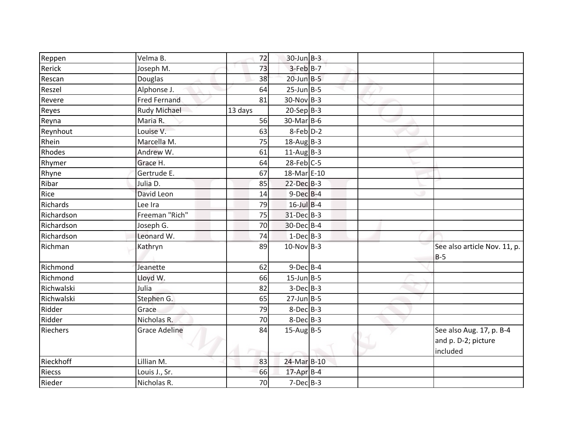| Reppen        | Velma B.             | 72      | $30$ -Jun $B-3$   |  |                              |
|---------------|----------------------|---------|-------------------|--|------------------------------|
| Rerick        | Joseph M.            | 73      | $3$ -Feb $B$ -7   |  |                              |
| Rescan        | Douglas              | 38      | $20$ -Jun $B - 5$ |  |                              |
| Reszel        | Alphonse J.          | 64      | $25$ -Jun $B$ -5  |  |                              |
| Revere        | <b>Fred Fernand</b>  | 81      | $30-Nov B-3$      |  |                              |
| Reyes         | Rudy Michael         | 13 days | $20-Sep B-3$      |  |                              |
| Reyna         | Maria R.             | 56      | 30-Mar B-6        |  |                              |
| Reynhout      | Louise V.            | 63      | 8-Feb D-2         |  |                              |
| Rhein         | Marcella M.          | 75      | $18-AugB-3$       |  |                              |
| Rhodes        | Andrew W.            | 61      | $11-AugB-3$       |  |                              |
| Rhymer        | Grace H.             | 64      | $28$ -Feb $C$ -5  |  |                              |
| Rhyne         | Gertrude E.          | 67      | 18-Mar E-10       |  |                              |
| Ribar         | Julia D.             | 85      | $22$ -Dec $B-3$   |  |                              |
| Rice          | David Leon           | 14      | $9$ -Dec $B$ -4   |  |                              |
| Richards      | Lee Ira              | 79      | $16$ -Jul B-4     |  |                              |
| Richardson    | Freeman "Rich"       | 75      | 31-Dec B-3        |  |                              |
| Richardson    | Joseph G.            | 70      | 30-Dec B-4        |  |                              |
| Richardson    | Leonard W.           | 74      | $1-Dec$ B-3       |  |                              |
| Richman       | Kathryn              | 89      | $10$ -Nov B-3     |  | See also article Nov. 11, p. |
|               |                      |         |                   |  | $B-5$                        |
| Richmond      | Jeanette             | 62      | $9$ -Dec $B$ -4   |  |                              |
| Richmond      | Lloyd W.             | 66      | $15$ -Jun $B - 5$ |  |                              |
| Richwalski    | Julia                | 82      | $3-Dec$ B-3       |  |                              |
| Richwalski    | Stephen G.           | 65      | $27$ -Jun $B - 5$ |  |                              |
| Ridder        | Grace                | 79      | $8$ -Dec $B$ -3   |  |                              |
| Ridder        | Nicholas R.          | 70      | $8-Dec$ B-3       |  |                              |
| Riechers      | <b>Grace Adeline</b> | 84      | $15$ -Aug B-5     |  | See also Aug. 17, p. B-4     |
|               |                      |         |                   |  | and p. D-2; picture          |
|               |                      |         |                   |  | included                     |
| Rieckhoff     | Lillian M.           | 83      | 24-Mar B-10       |  |                              |
| <b>Riecss</b> | Louis J., Sr.        | 66      | $17$ -Apr $B$ -4  |  |                              |
| Rieder        | Nicholas R.          | 70      | $7-Dec$ B-3       |  |                              |
|               |                      |         |                   |  |                              |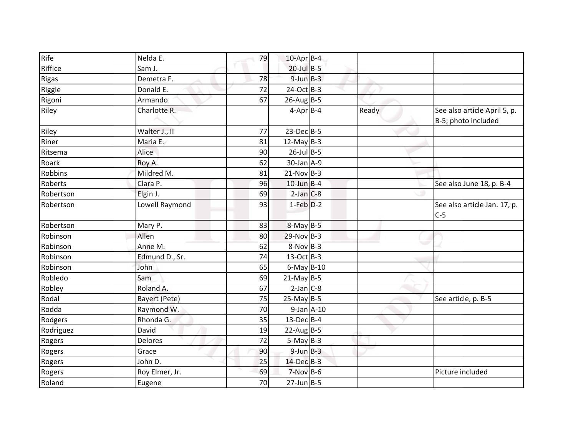| Rife      | Nelda E.             | 79 | $10$ -Apr $B$ -4  |       |                                                     |
|-----------|----------------------|----|-------------------|-------|-----------------------------------------------------|
| Riffice   | Sam J.               |    | $20$ -Jul B-5     |       |                                                     |
| Rigas     | Demetra F.           | 78 | $9$ -Jun $B - 3$  |       |                                                     |
| Riggle    | Donald E.            | 72 | 24-Oct B-3        |       |                                                     |
| Rigoni    | Armando              | 67 | $26$ -Aug B-5     |       |                                                     |
| Riley     | Charlotte R.         |    | $4-Apr$ B-4       | Ready | See also article April 5, p.<br>B-5; photo included |
| Riley     | Walter J., II        | 77 | $23$ -Dec $B-5$   |       |                                                     |
| Riner     | Maria E.             | 81 | 12-May $B-3$      |       |                                                     |
| Ritsema   | Alice                | 90 | $26$ -Jul B-5     |       |                                                     |
| Roark     | Roy A.               | 62 | 30-Jan A-9        |       |                                                     |
| Robbins   | Mildred M.           | 81 | $21-Nov$ B-3      |       |                                                     |
| Roberts   | Clara P.             | 96 | $10$ -Jun B-4     |       | See also June 18, p. B-4                            |
| Robertson | Elgin J.             | 69 | $2$ -Jan $C-8$    |       |                                                     |
| Robertson | Lowell Raymond       | 93 | $1-Feb$ $D-2$     |       | See also article Jan. 17, p.<br>$C-5$               |
| Robertson | Mary P.              | 83 | $8-May$ B-5       |       |                                                     |
| Robinson  | Allen                | 80 | $29-Nov$ B-3      |       |                                                     |
| Robinson  | Anne M.              | 62 | $8-Nov$ B-3       |       |                                                     |
| Robinson  | Edmund D., Sr.       | 74 | $13-Oct$ B-3      |       |                                                     |
| Robinson  | John                 | 65 | $6$ -May $B-10$   |       |                                                     |
| Robledo   | Sam                  | 69 | $21$ -May B-5     |       |                                                     |
| Robley    | Roland A.            | 67 | $2-Jan$ C-8       |       |                                                     |
| Rodal     | <b>Bayert (Pete)</b> | 75 | $25$ -May B-5     |       | See article, p. B-5                                 |
| Rodda     | Raymond W.           | 70 | $9$ -Jan $A$ -10  |       |                                                     |
| Rodgers   | Rhonda G.            | 35 | $13$ -Dec $B-4$   |       |                                                     |
| Rodriguez | David                | 19 | $22$ -Aug B-5     |       |                                                     |
| Rogers    | Delores              | 72 | $5-May$ B-3       |       |                                                     |
| Rogers    | Grace                | 90 | $9$ -Jun $B - 3$  |       |                                                     |
| Rogers    | John D.              | 25 | 14-Dec B-3        |       |                                                     |
| Rogers    | Roy Elmer, Jr.       | 69 | $7-Nov$ B-6       |       | Picture included                                    |
| Roland    | Eugene               | 70 | $27$ -Jun $B - 5$ |       |                                                     |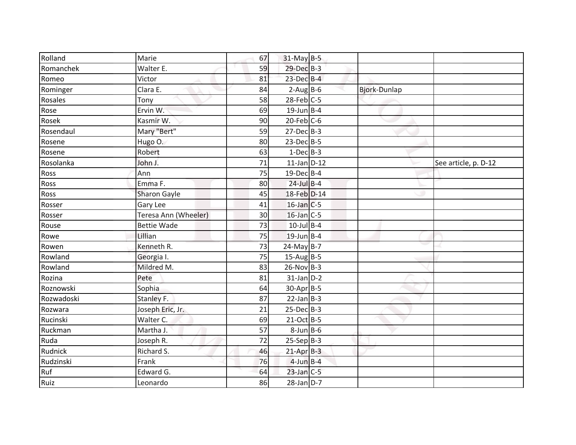| Rolland    | Marie                | 67 | 31-May B-5       |                     |                      |
|------------|----------------------|----|------------------|---------------------|----------------------|
| Romanchek  | Walter E.            | 59 | 29-Dec B-3       |                     |                      |
| Romeo      | Victor               | 81 | $23$ -Dec $B-4$  |                     |                      |
| Rominger   | Clara E.             | 84 | $2-Aug$ B-6      | <b>Bjork-Dunlap</b> |                      |
| Rosales    | Tony                 | 58 | $28$ -Feb $C$ -5 |                     |                      |
| Rose       | Ervin W.             | 69 | $19$ -Jun B-4    |                     |                      |
| Rosek      | Kasmir W.            | 90 | $20$ -Feb $C$ -6 |                     |                      |
| Rosendaul  | Mary "Bert"          | 59 | $27 - Dec$ B-3   |                     |                      |
| Rosene     | Hugo O.              | 80 | $23-Dec$ B-5     |                     |                      |
| Rosene     | Robert               | 63 | $1-Dec$ B-3      |                     |                      |
| Rosolanka  | John J.              | 71 | $11$ -Jan D-12   |                     | See article, p. D-12 |
| Ross       | Ann                  | 75 | 19-Dec B-4       |                     |                      |
| Ross       | Emma F.              | 80 | $24$ -Jul B-4    |                     |                      |
| Ross       | <b>Sharon Gayle</b>  | 45 | 18-Feb D-14      |                     |                      |
| Rosser     | Gary Lee             | 41 | $16$ -Jan $C$ -5 |                     |                      |
| Rosser     | Teresa Ann (Wheeler) | 30 | $16$ -Jan $C$ -5 |                     |                      |
| Rouse      | <b>Bettie Wade</b>   | 73 | $10$ -Jul B-4    |                     |                      |
| Rowe       | Lillian              | 75 | $19$ -Jun B-4    |                     |                      |
| Rowen      | Kenneth R.           | 73 | $24$ -May B-7    |                     |                      |
| Rowland    | Georgia I.           | 75 | $15$ -Aug B-5    |                     |                      |
| Rowland    | Mildred M.           | 83 | $26$ -Nov B-3    |                     |                      |
| Rozina     | Pete                 | 81 | $31$ -Jan $D-2$  |                     |                      |
| Roznowski  | Sophia               | 64 | 30-Apr B-5       |                     |                      |
| Rozwadoski | Stanley F.           | 87 | $22$ -Jan B-3    |                     |                      |
| Rozwara    | Joseph Eric, Jr.     | 21 | $25$ -Dec $B-3$  |                     |                      |
| Rucinski   | Walter C.            | 69 | $21-Oct$ B-5     |                     |                      |
| Ruckman    | Martha J.            | 57 | $8$ -Jun $B$ -6  |                     |                      |
| Ruda       | Joseph R.            | 72 | $25-Sep B-3$     |                     |                      |
| Rudnick    | Richard S.           | 46 | $21-AprB-3$      |                     |                      |
| Rudzinski  | Frank                | 76 | $4$ -Jun B-4     |                     |                      |
| Ruf        | Edward G.            | 64 | $23$ -Jan C-5    |                     |                      |
| Ruiz       | Leonardo             | 86 | $28$ -Jan $D-7$  |                     |                      |
|            |                      |    |                  |                     |                      |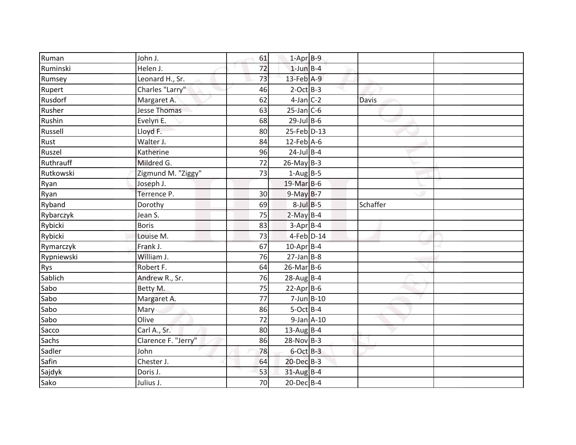| Ruman      | John J.             | 61 | $1-Apr$ B-9      |          |  |
|------------|---------------------|----|------------------|----------|--|
| Ruminski   | Helen J.            | 72 | $1$ -Jun $B-4$   |          |  |
| Rumsey     | Leonard H., Sr.     | 73 | 13-Feb A-9       |          |  |
| Rupert     | Charles "Larry"     | 46 | $2$ -Oct B-3     |          |  |
| Rusdorf    | Margaret A.         | 62 | $4$ -Jan $C-2$   | Davis    |  |
| Rusher     | <b>Jesse Thomas</b> | 63 | $25$ -Jan C-6    |          |  |
| Rushin     | Evelyn E.           | 68 | $29$ -Jul B-6    |          |  |
| Russell    | Lloyd F.            | 80 | 25-Feb D-13      |          |  |
| Rust       | Walter J.           | 84 | $12$ -Feb $A$ -6 |          |  |
| Ruszel     | Katherine           | 96 | $24$ -Jul B-4    |          |  |
| Ruthrauff  | Mildred G.          | 72 | $26$ -May B-3    |          |  |
| Rutkowski  | Zigmund M. "Ziggy"  | 73 | $1-Aug$ B-5      |          |  |
| Ryan       | Joseph J.           |    | 19-Mar B-6       |          |  |
| Ryan       | Terrence P.         | 30 | $9-May$ B-7      |          |  |
| Ryband     | Dorothy             | 69 | $8$ -Jul $B$ -5  | Schaffer |  |
| Rybarczyk  | Jean S.             | 75 | $2-May$ B-4      |          |  |
| Rybicki    | <b>Boris</b>        | 83 | $3-Apr$ B-4      |          |  |
| Rybicki    | Louise M.           | 73 | $4$ -Feb $D-14$  |          |  |
| Rymarczyk  | Frank J.            | 67 | $10$ -Apr $B$ -4 |          |  |
| Rypniewski | William J.          | 76 | $27$ -Jan B-8    |          |  |
| <b>Rys</b> | Robert F.           | 64 | $26$ -Mar $B$ -6 |          |  |
| Sablich    | Andrew R., Sr.      | 76 | $28$ -Aug B-4    |          |  |
| Sabo       | Betty M.            | 75 | $22-Apr$ B-6     |          |  |
| Sabo       | Margaret A.         | 77 | $7$ -Jun $B$ -10 |          |  |
| Sabo       | Mary                | 86 | $5-Oct$ B-4      |          |  |
| Sabo       | Olive               | 72 | $9$ -Jan $A$ -10 |          |  |
| Sacco      | Carl A., Sr.        | 80 | $13$ -Aug B-4    |          |  |
| Sachs      | Clarence F. "Jerry" | 86 | $28-Nov$ B-3     |          |  |
| Sadler     | John                | 78 | $6$ -Oct $B-3$   |          |  |
| Safin      | Chester J.          | 64 | 20-Dec B-3       |          |  |
| Sajdyk     | Doris J.            | 53 | $31$ -Aug B-4    |          |  |
| Sako       | Julius J.           | 70 | $20$ -Dec $B-4$  |          |  |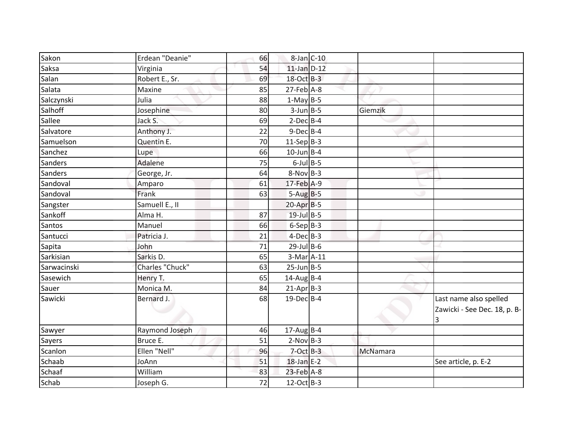| Saksa<br>54<br>$11$ -Jan $D-12$<br>Virginia<br>Salan<br>18-Oct B-3<br>Robert E., Sr.<br>69<br>Salata<br>$27$ -Feb $A-8$<br>Maxine<br>85<br>Salczynski<br>Julia<br>$1-May$ B-5<br>88<br>Salhoff<br>$3$ -Jun $B - 5$<br>Josephine<br>80<br>Sallee<br>$2-Dec$ B-4<br>69<br>Jack S.<br>Salvatore<br>22<br>$9$ -Dec $B$ -4<br>Anthony J.<br>Samuelson<br>$11-Sep B-3$<br>Quentin E.<br>70 | Giemzik                                                     |
|--------------------------------------------------------------------------------------------------------------------------------------------------------------------------------------------------------------------------------------------------------------------------------------------------------------------------------------------------------------------------------------|-------------------------------------------------------------|
|                                                                                                                                                                                                                                                                                                                                                                                      |                                                             |
|                                                                                                                                                                                                                                                                                                                                                                                      |                                                             |
|                                                                                                                                                                                                                                                                                                                                                                                      |                                                             |
|                                                                                                                                                                                                                                                                                                                                                                                      |                                                             |
|                                                                                                                                                                                                                                                                                                                                                                                      |                                                             |
|                                                                                                                                                                                                                                                                                                                                                                                      |                                                             |
|                                                                                                                                                                                                                                                                                                                                                                                      |                                                             |
|                                                                                                                                                                                                                                                                                                                                                                                      |                                                             |
| $10$ -Jun B-4<br>66<br>Sanchez<br>Lupe                                                                                                                                                                                                                                                                                                                                               |                                                             |
| Sanders<br>Adalene<br>75<br>$6$ -Jul $B$ -5                                                                                                                                                                                                                                                                                                                                          |                                                             |
| Sanders<br>$8-Nov$ B-3<br>George, Jr.<br>64                                                                                                                                                                                                                                                                                                                                          |                                                             |
| Sandoval<br>17-Feb A-9<br>61<br>Amparo                                                                                                                                                                                                                                                                                                                                               |                                                             |
| Frank<br>63<br>$5-AugB-5$<br>Sandoval                                                                                                                                                                                                                                                                                                                                                |                                                             |
| Sangster<br>Samuell E., II<br>$20-Apr$ B-5                                                                                                                                                                                                                                                                                                                                           |                                                             |
| Sankoff<br>19-Jul B-5<br>Alma H.<br>87                                                                                                                                                                                                                                                                                                                                               |                                                             |
| $6-Sep B-3$<br>Santos<br>66<br>Manuel                                                                                                                                                                                                                                                                                                                                                |                                                             |
| Santucci<br>$4$ -Dec $B$ -3<br>Patricia J.<br>21                                                                                                                                                                                                                                                                                                                                     |                                                             |
| Sapita<br>$29$ -Jul B-6<br>John<br>71                                                                                                                                                                                                                                                                                                                                                |                                                             |
| Sarkisian<br>Sarkis D.<br>65<br>3-Mar A-11                                                                                                                                                                                                                                                                                                                                           |                                                             |
| Charles "Chuck"<br>63<br>Sarwacinski<br>$25$ -Jun $B$ -5                                                                                                                                                                                                                                                                                                                             |                                                             |
| Sasewich<br>$14$ -Aug B-4<br>Henry T.<br>65                                                                                                                                                                                                                                                                                                                                          |                                                             |
| Sauer<br>Monica M.<br>$21-AprB-3$<br>84                                                                                                                                                                                                                                                                                                                                              |                                                             |
| 19-Dec B-4<br>Bernard J.<br>Sawicki<br>68                                                                                                                                                                                                                                                                                                                                            | Last name also spelled<br>Zawicki - See Dec. 18, p. B-<br>3 |
| $17$ -AugB-4<br>Sawyer<br>Raymond Joseph<br>46                                                                                                                                                                                                                                                                                                                                       |                                                             |
| <b>Sayers</b><br>Bruce E.<br>51<br>$2-Nov$ B-3                                                                                                                                                                                                                                                                                                                                       |                                                             |
| Scanlon<br>Ellen "Nell"<br>$7$ -Oct $B-3$<br>96                                                                                                                                                                                                                                                                                                                                      | McNamara                                                    |
| Schaab<br>18-Jan E-2<br>JoAnn<br>51                                                                                                                                                                                                                                                                                                                                                  | See article, p. E-2                                         |
| Schaaf<br>$23$ -Feb $A-8$<br>William<br>83                                                                                                                                                                                                                                                                                                                                           |                                                             |
| Schab<br>72<br>$12$ -Oct B-3<br>Joseph G.                                                                                                                                                                                                                                                                                                                                            |                                                             |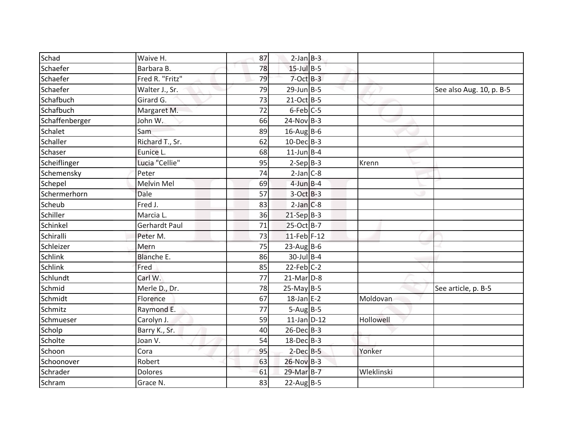| Schad          | Waive H.             | 87 | $2-Jan$ B-3      |            |                          |
|----------------|----------------------|----|------------------|------------|--------------------------|
| Schaefer       | Barbara B.           | 78 | $15$ -Jul $B$ -5 |            |                          |
| Schaefer       | Fred R. "Fritz"      | 79 | $7-Oct$ B-3      |            |                          |
| Schaefer       | Walter J., Sr.       | 79 | $29$ -Jun B-5    |            | See also Aug. 10, p. B-5 |
| Schafbuch      | Girard G.            | 73 | $21-Oct$ B-5     |            |                          |
| Schafbuch      | Margaret M.          | 72 | $6$ -Feb $C$ -5  |            |                          |
| Schaffenberger | John W.              | 66 | $24-Nov B-3$     |            |                          |
| Schalet        | Sam                  | 89 | $16$ -Aug B-6    |            |                          |
| Schaller       | Richard T., Sr.      | 62 | $10$ -Dec $B-3$  |            |                          |
| Schaser        | Eunice L.            | 68 | $11$ -Jun B-4    |            |                          |
| Scheiflinger   | Lucia "Cellie"       | 95 | $2-Sep B-3$      | Krenn      |                          |
| Schemensky     | Peter                | 74 | $2-Jan$ $C-8$    |            |                          |
| Schepel        | Melvin Mel           | 69 | $4$ -Jun $B - 4$ |            |                          |
| Schermerhorn   | Dale                 | 57 | $3-Oct$ B-3      |            |                          |
| Scheub         | Fred J.              | 83 | $2-Jan$ $C-8$    |            |                          |
| Schiller       | Marcia L.            | 36 | $21-Sep B-3$     |            |                          |
| Schinkel       | <b>Gerhardt Paul</b> | 71 | 25-Oct B-7       |            |                          |
| Schiralli      | Peter M.             | 73 | $11$ -Feb F-12   |            |                          |
| Schleizer      | Mern                 | 75 | $23$ -Aug B-6    |            |                          |
| Schlink        | <b>Blanche E.</b>    | 86 | $30$ -Jul B-4    |            |                          |
| Schlink        | Fred                 | 85 | $22$ -Feb $C-2$  |            |                          |
| Schlundt       | Carl W.              | 77 | $21$ -Mar $D-8$  |            |                          |
| Schmid         | Merle D., Dr.        | 78 | $25$ -May B-5    |            | See article, p. B-5      |
| Schmidt        | Florence             | 67 | $18$ -Jan E-2    | Moldovan   |                          |
| Schmitz        | Raymond E.           | 77 | $5-Aug$ B-5      |            |                          |
| Schmueser      | Carolyn J.           | 59 | $11$ -Jan $D-12$ | Hollowell  |                          |
| Scholp         | Barry K., Sr.        | 40 | $26$ -Dec $B-3$  |            |                          |
| Scholte        | Joan V.              | 54 | $18$ -Dec $B$ -3 |            |                          |
| Schoon         | Cora                 | 95 | $2$ -Dec $B - 5$ | Yonker     |                          |
| Schoonover     | Robert               | 63 | $26-Nov$ B-3     |            |                          |
| Schrader       | Dolores              | 61 | 29-Mar B-7       | Wleklinski |                          |
| Schram         | Grace N.             | 83 | $22$ -Aug B-5    |            |                          |
|                |                      |    |                  |            |                          |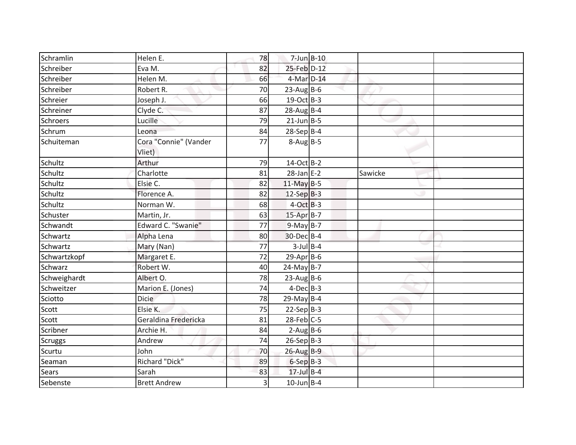| Schramlin      | Helen E.                        | 78 | $7$ -Jun $B-10$   |         |  |
|----------------|---------------------------------|----|-------------------|---------|--|
| Schreiber      | Eva M.                          | 82 | 25-Feb D-12       |         |  |
| Schreiber      | Helen M.                        | 66 | 4-Mar D-14        |         |  |
| Schreiber      | Robert R.                       | 70 | $23$ -AugB-6      |         |  |
| Schreier       | Joseph J.                       | 66 | $19-Oct$ B-3      |         |  |
| Schreiner      | Clyde C.                        | 87 | $28$ -Aug B-4     |         |  |
| Schroers       | Lucille                         | 79 | $21$ -Jun $B - 5$ |         |  |
| Schrum         | Leona                           | 84 | $28-Sep$ B-4      |         |  |
| Schuiteman     | Cora "Connie" (Vander<br>Vliet) | 77 | $8-Aug$ B-5       |         |  |
| Schultz        | Arthur                          | 79 | 14-Oct B-2        |         |  |
| Schultz        | Charlotte                       | 81 | $28$ -Jan $E-2$   | Sawicke |  |
| Schultz        | Elsie C.                        | 82 | $11$ -May B-5     |         |  |
| Schultz        | Florence A.                     | 82 | $12-Sep$ B-3      |         |  |
| Schultz        | Norman W.                       | 68 | $4-Oct$ B-3       |         |  |
| Schuster       | Martin, Jr.                     | 63 | 15-Apr B-7        |         |  |
| Schwandt       | Edward C. "Swanie"              | 77 | $9-May$ B-7       |         |  |
| Schwartz       | Alpha Lena                      | 80 | 30-Dec B-4        |         |  |
| Schwartz       | Mary (Nan)                      | 77 | $3$ -Jul B-4      |         |  |
| Schwartzkopf   | Margaret E.                     | 72 | $29$ -Apr $B$ -6  |         |  |
| Schwarz        | Robert W.                       | 40 | $24$ -May B-7     |         |  |
| Schweighardt   | Albert O.                       | 78 | $23$ -Aug B-6     |         |  |
| Schweitzer     | Marion E. (Jones)               | 74 | $4$ -Dec $B-3$    |         |  |
| Sciotto        | <b>Dicie</b>                    | 78 | $29$ -May B-4     |         |  |
| Scott          | Elsie K.                        | 75 | $22-Sep B-3$      |         |  |
| Scott          | Geraldina Fredericka            | 81 | $28$ -Feb $C-5$   |         |  |
| Scribner       | Archie H.                       | 84 | $2-Aug$ B-6       |         |  |
| <b>Scruggs</b> | Andrew                          | 74 | $26-Sep$ B-3      |         |  |
| Scurtu         | John                            | 70 | $26$ -Aug B-9     |         |  |
| Seaman         | Richard "Dick"                  | 89 | $6-SepB-3$        |         |  |
| <b>Sears</b>   | Sarah                           | 83 | $17$ -Jul $B-4$   |         |  |
| Sebenste       | <b>Brett Andrew</b>             | 3  | $10$ -Jun B-4     |         |  |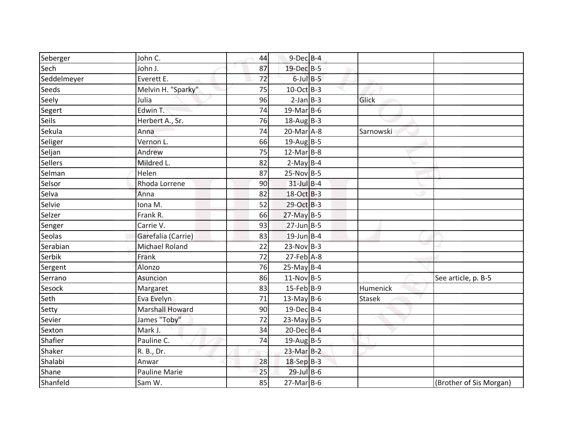| Seberger       | John C.                | 44 | $9$ -Dec $B$ -4   |               |                         |
|----------------|------------------------|----|-------------------|---------------|-------------------------|
| Sech           | John J.                | 87 | 19-Dec B-5        |               |                         |
| Seddelmeyer    | Everett E.             | 72 | $6$ -Jul $B$ -5   |               |                         |
| Seeds          | Melvin H. "Sparky"     | 75 | $10$ -Oct B-3     |               |                         |
| Seely          | Julia                  | 96 | $2-Jan$ B-3       | Glick         |                         |
| Segert         | Edwin T.               | 74 | $19$ -Mar B-6     |               |                         |
| <b>Seils</b>   | Herbert A., Sr.        | 76 | $18$ -Aug B-3     |               |                         |
| Sekula         | Anna                   | 74 | $20$ -Mar $A-8$   | Sarnowski     |                         |
| Seliger        | Vernon L.              | 66 | 19-Aug B-5        |               |                         |
| Seljan         | Andrew                 | 75 | $12$ -Mar $B-8$   |               |                         |
| <b>Sellers</b> | Mildred L.             | 82 | $2-May$ B-4       |               |                         |
| Selman         | Helen                  | 87 | $25-Nov$ B-5      |               |                         |
| Selsor         | Rhoda Lorrene          | 90 | $31$ -Jul $B-4$   |               |                         |
| Selva          | Anna                   | 82 | 18-Oct B-3        |               |                         |
| Selvie         | Iona M.                | 52 | 29-Oct B-3        |               |                         |
| Selzer         | Frank R.               | 66 | 27-May B-5        |               |                         |
| Senger         | Carrie V.              | 93 | $27$ -Jun $B - 5$ |               |                         |
| Seolas         | Garefalia (Carrie)     | 83 | $19$ -Jun B-4     |               |                         |
| Serabian       | <b>Michael Roland</b>  | 22 | $23-Nov$ B-3      |               |                         |
| Serbik         | Frank                  | 72 | $27$ -Feb $A-8$   |               |                         |
| Sergent        | Alonzo                 | 76 | $25-May$ B-4      |               |                         |
| Serrano        | Asuncion               | 86 | $11-Nov$ B-5      |               | See article, p. B-5     |
| Sesock         | Margaret               | 83 | $15$ -Feb $B$ -9  | Humenick      |                         |
| Seth           | Eva Evelyn             | 71 | 13-May $B-6$      | <b>Stasek</b> |                         |
| Setty          | <b>Marshall Howard</b> | 90 | $19$ -DecB-4      |               |                         |
| Sevier         | James "Toby"           | 72 | $23$ -May B-5     |               |                         |
| Sexton         | Mark J.                | 34 | $20$ -Dec $B-4$   |               |                         |
| Shafier        | Pauline C.             | 74 | 19-Aug B-5        |               |                         |
| Shaker         | R. B., Dr.             |    | $23$ -Mar $B-2$   |               |                         |
| Shalabi        | Anwar                  | 28 | 18-Sep B-3        |               |                         |
| Shane          | <b>Pauline Marie</b>   | 25 | $29$ -Jul B-6     |               |                         |
| Shanfeld       | Sam W.                 | 85 | $27$ -Mar $B$ -6  |               | (Brother of Sis Morgan) |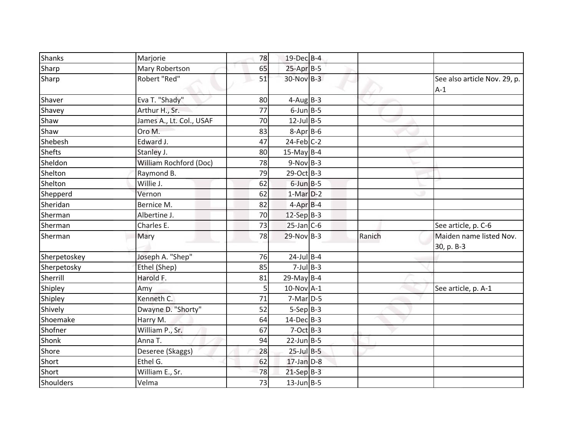| <b>Shanks</b> | Marjorie                 | 78 | 19-Dec B-4       |        |                                       |
|---------------|--------------------------|----|------------------|--------|---------------------------------------|
| Sharp         | Mary Robertson           | 65 | $25-AprB-5$      |        |                                       |
| Sharp         | Robert "Red"             | 51 | 30-Nov B-3       |        | See also article Nov. 29, p.<br>$A-1$ |
| Shaver        | Eva T. "Shady"           | 80 | $4-AugB-3$       |        |                                       |
| Shavey        | Arthur H., Sr.           | 77 | $6$ -Jun $B$ -5  |        |                                       |
| Shaw          | James A., Lt. Col., USAF | 70 | $12$ -Jul B-5    |        |                                       |
| Shaw          | Oro M.                   | 83 | $8-Apr$ B-6      |        |                                       |
| Shebesh       | Edward J.                | 47 | $24$ -Feb $C-2$  |        |                                       |
| <b>Shefts</b> | Stanley J.               | 80 | 15-May B-4       |        |                                       |
| Sheldon       | William Rochford (Doc)   | 78 | $9-Nov$ B-3      |        |                                       |
| Shelton       | Raymond B.               | 79 | $29$ -Oct B-3    |        |                                       |
| Shelton       | Willie J.                | 62 | $6$ -Jun $B$ -5  |        |                                       |
| Shepperd      | Vernon                   | 62 | $1-Mar$ D-2      |        |                                       |
| Sheridan      | Bernice M.               | 82 | $4-Apr$ B-4      |        |                                       |
| Sherman       | Albertine J.             | 70 | $12$ -Sep B-3    |        |                                       |
| Sherman       | Charles E.               | 73 | $25$ -Jan C-6    |        | See article, p. C-6                   |
| Sherman       | Mary                     | 78 | $29-Nov$ B-3     | Ranich | Maiden name listed Nov.<br>30, p. B-3 |
| Sherpetoskey  | Joseph A. "Shep"         | 76 | $24$ -Jul B-4    |        |                                       |
| Sherpetosky   | Ethel (Shep)             | 85 | $7$ -Jul B-3     |        |                                       |
| Sherrill      | Harold F.                | 81 | 29-May B-4       |        |                                       |
| Shipley       | Amy                      | 5  | $10$ -Nov $A-1$  |        | See article, p. A-1                   |
| Shipley       | Kenneth C.               | 71 | $7-Mar$ D-5      |        |                                       |
| Shively       | Dwayne D. "Shorty"       | 52 | $5-Sep B-3$      |        |                                       |
| Shoemake      | Harry M.                 | 64 | $14$ -Dec $B-3$  |        |                                       |
| Shofner       | William P., Sr.          | 67 | $7-Oct$ B-3      |        |                                       |
| Shonk         | Anna T.                  | 94 | $22$ -Jun B-5    |        |                                       |
| Shore         | Deseree (Skaggs)         | 28 | $25$ -Jul $B$ -5 |        |                                       |
| Short         | Ethel G.                 | 62 | $17$ -Jan $D-8$  |        |                                       |
| Short         | William E., Sr.          | 78 | $21-Sep$ B-3     |        |                                       |
| Shoulders     | Velma                    | 73 | $13$ -Jun B-5    |        |                                       |
|               |                          |    |                  |        |                                       |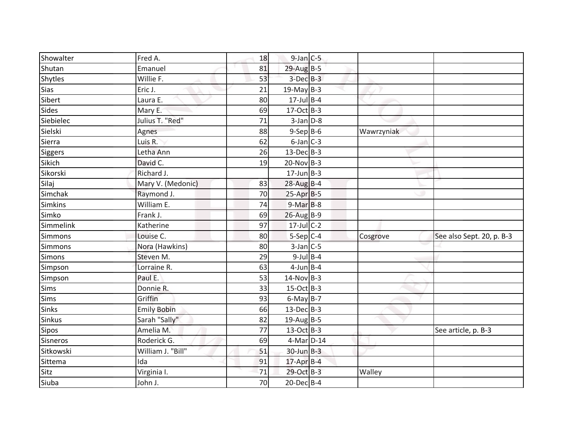| Showalter      |                    |    |                  |            |                           |
|----------------|--------------------|----|------------------|------------|---------------------------|
|                | Fred A.            | 18 | $9$ -Jan $C$ -5  |            |                           |
| Shutan         | Emanuel            | 81 | 29-Aug B-5       |            |                           |
| Shytles        | Willie F.          | 53 | $3$ -Dec $B-3$   |            |                           |
| <b>Sias</b>    | Eric J.            | 21 | $19$ -May B-3    |            |                           |
| Sibert         | Laura E.           | 80 | $17$ -Jul B-4    |            |                           |
| Sides          | Mary E.            | 69 | $17-Oct$ B-3     |            |                           |
| Siebielec      | Julius T. "Red"    | 71 | $3$ -Jan $D-8$   |            |                           |
| Sielski        | Agnes              | 88 | $9-$ Sep $B-6$   | Wawrzyniak |                           |
| Sierra         | Luis R.            | 62 | $6$ -Jan $C$ -3  |            |                           |
| Siggers        | Letha Ann          | 26 | $13$ -Dec $B-3$  |            |                           |
| Sikich         | David C.           | 19 | $20$ -Nov B-3    |            |                           |
| Sikorski       | Richard J.         |    | $17$ -Jun $B-3$  |            |                           |
| Silaj          | Mary V. (Medonic)  | 83 | $28$ -Aug B-4    |            |                           |
| Simchak        | Raymond J.         | 70 | $25-Apr$ B-5     |            |                           |
| <b>Simkins</b> | William E.         | 74 | $9-MarB-8$       |            |                           |
| Simko          | Frank J.           | 69 | 26-Aug B-9       |            |                           |
| Simmelink      | Katherine          | 97 | $17$ -Jul C-2    |            |                           |
| Simmons        | Louise C.          | 80 | $5-Sep C-4$      | Cosgrove   | See also Sept. 20, p. B-3 |
| Simmons        | Nora (Hawkins)     | 80 | $3$ -Jan C-5     |            |                           |
| <b>Simons</b>  | Steven M.          | 29 | $9$ -Jul $B$ -4  |            |                           |
| Simpson        | Lorraine R.        | 63 | $4$ -Jun B-4     |            |                           |
| Simpson        | Paul E.            | 53 | $14$ -Nov B-3    |            |                           |
| Sims           | Donnie R.          | 33 | 15-Oct B-3       |            |                           |
| <b>Sims</b>    | Griffin            | 93 | $6$ -May B-7     |            |                           |
| <b>Sinks</b>   | <b>Emily Bobin</b> | 66 | $13$ -Dec $B-3$  |            |                           |
| <b>Sinkus</b>  | Sarah "Sally"      | 82 | $19$ -Aug B-5    |            |                           |
| Sipos          | Amelia M.          | 77 | $13-Oct$ B-3     |            | See article, p. B-3       |
| Sisneros       | Roderick G.        | 69 | 4-Mar D-14       |            |                           |
| Sitkowski      | William J. "Bill"  | 51 | $30$ -Jun $B-3$  |            |                           |
| Sittema        | Ida                | 91 | $17$ -Apr $B$ -4 |            |                           |
| Sitz           | Virginia I.        | 71 | 29-Oct B-3       | Walley     |                           |
| Siuba          | John J.            | 70 | $20$ -Dec $B-4$  |            |                           |
|                |                    |    |                  |            |                           |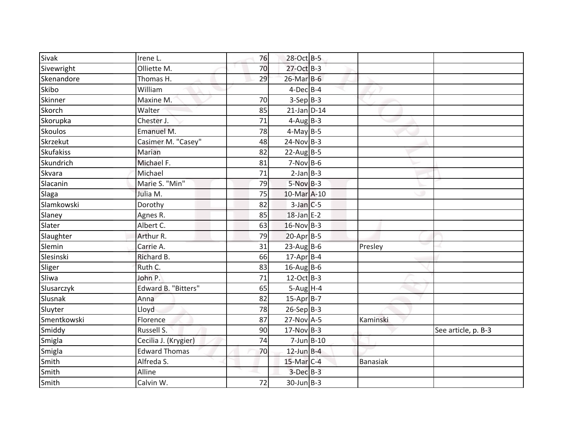| <b>Sivak</b>     | Irene L.             | 76 | 28-Oct B-5        |                 |                     |
|------------------|----------------------|----|-------------------|-----------------|---------------------|
| Sivewright       | Olliette M.          | 70 | 27-Oct B-3        |                 |                     |
| Skenandore       | Thomas H.            | 29 | $26$ -Mar $B$ -6  |                 |                     |
| Skibo            | William              |    | $4$ -Dec $B$ -4   |                 |                     |
| Skinner          | Maxine M.            | 70 | $3-Sep B-3$       |                 |                     |
| Skorch           | Walter               | 85 | $21$ -Jan D-14    |                 |                     |
| Skorupka         | Chester J.           | 71 | $4$ -Aug B-3      |                 |                     |
| Skoulos          | Emanuel M.           | 78 | $4$ -May B-5      |                 |                     |
| Skrzekut         | Casimer M. "Casey"   | 48 | $24-Nov$ B-3      |                 |                     |
| <b>Skufakiss</b> | Marian               | 82 | $22$ -Aug B-5     |                 |                     |
| Skundrich        | Michael F.           | 81 | $7-Nov$ B-6       |                 |                     |
| Skvara           | Michael              | 71 | $2-Jan$ B-3       |                 |                     |
| Slacanin         | Marie S. "Min"       | 79 | $5-NovB-3$        |                 |                     |
| Slaga            | Julia M.             | 75 | 10-Mar A-10       |                 |                     |
| Slamkowski       | Dorothy              | 82 | $3$ -Jan $C$ -5   |                 |                     |
| Slaney           | Agnes R.             | 85 | $18$ -Jan E-2     |                 |                     |
| Slater           | Albert C.            | 63 | $16-Nov$ B-3      |                 |                     |
| Slaughter        | Arthur R.            | 79 | $20-Apr$ B-5      |                 |                     |
| Slemin           | Carrie A.            | 31 | $23$ -Aug B-6     | Presley         |                     |
| Slesinski        | Richard B.           | 66 | $17$ -Apr B-4     |                 |                     |
| Sliger           | Ruth C.              | 83 | $16$ -Aug B-6     |                 |                     |
| Sliwa            | John P.              | 71 | $12-Oct$ B-3      |                 |                     |
| Slusarczyk       | Edward B. "Bitters"  | 65 | $5-Aug$ H-4       |                 |                     |
| Slusnak          | Anna                 | 82 | $15-AprB-7$       |                 |                     |
| Sluyter          | Lloyd                | 78 | $26-Sep B-3$      |                 |                     |
| Smentkowski      | Florence             | 87 | 27-Nov A-5        | Kaminski        |                     |
| Smiddy           | Russell S.           | 90 | $17-Nov$ B-3      |                 | See article, p. B-3 |
| Smigla           | Cecilia J. (Krygier) | 74 | $7$ -Jun $B$ -10  |                 |                     |
| Smigla           | <b>Edward Thomas</b> | 70 | $12$ -Jun $B-4$   |                 |                     |
| Smith            | Alfreda S.           |    | $15$ -Mar $ C-4 $ | <b>Banasiak</b> |                     |
| Smith            | Alline               |    | $3-Dec$ $B-3$     |                 |                     |
| Smith            | Calvin W.            | 72 | $30$ -Jun $B-3$   |                 |                     |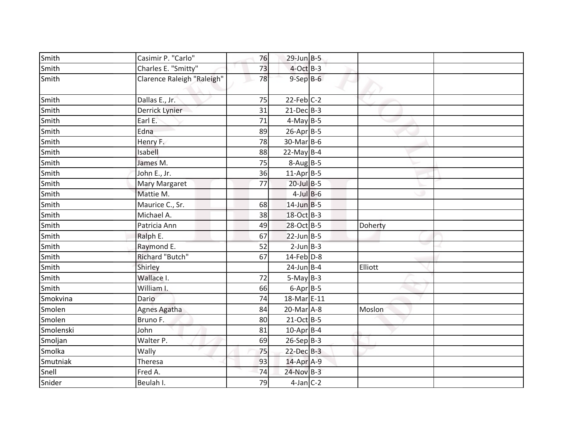| Smith     | Casimir P. "Carlo"         | 76 | $29$ -Jun $B - 5$ |         |  |
|-----------|----------------------------|----|-------------------|---------|--|
| Smith     | Charles E. "Smitty"        | 73 | $4$ -Oct B-3      |         |  |
| Smith     | Clarence Raleigh "Raleigh" | 78 | $9-$ Sep $B-6$    |         |  |
| Smith     | Dallas E., Jr.             | 75 | $22$ -Feb $C-2$   |         |  |
| Smith     | Derrick Lynier             | 31 | $21$ -Dec $B-3$   |         |  |
| Smith     | Earl E.                    | 71 | $4-May$ B-5       |         |  |
| Smith     | Edna                       | 89 | $26$ -Apr $B$ -5  |         |  |
| Smith     | Henry F.                   | 78 | $30$ -MarB-6      |         |  |
| Smith     | Isabell                    | 88 | $22$ -May B-4     |         |  |
| Smith     | James M.                   | 75 | $8-Aug$ B-5       |         |  |
| Smith     | John E., Jr.               | 36 | $11-Apr$ B-5      |         |  |
| Smith     | Mary Margaret              | 77 | $20$ -Jul B-5     |         |  |
| Smith     | Mattie M.                  |    | $4$ -Jul B-6      |         |  |
| Smith     | Maurice C., Sr.            | 68 | $14$ -Jun B-5     |         |  |
| Smith     | Michael A.                 | 38 | 18-Oct B-3        |         |  |
| Smith     | Patricia Ann               | 49 | 28-Oct B-5        | Doherty |  |
| Smith     | Ralph E.                   | 67 | $22$ -Jun B-5     |         |  |
| Smith     | Raymond E.                 | 52 | $2$ -Jun $B-3$    |         |  |
| Smith     | Richard "Butch"            | 67 | 14-Feb D-8        |         |  |
| Smith     | Shirley                    |    | $24$ -Jun B-4     | Elliott |  |
| Smith     | Wallace I.                 | 72 | $5-May$ B-3       |         |  |
| Smith     | William I.                 | 66 | $6$ -Apr $B$ -5   |         |  |
| Smokvina  | Dario                      | 74 | 18-Mar E-11       |         |  |
| Smolen    | Agnes Agatha               | 84 | $20$ -Mar $A$ -8  | Moslon  |  |
| Smolen    | Bruno F.                   | 80 | $21-Oct$ B-5      |         |  |
| Smolenski | John                       | 81 | $10$ -Apr $B$ -4  |         |  |
| Smoljan   | Walter P.                  | 69 | $26-Sep$ B-3      |         |  |
| Smolka    | Wally                      | 75 | $22$ -Dec $B-3$   |         |  |
| Smutniak  | Theresa                    | 93 | 14-Apr A-9        |         |  |
| Snell     | Fred A.                    | 74 | $24-Nov$ B-3      |         |  |
| Snider    | Beulah I.                  | 79 | $4$ -Jan C-2      |         |  |
|           |                            |    |                   |         |  |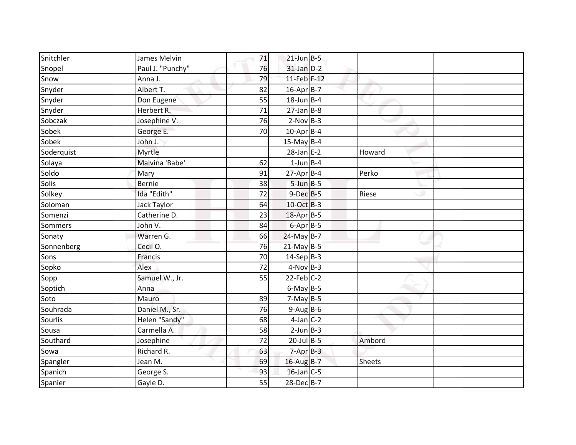| Snitchler      | James Melvin     | 71 | $21$ -Jun $B-5$  |               |  |
|----------------|------------------|----|------------------|---------------|--|
| Snopel         | Paul J. "Punchy" | 76 | $31$ -Jan $D-2$  |               |  |
| Snow           | Anna J.          | 79 | 11-Feb F-12      |               |  |
| Snyder         | Albert T.        | 82 | $16$ -Apr $B$ -7 |               |  |
| Snyder         | Don Eugene       | 55 | $18$ -Jun B-4    |               |  |
| Snyder         | Herbert R.       | 71 | $27$ -Jan B-8    |               |  |
| Sobczak        | Josephine V.     | 76 | $2-Nov$ B-3      |               |  |
| Sobek          | George E.        | 70 | $10$ -Apr $B$ -4 |               |  |
| Sobek          | John J.          |    | $15$ -May B-4    |               |  |
| Soderquist     | Myrtle           |    | $28$ -Jan E-2    | Howard        |  |
| Solaya         | Malvina 'Babe'   | 62 | $1$ -Jun $B$ -4  |               |  |
| Soldo          | Mary             | 91 | $27$ -Apr $B$ -4 | Perko         |  |
| Solis          | <b>Bernie</b>    | 38 | $5$ -Jun $B$ -5  |               |  |
| Solkey         | Ida "Edith"      | 72 | $9-Dec$ B-5      | Riese         |  |
| Soloman        | Jack Taylor      | 64 | 10-Oct B-3       |               |  |
| Somenzi        | Catherine D.     | 23 | 18-Apr B-5       |               |  |
| <b>Sommers</b> | John V.          | 84 | $6 - Apr$ B-5    |               |  |
| Sonaty         | Warren G.        | 66 | $24$ -May B-7    |               |  |
| Sonnenberg     | Cecil O.         | 76 | $21$ -May B-5    |               |  |
| Sons           | Francis          | 70 | $14-Sep$ B-3     |               |  |
| Sopko          | Alex             | 72 | $4-Nov$ B-3      |               |  |
| Sopp           | Samuel W., Jr.   | 55 | $22$ -Feb $C-2$  |               |  |
| Soptich        | Anna             |    | $6$ -May $B$ -5  |               |  |
| Soto           | Mauro            | 89 | $7-May$ B-5      |               |  |
| Souhrada       | Daniel M., Sr.   | 76 | $9-Aug$ B-6      |               |  |
| Sourlis        | Helen "Sandy"    | 68 | $4$ -Jan $C-2$   |               |  |
| Sousa          | Carmella A.      | 58 | $2$ -Jun $B-3$   |               |  |
| Southard       | Josephine        | 72 | $20$ -Jul B-5    | Ambord        |  |
| Sowa           | Richard R.       | 63 | $7 - Apr$ $B-3$  |               |  |
| Spangler       | Jean M.          | 69 | 16-Aug B-7       | <b>Sheets</b> |  |
| Spanich        | George S.        | 93 | $16$ -Jan C-5    |               |  |
| Spanier        | Gayle D.         | 55 | 28-Dec B-7       |               |  |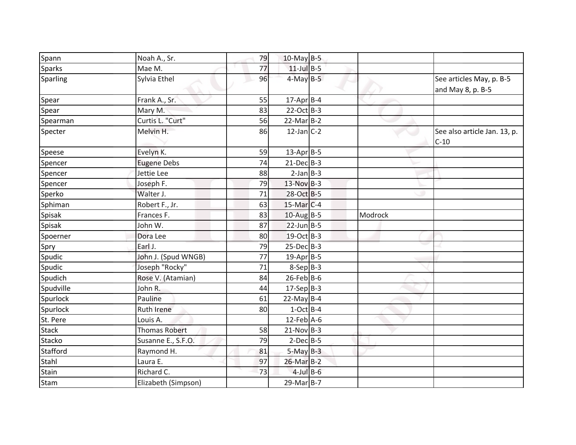| Spann         | Noah A., Sr.         | 79 | 10-May B-5       |         |                                               |
|---------------|----------------------|----|------------------|---------|-----------------------------------------------|
| <b>Sparks</b> | Mae M.               | 77 | $11$ -Jul B-5    |         |                                               |
| Sparling      | Sylvia Ethel         | 96 | $4$ -May $B-5$   |         | See articles May, p. B-5<br>and May 8, p. B-5 |
| Spear         | Frank A., Sr.        | 55 | $17$ -Apr $B$ -4 |         |                                               |
| Spear         | Mary M.              | 83 | $22-Oct$ B-3     |         |                                               |
| Spearman      | Curtis L. "Curt"     | 56 | $22$ -Mar $B-2$  |         |                                               |
| Specter       | Melvin H.            | 86 | $12$ -Jan C-2    |         | See also article Jan. 13, p.<br>$C-10$        |
| Speese        | Evelyn K.            | 59 | $13$ -Apr B-5    |         |                                               |
| Spencer       | <b>Eugene Debs</b>   | 74 | $21$ -Dec $B-3$  |         |                                               |
| Spencer       | Jettie Lee           | 88 | $2-Jan$ B-3      |         |                                               |
| Spencer       | Joseph F.            | 79 | 13-Nov B-3       |         |                                               |
| Sperko        | Walter J.            | 71 | 28-Oct B-5       |         |                                               |
| Sphiman       | Robert F., Jr.       | 63 | $15$ -Mar $C-4$  |         |                                               |
| Spisak        | Frances F.           | 83 | $10$ -Aug B-5    | Modrock |                                               |
| Spisak        | John W.              | 87 | $22$ -Jun B-5    |         |                                               |
| Spoerner      | Dora Lee             | 80 | 19-Oct B-3       |         |                                               |
| Spry          | Earl J.              | 79 | $25$ -Dec $B-3$  |         |                                               |
| Spudic        | John J. (Spud WNGB)  | 77 | $19$ -Apr $B$ -5 |         |                                               |
| Spudic        | Joseph "Rocky"       | 71 | $8-Sep$ $B-3$    |         |                                               |
| Spudich       | Rose V. (Atamian)    | 84 | $26$ -Feb $B$ -6 |         |                                               |
| Spudville     | John R.              | 44 | $17-Sep$ B-3     |         |                                               |
| Spurlock      | Pauline              | 61 | $22$ -May B-4    |         |                                               |
| Spurlock      | <b>Ruth Irene</b>    | 80 | $1-Oct$ B-4      |         |                                               |
| St. Pere      | Louis A.             |    | $12$ -Feb $A$ -6 |         |                                               |
| <b>Stack</b>  | <b>Thomas Robert</b> | 58 | $21-Nov$ B-3     |         |                                               |
| Stacko        | Susanne E., S.F.O.   | 79 | $2-Dec$ B-5      |         |                                               |
| Stafford      | Raymond H.           | 81 | $5-May$ B-3      |         |                                               |
| Stahl         | Laura E.             | 97 | $26$ -Mar $B-2$  |         |                                               |
| Stain         | Richard C.           | 73 | $4$ -Jul B-6     |         |                                               |
| Stam          | Elizabeth (Simpson)  |    | 29-Mar B-7       |         |                                               |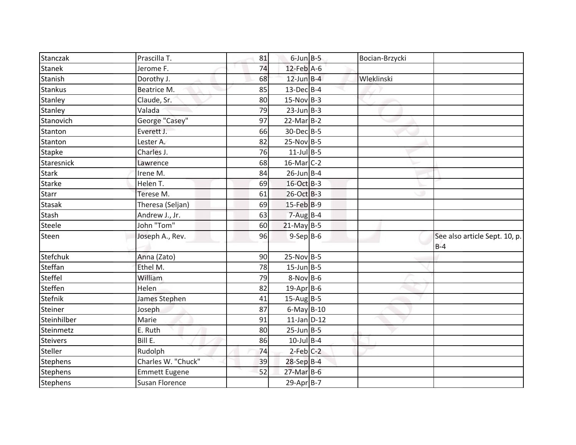| Stanczak        | Prascilla T.          | 81 | $6$ -Jun $B$ -5  | Bocian-Brzycki |                                        |
|-----------------|-----------------------|----|------------------|----------------|----------------------------------------|
| <b>Stanek</b>   | Jerome F.             | 74 | 12-Feb A-6       |                |                                        |
| Stanish         | Dorothy J.            | 68 | $12$ -Jun $B-4$  | Wleklinski     |                                        |
| <b>Stankus</b>  | Beatrice M.           | 85 | $13$ -Dec $B-4$  |                |                                        |
| Stanley         | Claude, Sr.           | 80 | $15-Nov B-3$     |                |                                        |
| Stanley         | Valada                | 79 | $23$ -Jun $B-3$  |                |                                        |
| Stanovich       | George "Casey"        | 97 | $22$ -Mar $B-2$  |                |                                        |
| Stanton         | Everett J.            | 66 | 30-Dec B-5       |                |                                        |
| Stanton         | Lester A.             | 82 | $25-Nov$ B-5     |                |                                        |
| <b>Stapke</b>   | Charles J.            | 76 | $11$ -Jul B-5    |                |                                        |
| Staresnick      | Lawrence              | 68 | $16$ -Mar $C-2$  |                |                                        |
| <b>Stark</b>    | Irene M.              | 84 | $26$ -Jun B-4    |                |                                        |
| <b>Starke</b>   | Helen T.              | 69 | 16-Oct B-3       |                |                                        |
| <b>Starr</b>    | Terese M.             | 61 | 26-Oct B-3       |                |                                        |
| <b>Stasak</b>   | Theresa (Seljan)      | 69 | $15$ -Feb $B$ -9 |                |                                        |
| <b>Stash</b>    | Andrew J., Jr.        | 63 | $7 - Aug$ B-4    |                |                                        |
| Steele          | John "Tom"            | 60 | $21$ -May B-5    |                |                                        |
| Steen           | Joseph A., Rev.       | 96 | $9-Sep$ B-6      |                | See also article Sept. 10, p.<br>$B-4$ |
| Stefchuk        | Anna (Zato)           | 90 | $25-Nov B-5$     |                |                                        |
| Steffan         | Ethel M.              | 78 | $15$ -Jun $B$ -5 |                |                                        |
| Steffel         | William               | 79 | $8-Nov$ B-6      |                |                                        |
| Steffen         | Helen                 | 82 | $19$ -Apr $B$ -6 |                |                                        |
| Stefnik         | James Stephen         | 41 | $15$ -Aug B-5    |                |                                        |
| Steiner         | Joseph                | 87 | $6$ -May $B-10$  |                |                                        |
| Steinhilber     | Marie                 | 91 | $11$ -Jan $D-12$ |                |                                        |
| Steinmetz       | E. Ruth               | 80 | $25$ -Jun $B$ -5 |                |                                        |
| <b>Steivers</b> | Bill E.               | 86 | $10$ -Jul B-4    |                |                                        |
| Steller         | Rudolph               | 74 | $2$ -Feb $C-2$   |                |                                        |
| <b>Stephens</b> | Charles W. "Chuck"    | 39 | 28-Sep B-4       |                |                                        |
| <b>Stephens</b> | <b>Emmett Eugene</b>  | 52 | $27$ -Mar $B$ -6 |                |                                        |
| Stephens        | <b>Susan Florence</b> |    | $29-AprB-7$      |                |                                        |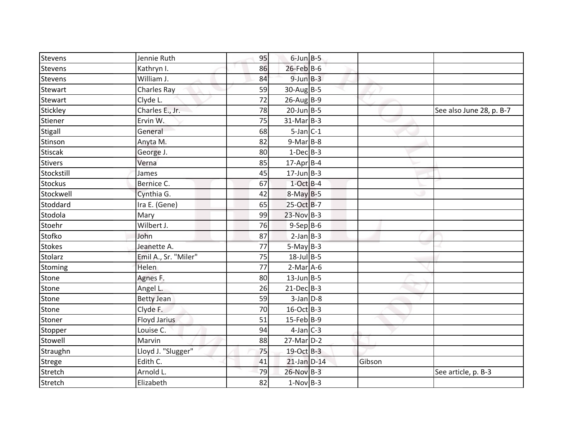| Stevens        | Jennie Ruth          | 95 | $6$ -Jun $B$ -5        |        |                          |
|----------------|----------------------|----|------------------------|--------|--------------------------|
| <b>Stevens</b> | Kathryn I.           | 86 | $26$ -Feb B-6          |        |                          |
| <b>Stevens</b> | William J.           | 84 | $9$ -Jun $B - 3$       |        |                          |
| Stewart        | <b>Charles Ray</b>   | 59 | $30$ -AugB-5           |        |                          |
| Stewart        | Clyde L.             | 72 | $26$ -AugB-9           |        |                          |
| Stickley       | Charles E., Jr.      | 78 | $20$ -Jun $B - 5$      |        | See also June 28, p. B-7 |
| Stiener        | Ervin W.             | 75 | $31$ -Mar $B-3$        |        |                          |
| Stigall        | General              | 68 | $5$ -Jan $C-1$         |        |                          |
| Stinson        | Anyta M.             | 82 | $9-Mar$ B-8            |        |                          |
| <b>Stiscak</b> | George J.            | 80 | $1$ -Dec $B-3$         |        |                          |
| <b>Stivers</b> | Verna                | 85 | $17$ -Apr $B$ -4       |        |                          |
| Stockstill     | James                | 45 | $17$ -Jun $B-3$        |        |                          |
| <b>Stockus</b> | Bernice C.           | 67 | $1-Oct$ <sub>B-4</sub> |        |                          |
| Stockwell      | Cynthia G.           | 42 | $8-May$ B-5            |        |                          |
| Stoddard       | Ira E. (Gene)        | 65 | 25-Oct B-7             |        |                          |
| Stodola        | Mary                 | 99 | $23-Nov$ B-3           |        |                          |
| Stoehr         | Wilbert J.           | 76 | $9-Sep$ B-6            |        |                          |
| Stofko         | John                 | 87 | $2-Jan$ B-3            |        |                          |
| <b>Stokes</b>  | Jeanette A.          | 77 | $5-May$ B-3            |        |                          |
| <b>Stolarz</b> | Emil A., Sr. "Miler" | 75 | $18$ -Jul $B$ -5       |        |                          |
| Stoming        | Helen                | 77 | $2-Mar$ A-6            |        |                          |
| Stone          | Agnes F.             | 80 | $13$ -Jun $B-5$        |        |                          |
| Stone          | Angel L.             | 26 | $21-Dec$ B-3           |        |                          |
| Stone          | <b>Betty Jean</b>    | 59 | $3$ -Jan $D-8$         |        |                          |
| Stone          | Clyde F.             | 70 | $16$ -Oct B-3          |        |                          |
| Stoner         | Floyd Jarius         | 51 | $15$ -Feb B-9          |        |                          |
| Stopper        | Louise C.            | 94 | $4-Jan$ $C-3$          |        |                          |
| Stowell        | Marvin               | 88 | $27$ -Mar $D-2$        |        |                          |
| Straughn       | Lloyd J. "Slugger"   | 75 | 19-Oct B-3             |        |                          |
| <b>Strege</b>  | Edith C.             | 41 | $21$ -Jan $D-14$       | Gibson |                          |
| Stretch        | Arnold L.            | 79 | $26-Nov$ B-3           |        | See article, p. B-3      |
| Stretch        | Elizabeth            | 82 | $1-Nov$ B-3            |        |                          |
|                |                      |    |                        |        |                          |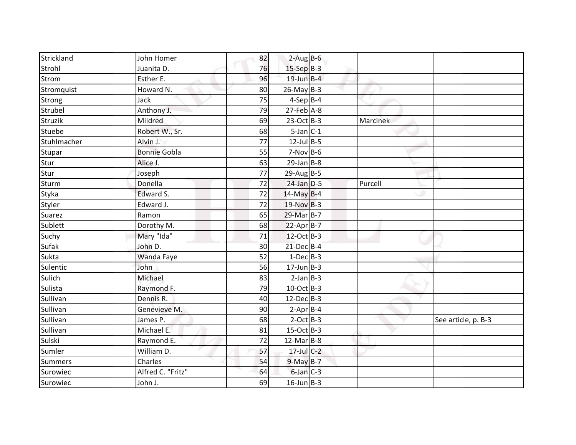| Strickland  | John Homer          | 82 | $2-Aug$ B-6       |          |                     |
|-------------|---------------------|----|-------------------|----------|---------------------|
| Strohl      | Juanita D.          | 76 | $15-SepB-3$       |          |                     |
| Strom       | Esther E.           | 96 | $19$ -Jun $B - 4$ |          |                     |
| Stromquist  | Howard N.           | 80 | $26$ -May B-3     |          |                     |
| Strong      | Jack                | 75 | $4-Sep$ B-4       |          |                     |
| Strubel     | Anthony J.          | 79 | $27$ -Feb $A-8$   |          |                     |
| Struzik     | Mildred             | 69 | $23-Oct$ B-3      | Marcinek |                     |
| Stuebe      | Robert W., Sr.      | 68 | $5$ -Jan $C-1$    |          |                     |
| Stuhlmacher | Alvin J.            | 77 | $12$ -Jul B-5     |          |                     |
| Stupar      | <b>Bonnie Gobla</b> | 55 | $7-Nov$ B-6       |          |                     |
| Stur        | Alice J.            | 63 | $29$ -Jan B-8     |          |                     |
| Stur        | Joseph              | 77 | $29$ -AugB-5      |          |                     |
| Sturm       | Donella             | 72 | $24$ -Jan $D-5$   | Purcell  |                     |
| Styka       | Edward S.           | 72 | $14$ -May B-4     |          |                     |
| Styler      | Edward J.           | 72 | $19-Nov$ B-3      |          |                     |
| Suarez      | Ramon               | 65 | 29-Mar B-7        |          |                     |
| Sublett     | Dorothy M.          | 68 | $22-AprB-7$       |          |                     |
| Suchy       | Mary "Ida"          | 71 | 12-Oct B-3        |          |                     |
| Sufak       | John D.             | 30 | $21$ -Dec $B-4$   |          |                     |
| Sukta       | Wanda Faye          | 52 | $1-Dec$ B-3       |          |                     |
| Sulentic    | John                | 56 | $17$ -Jun B-3     |          |                     |
| Sulich      | Michael             | 83 | $2-Jan$ B-3       |          |                     |
| Sulista     | Raymond F.          | 79 | 10-Oct B-3        |          |                     |
| Sullivan    | Dennis R.           | 40 | $12$ -Dec $B-3$   |          |                     |
| Sullivan    | Genevieve M.        | 90 | $2-Apr$ B-4       |          |                     |
| Sullivan    | James P.            | 68 | $2$ -Oct B-3      |          | See article, p. B-3 |
| Sullivan    | Michael E.          | 81 | $15-Oct$ B-3      |          |                     |
| Sulski      | Raymond E.          | 72 | $12$ -Mar $B-8$   |          |                     |
| Sumler      | William D.          | 57 | 17-Jul C-2        |          |                     |
| Summers     | Charles             | 54 | 9-May B-7         |          |                     |
| Surowiec    | Alfred C. "Fritz"   | 64 | $6$ -Jan $C-3$    |          |                     |
| Surowiec    | John J.             | 69 | $16$ -Jun $B-3$   |          |                     |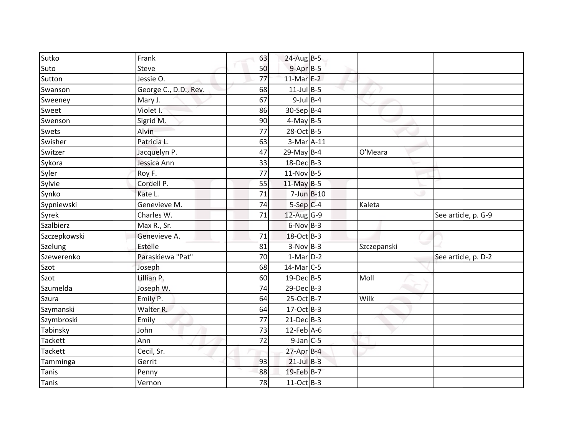| Sutko          | Frank                 | 63 | $24$ -Aug B-5          |             |                     |
|----------------|-----------------------|----|------------------------|-------------|---------------------|
| Suto           | Steve                 | 50 | $9 - Apr$ $B-5$        |             |                     |
| Sutton         | Jessie O.             | 77 | $11-MarE-2$            |             |                     |
| Swanson        | George C., D.D., Rev. | 68 | $11$ -Jul B-5          |             |                     |
| Sweeney        | Mary J.               | 67 | $9$ -Jul B-4           |             |                     |
| Sweet          | Violet I.             | 86 | $30-Sep B-4$           |             |                     |
| Swenson        | Sigrid M.             | 90 | $4-May$ B-5            |             |                     |
| Swets          | Alvin                 | 77 | 28-Oct B-5             |             |                     |
| Swisher        | Patricia L.           | 63 | $3-Mar$ A-11           |             |                     |
| Switzer        | Jacquelyn P.          | 47 | $29$ -May B-4          | O'Meara     |                     |
| Sykora         | Jessica Ann           | 33 | $18$ -Dec $B-3$        |             |                     |
| Syler          | Roy F.                | 77 | $11-Nov$ B-5           |             |                     |
| Sylvie         | Cordell P.            | 55 | $11$ -May B-5          |             |                     |
| Synko          | Kate L.               | 71 | $7$ -Jun $B$ -10       |             |                     |
| Sypniewski     | Genevieve M.          | 74 | $5-Sep$ <sub>C-4</sub> | Kaleta      |                     |
| Syrek          | Charles W.            | 71 | $12$ -Aug G-9          |             | See article, p. G-9 |
| Szalbierz      | Max R., Sr.           |    | $6-Nov$ B-3            |             |                     |
| Szczepkowski   | Genevieve A.          | 71 | 18-Oct B-3             |             |                     |
| Szelung        | Estelle               | 81 | $3-Nov$ B-3            | Szczepanski |                     |
| Szewerenko     | Paraskiewa "Pat"      | 70 | $1-Mar$ D-2            |             | See article, p. D-2 |
| Szot           | Joseph                | 68 | 14-Mar C-5             |             |                     |
| Szot           | Lillian P.            | 60 | $19$ -Dec $B - 5$      | Moll        |                     |
| Szumelda       | Joseph W.             | 74 | $29$ -Dec $B-3$        |             |                     |
| Szura          | Emily P.              | 64 | 25-Oct B-7             | Wilk        |                     |
| Szymanski      | Walter R.             | 64 | $17-Oct$ B-3           |             |                     |
| Szymbroski     | Emily                 | 77 | $21-Dec$ B-3           |             |                     |
| Tabinsky       | John                  | 73 | $12$ -Feb $A$ -6       |             |                     |
| <b>Tackett</b> | Ann                   | 72 | $9$ -Jan $C$ -5        |             |                     |
| <b>Tackett</b> | Cecil, Sr.            |    | $27$ -Apr $B-4$        |             |                     |
| Tamminga       | Gerrit                | 93 | $21$ -Jul B-3          |             |                     |
| Tanis          | Penny                 | 88 | 19-Feb B-7             |             |                     |
| Tanis          | Vernon                | 78 | $11-Oct$ B-3           |             |                     |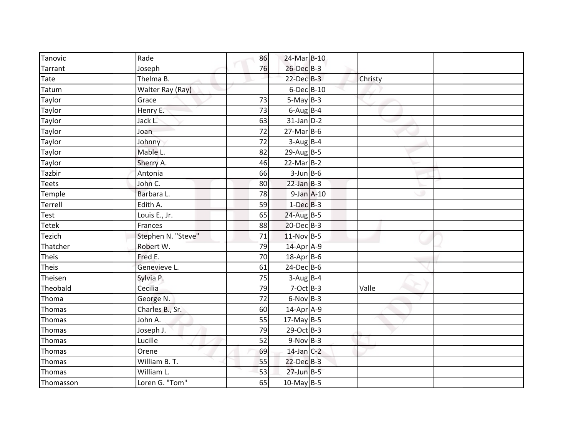| Tanovic      | Rade               | 86 | 24-Mar B-10      |         |  |
|--------------|--------------------|----|------------------|---------|--|
| Tarrant      | Joseph             | 76 | 26-Dec B-3       |         |  |
| Tate         | Thelma B.          |    | $22$ -Dec $B-3$  | Christy |  |
| Tatum        | Walter Ray (Ray)   |    | 6-Dec B-10       |         |  |
| Taylor       | Grace              | 73 | $5-May$ B-3      |         |  |
| Taylor       | Henry E.           | 73 | $6$ -Aug B-4     |         |  |
| Taylor       | Jack L.            | 63 | $31$ -Jan D-2    |         |  |
| Taylor       | Joan               | 72 | $27$ -Mar $B$ -6 |         |  |
| Taylor       | Johnny             | 72 | $3-Aug$ B-4      |         |  |
| Taylor       | Mable L.           | 82 | $29$ -Aug B-5    |         |  |
| Taylor       | Sherry A.          | 46 | $22$ -Mar $B-2$  |         |  |
| Tazbir       | Antonia            | 66 | $3$ -Jun $B$ -6  |         |  |
| Teets        | John C.            | 80 | $22$ -Jan $B-3$  |         |  |
| Temple       | Barbara L.         | 78 | $9$ -Jan $A$ -10 |         |  |
| Terrell      | Edith A.           | 59 | $1-Dec$ B-3      |         |  |
| <b>Test</b>  | Louis E., Jr.      | 65 | $24$ -Aug B-5    |         |  |
| <b>Tetek</b> | Frances            | 88 | $20$ -Dec $B-3$  |         |  |
| Tezich       | Stephen N. "Steve" | 71 | $11-Nov$ B-5     |         |  |
| Thatcher     | Robert W.          | 79 | 14-Apr A-9       |         |  |
| Theis        | Fred E.            | 70 | 18-Apr B-6       |         |  |
| Theis        | Genevieve L.       | 61 | $24$ -Dec $B$ -6 |         |  |
| Theisen      | Sylvia P.          | 75 | $3-Aug$ B-4      |         |  |
| Theobald     | Cecilia            | 79 | $7-Oct$ B-3      | Valle   |  |
| Thoma        | George N.          | 72 | $6-Nov$ B-3      |         |  |
| Thomas       | Charles B., Sr.    | 60 | 14-Apr A-9       |         |  |
| Thomas       | John A.            | 55 | $17$ -May B-5    |         |  |
| Thomas       | Joseph J.          | 79 | $29$ -Oct B-3    |         |  |
| Thomas       | Lucille            | 52 | $9-Nov$ B-3      |         |  |
| Thomas       | Orene              | 69 | $14$ -Jan C-2    |         |  |
| Thomas       | William B. T.      | 55 | $22$ -Dec $B-3$  |         |  |
| Thomas       | William L.         | 53 | $27$ -Jun B-5    |         |  |
| Thomasson    | Loren G. "Tom"     | 65 | $10$ -May B-5    |         |  |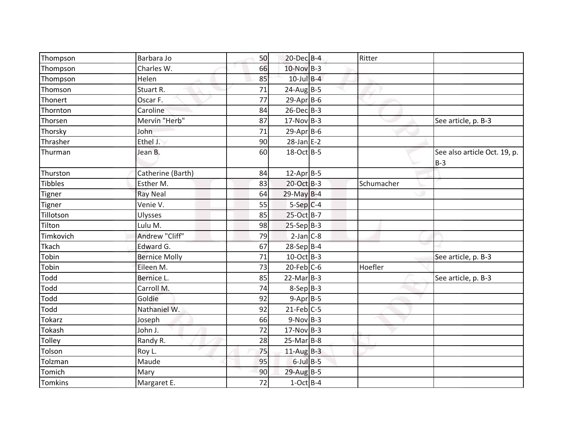| Thompson       | Barbara Jo           | 50 | 20-Dec B-4             | Ritter     |                                       |
|----------------|----------------------|----|------------------------|------------|---------------------------------------|
| Thompson       | Charles W.           | 66 | $10$ -Nov B-3          |            |                                       |
| Thompson       | Helen                | 85 | $10$ -Jul $B-4$        |            |                                       |
| Thomson        | Stuart R.            | 71 | $24$ -AugB-5           |            |                                       |
| Thonert        | Oscar F.             | 77 | $29$ -Apr $B$ -6       |            |                                       |
| Thornton       | Caroline             | 84 | 26-Dec B-3             |            |                                       |
| Thorsen        | Mervin "Herb"        | 87 | $17-Nov$ B-3           |            | See article, p. B-3                   |
| Thorsky        | John                 | 71 | $29$ -Apr $B$ -6       |            |                                       |
| Thrasher       | Ethel J.             | 90 | $28$ -Jan E-2          |            |                                       |
| Thurman        | Jean B.              | 60 | 18-Oct B-5             |            | See also article Oct. 19, p.<br>$B-3$ |
| Thurston       | Catherine (Barth)    | 84 | $12$ -Apr B-5          |            |                                       |
| <b>Tibbles</b> | Esther M.            | 83 | 20-Oct B-3             | Schumacher |                                       |
| <b>Tigner</b>  | <b>Ray Neal</b>      | 64 | $29$ -May B-4          |            |                                       |
| Tigner         | Venie V.             | 55 | $5-Sep$ <sub>C-4</sub> |            |                                       |
| Tillotson      | Ulysses              | 85 | 25-Oct B-7             |            |                                       |
| Tilton         | Lulu M.              | 98 | $25-Sep$ B-3           |            |                                       |
| Timkovich      | Andrew "Cliff"       | 79 | $2-Jan$ $C-8$          |            |                                       |
| Tkach          | Edward G.            | 67 | 28-Sep B-4             |            |                                       |
| Tobin          | <b>Bernice Molly</b> | 71 | 10-Oct B-3             |            | See article, p. B-3                   |
| Tobin          | Eileen M.            | 73 | $20$ -Feb $C$ -6       | Hoefler    |                                       |
| Todd           | Bernice L.           | 85 | $22-Mar$ B-3           |            | See article, p. B-3                   |
| Todd           | Carroll M.           | 74 | $8-Sep$ $B-3$          |            |                                       |
| Todd           | Goldie               | 92 | $9-Apr$ B-5            |            |                                       |
| Todd           | Nathaniel W.         | 92 | $21$ -Feb $C$ -5       |            |                                       |
| Tokarz         | Joseph               | 66 | $9-Nov$ B-3            |            |                                       |
| Tokash         | John J.              | 72 | $17-Nov$ B-3           |            |                                       |
| Tolley         | Randy R.             | 28 | $25-Mar$ B-8           |            |                                       |
| Tolson         | Roy L.               | 75 | $11$ -Aug B-3          |            |                                       |
| Tolzman        | Maude                | 95 | $6$ -Jul $B$ -5        |            |                                       |
| Tomich         | Mary                 | 90 | $29$ -Aug B-5          |            |                                       |
| Tomkins        | Margaret E.          | 72 | $1-Oct$ B-4            |            |                                       |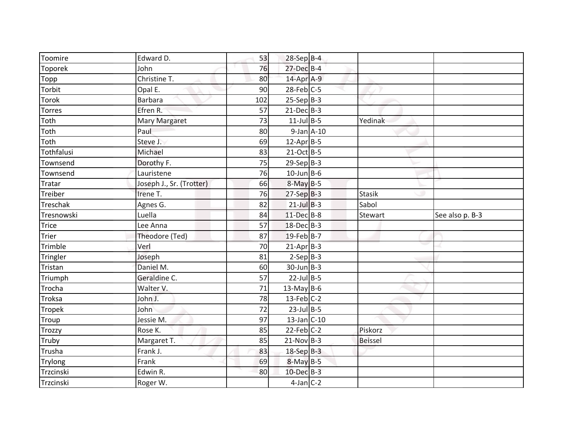| Toomire       | Edward D.                | 53  | $28-Sep$ B-4      |                |                 |
|---------------|--------------------------|-----|-------------------|----------------|-----------------|
| Toporek       | John                     | 76  | $27$ -Dec $B-4$   |                |                 |
| Topp          | Christine T.             | 80  | 14-Apr A-9        |                |                 |
| Torbit        | Opal E.                  | 90  | $28$ -Feb $C-5$   |                |                 |
| <b>Torok</b>  | <b>Barbara</b>           | 102 | $25-Sep$ B-3      |                |                 |
| <b>Torres</b> | Efren R.                 | 57  | $21$ -Dec $B-3$   |                |                 |
| Toth          | <b>Mary Margaret</b>     | 73  | $11$ -Jul B-5     | Yedinak        |                 |
| Toth          | Paul                     | 80  | $9$ -Jan $A$ -10  |                |                 |
| Toth          | Steve J.                 | 69  | $12$ -Apr $B$ -5  |                |                 |
| Tothfalusi    | Michael                  | 83  | 21-Oct B-5        |                |                 |
| Townsend      | Dorothy F.               | 75  | $29-Sep$ B-3      |                |                 |
| Townsend      | Lauristene               | 76  | $10$ -Jun B-6     |                |                 |
| Tratar        | Joseph J., Sr. (Trotter) | 66  | $8-May$ B-5       |                |                 |
| Treiber       | Irene T.                 | 76  | $27-SepB-3$       | Stasik         |                 |
| Treschak      | Agnes G.                 | 82  | $21$ -Jul B-3     | Sabol          |                 |
| Tresnowski    | Luella                   | 84  | 11-Dec B-8        | Stewart        | See also p. B-3 |
| Trice         | Lee Anna                 | 57  | $18$ -Dec $B-3$   |                |                 |
| Trier         | Theodore (Ted)           | 87  | $19$ -Feb B-7     |                |                 |
| Trimble       | Verl                     | 70  | $21$ -Apr $B-3$   |                |                 |
| Tringler      | Joseph                   | 81  | $2-Sep B-3$       |                |                 |
| Tristan       | Daniel M.                | 60  | $30$ -Jun $B - 3$ |                |                 |
| Triumph       | Geraldine C.             | 57  | $22$ -Jul B-5     |                |                 |
| Trocha        | Walter V.                | 71  | $13$ -May B-6     |                |                 |
| Troksa        | John J.                  | 78  | $13$ -Feb $C-2$   |                |                 |
| <b>Tropek</b> | John                     | 72  | $23$ -Jul B-5     |                |                 |
| Troup         | Jessie M.                | 97  | $13$ -Jan C-10    |                |                 |
| Trozzy        | Rose K.                  | 85  | $22$ -Feb $C-2$   | Piskorz        |                 |
| Truby         | Margaret T.              | 85  | $21-Nov$ B-3      | <b>Beissel</b> |                 |
| Trusha        | Frank J.                 | 83  | 18-Sep B-3        |                |                 |
| Trylong       | Frank                    | 69  | $8$ -May $B$ -5   |                |                 |
| Trzcinski     | Edwin R.                 | 80  | 10-Dec B-3        |                |                 |
| Trzcinski     | Roger W.                 |     | $4$ -Jan $C-2$    |                |                 |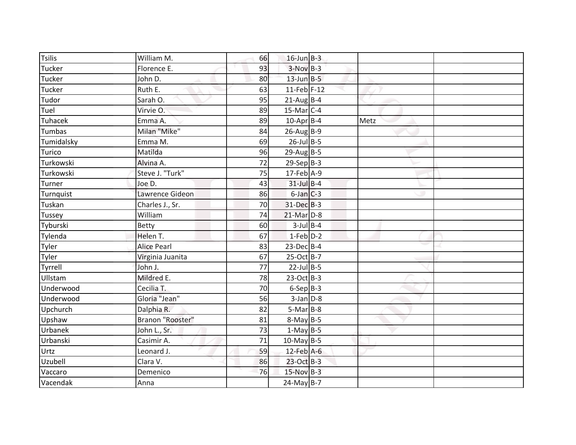| <b>Tsilis</b> | William M.         | 66 | $16$ -Jun $B-3$   |      |  |
|---------------|--------------------|----|-------------------|------|--|
| Tucker        | Florence E.        | 93 | $3-Nov$ B-3       |      |  |
| Tucker        | John D.            | 80 | $13$ -Jun $B-5$   |      |  |
| Tucker        | Ruth E.            | 63 | $11$ -Feb F-12    |      |  |
| Tudor         | Sarah O.           | 95 | $21$ -Aug B-4     |      |  |
| Tuel          | Virvie O.          | 89 | $15$ -Mar $ C-4 $ |      |  |
| Tuhacek       | Emma A.            | 89 | $10$ -Apr $B$ -4  | Metz |  |
| Tumbas        | Milan "Mike"       | 84 | $26$ -Aug B-9     |      |  |
| Tumidalsky    | Emma M.            | 69 | $26$ -Jul B-5     |      |  |
| Turico        | Matilda            | 96 | $29$ -Aug B-5     |      |  |
| Turkowski     | Alvina A.          | 72 | $29-Sep$ B-3      |      |  |
| Turkowski     | Steve J. "Turk"    | 75 | 17-Feb A-9        |      |  |
| Turner        | Joe D.             | 43 | $31$ -Jul $B-4$   |      |  |
| Turnquist     | Lawrence Gideon    | 86 | $6$ -Jan $C$ -3   |      |  |
| Tuskan        | Charles J., Sr.    | 70 | 31-Dec B-3        |      |  |
| <b>Tussey</b> | William            | 74 | $21$ -Mar $D-8$   |      |  |
| Tyburski      | Betty              | 60 | $3$ -Jul B-4      |      |  |
| Tylenda       | Helen T.           | 67 | $1-Feb$ $D-2$     |      |  |
| Tyler         | <b>Alice Pearl</b> | 83 | $23$ -Dec $B-4$   |      |  |
| Tyler         | Virginia Juanita   | 67 | 25-Oct B-7        |      |  |
| Tyrrell       | John J.            | 77 | $22$ -Jul B-5     |      |  |
| Ullstam       | Mildred E.         | 78 | $23-Oct$ B-3      |      |  |
| Underwood     | Cecilia T.         | 70 | $6-Sep$ B-3       |      |  |
| Underwood     | Gloria "Jean"      | 56 | $3$ -Jan $D-8$    |      |  |
| Upchurch      | Dalphia R.         | 82 | $5-Mar$ B-8       |      |  |
| Upshaw        | Branon "Rooster"   | 81 | $8-May$ B-5       |      |  |
| Urbanek       | John L., Sr.       | 73 | $1-May$ B-5       |      |  |
| Urbanski      | Casimir A.         | 71 | $10$ -May B-5     |      |  |
| Urtz          | Leonard J.         | 59 | 12-Feb A-6        |      |  |
| Uzubell       | Clara V.           | 86 | 23-Oct B-3        |      |  |
| Vaccaro       | Demenico           | 76 | $15-Nov$ B-3      |      |  |
| Vacendak      | Anna               |    | $24$ -May B-7     |      |  |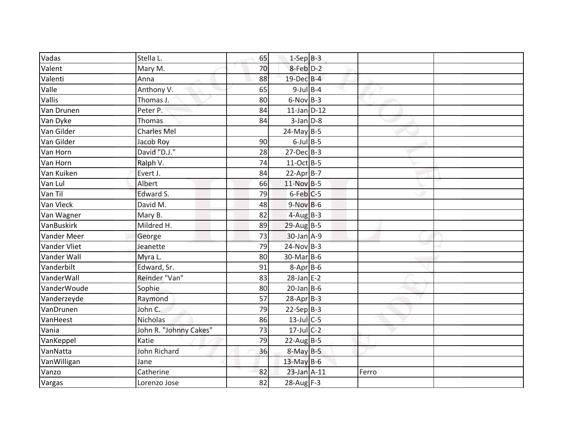| Vadas               | Stella L.              | 65 | $1-Sep B-3$      |       |  |
|---------------------|------------------------|----|------------------|-------|--|
| Valent              | Mary M.                | 70 | 8-Feb D-2        |       |  |
| Valenti             | Anna                   | 88 | $19$ -Dec $B$ -4 |       |  |
| Valle               | Anthony V.             | 65 | $9$ -Jul B-4     |       |  |
| Vallis              | Thomas J.              | 80 | $6-Nov$ B-3      |       |  |
| Van Drunen          | Peter P.               | 84 | $11$ -Jan $D-12$ |       |  |
| Van Dyke            | Thomas                 | 84 | $3$ -Jan $D-8$   |       |  |
| Van Gilder          | <b>Charles Mel</b>     |    | $24$ -May B-5    |       |  |
| Van Gilder          | Jacob Roy              | 90 | $6$ -Jul $B$ -5  |       |  |
| Van Horn            | David "D.J."           | 28 | $27$ -Dec $B-3$  |       |  |
| Van Horn            | Ralph V.               | 74 | 11-Oct B-5       |       |  |
| Van Kuiken          | Evert J.               | 84 | $22-AprB-7$      |       |  |
| Van Lul             | Albert                 | 66 | 11-Nov B-5       |       |  |
| Van Til             | Edward S.              | 79 | $6$ -Feb $C$ -5  |       |  |
| Van Vleck           | David M.               | 48 | $9-Nov$ B-6      |       |  |
| Van Wagner          | Mary B.                | 82 | $4$ -Aug B-3     |       |  |
| VanBuskirk          | Mildred H.             | 89 | $29$ -Aug B-5    |       |  |
| <b>Vander Meer</b>  | George                 | 73 | $30$ -Jan $A-9$  |       |  |
| <b>Vander Vliet</b> | Jeanette               | 79 | $24-Nov$ B-3     |       |  |
| Vander Wall         | Myra L.                | 80 | 30-Mar B-6       |       |  |
| Vanderbilt          | Edward, Sr.            | 91 | $8-Apr$ B-6      |       |  |
| VanderWall          | Reinder "Van"          | 83 | $28$ -Jan E-2    |       |  |
| VanderWoude         | Sophie                 | 80 | $20$ -Jan B-6    |       |  |
| Vanderzeyde         | Raymond                | 57 | $28$ -Apr $B-3$  |       |  |
| VanDrunen           | John C.                | 79 | $22-Sep B-3$     |       |  |
| VanHeest            | <b>Nicholas</b>        | 86 | $13$ -Jul C-5    |       |  |
| Vania               | John R. "Johnny Cakes" | 73 | $17$ -Jul C-2    |       |  |
| VanKeppel           | Katie                  | 79 | $22$ -Aug B-5    |       |  |
| VanNatta            | John Richard           | 36 | $8-May$ B-5      |       |  |
| VanWilligan         | Jane                   |    | $13$ -May B-6    |       |  |
| Vanzo               | Catherine              | 82 | $23$ -Jan $A-11$ | Ferro |  |
| Vargas              | Lorenzo Jose           | 82 | 28-Aug F-3       |       |  |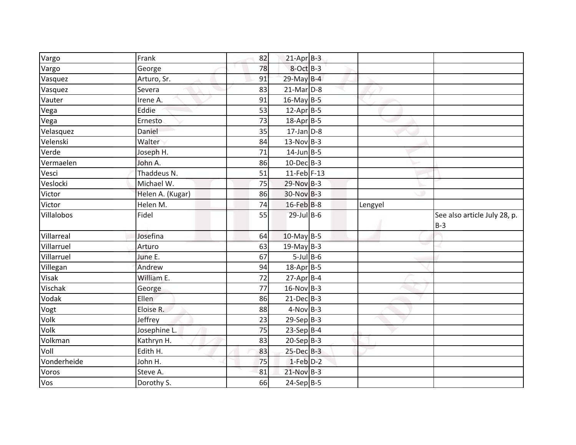| Vargo       | Frank            | 82 | $21-Apr$ B-3     |         |                                       |
|-------------|------------------|----|------------------|---------|---------------------------------------|
| Vargo       | George           | 78 | $8$ -Oct $B-3$   |         |                                       |
| Vasquez     | Arturo, Sr.      | 91 | $29$ -May B-4    |         |                                       |
| Vasquez     | Severa           | 83 | $21$ -Mar $D-8$  |         |                                       |
| Vauter      | Irene A.         | 91 | $16$ -May B-5    |         |                                       |
| Vega        | Eddie            | 53 | $12$ -Apr $B$ -5 |         |                                       |
| Vega        | Ernesto          | 73 | $18$ -Apr $B$ -5 |         |                                       |
| Velasquez   | Daniel           | 35 | $17$ -Jan $D-8$  |         |                                       |
| Velenski    | Walter           | 84 | $13-Nov$ B-3     |         |                                       |
| Verde       | Joseph H.        | 71 | $14$ -Jun $B-5$  |         |                                       |
| Vermaelen   | John A.          | 86 | $10$ -Dec $B-3$  |         |                                       |
| Vesci       | Thaddeus N.      | 51 | $11$ -Feb F-13   |         |                                       |
| Veslocki    | Michael W.       | 75 | 29-Nov B-3       |         |                                       |
| Victor      | Helen A. (Kugar) | 86 | $30-Nov$ B-3     |         |                                       |
| Victor      | Helen M.         | 74 | 16-Feb B-8       | Lengyel |                                       |
| Villalobos  | Fidel            | 55 | $29$ -Jul $B$ -6 |         | See also article July 28, p.<br>$B-3$ |
| Villarreal  | Josefina         | 64 | $10$ -May B-5    |         |                                       |
| Villarruel  | Arturo           | 63 | $19$ -May B-3    |         |                                       |
| Villarruel  | June E.          | 67 | $5$ -Jul $B$ -6  |         |                                       |
| Villegan    | Andrew           | 94 | $18$ -Apr $B$ -5 |         |                                       |
| Visak       | William E.       | 72 | $27$ -Apr $B-4$  |         |                                       |
| Vischak     | George           | 77 | $16$ -Nov B-3    |         |                                       |
| Vodak       | <b>Ellen</b>     | 86 | $21$ -Dec $B-3$  |         |                                       |
| Vogt        | Eloise R.        | 88 | $4-Nov$ B-3      |         |                                       |
| Volk        | Jeffrey          | 23 | $29-Sep$ B-3     |         |                                       |
| Volk        | Josephine L.     | 75 | $23-Sep$ B-4     |         |                                       |
| Volkman     | Kathryn H.       | 83 | $20-Sep$ B-3     |         |                                       |
| Voll        | Edith H.         | 83 | $25$ -Dec $B-3$  |         |                                       |
|             |                  |    |                  |         |                                       |
| Vonderheide | John H.          | 75 | $1-Feb$ $D-2$    |         |                                       |
| Voros       | Steve A.         | 81 | $21-Nov$ B-3     |         |                                       |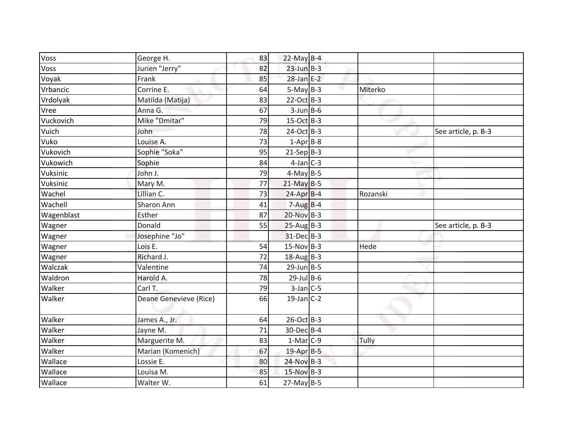| Vos <sub>5</sub> | George H.              | 83 | 22-May $B-4$      |          |                     |
|------------------|------------------------|----|-------------------|----------|---------------------|
| Voss             | Jurien "Jerry"         | 82 | $23$ -Jun $B-3$   |          |                     |
| Voyak            | Frank                  | 85 | $28$ -Jan E-2     |          |                     |
| Vrbancic         | Corrine E.             | 64 | $5-May$ B-3       | Miterko  |                     |
| Vrdolyak         | Matilda (Matija)       | 83 | $22-Oct$ B-3      |          |                     |
| Vree             | Anna G.                | 67 | $3$ -Jun $B$ -6   |          |                     |
| Vuckovich        | Mike "Dmitar"          | 79 | $15$ -Oct B-3     |          |                     |
| Vuich            | John                   | 78 | 24-Oct B-3        |          | See article, p. B-3 |
| Vuko             | Louise A.              | 73 | $1-Apr B-8$       |          |                     |
| Vukovich         | Sophie "Soka"          | 95 | $21-Sep B-3$      |          |                     |
| Vukowich         | Sophie                 | 84 | $4$ -Jan $C-3$    |          |                     |
| Vuksinic         | John J.                | 79 | $4-May$ B-5       |          |                     |
| Vuksinic         | Mary M.                | 77 | $21$ -May B-5     |          |                     |
| Wachel           | Lillian C.             | 73 | $24$ -Apr $B-4$   | Rozanski |                     |
| Wachell          | Sharon Ann             | 41 | $7-Aug$ B-4       |          |                     |
| Wagenblast       | Esther                 | 87 | $20-Nov$ B-3      |          |                     |
| Wagner           | Donald                 | 55 | $25-AugB-3$       |          | See article, p. B-3 |
| Wagner           | Josephine "Jo"         |    | 31-Dec B-3        |          |                     |
| Wagner           | Lois E.                | 54 | $15-Nov$ B-3      | Hede     |                     |
| Wagner           | Richard J.             | 72 | $18-Aug$ B-3      |          |                     |
| Walczak          | Valentine              | 74 | $29$ -Jun $B - 5$ |          |                     |
| Waldron          | Harold A.              | 78 | $29$ -Jul B-6     |          |                     |
| Walker           | Carl T.                | 79 | $3$ -Jan $C$ -5   |          |                     |
| Walker           | Deane Genevieve (Rice) | 66 | $19$ -Jan C-2     |          |                     |
| Walker           | James A., Jr.          | 64 | $26$ -Oct B-3     |          |                     |
| Walker           | Jayne M.               | 71 | 30-Dec B-4        |          |                     |
| Walker           | Marguerite M.          | 83 | $1-Mar$ C-9       | Tully    |                     |
| Walker           | Marian (Komenich)      | 67 | 19-Apr B-5        |          |                     |
| Wallace          | Lossie E.              | 80 | $24-Nov$ B-3      |          |                     |
| Wallace          | Louisa M.              | 85 | $15-Nov$ B-3      |          |                     |
| Wallace          | Walter W.              | 61 | $27$ -May B-5     |          |                     |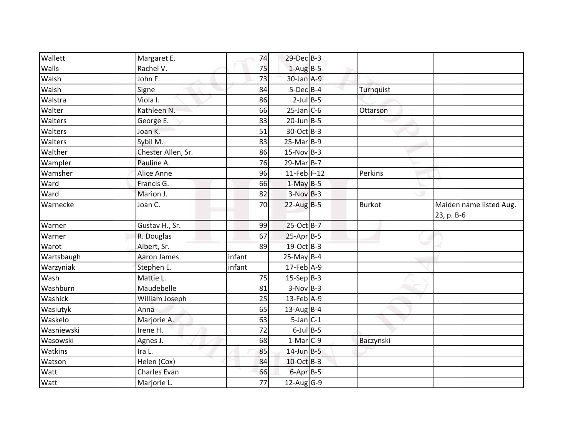| Wallett        | Margaret E.        | 74     | 29-Dec B-3        |               |                                       |
|----------------|--------------------|--------|-------------------|---------------|---------------------------------------|
| Walls          | Rachel V.          | 75     | $1-Aug$ B-5       |               |                                       |
| Walsh          | John F.            | 73     | $30$ -Jan $A-9$   |               |                                       |
| Walsh          | Signe              | 84     | $5$ -Dec $B$ -4   | Turnquist     |                                       |
| Walstra        | Viola I.           | 86     | $2$ -Jul B-5      |               |                                       |
| Walter         | Kathleen N.        | 66     | $25$ -Jan $C$ -6  | Ottarson      |                                       |
| Walters        | George E.          | 83     | $20$ -Jun $B - 5$ |               |                                       |
| Walters        | Joan K.            | 51     | $30$ -Oct B-3     |               |                                       |
| <b>Walters</b> | Sybil M.           | 83     | $25-Mar$ B-9      |               |                                       |
| Walther        | Chester Allen, Sr. | 86     | $15-Nov$ B-3      |               |                                       |
| Wampler        | Pauline A.         | 76     | $29$ -Mar $B-7$   |               |                                       |
| Wamsher        | Alice Anne         | 96     | $11$ -Feb F-12    | Perkins       |                                       |
| Ward           | Francis G.         | 66     | $1-May$ B-5       |               |                                       |
| Ward           | Marion J.          | 82     | $3-NovB-3$        |               |                                       |
| Warnecke       | Joan C.            | 70     | $22-AugB-5$       | <b>Burkot</b> | Maiden name listed Aug.<br>23, p. B-6 |
| Warner         | Gustav H., Sr.     | 99     | 25-Oct B-7        |               |                                       |
| Warner         | R. Douglas         | 67     | $25$ -Apr $B$ -5  |               |                                       |
| Warot          | Albert, Sr.        | 89     | 19-Oct B-3        |               |                                       |
| Wartsbaugh     | <b>Aaron James</b> | infant | $25$ -May B-4     |               |                                       |
| Warzyniak      | Stephen E.         | infant | 17-Feb A-9        |               |                                       |
| Wash           | Mattie L.          | 75     | $15-Sep$ B-3      |               |                                       |
| Washburn       | Maudebelle         | 81     | $3-Nov$ B-3       |               |                                       |
| Washick        | William Joseph     | 25     | 13-Feb A-9        |               |                                       |
| Wasiutyk       | Anna               | 65     | $13$ -Aug B-4     |               |                                       |
| Waskelo        | Marjorie A.        | 63     | $5$ -Jan $C-1$    |               |                                       |
| Wasniewski     | Irene H.           | 72     | $6$ -Jul B-5      |               |                                       |
| Wasowski       | Agnes J.           | 68     | $1-Mar$ C-9       | Baczynski     |                                       |
| <b>Watkins</b> | Ira L.             | 85     | $14$ -Jun $B - 5$ |               |                                       |
| Watson         | Helen (Cox)        | 84     | 10-Oct B-3        |               |                                       |
| Watt           | Charles Evan       | 66     | $6 - Apr$ B-5     |               |                                       |
| Watt           | Marjorie L.        | 77     | 12-Aug G-9        |               |                                       |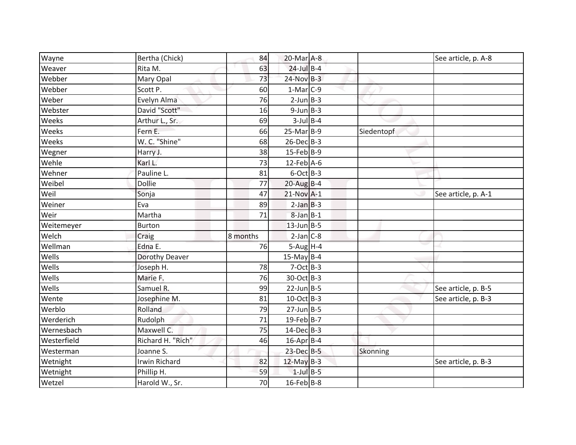| Wayne       | Bertha (Chick)    | 84       | 20-Mar A-8             |            | See article, p. A-8 |
|-------------|-------------------|----------|------------------------|------------|---------------------|
| Weaver      | Rita M.           | 63       | $24$ -Jul B-4          |            |                     |
| Webber      | Mary Opal         | 73       | $24-Nov$ B-3           |            |                     |
| Webber      | Scott P.          | 60       | $1-Mar$ <sub>C-9</sub> |            |                     |
| Weber       | Evelyn Alma       | 76       | $2$ -Jun $B-3$         |            |                     |
| Webster     | David "Scott"     | 16       | $9$ -Jun $B$ -3        |            |                     |
| Weeks       | Arthur L., Sr.    | 69       | $3$ -Jul $B$ -4        |            |                     |
| Weeks       | Fern E.           | 66       | $25-Mar$ B-9           | Siedentopf |                     |
| Weeks       | W. C. "Shine"     | 68       | $26$ -Dec $B-3$        |            |                     |
| Wegner      | Harry J.          | 38       | $15$ -Feb $ B-9 $      |            |                     |
| Wehle       | Karl L.           | 73       | $12$ -Feb $A$ -6       |            |                     |
| Wehner      | Pauline L.        | 81       | $6$ -Oct B-3           |            |                     |
| Weibel      | <b>Dollie</b>     | 77       | $20$ -Aug B-4          |            |                     |
| Weil        | Sonja             | 47       | $21-Nov$ A-1           |            | See article, p. A-1 |
| Weiner      | Eva               | 89       | $2-Jan$ B-3            |            |                     |
| Weir        | Martha            | 71       | $8$ -Jan $B-1$         |            |                     |
| Weitemeyer  | <b>Burton</b>     |          | $13$ -Jun B-5          |            |                     |
| Welch       | Craig             | 8 months | $2-Jan$ $C-8$          |            |                     |
| Wellman     | Edna E.           | 76       | $5-Aug$ H-4            |            |                     |
| Wells       | Dorothy Deaver    |          | 15-May $B-4$           |            |                     |
| Wells       | Joseph H.         | 78       | $7-Oct$ $B-3$          |            |                     |
| Wells       | Marie F.          | 76       | 30-Oct B-3             |            |                     |
| Wells       | Samuel R.         | 99       | $22$ -Jun $B - 5$      |            | See article, p. B-5 |
| Wente       | Josephine M.      | 81       | $10$ -Oct B-3          |            | See article, p. B-3 |
| Werblo      | Rolland           | 79       | $27$ -Jun $B - 5$      |            |                     |
| Werderich   | <b>Rudolph</b>    | 71       | $19$ -Feb B-7          |            |                     |
| Wernesbach  | Maxwell C.        | 75       | $14$ -Dec $B-3$        |            |                     |
| Westerfield | Richard H. "Rich" | 46       | 16-Apr B-4             |            |                     |
| Westerman   | Joanne S.         |          | 23-Dec B-5             | Skonning   |                     |
| Wetnight    | Irwin Richard     | 82       | $12$ -May B-3          |            | See article, p. B-3 |
| Wetnight    | Phillip H.        | 59       | $1$ -Jul $B$ -5        |            |                     |
| Wetzel      | Harold W., Sr.    | 70       | $16$ -Feb B-8          |            |                     |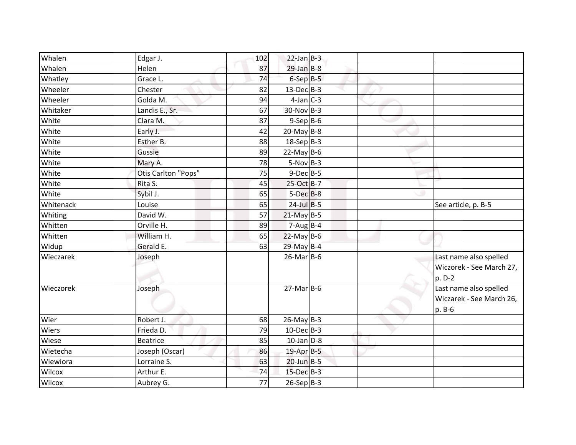| Whalen    | Edgar J.            | 102 | $22$ -Jan $B-3$   |  |                                                              |
|-----------|---------------------|-----|-------------------|--|--------------------------------------------------------------|
| Whalen    | Helen               | 87  | $29$ -Jan B-8     |  |                                                              |
| Whatley   | Grace L.            | 74  | $6-$ Sep $B-5$    |  |                                                              |
| Wheeler   | Chester             | 82  | $13$ -Dec $B-3$   |  |                                                              |
| Wheeler   | Golda M.            | 94  | $4$ -Jan $C-3$    |  |                                                              |
| Whitaker  | Landis E., Sr.      | 67  | $30$ -Nov B-3     |  |                                                              |
| White     | Clara M.            | 87  | $9-$ Sep $B-6$    |  |                                                              |
| White     | Early J.            | 42  | $20$ -May B-8     |  |                                                              |
| White     | Esther B.           | 88  | $18-Sep$ B-3      |  |                                                              |
| White     | Gussie              | 89  | $22$ -May B-6     |  |                                                              |
| White     | Mary A.             | 78  | $5-Nov$ B-3       |  |                                                              |
| White     | Otis Carlton "Pops" | 75  | $9$ -Dec $B$ -5   |  |                                                              |
| White     | Rita S.             | 45  | 25-Oct B-7        |  |                                                              |
| White     | Sybil J.            | 65  | $5-Dec$ B-8       |  |                                                              |
| Whitenack | Louise              | 65  | $24$ -Jul B-5     |  | See article, p. B-5                                          |
| Whiting   | David W.            | 57  | $21$ -May B-5     |  |                                                              |
| Whitten   | Orville H.          | 89  | $7-Aug$ B-4       |  |                                                              |
| Whitten   | William H.          | 65  | $22$ -May B-6     |  |                                                              |
| Widup     | Gerald E.           | 63  | $29$ -May B-4     |  |                                                              |
| Wieczarek | Joseph              |     | $26$ -Mar $B$ -6  |  | Last name also spelled<br>Wiczorek - See March 27,<br>p. D-2 |
| Wieczorek | Joseph              |     | $27$ -Mar $B$ -6  |  | Last name also spelled<br>Wiczarek - See March 26,<br>p. B-6 |
| Wier      | Robert J.           | 68  | $26$ -May B-3     |  |                                                              |
| Wiers     | Frieda D.           | 79  | $10$ -Dec $B-3$   |  |                                                              |
| Wiese     | Beatrice            | 85  | $10$ -Jan $D-8$   |  |                                                              |
| Wietecha  | Joseph (Oscar)      | 86  | 19-Apr B-5        |  |                                                              |
| Wiewiora  | Lorraine S.         | 63  | $20$ -Jun $B - 5$ |  |                                                              |
| Wilcox    | Arthur E.           | 74  | 15-Dec B-3        |  |                                                              |
| Wilcox    | Aubrey G.           | 77  | $26-Sep B-3$      |  |                                                              |
|           |                     |     |                   |  |                                                              |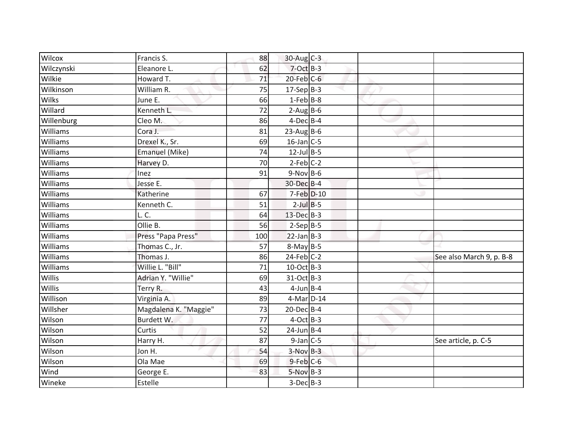| Wilcox          | Francis S.            | 88  | $30$ -Aug C-3    |  |                          |
|-----------------|-----------------------|-----|------------------|--|--------------------------|
| Wilczynski      | Eleanore L.           | 62  | $7-Oct$ $B-3$    |  |                          |
| Wilkie          | Howard T.             | 71  | $20$ -Feb $C$ -6 |  |                          |
| Wilkinson       | William R.            | 75  | $17-Sep B-3$     |  |                          |
| <b>Wilks</b>    | June E.               | 66  | $1-Feb$ B-8      |  |                          |
| Willard         | Kenneth L.            | 72  | $2-Aug$ B-6      |  |                          |
| Willenburg      | Cleo M.               | 86  | $4$ -Dec $B$ -4  |  |                          |
| Williams        | Cora J.               | 81  | $23$ -AugB-6     |  |                          |
| Williams        | Drexel K., Sr.        | 69  | $16$ -Jan C-5    |  |                          |
| Williams        | <b>Emanuel (Mike)</b> | 74  | $12$ -Jul B-5    |  |                          |
| Williams        | Harvey D.             | 70  | $2-Feb$ C-2      |  |                          |
| <b>Williams</b> | Inez                  | 91  | $9-Nov$ B-6      |  |                          |
| Williams        | Jesse E.              |     | 30-Dec B-4       |  |                          |
| Williams        | Katherine             | 67  | 7-Feb D-10       |  |                          |
| Williams        | Kenneth C.            | 51  | $2$ -Jul $B$ -5  |  |                          |
| Williams        | L.C.                  | 64  | 13-Dec B-3       |  |                          |
| Williams        | Ollie B.              | 56  | $2-Sep$ B-5      |  |                          |
| Williams        | Press "Papa Press"    | 100 | $22$ -Jan B-3    |  |                          |
| Williams        | Thomas C., Jr.        | 57  | $8-May$ B-5      |  |                          |
| Williams        | Thomas J.             | 86  | $24$ -Feb $C-2$  |  | See also March 9, p. B-8 |
| Williams        | Willie L. "Bill"      | 71  | 10-Oct B-3       |  |                          |
| Willis          | Adrian Y. "Willie"    | 69  | 31-Oct B-3       |  |                          |
| Willis          | Terry R.              | 43  | $4$ -Jun $B$ -4  |  |                          |
| Willison        | Virginia A.           | 89  | 4-Mar D-14       |  |                          |
| Willsher        | Magdalena K. "Maggie" | 73  | $20$ -Dec $B-4$  |  |                          |
| Wilson          | Burdett W.            | 77  | $4-Oct$ B-3      |  |                          |
| Wilson          | Curtis                | 52  | $24$ -Jun B-4    |  |                          |
| Wilson          | Harry H.              | 87  | $9$ -Jan $C$ -5  |  | See article, p. C-5      |
| Wilson          | Jon H.                | 54  | $3-Nov$ B-3      |  |                          |
| Wilson          | Ola Mae               | 69  | $9$ -Feb $C$ -6  |  |                          |
| Wind            | George E.             | 83  | $5-Nov$ B-3      |  |                          |
| Wineke          | Estelle               |     | $3-Dec$ B-3      |  |                          |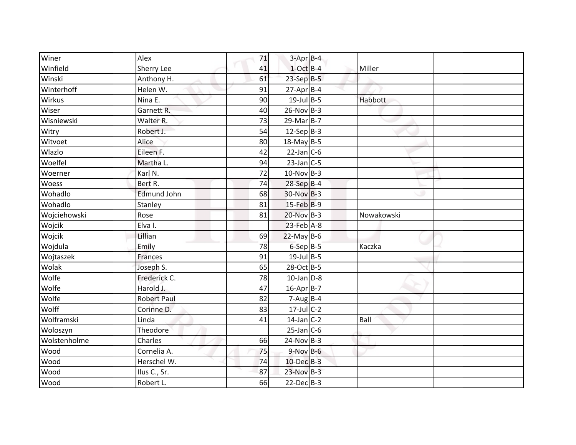| Winer        | Alex               | 71 | $3-Apr$ B-4              |            |  |
|--------------|--------------------|----|--------------------------|------------|--|
| Winfield     | Sherry Lee         | 41 | $1-Oct$ B-4              | Miller     |  |
| Winski       | Anthony H.         | 61 | $23-SepB-5$              |            |  |
| Winterhoff   | Helen W.           | 91 | $27$ -Apr $B$ -4         |            |  |
| Wirkus       | Nina E.            | 90 | $19$ -Jul B-5            | Habbott    |  |
| Wiser        | Garnett R.         | 40 | $26$ -Nov B-3            |            |  |
| Wisniewski   | Walter R.          | 73 | $29$ -Mar $B-7$          |            |  |
| Witry        | Robert J.          | 54 | $12-Sep$ B-3             |            |  |
| Witvoet      | Alice              | 80 | 18-May B-5               |            |  |
| Wlazlo       | Eileen F.          | 42 | $22$ -Jan C-6            |            |  |
| Woelfel      | Martha L.          | 94 | $23$ -Jan C-5            |            |  |
| Woerner      | Karl N.            | 72 | $10-Nov$ B-3             |            |  |
| Woess        | Bert R.            | 74 | 28-Sep B-4               |            |  |
| Wohadlo      | <b>Edmund John</b> | 68 | $30-Nov$ B-3             |            |  |
| Wohadlo      | Stanley            | 81 | $15$ -Feb $B-9$          |            |  |
| Wojciehowski | Rose               | 81 | 20-Nov B-3               | Nowakowski |  |
| Wojcik       | Elva I.            |    | 23-Feb A-8               |            |  |
| Wojcik       | Lillian            | 69 | $22$ -May B-6            |            |  |
| Wojdula      | Emily              | 78 | $6-Sep B-5$              | Kaczka     |  |
| Wojtaszek    | <b>Frances</b>     | 91 | $19$ -Jul B-5            |            |  |
| Wolak        | Joseph S.          | 65 | 28-Oct B-5               |            |  |
| Wolfe        | Frederick C.       | 78 | $10$ -Jan $D-8$          |            |  |
| Wolfe        | Harold J.          | 47 | $16$ -Apr $B$ -7         |            |  |
| Wolfe        | <b>Robert Paul</b> | 82 | $7 - Aug$ <sub>B-4</sub> |            |  |
| Wolff        | Corinne D.         | 83 | $17$ -Jul C-2            |            |  |
| Wolframski   | Linda              | 41 | $14$ -Jan C-2            | Ball       |  |
| Woloszyn     | <b>Theodore</b>    |    | $25$ -Jan C-6            |            |  |
| Wolstenholme | Charles            | 66 | $24-Nov$ B-3             |            |  |
| Wood         | Cornelia A.        | 75 | $9-Nov$ B-6              |            |  |
| Wood         | Herschel W.        | 74 | 10-Dec B-3               |            |  |
| Wood         | Ilus C., Sr.       | 87 | $23-Nov$ B-3             |            |  |
| Wood         | Robert L.          | 66 | $22$ -Dec $B-3$          |            |  |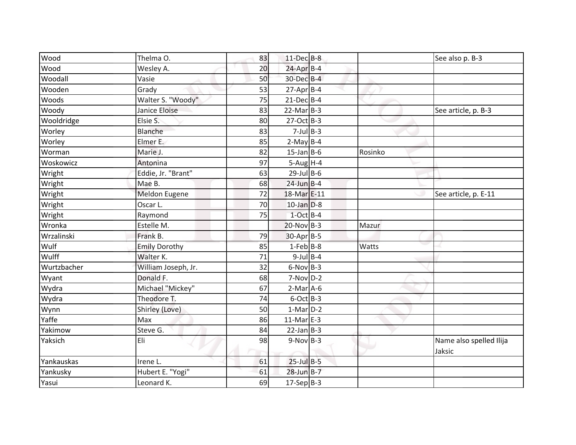| $11 - Dec$ B-8<br>Thelma O.<br>83<br>See also p. B-3<br>$24$ -Apr $B-4$<br>Wood<br>20<br>Wesley A.<br>30-Dec B-4<br>Woodall<br>50<br>Vasie<br>$27$ -Apr $B$ -4<br>Wooden<br>Grady<br>53<br>Walter S. "Woody"<br>$21-Dec$ B-4<br>75<br>$22$ -Mar $B-3$<br>Janice Eloise<br>83<br>See article, p. B-3<br>27-Oct B-3<br>Elsie S.<br>80<br>$7$ -Jul $B$ -3<br>Blanche<br>83<br>$2-May$ B-4<br>Elmer E.<br>85<br>$15$ -Jan B-6<br>Marie J.<br>82<br>Rosinko<br>$5-Aug$ H-4<br>Antonina<br>97<br>Eddie, Jr. "Brant"<br>$29$ -Jul B-6<br>63<br>$24$ -Jun B-4<br>Mae B.<br>68<br>72<br>18-Mar E-11<br>Meldon Eugene<br>See article, p. E-11<br>$10$ -Jan $D-8$<br>Oscar L.<br>70<br>$1-Oct$ B-4<br>Raymond<br>75<br>$20-NovB-3$<br>Estelle M.<br>Mazur<br>30-Apr B-5<br>Frank B.<br>79<br>$1$ -Feb $B$ -8<br><b>Emily Dorothy</b><br>Watts<br>85<br>$9$ -Jul $B$ -4<br>Walter K.<br>71<br>32<br>$6-Nov$ B-3<br>William Joseph, Jr.<br>Donald F.<br>$7-Nov$ D-2<br>68<br>Michael "Mickey"<br>$2-Mar$ A-6<br>67<br>74<br>Theodore T.<br>$6$ -Oct B-3<br>$1-Mar$ D-2<br>Shirley (Love)<br>50<br>$11-Mar$ E-3<br>Max<br>86<br>$22$ -Jan B-3<br>Steve G.<br>84<br>$9-Nov$ B-3<br>98<br>Eli<br>Name also spelled Ilija<br>Jaksic<br>$25$ -Jul B-5<br>Irene L.<br>61<br>28-Jun B-7<br>Hubert E. "Yogi"<br>61<br>$17-Sep B-3$<br>Leonard K.<br>69 |             |  |  |  |
|-----------------------------------------------------------------------------------------------------------------------------------------------------------------------------------------------------------------------------------------------------------------------------------------------------------------------------------------------------------------------------------------------------------------------------------------------------------------------------------------------------------------------------------------------------------------------------------------------------------------------------------------------------------------------------------------------------------------------------------------------------------------------------------------------------------------------------------------------------------------------------------------------------------------------------------------------------------------------------------------------------------------------------------------------------------------------------------------------------------------------------------------------------------------------------------------------------------------------------------------------------------------------------------------------------------------------------------|-------------|--|--|--|
|                                                                                                                                                                                                                                                                                                                                                                                                                                                                                                                                                                                                                                                                                                                                                                                                                                                                                                                                                                                                                                                                                                                                                                                                                                                                                                                                   | Wood        |  |  |  |
|                                                                                                                                                                                                                                                                                                                                                                                                                                                                                                                                                                                                                                                                                                                                                                                                                                                                                                                                                                                                                                                                                                                                                                                                                                                                                                                                   |             |  |  |  |
|                                                                                                                                                                                                                                                                                                                                                                                                                                                                                                                                                                                                                                                                                                                                                                                                                                                                                                                                                                                                                                                                                                                                                                                                                                                                                                                                   |             |  |  |  |
|                                                                                                                                                                                                                                                                                                                                                                                                                                                                                                                                                                                                                                                                                                                                                                                                                                                                                                                                                                                                                                                                                                                                                                                                                                                                                                                                   |             |  |  |  |
|                                                                                                                                                                                                                                                                                                                                                                                                                                                                                                                                                                                                                                                                                                                                                                                                                                                                                                                                                                                                                                                                                                                                                                                                                                                                                                                                   | Woods       |  |  |  |
|                                                                                                                                                                                                                                                                                                                                                                                                                                                                                                                                                                                                                                                                                                                                                                                                                                                                                                                                                                                                                                                                                                                                                                                                                                                                                                                                   | Woody       |  |  |  |
|                                                                                                                                                                                                                                                                                                                                                                                                                                                                                                                                                                                                                                                                                                                                                                                                                                                                                                                                                                                                                                                                                                                                                                                                                                                                                                                                   | Wooldridge  |  |  |  |
|                                                                                                                                                                                                                                                                                                                                                                                                                                                                                                                                                                                                                                                                                                                                                                                                                                                                                                                                                                                                                                                                                                                                                                                                                                                                                                                                   | Worley      |  |  |  |
|                                                                                                                                                                                                                                                                                                                                                                                                                                                                                                                                                                                                                                                                                                                                                                                                                                                                                                                                                                                                                                                                                                                                                                                                                                                                                                                                   | Worley      |  |  |  |
|                                                                                                                                                                                                                                                                                                                                                                                                                                                                                                                                                                                                                                                                                                                                                                                                                                                                                                                                                                                                                                                                                                                                                                                                                                                                                                                                   | Worman      |  |  |  |
|                                                                                                                                                                                                                                                                                                                                                                                                                                                                                                                                                                                                                                                                                                                                                                                                                                                                                                                                                                                                                                                                                                                                                                                                                                                                                                                                   | Woskowicz   |  |  |  |
|                                                                                                                                                                                                                                                                                                                                                                                                                                                                                                                                                                                                                                                                                                                                                                                                                                                                                                                                                                                                                                                                                                                                                                                                                                                                                                                                   | Wright      |  |  |  |
|                                                                                                                                                                                                                                                                                                                                                                                                                                                                                                                                                                                                                                                                                                                                                                                                                                                                                                                                                                                                                                                                                                                                                                                                                                                                                                                                   | Wright      |  |  |  |
|                                                                                                                                                                                                                                                                                                                                                                                                                                                                                                                                                                                                                                                                                                                                                                                                                                                                                                                                                                                                                                                                                                                                                                                                                                                                                                                                   | Wright      |  |  |  |
|                                                                                                                                                                                                                                                                                                                                                                                                                                                                                                                                                                                                                                                                                                                                                                                                                                                                                                                                                                                                                                                                                                                                                                                                                                                                                                                                   | Wright      |  |  |  |
|                                                                                                                                                                                                                                                                                                                                                                                                                                                                                                                                                                                                                                                                                                                                                                                                                                                                                                                                                                                                                                                                                                                                                                                                                                                                                                                                   | Wright      |  |  |  |
|                                                                                                                                                                                                                                                                                                                                                                                                                                                                                                                                                                                                                                                                                                                                                                                                                                                                                                                                                                                                                                                                                                                                                                                                                                                                                                                                   | Wronka      |  |  |  |
|                                                                                                                                                                                                                                                                                                                                                                                                                                                                                                                                                                                                                                                                                                                                                                                                                                                                                                                                                                                                                                                                                                                                                                                                                                                                                                                                   | Wrzalinski  |  |  |  |
|                                                                                                                                                                                                                                                                                                                                                                                                                                                                                                                                                                                                                                                                                                                                                                                                                                                                                                                                                                                                                                                                                                                                                                                                                                                                                                                                   | Wulf        |  |  |  |
|                                                                                                                                                                                                                                                                                                                                                                                                                                                                                                                                                                                                                                                                                                                                                                                                                                                                                                                                                                                                                                                                                                                                                                                                                                                                                                                                   | Wulff       |  |  |  |
|                                                                                                                                                                                                                                                                                                                                                                                                                                                                                                                                                                                                                                                                                                                                                                                                                                                                                                                                                                                                                                                                                                                                                                                                                                                                                                                                   | Wurtzbacher |  |  |  |
|                                                                                                                                                                                                                                                                                                                                                                                                                                                                                                                                                                                                                                                                                                                                                                                                                                                                                                                                                                                                                                                                                                                                                                                                                                                                                                                                   | Wyant       |  |  |  |
|                                                                                                                                                                                                                                                                                                                                                                                                                                                                                                                                                                                                                                                                                                                                                                                                                                                                                                                                                                                                                                                                                                                                                                                                                                                                                                                                   | Wydra       |  |  |  |
|                                                                                                                                                                                                                                                                                                                                                                                                                                                                                                                                                                                                                                                                                                                                                                                                                                                                                                                                                                                                                                                                                                                                                                                                                                                                                                                                   | Wydra       |  |  |  |
|                                                                                                                                                                                                                                                                                                                                                                                                                                                                                                                                                                                                                                                                                                                                                                                                                                                                                                                                                                                                                                                                                                                                                                                                                                                                                                                                   | Wynn        |  |  |  |
|                                                                                                                                                                                                                                                                                                                                                                                                                                                                                                                                                                                                                                                                                                                                                                                                                                                                                                                                                                                                                                                                                                                                                                                                                                                                                                                                   | Yaffe       |  |  |  |
|                                                                                                                                                                                                                                                                                                                                                                                                                                                                                                                                                                                                                                                                                                                                                                                                                                                                                                                                                                                                                                                                                                                                                                                                                                                                                                                                   | Yakimow     |  |  |  |
|                                                                                                                                                                                                                                                                                                                                                                                                                                                                                                                                                                                                                                                                                                                                                                                                                                                                                                                                                                                                                                                                                                                                                                                                                                                                                                                                   | Yaksich     |  |  |  |
|                                                                                                                                                                                                                                                                                                                                                                                                                                                                                                                                                                                                                                                                                                                                                                                                                                                                                                                                                                                                                                                                                                                                                                                                                                                                                                                                   |             |  |  |  |
|                                                                                                                                                                                                                                                                                                                                                                                                                                                                                                                                                                                                                                                                                                                                                                                                                                                                                                                                                                                                                                                                                                                                                                                                                                                                                                                                   | Yankauskas  |  |  |  |
|                                                                                                                                                                                                                                                                                                                                                                                                                                                                                                                                                                                                                                                                                                                                                                                                                                                                                                                                                                                                                                                                                                                                                                                                                                                                                                                                   | Yankusky    |  |  |  |
|                                                                                                                                                                                                                                                                                                                                                                                                                                                                                                                                                                                                                                                                                                                                                                                                                                                                                                                                                                                                                                                                                                                                                                                                                                                                                                                                   | Yasui       |  |  |  |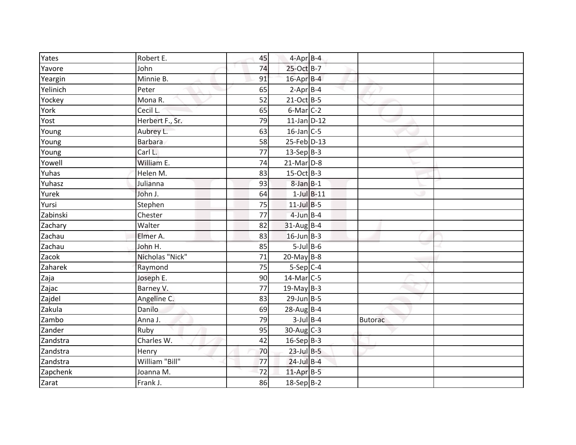| Yates    | Robert E.       | 45 | $4$ -Apr $B$ -4            |                |  |
|----------|-----------------|----|----------------------------|----------------|--|
| Yavore   | John            | 74 | 25-Oct B-7                 |                |  |
| Yeargin  | Minnie B.       | 91 | 16-Apr B-4                 |                |  |
| Yelinich | Peter           | 65 | $2-Apr$ B-4                |                |  |
| Yockey   | Mona R.         | 52 | $21-Oct$ B-5               |                |  |
| York     | Cecil L.        | 65 | $6$ -Mar $C-2$             |                |  |
| Yost     | Herbert F., Sr. | 79 | $11$ -Jan D-12             |                |  |
| Young    | Aubrey L.       | 63 | $16$ -Jan $C$ -5           |                |  |
| Young    | <b>Barbara</b>  | 58 | 25-Feb D-13                |                |  |
| Young    | Carl L.         | 77 | $13-Sep B-3$               |                |  |
| Yowell   | William E.      | 74 | $21$ -Mar $D-8$            |                |  |
| Yuhas    | Helen M.        | 83 | $15-Oct$ B-3               |                |  |
| Yuhasz   | Julianna        | 93 | $8$ -Jan $B-1$             |                |  |
| Yurek    | John J.         | 64 | $1$ -Jul $B-11$            |                |  |
| Yursi    | Stephen         | 75 | $11$ -Jul B-5              |                |  |
| Zabinski | Chester         | 77 | $4$ -Jun $B$ -4            |                |  |
| Zachary  | Walter          | 82 | $31-Aug$ B-4               |                |  |
| Zachau   | Elmer A.        | 83 | $16$ -Jun $B-3$            |                |  |
| Zachau   | John H.         | 85 | $5$ -Jul B-6               |                |  |
| Zacok    | Nicholas "Nick" | 71 | $20$ -May B-8              |                |  |
| Zaharek  | Raymond         | 75 | $5-Sep C-4$                |                |  |
| Zaja     | Joseph E.       | 90 | $\overline{14}$ -Mar $C-5$ |                |  |
| Zajac    | Barney V.       | 77 | $19$ -May B-3              |                |  |
| Zajdel   | Angeline C.     | 83 | $29$ -Jun $B - 5$          |                |  |
| Zakula   | Danilo          | 69 | $28$ -Aug B-4              |                |  |
| Zambo    | Anna J.         | 79 | $3$ -Jul $B$ -4            | <b>Butorac</b> |  |
| Zander   | Ruby            | 95 | $30$ -Aug C-3              |                |  |
| Zandstra | Charles W.      | 42 | $16-Sep$ B-3               |                |  |
| Zandstra | Henry           | 70 | $23$ -Jul $B-5$            |                |  |
| Zandstra | William "Bill"  | 77 | $24$ -Jul B-4              |                |  |
| Zapchenk | Joanna M.       | 72 | $11$ -Apr $B-5$            |                |  |
| Zarat    | Frank J.        | 86 | $18-Sep B-2$               |                |  |
|          |                 |    |                            |                |  |